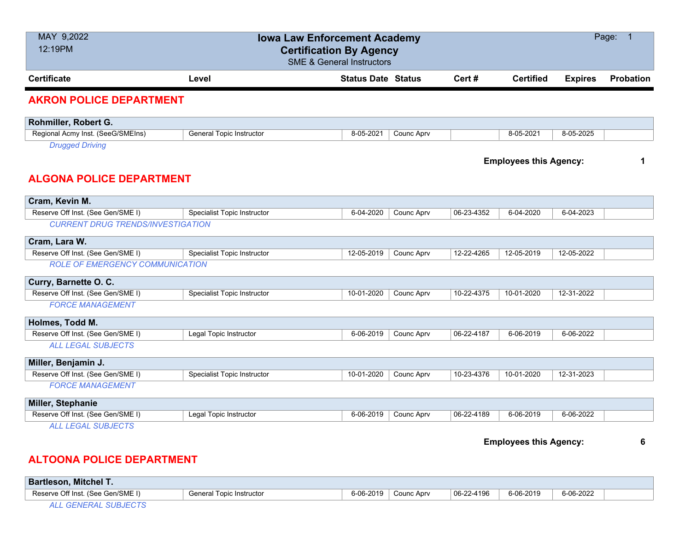| MAY 9,2022<br>12:19PM                                          | <b>Iowa Law Enforcement Academy</b><br><b>Certification By Agency</b> | <b>SME &amp; General Instructors</b> |            |            |                               |                | Page: 1          |
|----------------------------------------------------------------|-----------------------------------------------------------------------|--------------------------------------|------------|------------|-------------------------------|----------------|------------------|
| <b>Certificate</b>                                             | Level                                                                 | <b>Status Date Status</b>            |            | Cert #     | <b>Certified</b>              | <b>Expires</b> | <b>Probation</b> |
| <b>AKRON POLICE DEPARTMENT</b>                                 |                                                                       |                                      |            |            |                               |                |                  |
| Rohmiller, Robert G.                                           |                                                                       |                                      |            |            |                               |                |                  |
| Regional Acmy Inst. (SeeG/SMEIns)                              | <b>General Topic Instructor</b>                                       | 8-05-2021                            | Counc Aprv |            | 8-05-2021                     | 8-05-2025      |                  |
| <b>Drugged Driving</b>                                         |                                                                       |                                      |            |            |                               |                |                  |
|                                                                |                                                                       |                                      |            |            | <b>Employees this Agency:</b> |                | 1                |
| <b>ALGONA POLICE DEPARTMENT</b>                                |                                                                       |                                      |            |            |                               |                |                  |
| Cram, Kevin M.                                                 |                                                                       |                                      |            |            |                               |                |                  |
| Reserve Off Inst. (See Gen/SME I)                              | Specialist Topic Instructor                                           | 6-04-2020                            | Counc Aprv | 06-23-4352 | 6-04-2020                     | 6-04-2023      |                  |
| <b>CURRENT DRUG TRENDS/INVESTIGATION</b>                       |                                                                       |                                      |            |            |                               |                |                  |
| Cram, Lara W.                                                  |                                                                       |                                      |            |            |                               |                |                  |
| Reserve Off Inst. (See Gen/SME I)                              | <b>Specialist Topic Instructor</b>                                    | 12-05-2019                           | Counc Aprv | 12-22-4265 | 12-05-2019                    | 12-05-2022     |                  |
| <b>ROLE OF EMERGENCY COMMUNICATION</b>                         |                                                                       |                                      |            |            |                               |                |                  |
| Curry, Barnette O. C.                                          |                                                                       |                                      |            |            |                               |                |                  |
| Reserve Off Inst. (See Gen/SME I)                              | Specialist Topic Instructor                                           | 10-01-2020                           | Counc Aprv | 10-22-4375 | 10-01-2020                    | 12-31-2022     |                  |
| <b>FORCE MANAGEMENT</b>                                        |                                                                       |                                      |            |            |                               |                |                  |
| Holmes, Todd M.                                                |                                                                       |                                      |            |            |                               |                |                  |
| Reserve Off Inst. (See Gen/SME I)                              | Legal Topic Instructor                                                | 6-06-2019                            | Counc Aprv | 06-22-4187 | 6-06-2019                     | 6-06-2022      |                  |
| <b>ALL LEGAL SUBJECTS</b>                                      |                                                                       |                                      |            |            |                               |                |                  |
| Miller, Benjamin J.                                            |                                                                       |                                      |            |            |                               |                |                  |
| Reserve Off Inst. (See Gen/SME I)                              | <b>Specialist Topic Instructor</b>                                    | 10-01-2020                           | Counc Aprv | 10-23-4376 | 10-01-2020                    | 12-31-2023     |                  |
| <b>FORCE MANAGEMENT</b>                                        |                                                                       |                                      |            |            |                               |                |                  |
|                                                                |                                                                       |                                      |            |            |                               |                |                  |
| Miller, Stephanie                                              |                                                                       |                                      |            |            |                               |                |                  |
| Reserve Off Inst. (See Gen/SME I)<br><b>ALL LEGAL SUBJECTS</b> | Legal Topic Instructor                                                | 6-06-2019                            | Counc Aprv | 06-22-4189 | 6-06-2019                     | 6-06-2022      |                  |
|                                                                |                                                                       |                                      |            |            |                               |                |                  |
|                                                                |                                                                       |                                      |            |            | <b>Employees this Agency:</b> |                | 6                |
| <b>ALTOONA POLICE DEPARTMENT</b>                               |                                                                       |                                      |            |            |                               |                |                  |

**Bartleson, Mitchel T.** Reserve Off Inst. (See Gen/SME I) General Topic Instructor 6-06-2019 Counc Aprv 06-22-4196 6-06-2019 6-06-2022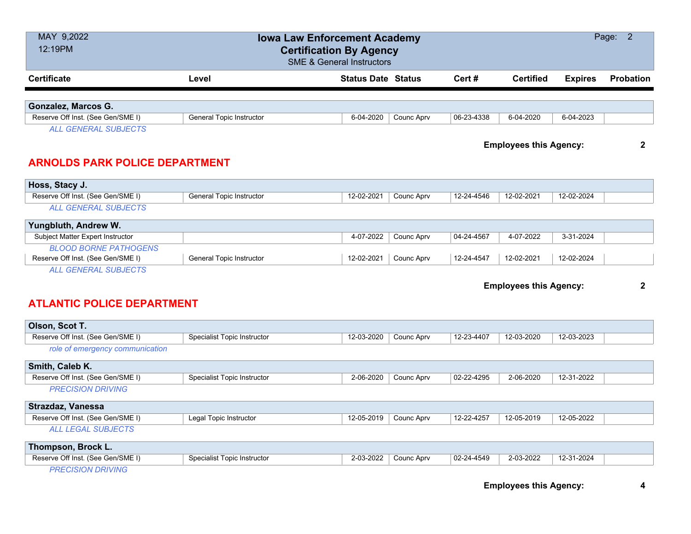| MAY 9,2022<br><b>Iowa Law Enforcement Academy</b><br>12:19PM<br><b>Certification By Agency</b><br><b>SME &amp; General Instructors</b> |                                    |                           |            |            |                               |                | Page: 2      |
|----------------------------------------------------------------------------------------------------------------------------------------|------------------------------------|---------------------------|------------|------------|-------------------------------|----------------|--------------|
| <b>Certificate</b>                                                                                                                     | Level                              | <b>Status Date Status</b> |            | Cert #     | <b>Certified</b>              | <b>Expires</b> | Probation    |
|                                                                                                                                        |                                    |                           |            |            |                               |                |              |
| Gonzalez, Marcos G.                                                                                                                    |                                    |                           |            |            |                               |                |              |
| Reserve Off Inst. (See Gen/SME I)                                                                                                      | <b>General Topic Instructor</b>    | 6-04-2020                 | Counc Aprv | 06-23-4338 | 6-04-2020                     | 6-04-2023      |              |
| <b>ALL GENERAL SUBJECTS</b>                                                                                                            |                                    |                           |            |            | <b>Employees this Agency:</b> |                | $\mathbf{2}$ |
| <b>ARNOLDS PARK POLICE DEPARTMENT</b>                                                                                                  |                                    |                           |            |            |                               |                |              |
| Hoss, Stacy J.                                                                                                                         |                                    |                           |            |            |                               |                |              |
| Reserve Off Inst. (See Gen/SME I)                                                                                                      | <b>General Topic Instructor</b>    | 12-02-2021                | Counc Aprv | 12-24-4546 | 12-02-2021                    | 12-02-2024     |              |
| <b>ALL GENERAL SUBJECTS</b>                                                                                                            |                                    |                           |            |            |                               |                |              |
| Yungbluth, Andrew W.                                                                                                                   |                                    |                           |            |            |                               |                |              |
| Subject Matter Expert Instructor                                                                                                       |                                    | 4-07-2022                 | Counc Aprv | 04-24-4567 | 4-07-2022                     | 3-31-2024      |              |
| <b>BLOOD BORNE PATHOGENS</b>                                                                                                           |                                    |                           |            |            |                               |                |              |
| Reserve Off Inst. (See Gen/SME I)                                                                                                      | General Topic Instructor           | 12-02-2021                | Counc Aprv | 12-24-4547 | 12-02-2021                    | 12-02-2024     |              |
| <b>ALL GENERAL SUBJECTS</b><br><b>ATLANTIC POLICE DEPARTMENT</b>                                                                       |                                    |                           |            |            | <b>Employees this Agency:</b> |                | $\mathbf{2}$ |
| Olson, Scot T.                                                                                                                         |                                    |                           |            |            |                               |                |              |
| Reserve Off Inst. (See Gen/SME I)                                                                                                      | <b>Specialist Topic Instructor</b> | 12-03-2020                | Counc Aprv | 12-23-4407 | 12-03-2020                    | 12-03-2023     |              |
| role of emergency communication                                                                                                        |                                    |                           |            |            |                               |                |              |
| Smith, Caleb K.                                                                                                                        |                                    |                           |            |            |                               |                |              |
| Reserve Off Inst. (See Gen/SME I)                                                                                                      | <b>Specialist Topic Instructor</b> | 2-06-2020                 | Counc Aprv | 02-22-4295 | 2-06-2020                     | 12-31-2022     |              |
| <b>PRECISION DRIVING</b>                                                                                                               |                                    |                           |            |            |                               |                |              |
| Strazdaz, Vanessa                                                                                                                      |                                    |                           |            |            |                               |                |              |
| Reserve Off Inst. (See Gen/SME I)                                                                                                      | Legal Topic Instructor             | 12-05-2019                | Counc Aprv | 12-22-4257 | 12-05-2019                    | 12-05-2022     |              |
| <b>ALL LEGAL SUBJECTS</b>                                                                                                              |                                    |                           |            |            |                               |                |              |
| Thompson, Brock L.                                                                                                                     |                                    |                           |            |            |                               |                |              |
| Reserve Off Inst. (See Gen/SME I)                                                                                                      | <b>Specialist Topic Instructor</b> | 2-03-2022                 | Counc Aprv | 02-24-4549 | 2-03-2022                     | 12-31-2024     |              |
| <b>PRECISION DRIVING</b>                                                                                                               |                                    |                           |            |            |                               |                |              |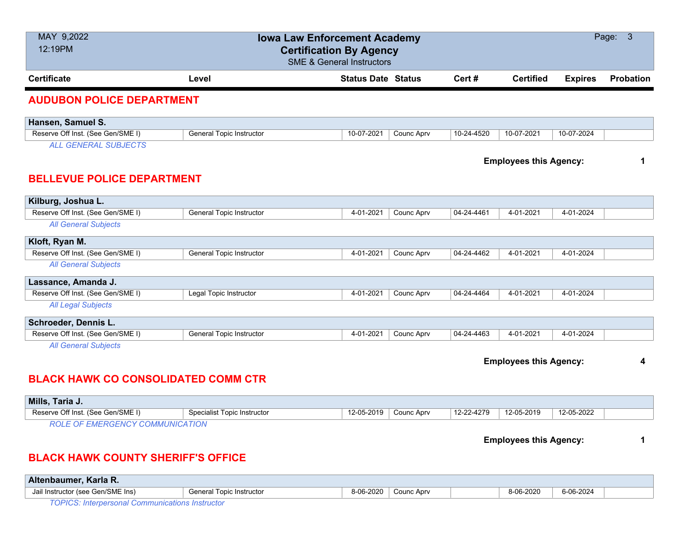| MAY 9,2022<br>12:19PM                      |                                 | <b>Iowa Law Enforcement Academy</b><br><b>Certification By Agency</b> |                        |            |                               |                | Page: 3          |
|--------------------------------------------|---------------------------------|-----------------------------------------------------------------------|------------------------|------------|-------------------------------|----------------|------------------|
|                                            |                                 | <b>SME &amp; General Instructors</b>                                  |                        |            |                               |                |                  |
| <b>Certificate</b>                         | Level                           | <b>Status Date Status</b>                                             |                        | Cert#      | <b>Certified</b>              | <b>Expires</b> | <b>Probation</b> |
| <b>AUDUBON POLICE DEPARTMENT</b>           |                                 |                                                                       |                        |            |                               |                |                  |
| Hansen, Samuel S.                          |                                 |                                                                       |                        |            |                               |                |                  |
| Reserve Off Inst. (See Gen/SME I)          | General Topic Instructor        | 10-07-2021                                                            | Counc Aprv             | 10-24-4520 | 10-07-2021                    | 10-07-2024     |                  |
| <b>ALL GENERAL SUBJECTS</b>                |                                 |                                                                       |                        |            |                               |                |                  |
|                                            |                                 |                                                                       |                        |            | <b>Employees this Agency:</b> |                | 1                |
| <b>BELLEVUE POLICE DEPARTMENT</b>          |                                 |                                                                       |                        |            |                               |                |                  |
|                                            |                                 |                                                                       |                        |            |                               |                |                  |
| Kilburg, Joshua L.                         |                                 |                                                                       |                        |            |                               |                |                  |
| Reserve Off Inst. (See Gen/SME I)          | <b>General Topic Instructor</b> | 4-01-2021                                                             | Counc Aprv             | 04-24-4461 | 4-01-2021                     | 4-01-2024      |                  |
| <b>All General Subjects</b>                |                                 |                                                                       |                        |            |                               |                |                  |
| Kloft, Ryan M.                             |                                 |                                                                       |                        |            |                               |                |                  |
| Reserve Off Inst. (See Gen/SME I)          | <b>General Topic Instructor</b> | 4-01-2021                                                             | Counc Aprv             | 04-24-4462 | 4-01-2021                     | 4-01-2024      |                  |
| <b>All General Subjects</b>                |                                 |                                                                       |                        |            |                               |                |                  |
| Lassance, Amanda J.                        |                                 |                                                                       |                        |            |                               |                |                  |
| Reserve Off Inst. (See Gen/SME I)          | Legal Topic Instructor          | 4-01-2021                                                             | Counc Aprv             | 04-24-4464 | 4-01-2021                     | 4-01-2024      |                  |
| <b>All Legal Subjects</b>                  |                                 |                                                                       |                        |            |                               |                |                  |
| Schroeder, Dennis L.                       |                                 |                                                                       |                        |            |                               |                |                  |
| Reserve Off Inst. (See Gen/SME I)          | General Topic Instructor        | 4-01-2021                                                             | Counc Aprv             | 04-24-4463 | 4-01-2021                     | 4-01-2024      |                  |
| <b>All General Subjects</b>                |                                 |                                                                       |                        |            |                               |                |                  |
|                                            |                                 |                                                                       |                        |            | <b>Employees this Agency:</b> |                | 4                |
|                                            |                                 |                                                                       |                        |            |                               |                |                  |
| <b>BLACK HAWK CO CONSOLIDATED COMM CTR</b> |                                 |                                                                       |                        |            |                               |                |                  |
| Mills, Taria J.                            |                                 |                                                                       |                        |            |                               |                |                  |
| Reserve Off Inst. (See Gen/SME I)          | Specialist Topic Instructor     | 12-05-2019                                                            | Counc Aprv             | 12-22-4279 | 12-05-2019                    | 12-05-2022     |                  |
| <b>ROLE OF EMERGENCY COMMUNICATION</b>     |                                 |                                                                       |                        |            |                               |                |                  |
|                                            |                                 |                                                                       |                        |            | <b>Employees this Agency:</b> |                | 1                |
| <b>BLACK HAWK COUNTY SHERIFF'S OFFICE</b>  |                                 |                                                                       |                        |            |                               |                |                  |
| Altenbaumer, Karla R.                      |                                 |                                                                       |                        |            |                               |                |                  |
| Jail Instructor (see Gen/SME Ins)          | <b>General Topic Instructor</b> |                                                                       | 8-06-2020   Counc Aprv |            | 8-06-2020                     | 6-06-2024      |                  |

*TOPICS: Interpersonal Communications Instructor*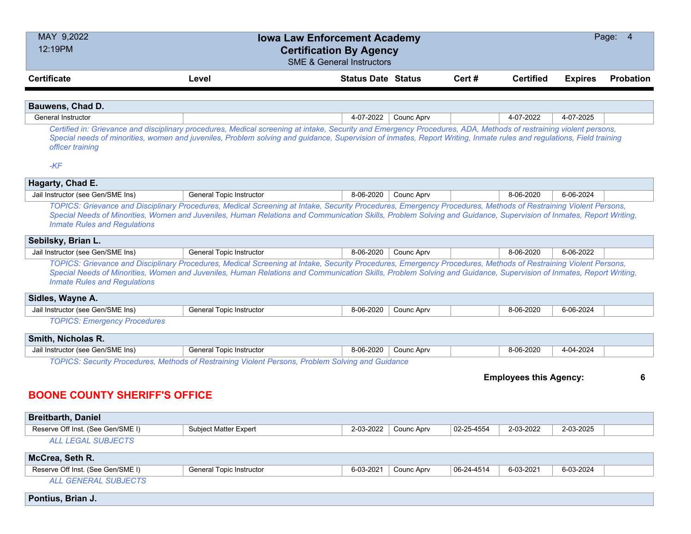| MAY 9,2022<br>Page: 4<br><b>Iowa Law Enforcement Academy</b><br>12:19PM<br><b>Certification By Agency</b><br><b>SME &amp; General Instructors</b> |                                                                                                                                                                                                                                                                                                                                           |                           |            |            |                               |                |                  |
|---------------------------------------------------------------------------------------------------------------------------------------------------|-------------------------------------------------------------------------------------------------------------------------------------------------------------------------------------------------------------------------------------------------------------------------------------------------------------------------------------------|---------------------------|------------|------------|-------------------------------|----------------|------------------|
| <b>Certificate</b>                                                                                                                                | Level                                                                                                                                                                                                                                                                                                                                     | <b>Status Date Status</b> |            | Cert#      | <b>Certified</b>              | <b>Expires</b> | <b>Probation</b> |
|                                                                                                                                                   |                                                                                                                                                                                                                                                                                                                                           |                           |            |            |                               |                |                  |
| Bauwens, Chad D.                                                                                                                                  |                                                                                                                                                                                                                                                                                                                                           |                           |            |            |                               |                |                  |
| <b>General Instructor</b>                                                                                                                         |                                                                                                                                                                                                                                                                                                                                           | 4-07-2022                 | Counc Aprv |            | 4-07-2022                     | 4-07-2025      |                  |
| officer training                                                                                                                                  | Certified in: Grievance and disciplinary procedures, Medical screening at intake, Security and Emergency Procedures, ADA, Methods of restraining violent persons,<br>Special needs of minorities, women and juveniles, Problem solving and guidance, Supervision of inmates, Report Writing, Inmate rules and regulations, Field training |                           |            |            |                               |                |                  |
| $-KF$                                                                                                                                             |                                                                                                                                                                                                                                                                                                                                           |                           |            |            |                               |                |                  |
| Hagarty, Chad E.                                                                                                                                  |                                                                                                                                                                                                                                                                                                                                           |                           |            |            |                               |                |                  |
| Jail Instructor (see Gen/SME Ins)                                                                                                                 | <b>General Topic Instructor</b>                                                                                                                                                                                                                                                                                                           | 8-06-2020                 | Counc Aprv |            | 8-06-2020                     | 6-06-2024      |                  |
| <b>Inmate Rules and Regulations</b>                                                                                                               | TOPICS: Grievance and Disciplinary Procedures, Medical Screening at Intake, Security Procedures, Emergency Procedures, Methods of Restraining Violent Persons,<br>Special Needs of Minorities, Women and Juveniles, Human Relations and Communication Skills, Problem Solving and Guidance, Supervision of Inmates, Report Writing,       |                           |            |            |                               |                |                  |
| Sebilsky, Brian L.                                                                                                                                |                                                                                                                                                                                                                                                                                                                                           |                           |            |            |                               |                |                  |
| Jail Instructor (see Gen/SME Ins)                                                                                                                 | General Topic Instructor                                                                                                                                                                                                                                                                                                                  | 8-06-2020                 | Counc Aprv |            | 8-06-2020                     | 6-06-2022      |                  |
| <b>Inmate Rules and Regulations</b><br>Sidles, Wayne A.                                                                                           | TOPICS: Grievance and Disciplinary Procedures, Medical Screening at Intake, Security Procedures, Emergency Procedures, Methods of Restraining Violent Persons,<br>Special Needs of Minorities, Women and Juveniles, Human Relations and Communication Skills, Problem Solving and Guidance, Supervision of Inmates, Report Writing,       |                           |            |            |                               |                |                  |
| Jail Instructor (see Gen/SME Ins)                                                                                                                 | General Topic Instructor                                                                                                                                                                                                                                                                                                                  | 8-06-2020                 | Counc Aprv |            | 8-06-2020                     | 6-06-2024      |                  |
| <b>TOPICS: Emergency Procedures</b>                                                                                                               |                                                                                                                                                                                                                                                                                                                                           |                           |            |            |                               |                |                  |
| Smith, Nicholas R.                                                                                                                                |                                                                                                                                                                                                                                                                                                                                           |                           |            |            |                               |                |                  |
| Jail Instructor (see Gen/SME Ins)                                                                                                                 | General Topic Instructor                                                                                                                                                                                                                                                                                                                  | 8-06-2020                 | Counc Aprv |            | 8-06-2020                     | 4-04-2024      |                  |
|                                                                                                                                                   | TOPICS: Security Procedures, Methods of Restraining Violent Persons, Problem Solving and Guidance                                                                                                                                                                                                                                         |                           |            |            |                               |                |                  |
|                                                                                                                                                   |                                                                                                                                                                                                                                                                                                                                           |                           |            |            | <b>Employees this Agency:</b> |                | 6                |
| <b>BOONE COUNTY SHERIFF'S OFFICE</b>                                                                                                              |                                                                                                                                                                                                                                                                                                                                           |                           |            |            |                               |                |                  |
| <b>Breitbarth, Daniel</b>                                                                                                                         |                                                                                                                                                                                                                                                                                                                                           |                           |            |            |                               |                |                  |
| Reserve Off Inst. (See Gen/SME I)                                                                                                                 | Subject Matter Expert                                                                                                                                                                                                                                                                                                                     | 2-03-2022                 | Counc Aprv | 02-25-4554 | 2-03-2022                     | 2-03-2025      |                  |
| <b>ALL LEGAL SUBJECTS</b>                                                                                                                         |                                                                                                                                                                                                                                                                                                                                           |                           |            |            |                               |                |                  |
| McCrea, Seth R.                                                                                                                                   |                                                                                                                                                                                                                                                                                                                                           |                           |            |            |                               |                |                  |
| Reserve Off Inst. (See Gen/SME I)                                                                                                                 | General Topic Instructor                                                                                                                                                                                                                                                                                                                  | 6-03-2021                 | Counc Aprv | 06-24-4514 | 6-03-2021                     | 6-03-2024      |                  |
| ALL GENERAL SUBJECTS                                                                                                                              |                                                                                                                                                                                                                                                                                                                                           |                           |            |            |                               |                |                  |
| Pontius, Brian J.                                                                                                                                 |                                                                                                                                                                                                                                                                                                                                           |                           |            |            |                               |                |                  |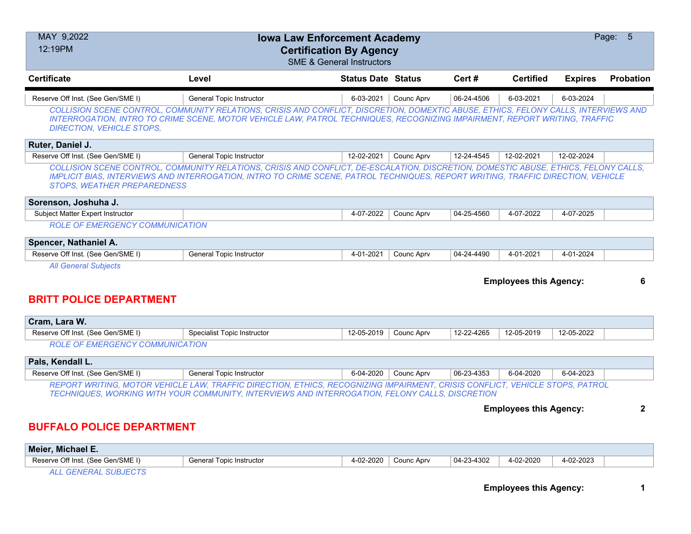| MAY 9,2022<br>Page: 5<br><b>Iowa Law Enforcement Academy</b><br>12:19PM<br><b>Certification By Agency</b><br><b>SME &amp; General Instructors</b> |                                                                                                                                                                                                                                                                         |                           |            |            |                               |                |              |  |
|---------------------------------------------------------------------------------------------------------------------------------------------------|-------------------------------------------------------------------------------------------------------------------------------------------------------------------------------------------------------------------------------------------------------------------------|---------------------------|------------|------------|-------------------------------|----------------|--------------|--|
| <b>Certificate</b>                                                                                                                                | Level                                                                                                                                                                                                                                                                   | <b>Status Date Status</b> |            | Cert #     | <b>Certified</b>              | <b>Expires</b> | Probation    |  |
| Reserve Off Inst. (See Gen/SME I)                                                                                                                 | <b>General Topic Instructor</b>                                                                                                                                                                                                                                         | 6-03-2021                 | Counc Aprv | 06-24-4506 | 6-03-2021                     | 6-03-2024      |              |  |
| <b>DIRECTION, VEHICLE STOPS,</b>                                                                                                                  | COLLISION SCENE CONTROL, COMMUNITY RELATIONS, CRISIS AND CONFLICT, DISCRETION, DOMEXTIC ABUSE, ETHICS, FELONY CALLS, INTERVIEWS AND<br>INTERROGATION, INTRO TO CRIME SCENE, MOTOR VEHICLE LAW, PATROL TECHNIQUES, RECOGNIZING IMPAIRMENT, REPORT WRITING, TRAFFIC       |                           |            |            |                               |                |              |  |
| Ruter, Daniel J.                                                                                                                                  |                                                                                                                                                                                                                                                                         |                           |            |            |                               |                |              |  |
| Reserve Off Inst. (See Gen/SME I)                                                                                                                 | General Topic Instructor                                                                                                                                                                                                                                                | 12-02-2021                | Counc Aprv | 12-24-4545 | 12-02-2021                    | 12-02-2024     |              |  |
| <b>STOPS. WEATHER PREPAREDNESS</b>                                                                                                                | COLLISION SCENE CONTROL, COMMUNITY RELATIONS, CRISIS AND CONFLICT, DE-ESCALATION, DISCRETION, DOMESTIC ABUSE, ETHICS, FELONY CALLS,<br>IMPLICIT BIAS, INTERVIEWS AND INTERROGATION, INTRO TO CRIME SCENE, PATROL TECHNIQUES, REPORT WRITING, TRAFFIC DIRECTION, VEHICLE |                           |            |            |                               |                |              |  |
| Sorenson, Joshuha J.                                                                                                                              |                                                                                                                                                                                                                                                                         |                           |            |            |                               |                |              |  |
| <b>Subject Matter Expert Instructor</b>                                                                                                           |                                                                                                                                                                                                                                                                         | 4-07-2022                 | Counc Aprv | 04-25-4560 | 4-07-2022                     | 4-07-2025      |              |  |
| <b>ROLE OF EMERGENCY COMMUNICATION</b>                                                                                                            |                                                                                                                                                                                                                                                                         |                           |            |            |                               |                |              |  |
| Spencer, Nathaniel A.                                                                                                                             |                                                                                                                                                                                                                                                                         |                           |            |            |                               |                |              |  |
| Reserve Off Inst. (See Gen/SME I)                                                                                                                 | General Topic Instructor                                                                                                                                                                                                                                                | 4-01-2021                 | Counc Aprv | 04-24-4490 | 4-01-2021                     | 4-01-2024      |              |  |
| <b>All General Subjects</b><br><b>BRITT POLICE DEPARTMENT</b>                                                                                     |                                                                                                                                                                                                                                                                         |                           |            |            | <b>Employees this Agency:</b> |                | 6            |  |
| Cram, Lara W.                                                                                                                                     |                                                                                                                                                                                                                                                                         |                           |            |            |                               |                |              |  |
| Reserve Off Inst. (See Gen/SME I)                                                                                                                 | Specialist Topic Instructor                                                                                                                                                                                                                                             | 12-05-2019                | Counc Aprv | 12-22-4265 | 12-05-2019                    | 12-05-2022     |              |  |
| <b>ROLE OF EMERGENCY COMMUNICATION</b>                                                                                                            |                                                                                                                                                                                                                                                                         |                           |            |            |                               |                |              |  |
| Pals, Kendall L.                                                                                                                                  |                                                                                                                                                                                                                                                                         |                           |            |            |                               |                |              |  |
| Reserve Off Inst. (See Gen/SME I)                                                                                                                 | <b>General Topic Instructor</b>                                                                                                                                                                                                                                         | 6-04-2020                 | Counc Aprv | 06-23-4353 | 6-04-2020                     | 6-04-2023      |              |  |
|                                                                                                                                                   | REPORT WRITING, MOTOR VEHICLE LAW, TRAFFIC DIRECTION, ETHICS, RECOGNIZING IMPAIRMENT, CRISIS CONFLICT, VEHICLE STOPS, PATROL<br>TECHNIQUES, WORKING WITH YOUR COMMUNITY, INTERVIEWS AND INTERROGATION, FELONY CALLS, DISCRETION                                         |                           |            |            | <b>Employees this Agency:</b> |                | $\mathbf{2}$ |  |
| <b>BUFFALO POLICE DEPARTMENT</b><br>$Mainy$ $Mishcal E$                                                                                           |                                                                                                                                                                                                                                                                         |                           |            |            |                               |                |              |  |

| <b>Meler</b><br><b>MICHAELE.</b>                  |                                  |           |            |            |           |           |  |
|---------------------------------------------------|----------------------------------|-----------|------------|------------|-----------|-----------|--|
| . (See Gen/SME I)<br>. Off Inst<br><b>Reserve</b> | Topic<br>⊧ Instructor<br>General | 4-02-2020 | Counc Apry | 04-23-4302 | 4-02-2020 | 4-02-2023 |  |

*ALL GENERAL SUBJECTS*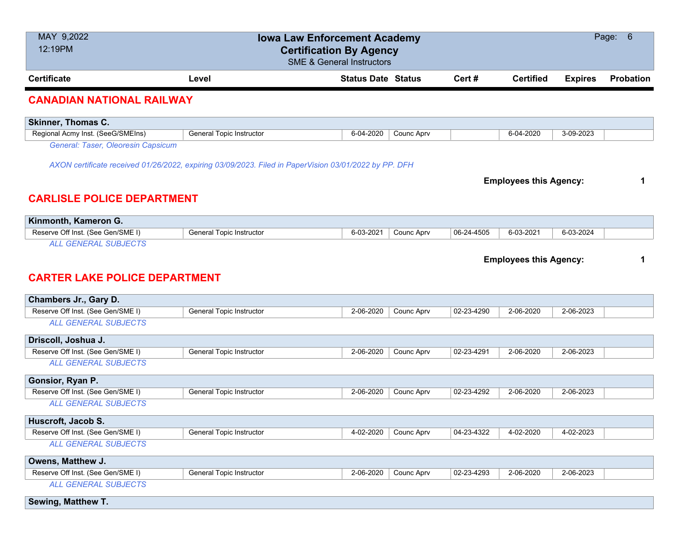| MAY 9,2022<br>12:19PM                |                                                                                                       | <b>Iowa Law Enforcement Academy</b><br><b>Certification By Agency</b><br><b>SME &amp; General Instructors</b> |            |            |                               |                | Page:<br>6 |
|--------------------------------------|-------------------------------------------------------------------------------------------------------|---------------------------------------------------------------------------------------------------------------|------------|------------|-------------------------------|----------------|------------|
| <b>Certificate</b>                   | Level                                                                                                 | <b>Status Date Status</b>                                                                                     |            | Cert#      | <b>Certified</b>              | <b>Expires</b> | Probation  |
| <b>CANADIAN NATIONAL RAILWAY</b>     |                                                                                                       |                                                                                                               |            |            |                               |                |            |
| <b>Skinner, Thomas C.</b>            |                                                                                                       |                                                                                                               |            |            |                               |                |            |
| Regional Acmy Inst. (SeeG/SMEIns)    | General Topic Instructor                                                                              | 6-04-2020                                                                                                     | Counc Aprv |            | 6-04-2020                     | 3-09-2023      |            |
| General: Taser, Oleoresin Capsicum   |                                                                                                       |                                                                                                               |            |            |                               |                |            |
|                                      | AXON certificate received 01/26/2022, expiring 03/09/2023. Filed in PaperVision 03/01/2022 by PP. DFH |                                                                                                               |            |            |                               |                |            |
|                                      |                                                                                                       |                                                                                                               |            |            |                               |                |            |
|                                      |                                                                                                       |                                                                                                               |            |            | <b>Employees this Agency:</b> |                | 1          |
| <b>CARLISLE POLICE DEPARTMENT</b>    |                                                                                                       |                                                                                                               |            |            |                               |                |            |
|                                      |                                                                                                       |                                                                                                               |            |            |                               |                |            |
| Kinmonth, Kameron G.                 |                                                                                                       |                                                                                                               |            |            |                               |                |            |
| Reserve Off Inst. (See Gen/SME I)    | General Topic Instructor                                                                              | 6-03-2021                                                                                                     | Counc Aprv | 06-24-4505 | 6-03-2021                     | 6-03-2024      |            |
| <b>ALL GENERAL SUBJECTS</b>          |                                                                                                       |                                                                                                               |            |            |                               |                |            |
|                                      |                                                                                                       |                                                                                                               |            |            | <b>Employees this Agency:</b> |                | 1          |
|                                      |                                                                                                       |                                                                                                               |            |            |                               |                |            |
| <b>CARTER LAKE POLICE DEPARTMENT</b> |                                                                                                       |                                                                                                               |            |            |                               |                |            |
| Chambers Jr., Gary D.                |                                                                                                       |                                                                                                               |            |            |                               |                |            |
| Reserve Off Inst. (See Gen/SME I)    | <b>General Topic Instructor</b>                                                                       | 2-06-2020                                                                                                     | Counc Aprv | 02-23-4290 | 2-06-2020                     | 2-06-2023      |            |
| <b>ALL GENERAL SUBJECTS</b>          |                                                                                                       |                                                                                                               |            |            |                               |                |            |
|                                      |                                                                                                       |                                                                                                               |            |            |                               |                |            |
| Driscoll, Joshua J.                  |                                                                                                       |                                                                                                               |            |            |                               |                |            |
| Reserve Off Inst. (See Gen/SME I)    | General Topic Instructor                                                                              | 2-06-2020                                                                                                     | Counc Aprv | 02-23-4291 | 2-06-2020                     | 2-06-2023      |            |
| <b>ALL GENERAL SUBJECTS</b>          |                                                                                                       |                                                                                                               |            |            |                               |                |            |
| Gonsior, Ryan P.                     |                                                                                                       |                                                                                                               |            |            |                               |                |            |
| Reserve Off Inst. (See Gen/SME I)    | General Topic Instructor                                                                              | 2-06-2020                                                                                                     | Counc Aprv | 02-23-4292 | 2-06-2020                     | 2-06-2023      |            |
| <b>ALL GENERAL SUBJECTS</b>          |                                                                                                       |                                                                                                               |            |            |                               |                |            |
| Huscroft, Jacob S.                   |                                                                                                       |                                                                                                               |            |            |                               |                |            |
| Reserve Off Inst. (See Gen/SME I)    | General Topic Instructor                                                                              | 4-02-2020                                                                                                     | Counc Aprv | 04-23-4322 | 4-02-2020                     | 4-02-2023      |            |
| <b>ALL GENERAL SUBJECTS</b>          |                                                                                                       |                                                                                                               |            |            |                               |                |            |
| Owens, Matthew J.                    |                                                                                                       |                                                                                                               |            |            |                               |                |            |
| Reserve Off Inst. (See Gen/SME I)    | <b>General Topic Instructor</b>                                                                       | 2-06-2020                                                                                                     | Counc Aprv | 02-23-4293 | 2-06-2020                     | 2-06-2023      |            |

*ALL GENERAL SUBJECTS*

**Sewing, Matthew T.**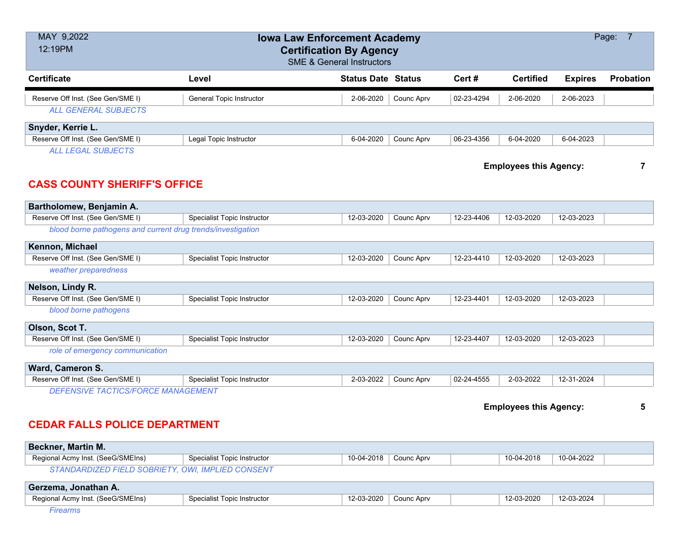| MAY 9,2022<br>Page: 7<br><b>Iowa Law Enforcement Academy</b><br>12:19PM<br><b>Certification By Agency</b><br><b>SME &amp; General Instructors</b> |                                    |                           |            |            |                               |                |                  |
|---------------------------------------------------------------------------------------------------------------------------------------------------|------------------------------------|---------------------------|------------|------------|-------------------------------|----------------|------------------|
| <b>Certificate</b>                                                                                                                                | Level                              | <b>Status Date Status</b> |            | Cert#      | <b>Certified</b>              | <b>Expires</b> | <b>Probation</b> |
| Reserve Off Inst. (See Gen/SME I)<br><b>ALL GENERAL SUBJECTS</b>                                                                                  | <b>General Topic Instructor</b>    | 2-06-2020                 | Counc Aprv | 02-23-4294 | 2-06-2020                     | 2-06-2023      |                  |
| Snyder, Kerrie L.                                                                                                                                 |                                    |                           |            |            |                               |                |                  |
| Reserve Off Inst. (See Gen/SME I)<br><b>ALL LEGAL SUBJECTS</b>                                                                                    | Legal Topic Instructor             | 6-04-2020                 | Counc Aprv | 06-23-4356 | 6-04-2020                     | 6-04-2023      |                  |
| <b>CASS COUNTY SHERIFF'S OFFICE</b>                                                                                                               |                                    |                           |            |            | <b>Employees this Agency:</b> |                | $\overline{7}$   |
| Bartholomew, Benjamin A.                                                                                                                          |                                    |                           |            |            |                               |                |                  |
| Reserve Off Inst. (See Gen/SME I)                                                                                                                 | <b>Specialist Topic Instructor</b> | 12-03-2020                | Counc Aprv | 12-23-4406 | 12-03-2020                    | 12-03-2023     |                  |
| blood borne pathogens and current drug trends/investigation                                                                                       |                                    |                           |            |            |                               |                |                  |
| Kennon, Michael                                                                                                                                   |                                    |                           |            |            |                               |                |                  |
| Reserve Off Inst. (See Gen/SME I)                                                                                                                 | <b>Specialist Topic Instructor</b> | 12-03-2020                | Counc Aprv | 12-23-4410 | 12-03-2020                    | 12-03-2023     |                  |
| weather preparedness                                                                                                                              |                                    |                           |            |            |                               |                |                  |
| Nelson, Lindy R.                                                                                                                                  |                                    |                           |            |            |                               |                |                  |
| Reserve Off Inst. (See Gen/SME I)                                                                                                                 | Specialist Topic Instructor        | 12-03-2020                | Counc Aprv | 12-23-4401 | 12-03-2020                    | 12-03-2023     |                  |
| blood borne pathogens                                                                                                                             |                                    |                           |            |            |                               |                |                  |
| Olson, Scot T.                                                                                                                                    |                                    |                           |            |            |                               |                |                  |
| Reserve Off Inst. (See Gen/SME I)                                                                                                                 | <b>Specialist Topic Instructor</b> | 12-03-2020                | Counc Aprv | 12-23-4407 | 12-03-2020                    | 12-03-2023     |                  |
| role of emergency communication                                                                                                                   |                                    |                           |            |            |                               |                |                  |
| Ward, Cameron S.                                                                                                                                  |                                    |                           |            |            |                               |                |                  |
| Reserve Off Inst. (See Gen/SME I)                                                                                                                 | <b>Specialist Topic Instructor</b> | 2-03-2022                 | Counc Aprv | 02-24-4555 | 2-03-2022                     | 12-31-2024     |                  |
| <b>DEFENSIVE TACTICS/FORCE MANAGEMENT</b>                                                                                                         |                                    |                           |            |            | <b>Employees this Agency:</b> |                | 5                |

# **CEDAR FALLS POLICE DEPARTMENT**

| <b>Beckner, Martin M.</b>                |                             |            |            |            |            |  |
|------------------------------------------|-----------------------------|------------|------------|------------|------------|--|
| Regional Acmy Inst. (SeeG/SMEIns)        | Specialist Topic Instructor | 10-04-2018 | Counc Apry | 10-04-2018 | 10-04-2022 |  |
| <i>STANDARDIZED FIELD SOBRIET</i><br>IY. | <b>OWI. IMPLIED CONSENT</b> |            |            |            |            |  |

| Gerzema, Jonathan A.              |                             |            |            |            |            |  |
|-----------------------------------|-----------------------------|------------|------------|------------|------------|--|
| Regional Acmy Inst. (SeeG/SMEIns) | Specialist Topic Instructor | 12-03-2020 | Counc Aprv | 12-03-2020 | 12-03-2024 |  |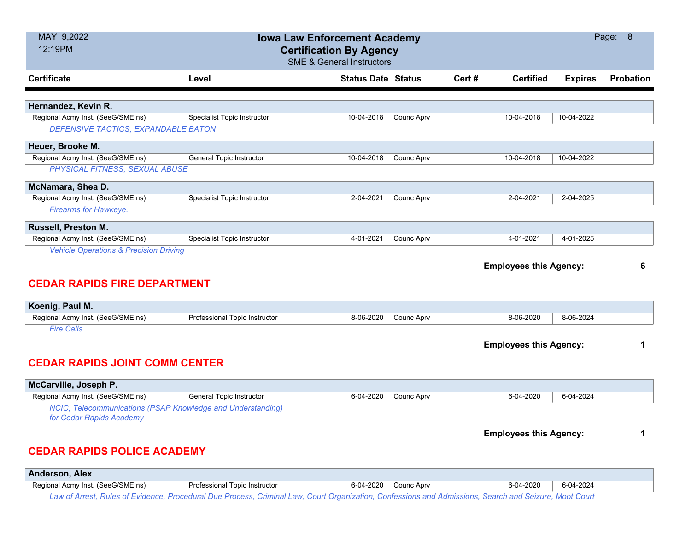| MAY 9,2022                                                  | <b>Iowa Law Enforcement Academy</b> |                                      |            |       |                               |                | Page: 8          |
|-------------------------------------------------------------|-------------------------------------|--------------------------------------|------------|-------|-------------------------------|----------------|------------------|
| 12:19PM                                                     |                                     | <b>Certification By Agency</b>       |            |       |                               |                |                  |
|                                                             |                                     | <b>SME &amp; General Instructors</b> |            |       |                               |                |                  |
| <b>Certificate</b>                                          | Level                               | <b>Status Date Status</b>            |            | Cert# | <b>Certified</b>              | <b>Expires</b> | <b>Probation</b> |
|                                                             |                                     |                                      |            |       |                               |                |                  |
| Hernandez, Kevin R.                                         |                                     |                                      |            |       |                               |                |                  |
| Regional Acmy Inst. (SeeG/SMEIns)                           | <b>Specialist Topic Instructor</b>  | 10-04-2018                           | Counc Aprv |       | 10-04-2018                    | 10-04-2022     |                  |
| DEFENSIVE TACTICS, EXPANDABLE BATON                         |                                     |                                      |            |       |                               |                |                  |
| Heuer, Brooke M.                                            |                                     |                                      |            |       |                               |                |                  |
| Regional Acmy Inst. (SeeG/SMEIns)                           | General Topic Instructor            | 10-04-2018                           | Counc Aprv |       | 10-04-2018                    | 10-04-2022     |                  |
| PHYSICAL FITNESS, SEXUAL ABUSE                              |                                     |                                      |            |       |                               |                |                  |
| McNamara, Shea D.                                           |                                     |                                      |            |       |                               |                |                  |
| Regional Acmy Inst. (SeeG/SMEIns)                           | Specialist Topic Instructor         | 2-04-2021                            | Counc Aprv |       | 2-04-2021                     | 2-04-2025      |                  |
| Firearms for Hawkeye.                                       |                                     |                                      |            |       |                               |                |                  |
| Russell, Preston M.                                         |                                     |                                      |            |       |                               |                |                  |
| Regional Acmy Inst. (SeeG/SMEIns)                           | Specialist Topic Instructor         | 4-01-2021                            | Counc Aprv |       | 4-01-2021                     | 4-01-2025      |                  |
| <b>Vehicle Operations &amp; Precision Driving</b>           |                                     |                                      |            |       |                               |                |                  |
|                                                             |                                     |                                      |            |       |                               |                |                  |
|                                                             |                                     |                                      |            |       |                               |                |                  |
|                                                             |                                     |                                      |            |       | <b>Employees this Agency:</b> |                | 6                |
| <b>CEDAR RAPIDS FIRE DEPARTMENT</b>                         |                                     |                                      |            |       |                               |                |                  |
|                                                             |                                     |                                      |            |       |                               |                |                  |
| Koenig, Paul M.<br>Regional Acmy Inst. (SeeG/SMEIns)        | Professional Topic Instructor       | 8-06-2020                            | Counc Aprv |       | 8-06-2020                     | 8-06-2024      |                  |
| <b>Fire Calls</b>                                           |                                     |                                      |            |       |                               |                |                  |
|                                                             |                                     |                                      |            |       |                               |                | 1                |
|                                                             |                                     |                                      |            |       | <b>Employees this Agency:</b> |                |                  |
| <b>CEDAR RAPIDS JOINT COMM CENTER</b>                       |                                     |                                      |            |       |                               |                |                  |
|                                                             |                                     |                                      |            |       |                               |                |                  |
| McCarville, Joseph P.<br>Regional Acmy Inst. (SeeG/SMEIns)  | <b>General Topic Instructor</b>     | 6-04-2020                            | Counc Aprv |       | 6-04-2020                     | 6-04-2024      |                  |
| NCIC, Telecommunications (PSAP Knowledge and Understanding) |                                     |                                      |            |       |                               |                |                  |
| for Cedar Rapids Academy                                    |                                     |                                      |            |       |                               |                |                  |
|                                                             |                                     |                                      |            |       | <b>Employees this Agency:</b> |                | 1                |
|                                                             |                                     |                                      |            |       |                               |                |                  |
| <b>CEDAR RAPIDS POLICE ACADEMY</b>                          |                                     |                                      |            |       |                               |                |                  |
| Anderson, Alex                                              |                                     |                                      |            |       |                               |                |                  |

*Law of Arrest, Rules of Evidence, Procedural Due Process, Criminal Law, Court Organization, Confessions and Admissions, Search and Seizure, Moot Court*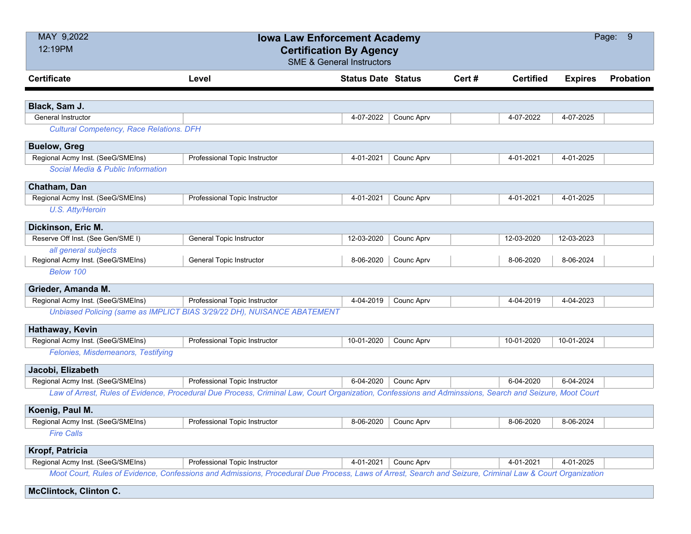| MAY 9,2022                                      | <b>Iowa Law Enforcement Academy</b>                                                                                                                      |                                      |                   |        |                  |                | Page: 9          |
|-------------------------------------------------|----------------------------------------------------------------------------------------------------------------------------------------------------------|--------------------------------------|-------------------|--------|------------------|----------------|------------------|
| 12:19PM                                         | <b>Certification By Agency</b>                                                                                                                           |                                      |                   |        |                  |                |                  |
|                                                 |                                                                                                                                                          | <b>SME &amp; General Instructors</b> |                   |        |                  |                |                  |
| <b>Certificate</b>                              | Level                                                                                                                                                    | <b>Status Date Status</b>            |                   | Cert # | <b>Certified</b> | <b>Expires</b> | <b>Probation</b> |
|                                                 |                                                                                                                                                          |                                      |                   |        |                  |                |                  |
| Black, Sam J.                                   |                                                                                                                                                          |                                      |                   |        |                  |                |                  |
| <b>General Instructor</b>                       |                                                                                                                                                          | 4-07-2022                            | Counc Aprv        |        | 4-07-2022        | 4-07-2025      |                  |
| <b>Cultural Competency, Race Relations. DFH</b> |                                                                                                                                                          |                                      |                   |        |                  |                |                  |
| <b>Buelow, Greg</b>                             |                                                                                                                                                          |                                      |                   |        |                  |                |                  |
| Regional Acmy Inst. (SeeG/SMEIns)               | Professional Topic Instructor                                                                                                                            | 4-01-2021                            | Counc Aprv        |        | 4-01-2021        | 4-01-2025      |                  |
| Social Media & Public Information               |                                                                                                                                                          |                                      |                   |        |                  |                |                  |
| Chatham, Dan                                    |                                                                                                                                                          |                                      |                   |        |                  |                |                  |
| Regional Acmy Inst. (SeeG/SMEIns)               | Professional Topic Instructor                                                                                                                            | 4-01-2021                            | Counc Aprv        |        | 4-01-2021        | 4-01-2025      |                  |
| U.S. Atty/Heroin                                |                                                                                                                                                          |                                      |                   |        |                  |                |                  |
| Dickinson, Eric M.                              |                                                                                                                                                          |                                      |                   |        |                  |                |                  |
| Reserve Off Inst. (See Gen/SME I)               | <b>General Topic Instructor</b>                                                                                                                          | 12-03-2020                           | Counc Aprv        |        | 12-03-2020       | 12-03-2023     |                  |
| all general subjects                            |                                                                                                                                                          |                                      |                   |        |                  |                |                  |
| Regional Acmy Inst. (SeeG/SMEIns)               | General Topic Instructor                                                                                                                                 | 8-06-2020                            | <b>Counc Aprv</b> |        | 8-06-2020        | 8-06-2024      |                  |
| Below 100                                       |                                                                                                                                                          |                                      |                   |        |                  |                |                  |
| Grieder, Amanda M.                              |                                                                                                                                                          |                                      |                   |        |                  |                |                  |
| Regional Acmy Inst. (SeeG/SMEIns)               | Professional Topic Instructor                                                                                                                            | 4-04-2019                            | Counc Aprv        |        | 4-04-2019        | 4-04-2023      |                  |
|                                                 | Unbiased Policing (same as IMPLICT BIAS 3/29/22 DH), NUISANCE ABATEMENT                                                                                  |                                      |                   |        |                  |                |                  |
| Hathaway, Kevin                                 |                                                                                                                                                          |                                      |                   |        |                  |                |                  |
| Regional Acmy Inst. (SeeG/SMEIns)               | Professional Topic Instructor                                                                                                                            | 10-01-2020                           | Counc Aprv        |        | 10-01-2020       | 10-01-2024     |                  |
| Felonies, Misdemeanors, Testifying              |                                                                                                                                                          |                                      |                   |        |                  |                |                  |
| Jacobi, Elizabeth                               |                                                                                                                                                          |                                      |                   |        |                  |                |                  |
| Regional Acmy Inst. (SeeG/SMEIns)               | Professional Topic Instructor                                                                                                                            | 6-04-2020                            | Counc Aprv        |        | 6-04-2020        | 6-04-2024      |                  |
|                                                 | Law of Arrest, Rules of Evidence, Procedural Due Process, Criminal Law, Court Organization, Confessions and Adminssions, Search and Seizure, Moot Court  |                                      |                   |        |                  |                |                  |
| Koenig, Paul M.                                 |                                                                                                                                                          |                                      |                   |        |                  |                |                  |
| Regional Acmy Inst. (SeeG/SMEIns)               | <b>Professional Topic Instructor</b>                                                                                                                     | 8-06-2020 Counc Aprv                 |                   |        | 8-06-2020        | $8-06-2024$    |                  |
| <b>Fire Calls</b>                               |                                                                                                                                                          |                                      |                   |        |                  |                |                  |
| Kropf, Patricia                                 |                                                                                                                                                          |                                      |                   |        |                  |                |                  |
| Regional Acmy Inst. (SeeG/SMEIns)               | Professional Topic Instructor                                                                                                                            | 4-01-2021                            | Counc Aprv        |        | 4-01-2021        | 4-01-2025      |                  |
|                                                 | Moot Court, Rules of Evidence, Confessions and Admissions, Procedural Due Process, Laws of Arrest, Search and Seizure, Criminal Law & Court Organization |                                      |                   |        |                  |                |                  |
| <b>McClintock, Clinton C.</b>                   |                                                                                                                                                          |                                      |                   |        |                  |                |                  |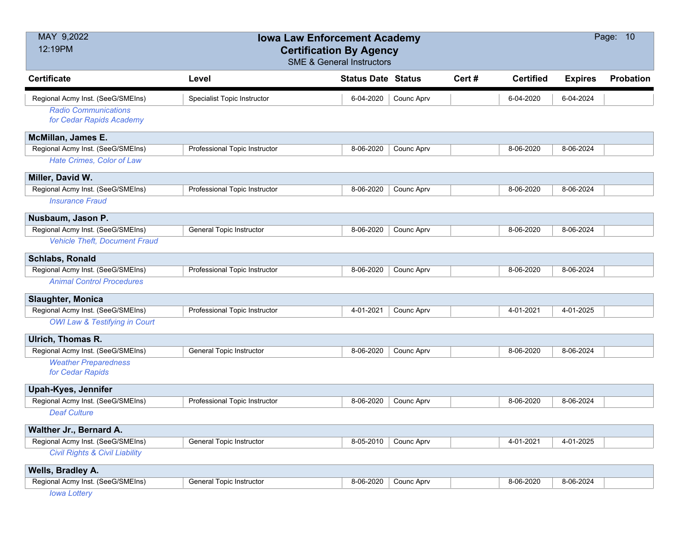| MAY 9,2022<br>12:19PM                     | <b>Iowa Law Enforcement Academy</b><br><b>Certification By Agency</b> |                           |            |       |                  |                | Page: 10         |
|-------------------------------------------|-----------------------------------------------------------------------|---------------------------|------------|-------|------------------|----------------|------------------|
|                                           | <b>SME &amp; General Instructors</b>                                  |                           |            |       |                  |                |                  |
| <b>Certificate</b>                        | Level                                                                 | <b>Status Date Status</b> |            | Cert# | <b>Certified</b> | <b>Expires</b> | <b>Probation</b> |
| Regional Acmy Inst. (SeeG/SMEIns)         | Specialist Topic Instructor                                           | 6-04-2020                 | Counc Aprv |       | 6-04-2020        | 6-04-2024      |                  |
| <b>Radio Communications</b>               |                                                                       |                           |            |       |                  |                |                  |
| for Cedar Rapids Academy                  |                                                                       |                           |            |       |                  |                |                  |
| McMillan, James E.                        |                                                                       |                           |            |       |                  |                |                  |
| Regional Acmy Inst. (SeeG/SMEIns)         | Professional Topic Instructor                                         | 8-06-2020                 | Counc Aprv |       | 8-06-2020        | 8-06-2024      |                  |
| Hate Crimes, Color of Law                 |                                                                       |                           |            |       |                  |                |                  |
| Miller, David W.                          |                                                                       |                           |            |       |                  |                |                  |
| Regional Acmy Inst. (SeeG/SMEIns)         | Professional Topic Instructor                                         | 8-06-2020                 | Counc Aprv |       | 8-06-2020        | 8-06-2024      |                  |
| <b>Insurance Fraud</b>                    |                                                                       |                           |            |       |                  |                |                  |
| Nusbaum, Jason P.                         |                                                                       |                           |            |       |                  |                |                  |
| Regional Acmy Inst. (SeeG/SMEIns)         | <b>General Topic Instructor</b>                                       | 8-06-2020                 | Counc Aprv |       | 8-06-2020        | 8-06-2024      |                  |
| <b>Vehicle Theft, Document Fraud</b>      |                                                                       |                           |            |       |                  |                |                  |
| Schlabs, Ronald                           |                                                                       |                           |            |       |                  |                |                  |
| Regional Acmy Inst. (SeeG/SMEIns)         | Professional Topic Instructor                                         | 8-06-2020                 | Counc Aprv |       | 8-06-2020        | 8-06-2024      |                  |
| <b>Animal Control Procedures</b>          |                                                                       |                           |            |       |                  |                |                  |
| <b>Slaughter, Monica</b>                  |                                                                       |                           |            |       |                  |                |                  |
| Regional Acmy Inst. (SeeG/SMEIns)         | Professional Topic Instructor                                         | 4-01-2021                 | Counc Aprv |       | 4-01-2021        | 4-01-2025      |                  |
| <b>OWI Law &amp; Testifying in Court</b>  |                                                                       |                           |            |       |                  |                |                  |
| Ulrich, Thomas R.                         |                                                                       |                           |            |       |                  |                |                  |
| Regional Acmy Inst. (SeeG/SMEIns)         | General Topic Instructor                                              | 8-06-2020                 | Counc Aprv |       | 8-06-2020        | 8-06-2024      |                  |
| <b>Weather Preparedness</b>               |                                                                       |                           |            |       |                  |                |                  |
| for Cedar Rapids                          |                                                                       |                           |            |       |                  |                |                  |
| <b>Upah-Kyes, Jennifer</b>                |                                                                       |                           |            |       |                  |                |                  |
| Regional Acmy Inst. (SeeG/SMEIns)         | Professional Topic Instructor                                         | 8-06-2020                 | Counc Aprv |       | 8-06-2020        | 8-06-2024      |                  |
| <b>Deaf Culture</b>                       |                                                                       |                           |            |       |                  |                |                  |
| Walther Jr., Bernard A.                   |                                                                       |                           |            |       |                  |                |                  |
| Regional Acmy Inst. (SeeG/SMEIns)         | General Topic Instructor                                              | 8-05-2010                 | Counc Aprv |       | 4-01-2021        | 4-01-2025      |                  |
| <b>Civil Rights &amp; Civil Liability</b> |                                                                       |                           |            |       |                  |                |                  |
| Wells, Bradley A.                         |                                                                       |                           |            |       |                  |                |                  |
| Regional Acmy Inst. (SeeG/SMEIns)         | General Topic Instructor                                              | 8-06-2020                 | Counc Aprv |       | 8-06-2020        | 8-06-2024      |                  |

*Iowa Lottery*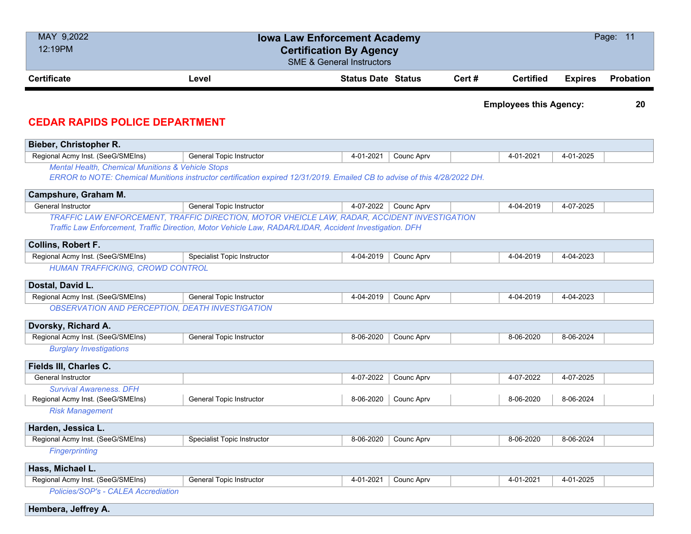| MAY 9,2022<br>12:19PM                                               | <b>Iowa Law Enforcement Academy</b>                                                                                       | <b>Certification By Agency</b>       |            |       |                               |                | Page: 11         |
|---------------------------------------------------------------------|---------------------------------------------------------------------------------------------------------------------------|--------------------------------------|------------|-------|-------------------------------|----------------|------------------|
|                                                                     |                                                                                                                           | <b>SME &amp; General Instructors</b> |            |       |                               |                |                  |
| <b>Certificate</b>                                                  | Level                                                                                                                     | <b>Status Date Status</b>            |            | Cert# | <b>Certified</b>              | <b>Expires</b> | <b>Probation</b> |
|                                                                     |                                                                                                                           |                                      |            |       | <b>Employees this Agency:</b> |                | 20               |
| <b>CEDAR RAPIDS POLICE DEPARTMENT</b>                               |                                                                                                                           |                                      |            |       |                               |                |                  |
| Bieber, Christopher R.                                              |                                                                                                                           |                                      |            |       |                               |                |                  |
| Regional Acmy Inst. (SeeG/SMEIns)                                   | <b>General Topic Instructor</b>                                                                                           | 4-01-2021                            | Counc Aprv |       | 4-01-2021                     | 4-01-2025      |                  |
| <b>Mental Health, Chemical Munitions &amp; Vehicle Stops</b>        |                                                                                                                           |                                      |            |       |                               |                |                  |
|                                                                     | ERROR to NOTE: Chemical Munitions instructor certification expired 12/31/2019. Emailed CB to advise of this 4/28/2022 DH. |                                      |            |       |                               |                |                  |
| Campshure, Graham M.                                                |                                                                                                                           |                                      |            |       |                               |                |                  |
| General Instructor                                                  | General Topic Instructor                                                                                                  | 4-07-2022                            | Counc Aprv |       | 4-04-2019                     | 4-07-2025      |                  |
|                                                                     | TRAFFIC LAW ENFORCEMENT, TRAFFIC DIRECTION, MOTOR VHEICLE LAW, RADAR, ACCIDENT INVESTIGATION                              |                                      |            |       |                               |                |                  |
|                                                                     | Traffic Law Enforcement, Traffic Direction, Motor Vehicle Law, RADAR/LIDAR, Accident Investigation. DFH                   |                                      |            |       |                               |                |                  |
| <b>Collins, Robert F.</b>                                           |                                                                                                                           |                                      |            |       |                               |                |                  |
| Regional Acmy Inst. (SeeG/SMEIns)                                   | Specialist Topic Instructor                                                                                               | 4-04-2019                            | Counc Aprv |       | 4-04-2019                     | $4-04-2023$    |                  |
| <b>HUMAN TRAFFICKING, CROWD CONTROL</b>                             |                                                                                                                           |                                      |            |       |                               |                |                  |
| Dostal, David L.                                                    |                                                                                                                           |                                      |            |       |                               |                |                  |
| Regional Acmy Inst. (SeeG/SMEIns)                                   | General Topic Instructor                                                                                                  | 4-04-2019                            | Counc Aprv |       | 4-04-2019                     | 4-04-2023      |                  |
| <b>OBSERVATION AND PERCEPTION, DEATH INVESTIGATION</b>              |                                                                                                                           |                                      |            |       |                               |                |                  |
| Dvorsky, Richard A.                                                 |                                                                                                                           |                                      |            |       |                               |                |                  |
| Regional Acmy Inst. (SeeG/SMEIns)                                   | General Topic Instructor                                                                                                  | 8-06-2020                            | Counc Aprv |       | 8-06-2020                     | 8-06-2024      |                  |
| <b>Burglary Investigations</b>                                      |                                                                                                                           |                                      |            |       |                               |                |                  |
|                                                                     |                                                                                                                           |                                      |            |       |                               |                |                  |
| Fields III, Charles C.                                              |                                                                                                                           |                                      |            |       |                               |                |                  |
| General Instructor                                                  |                                                                                                                           | 4-07-2022                            | Counc Aprv |       | 4-07-2022                     | 4-07-2025      |                  |
| <b>Survival Awareness, DFH</b><br>Regional Acmy Inst. (SeeG/SMEIns) | <b>General Topic Instructor</b>                                                                                           | 8-06-2020                            | Counc Aprv |       | 8-06-2020                     | 8-06-2024      |                  |
| <b>Risk Management</b>                                              |                                                                                                                           |                                      |            |       |                               |                |                  |
|                                                                     |                                                                                                                           |                                      |            |       |                               |                |                  |
| Harden, Jessica L.                                                  |                                                                                                                           |                                      |            |       |                               |                |                  |
| Regional Acmy Inst. (SeeG/SMEIns)<br><b>Fingerprinting</b>          | <b>Specialist Topic Instructor</b>                                                                                        | 8-06-2020                            | Counc Aprv |       | 8-06-2020                     | 8-06-2024      |                  |
|                                                                     |                                                                                                                           |                                      |            |       |                               |                |                  |
| Hass, Michael L.                                                    |                                                                                                                           |                                      |            |       |                               |                |                  |
| Regional Acmy Inst. (SeeG/SMEIns)                                   | General Topic Instructor                                                                                                  | 4-01-2021                            | Counc Aprv |       | 4-01-2021                     | 4-01-2025      |                  |
| Policies/SOP's - CALEA Accrediation                                 |                                                                                                                           |                                      |            |       |                               |                |                  |
| Hembera, Jeffrey A.                                                 |                                                                                                                           |                                      |            |       |                               |                |                  |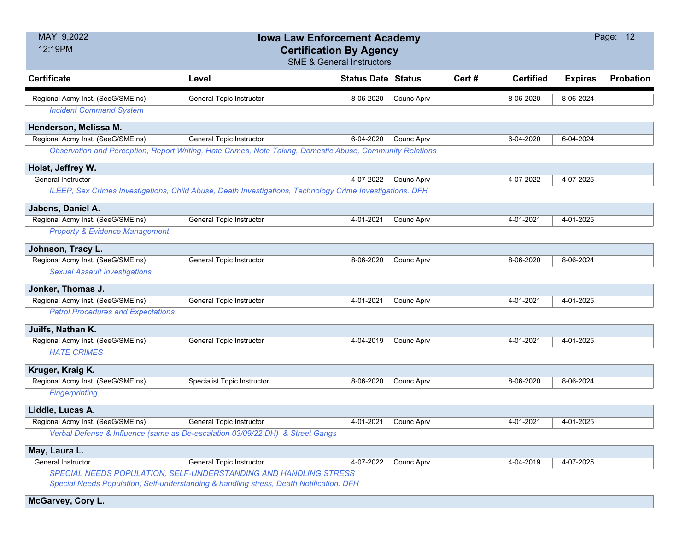| MAY 9,2022<br>12:19PM                     | <b>Iowa Law Enforcement Academy</b><br><b>Certification By Agency</b>                                                                                       | <b>SME &amp; General Instructors</b> |                      |       |                  |                | Page: 12  |
|-------------------------------------------|-------------------------------------------------------------------------------------------------------------------------------------------------------------|--------------------------------------|----------------------|-------|------------------|----------------|-----------|
| <b>Certificate</b>                        | Level                                                                                                                                                       | <b>Status Date Status</b>            |                      | Cert# | <b>Certified</b> | <b>Expires</b> | Probation |
| Regional Acmy Inst. (SeeG/SMEIns)         | General Topic Instructor                                                                                                                                    | 8-06-2020                            | Counc Aprv           |       | 8-06-2020        | 8-06-2024      |           |
| <b>Incident Command System</b>            |                                                                                                                                                             |                                      |                      |       |                  |                |           |
| Henderson, Melissa M.                     |                                                                                                                                                             |                                      |                      |       |                  |                |           |
| Regional Acmy Inst. (SeeG/SMEIns)         | <b>General Topic Instructor</b>                                                                                                                             | 6-04-2020                            | Counc Aprv           |       | 6-04-2020        | 6-04-2024      |           |
|                                           | Observation and Perception, Report Writing, Hate Crimes, Note Taking, Domestic Abuse, Community Relations                                                   |                                      |                      |       |                  |                |           |
| Holst, Jeffrey W.                         |                                                                                                                                                             |                                      |                      |       |                  |                |           |
| <b>General Instructor</b>                 |                                                                                                                                                             | 4-07-2022                            | Counc Aprv           |       | 4-07-2022        | 4-07-2025      |           |
|                                           | ILEEP, Sex Crimes Investigations, Child Abuse, Death Investigations, Technology Crime Investigations. DFH                                                   |                                      |                      |       |                  |                |           |
| Jabens, Daniel A.                         |                                                                                                                                                             |                                      |                      |       |                  |                |           |
| Regional Acmy Inst. (SeeG/SMEIns)         | General Topic Instructor                                                                                                                                    | 4-01-2021                            | Counc Aprv           |       | 4-01-2021        | 4-01-2025      |           |
| <b>Property &amp; Evidence Management</b> |                                                                                                                                                             |                                      |                      |       |                  |                |           |
| Johnson, Tracy L.                         |                                                                                                                                                             |                                      |                      |       |                  |                |           |
| Regional Acmy Inst. (SeeG/SMEIns)         | General Topic Instructor                                                                                                                                    | 8-06-2020                            | Counc Aprv           |       | 8-06-2020        | 8-06-2024      |           |
| <b>Sexual Assault Investigations</b>      |                                                                                                                                                             |                                      |                      |       |                  |                |           |
| Jonker, Thomas J.                         |                                                                                                                                                             |                                      |                      |       |                  |                |           |
| Regional Acmy Inst. (SeeG/SMEIns)         | General Topic Instructor                                                                                                                                    | 4-01-2021                            | Counc Aprv           |       | 4-01-2021        | 4-01-2025      |           |
| <b>Patrol Procedures and Expectations</b> |                                                                                                                                                             |                                      |                      |       |                  |                |           |
| Juilfs, Nathan K.                         |                                                                                                                                                             |                                      |                      |       |                  |                |           |
| Regional Acmy Inst. (SeeG/SMEIns)         | <b>General Topic Instructor</b>                                                                                                                             | 4-04-2019                            | Counc Aprv           |       | 4-01-2021        | 4-01-2025      |           |
| <b>HATE CRIMES</b>                        |                                                                                                                                                             |                                      |                      |       |                  |                |           |
| Kruger, Kraig K.                          |                                                                                                                                                             |                                      |                      |       |                  |                |           |
| Regional Acmy Inst. (SeeG/SMEIns)         | Specialist Topic Instructor                                                                                                                                 | 8-06-2020                            | Counc Aprv           |       | 8-06-2020        | 8-06-2024      |           |
| <b>Fingerprinting</b>                     |                                                                                                                                                             |                                      |                      |       |                  |                |           |
| Liddle, Lucas A.                          |                                                                                                                                                             |                                      |                      |       |                  |                |           |
| Regional Acmy Inst. (SeeG/SMEIns)         | <b>General Topic Instructor</b>                                                                                                                             |                                      | 4-01-2021 Counc Aprv |       | 4-01-2021        | 4-01-2025      |           |
|                                           | Verbal Defense & Influence (same as De-escalation 03/09/22 DH) & Street Gangs                                                                               |                                      |                      |       |                  |                |           |
| May, Laura L.                             |                                                                                                                                                             |                                      |                      |       |                  |                |           |
| General Instructor                        | <b>General Topic Instructor</b>                                                                                                                             | 4-07-2022                            | Counc Aprv           |       | 4-04-2019        | 4-07-2025      |           |
|                                           | SPECIAL NEEDS POPULATION, SELF-UNDERSTANDING AND HANDLING STRESS<br>Special Needs Population, Self-understanding & handling stress, Death Notification. DFH |                                      |                      |       |                  |                |           |

**McGarvey, Cory L.**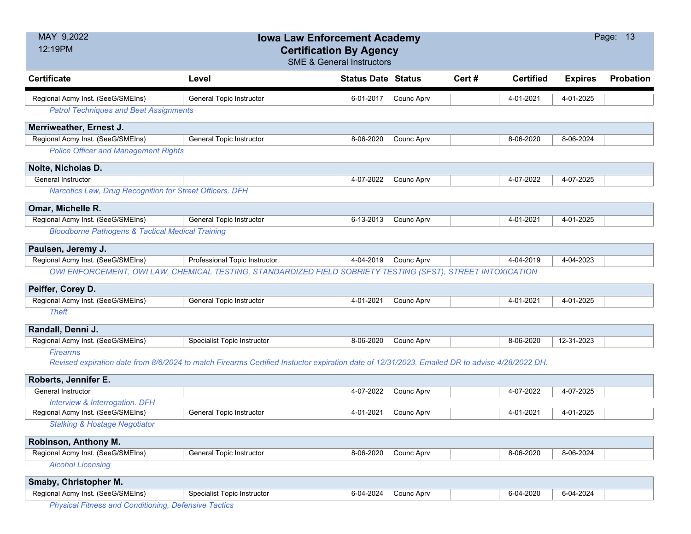| MAY 9,2022<br>12:19PM                                       | <b>Iowa Law Enforcement Academy</b><br><b>Certification By Agency</b>                                                                         |                                      |            |       |                  |                | Page: 13         |
|-------------------------------------------------------------|-----------------------------------------------------------------------------------------------------------------------------------------------|--------------------------------------|------------|-------|------------------|----------------|------------------|
|                                                             |                                                                                                                                               | <b>SME &amp; General Instructors</b> |            |       |                  |                |                  |
| <b>Certificate</b>                                          | Level                                                                                                                                         | <b>Status Date Status</b>            |            | Cert# | <b>Certified</b> | <b>Expires</b> | <b>Probation</b> |
| Regional Acmy Inst. (SeeG/SMEIns)                           | General Topic Instructor                                                                                                                      | 6-01-2017                            | Counc Aprv |       | 4-01-2021        | 4-01-2025      |                  |
| <b>Patrol Techniques and Beat Assignments</b>               |                                                                                                                                               |                                      |            |       |                  |                |                  |
| Merriweather, Ernest J.                                     |                                                                                                                                               |                                      |            |       |                  |                |                  |
| Regional Acmy Inst. (SeeG/SMEIns)                           | <b>General Topic Instructor</b>                                                                                                               | 8-06-2020                            | Counc Aprv |       | 8-06-2020        | 8-06-2024      |                  |
| <b>Police Officer and Management Rights</b>                 |                                                                                                                                               |                                      |            |       |                  |                |                  |
| Nolte, Nicholas D.                                          |                                                                                                                                               |                                      |            |       |                  |                |                  |
| General Instructor                                          |                                                                                                                                               | 4-07-2022                            | Counc Aprv |       | 4-07-2022        | 4-07-2025      |                  |
| Narcotics Law, Drug Recognition for Street Officers. DFH    |                                                                                                                                               |                                      |            |       |                  |                |                  |
| Omar, Michelle R.                                           |                                                                                                                                               |                                      |            |       |                  |                |                  |
| Regional Acmy Inst. (SeeG/SMEIns)                           | <b>General Topic Instructor</b>                                                                                                               | 6-13-2013                            | Counc Aprv |       | 4-01-2021        | 4-01-2025      |                  |
| <b>Bloodborne Pathogens &amp; Tactical Medical Training</b> |                                                                                                                                               |                                      |            |       |                  |                |                  |
| Paulsen, Jeremy J.                                          |                                                                                                                                               |                                      |            |       |                  |                |                  |
| Regional Acmy Inst. (SeeG/SMEIns)                           | Professional Topic Instructor                                                                                                                 | 4-04-2019                            | Counc Aprv |       | 4-04-2019        | 4-04-2023      |                  |
|                                                             | OWI ENFORCEMENT, OWI LAW, CHEMICAL TESTING, STANDARDIZED FIELD SOBRIETY TESTING (SFST), STREET INTOXICATION                                   |                                      |            |       |                  |                |                  |
| Peiffer, Corey D.                                           |                                                                                                                                               |                                      |            |       |                  |                |                  |
| Regional Acmy Inst. (SeeG/SMEIns)                           | General Topic Instructor                                                                                                                      | 4-01-2021                            | Counc Aprv |       | 4-01-2021        | 4-01-2025      |                  |
| <b>Theft</b>                                                |                                                                                                                                               |                                      |            |       |                  |                |                  |
| Randall, Denni J.                                           |                                                                                                                                               |                                      |            |       |                  |                |                  |
| Regional Acmy Inst. (SeeG/SMEIns)                           | <b>Specialist Topic Instructor</b>                                                                                                            | 8-06-2020                            | Counc Aprv |       | 8-06-2020        | 12-31-2023     |                  |
| <b>Firearms</b>                                             |                                                                                                                                               |                                      |            |       |                  |                |                  |
|                                                             | Revised expiration date from 8/6/2024 to match Firearms Certified Instuctor expiration date of 12/31/2023. Emailed DR to advise 4/28/2022 DH. |                                      |            |       |                  |                |                  |
| Roberts, Jennifer E.                                        |                                                                                                                                               |                                      |            |       |                  |                |                  |
| General Instructor                                          |                                                                                                                                               | 4-07-2022                            | Counc Aprv |       | 4-07-2022        | 4-07-2025      |                  |
| Interview & Interrogation. DFH                              |                                                                                                                                               |                                      |            |       |                  |                |                  |
| Regional Acmy Inst. (SeeG/SMEIns)                           | General Topic Instructor                                                                                                                      | 4-01-2021                            | Counc Aprv |       | 4-01-2021        | 4-01-2025      |                  |
| <b>Stalking &amp; Hostage Negotiator</b>                    |                                                                                                                                               |                                      |            |       |                  |                |                  |
| Robinson, Anthony M.                                        |                                                                                                                                               |                                      |            |       |                  |                |                  |
| Regional Acmy Inst. (SeeG/SMEIns)                           | General Topic Instructor                                                                                                                      | 8-06-2020                            | Counc Aprv |       | 8-06-2020        | 8-06-2024      |                  |
| <b>Alcohol Licensing</b>                                    |                                                                                                                                               |                                      |            |       |                  |                |                  |
| Smaby, Christopher M.                                       |                                                                                                                                               |                                      |            |       |                  |                |                  |
| Regional Acmy Inst. (SeeG/SMEIns)                           | Specialist Topic Instructor                                                                                                                   | 6-04-2024                            | Counc Aprv |       | 6-04-2020        | 6-04-2024      |                  |
| <b>Physical Fitness and Conditioning, Defensive Tactics</b> |                                                                                                                                               |                                      |            |       |                  |                |                  |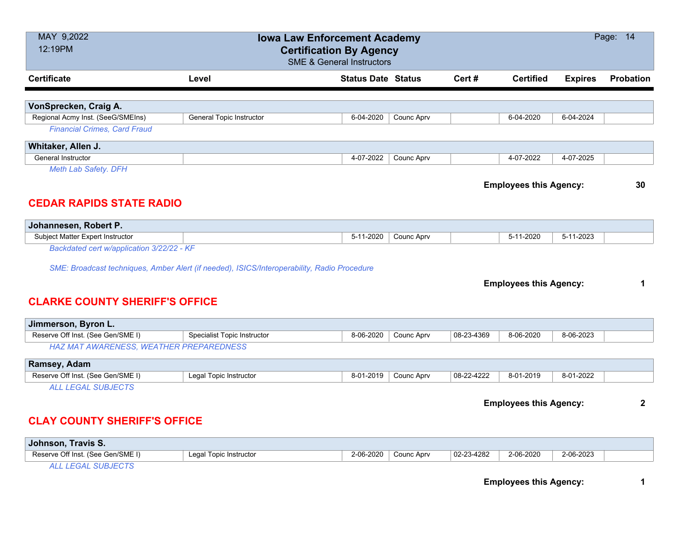| 12:19PM                                                 |                                                                                             | <b>Iowa Law Enforcement Academy</b><br><b>Certification By Agency</b><br><b>SME &amp; General Instructors</b> |            |            |                               |                | Page: 14         |
|---------------------------------------------------------|---------------------------------------------------------------------------------------------|---------------------------------------------------------------------------------------------------------------|------------|------------|-------------------------------|----------------|------------------|
| <b>Certificate</b>                                      | Level                                                                                       | <b>Status Date Status</b>                                                                                     |            | Cert#      | <b>Certified</b>              | <b>Expires</b> | <b>Probation</b> |
|                                                         |                                                                                             |                                                                                                               |            |            |                               |                |                  |
| VonSprecken, Craig A.                                   |                                                                                             |                                                                                                               |            |            |                               |                |                  |
| Regional Acmy Inst. (SeeG/SMEIns)                       | General Topic Instructor                                                                    | 6-04-2020                                                                                                     | Counc Aprv |            | 6-04-2020                     | 6-04-2024      |                  |
| <b>Financial Crimes, Card Fraud</b>                     |                                                                                             |                                                                                                               |            |            |                               |                |                  |
| Whitaker, Allen J.                                      |                                                                                             |                                                                                                               |            |            |                               |                |                  |
| General Instructor                                      |                                                                                             | 4-07-2022                                                                                                     | Counc Aprv |            | 4-07-2022                     | 4-07-2025      |                  |
| <b>Meth Lab Safety. DFH</b>                             |                                                                                             |                                                                                                               |            |            |                               |                |                  |
|                                                         |                                                                                             |                                                                                                               |            |            | <b>Employees this Agency:</b> |                | 30               |
|                                                         |                                                                                             |                                                                                                               |            |            |                               |                |                  |
| <b>CEDAR RAPIDS STATE RADIO</b>                         |                                                                                             |                                                                                                               |            |            |                               |                |                  |
| Johannesen, Robert P.                                   |                                                                                             |                                                                                                               |            |            |                               |                |                  |
| Subject Matter Expert Instructor                        |                                                                                             | 5-11-2020                                                                                                     | Counc Aprv |            | 5-11-2020                     | 5-11-2023      |                  |
| Backdated cert w/application 3/22/22 - KF               |                                                                                             |                                                                                                               |            |            |                               |                |                  |
|                                                         |                                                                                             |                                                                                                               |            |            |                               |                |                  |
| <b>CLARKE COUNTY SHERIFF'S OFFICE</b>                   | SME: Broadcast techniques, Amber Alert (if needed), ISICS/Interoperability, Radio Procedure |                                                                                                               |            |            | <b>Employees this Agency:</b> |                | 1                |
| Jimmerson, Byron L.                                     |                                                                                             |                                                                                                               |            |            |                               |                |                  |
| Reserve Off Inst. (See Gen/SME I)                       | Specialist Topic Instructor                                                                 | 8-06-2020                                                                                                     | Counc Aprv | 08-23-4369 | 8-06-2020                     | 8-06-2023      |                  |
| HAZ MAT AWARENESS, WEATHER PREPAREDNESS                 |                                                                                             |                                                                                                               |            |            |                               |                |                  |
| Ramsey, Adam                                            |                                                                                             |                                                                                                               |            |            |                               |                |                  |
| Reserve Off Inst. (See Gen/SME I)                       | Legal Topic Instructor                                                                      | 8-01-2019                                                                                                     | Counc Aprv | 08-22-4222 | 8-01-2019                     | 8-01-2022      |                  |
| <b>ALL LEGAL SUBJECTS</b>                               |                                                                                             |                                                                                                               |            |            |                               |                |                  |
| <b>CLAY COUNTY SHERIFF'S OFFICE</b>                     |                                                                                             |                                                                                                               |            |            | <b>Employees this Agency:</b> |                | $\overline{2}$   |
|                                                         |                                                                                             |                                                                                                               |            |            |                               |                |                  |
| Johnson, Travis S.<br>Reserve Off Inst. (See Gen/SME I) | Legal Topic Instructor                                                                      | 2-06-2020                                                                                                     | Counc Aprv | 02-23-4282 | 2-06-2020                     | 2-06-2023      |                  |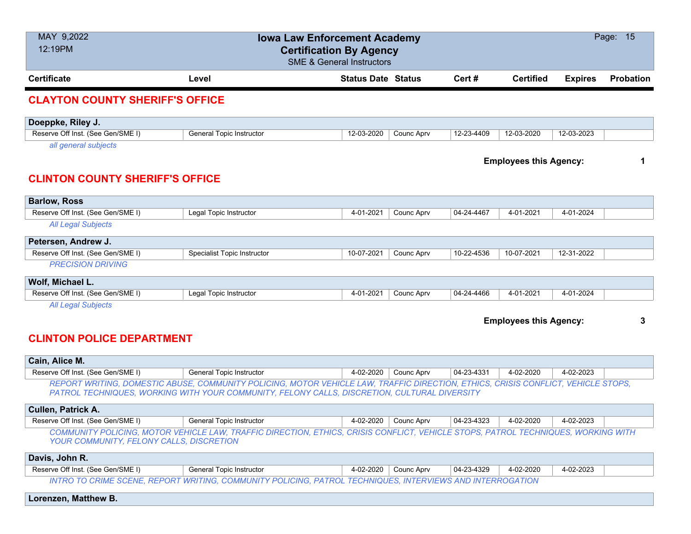| MAY 9,2022<br>12:19PM                                          | <b>Iowa Law Enforcement Academy</b><br><b>Certification By Agency</b>                                                                                                                                                             | <b>SME &amp; General Instructors</b> |                      |            |                               |                | Page: 15         |
|----------------------------------------------------------------|-----------------------------------------------------------------------------------------------------------------------------------------------------------------------------------------------------------------------------------|--------------------------------------|----------------------|------------|-------------------------------|----------------|------------------|
| <b>Certificate</b>                                             | Level                                                                                                                                                                                                                             | <b>Status Date Status</b>            |                      | Cert#      | <b>Certified</b>              | <b>Expires</b> | <b>Probation</b> |
| <b>CLAYTON COUNTY SHERIFF'S OFFICE</b>                         |                                                                                                                                                                                                                                   |                                      |                      |            |                               |                |                  |
| Doeppke, Riley J.                                              |                                                                                                                                                                                                                                   |                                      |                      |            |                               |                |                  |
| Reserve Off Inst. (See Gen/SME I)                              | <b>General Topic Instructor</b>                                                                                                                                                                                                   | 12-03-2020                           | Counc Aprv           | 12-23-4409 | 12-03-2020                    | 12-03-2023     |                  |
| all general subjects<br><b>CLINTON COUNTY SHERIFF'S OFFICE</b> |                                                                                                                                                                                                                                   |                                      |                      |            | <b>Employees this Agency:</b> |                | 1                |
| <b>Barlow, Ross</b>                                            |                                                                                                                                                                                                                                   |                                      |                      |            |                               |                |                  |
| Reserve Off Inst. (See Gen/SME I)                              | Legal Topic Instructor                                                                                                                                                                                                            | 4-01-2021                            | Counc Aprv           | 04-24-4467 | 4-01-2021                     | 4-01-2024      |                  |
| <b>All Legal Subjects</b>                                      |                                                                                                                                                                                                                                   |                                      |                      |            |                               |                |                  |
| Petersen, Andrew J.                                            |                                                                                                                                                                                                                                   |                                      |                      |            |                               |                |                  |
| Reserve Off Inst. (See Gen/SME I)                              | <b>Specialist Topic Instructor</b>                                                                                                                                                                                                | 10-07-2021                           | Counc Aprv           | 10-22-4536 | 10-07-2021                    | 12-31-2022     |                  |
| <b>PRECISION DRIVING</b>                                       |                                                                                                                                                                                                                                   |                                      |                      |            |                               |                |                  |
| Wolf, Michael L.                                               |                                                                                                                                                                                                                                   |                                      |                      |            |                               |                |                  |
| Reserve Off Inst. (See Gen/SME I)                              | Legal Topic Instructor                                                                                                                                                                                                            | 4-01-2021                            | Counc Aprv           | 04-24-4466 | 4-01-2021                     | 4-01-2024      |                  |
| <b>All Legal Subjects</b><br><b>CLINTON POLICE DEPARTMENT</b>  |                                                                                                                                                                                                                                   |                                      |                      |            | <b>Employees this Agency:</b> |                | 3                |
| Cain, Alice M.                                                 |                                                                                                                                                                                                                                   |                                      |                      |            |                               |                |                  |
| Reserve Off Inst. (See Gen/SME I)                              | <b>General Topic Instructor</b>                                                                                                                                                                                                   | 4-02-2020                            | Counc Aprv           | 04-23-4331 | 4-02-2020                     | 4-02-2023      |                  |
|                                                                | REPORT WRITING, DOMESTIC ABUSE, COMMUNITY POLICING, MOTOR VEHICLE LAW, TRAFFIC DIRECTION, ETHICS, CRISIS CONFLICT, VEHICLE STOPS,<br>PATROL TECHNIQUES, WORKING WITH YOUR COMMUNITY, FELONY CALLS, DISCRETION, CULTURAL DIVERSITY |                                      |                      |            |                               |                |                  |
| Cullen, Patrick A.                                             |                                                                                                                                                                                                                                   |                                      |                      |            |                               |                |                  |
| Reserve Off Inst. (See Gen/SME I)                              | General Topic Instructor                                                                                                                                                                                                          |                                      | 4-02-2020 Counc Aprv | 04-23-4323 | 4-02-2020                     | 4-02-2023      |                  |
| YOUR COMMUNITY, FELONY CALLS, DISCRETION                       | COMMUNITY POLICING, MOTOR VEHICLE LAW, TRAFFIC DIRECTION, ETHICS, CRISIS CONFLICT, VEHICLE STOPS, PATROL TECHNIQUES, WORKING WITH                                                                                                 |                                      |                      |            |                               |                |                  |
| Davis, John R.                                                 |                                                                                                                                                                                                                                   |                                      |                      |            |                               |                |                  |
| Reserve Off Inst. (See Gen/SME I)                              | General Topic Instructor                                                                                                                                                                                                          | 4-02-2020                            | Counc Aprv           | 04-23-4329 | 4-02-2020                     | 4-02-2023      |                  |
|                                                                | INTRO TO CRIME SCENE, REPORT WRITING, COMMUNITY POLICING, PATROL TECHNIQUES, INTERVIEWS AND INTERROGATION                                                                                                                         |                                      |                      |            |                               |                |                  |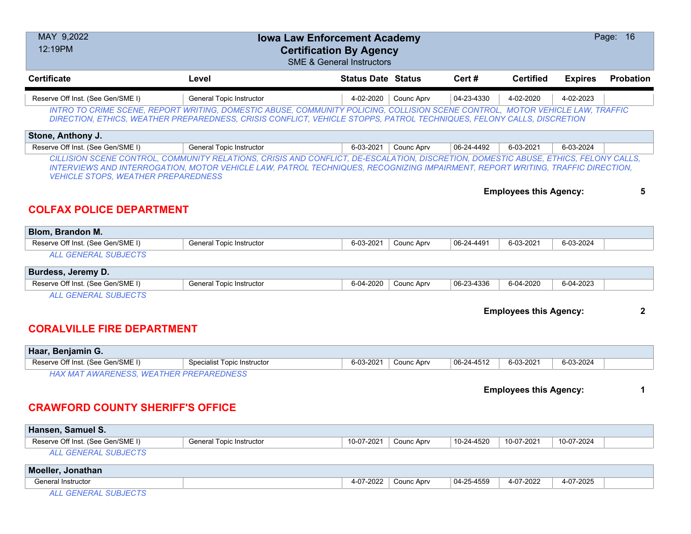| MAY 9,2022<br><b>Iowa Law Enforcement Academy</b><br>12:19PM<br><b>Certification By Agency</b><br><b>SME &amp; General Instructors</b> |                                                                                                                                                                                                                                                        |                           |            |            |                               |                | Page: 16         |
|----------------------------------------------------------------------------------------------------------------------------------------|--------------------------------------------------------------------------------------------------------------------------------------------------------------------------------------------------------------------------------------------------------|---------------------------|------------|------------|-------------------------------|----------------|------------------|
| <b>Certificate</b>                                                                                                                     | Level                                                                                                                                                                                                                                                  | <b>Status Date Status</b> |            | Cert #     | <b>Certified</b>              | <b>Expires</b> | <b>Probation</b> |
| Reserve Off Inst. (See Gen/SME I)                                                                                                      | <b>General Topic Instructor</b>                                                                                                                                                                                                                        | 4-02-2020                 | Counc Aprv | 04-23-4330 | 4-02-2020                     | 4-02-2023      |                  |
|                                                                                                                                        | INTRO TO CRIME SCENE, REPORT WRITING, DOMESTIC ABUSE, COMMUNITY POLICING, COLLISION SCENE CONTROL, MOTOR VEHICLE LAW, TRAFFIC<br>DIRECTION, ETHICS, WEATHER PREPAREDNESS, CRISIS CONFLICT, VEHICLE STOPPS, PATROL TECHNIQUES, FELONY CALLS, DISCRETION |                           |            |            |                               |                |                  |
| Stone, Anthony J.                                                                                                                      |                                                                                                                                                                                                                                                        |                           |            |            |                               |                |                  |
| Reserve Off Inst. (See Gen/SME I)                                                                                                      | <b>General Topic Instructor</b>                                                                                                                                                                                                                        | 6-03-2021                 | Counc Aprv | 06-24-4492 | 6-03-2021                     | 6-03-2024      |                  |
| <b>VEHICLE STOPS, WEATHER PREPAREDNESS</b><br><b>COLFAX POLICE DEPARTMENT</b>                                                          |                                                                                                                                                                                                                                                        |                           |            |            | <b>Employees this Agency:</b> |                | 5                |
| Blom, Brandon M.                                                                                                                       |                                                                                                                                                                                                                                                        |                           |            |            |                               |                |                  |
| Reserve Off Inst. (See Gen/SME I)                                                                                                      | <b>General Topic Instructor</b>                                                                                                                                                                                                                        | 6-03-2021                 | Counc Aprv | 06-24-4491 | 6-03-2021                     | 6-03-2024      |                  |
| <b>ALL GENERAL SUBJECTS</b>                                                                                                            |                                                                                                                                                                                                                                                        |                           |            |            |                               |                |                  |
| Burdess, Jeremy D.                                                                                                                     |                                                                                                                                                                                                                                                        |                           |            |            |                               |                |                  |
| Reserve Off Inst. (See Gen/SME I)                                                                                                      | <b>General Topic Instructor</b>                                                                                                                                                                                                                        | 6-04-2020                 | Counc Aprv | 06-23-4336 | 6-04-2020                     | 6-04-2023      |                  |
| <b>ALL GENERAL SUBJECTS</b>                                                                                                            |                                                                                                                                                                                                                                                        |                           |            |            |                               |                |                  |
|                                                                                                                                        |                                                                                                                                                                                                                                                        |                           |            |            | <b>Employees this Agency:</b> |                | 2                |

### **CORALVILLE FIRE DEPARTMENT**

| Haar, Benjamin G.                      |                             |           |            |            |           |           |  |
|----------------------------------------|-----------------------------|-----------|------------|------------|-----------|-----------|--|
| Reserve Off Inst. (See Gen/SME I)      | Specialist Topic Instructor | 6-03-2021 | Counc Aprv | 06-24-4512 | 6-03-2021 | 6-03-2024 |  |
| HAV MAT AMADEMESS MEATHED DDEDADENMESS |                             |           |            |            |           |           |  |

*HAX MAT AWARENESS, WEATHER PREPAREDNESS*

**Employees this Agency: 1**

### **CRAWFORD COUNTY SHERIFF'S OFFICE**

| Hansen, Samuel S.                 |                          |            |            |            |            |            |  |
|-----------------------------------|--------------------------|------------|------------|------------|------------|------------|--|
| Reserve Off Inst. (See Gen/SME I) | General Topic Instructor | 10-07-2021 | Counc Aprv | 10-24-4520 | 10-07-2021 | 10-07-2024 |  |
| L GENERAL SUBJECTS                |                          |            |            |            |            |            |  |

| <b>Moeller</b><br>Jonathan |         |            |            |           |           |  |
|----------------------------|---------|------------|------------|-----------|-----------|--|
| General Instructor         | $-2022$ | Counc Aprv | 04-25-4559 | 4-07-2022 | 4-07-2025 |  |
| $\sqrt{2}$                 |         |            |            |           |           |  |

*ALL GENERAL SUBJECTS*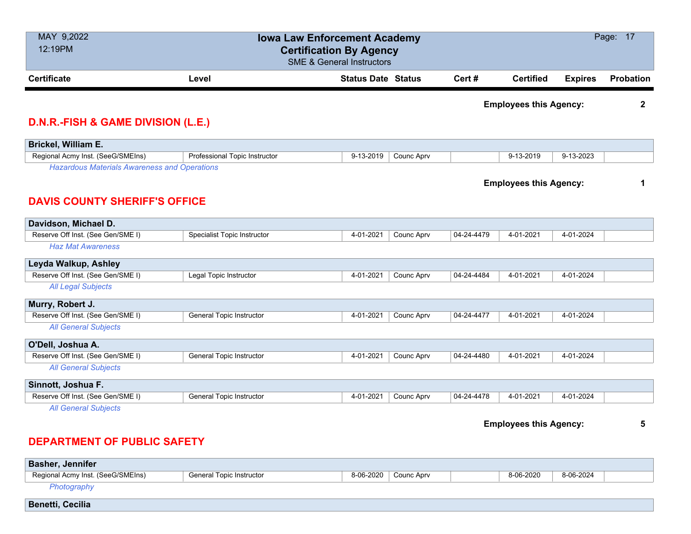| MAY 9,2022<br>12:19PM                                                                       |                                 | <b>Iowa Law Enforcement Academy</b><br><b>Certification By Agency</b><br><b>SME &amp; General Instructors</b> |            |            |                               |                | Page: 17         |
|---------------------------------------------------------------------------------------------|---------------------------------|---------------------------------------------------------------------------------------------------------------|------------|------------|-------------------------------|----------------|------------------|
| <b>Certificate</b>                                                                          | Level                           | <b>Status Date Status</b>                                                                                     |            | Cert#      | <b>Certified</b>              | <b>Expires</b> | <b>Probation</b> |
| <b>D.N.R.-FISH &amp; GAME DIVISION (L.E.)</b>                                               |                                 |                                                                                                               |            |            | <b>Employees this Agency:</b> |                | $\mathbf 2$      |
| Brickel, William E.                                                                         |                                 |                                                                                                               |            |            |                               |                |                  |
| Regional Acmy Inst. (SeeG/SMEIns)                                                           | Professional Topic Instructor   | 9-13-2019                                                                                                     | Counc Aprv |            | 9-13-2019                     | 9-13-2023      |                  |
| <b>Hazardous Materials Awareness and Operations</b><br><b>DAVIS COUNTY SHERIFF'S OFFICE</b> |                                 |                                                                                                               |            |            | <b>Employees this Agency:</b> |                | 1                |
| Davidson, Michael D.                                                                        |                                 |                                                                                                               |            |            |                               |                |                  |
| Reserve Off Inst. (See Gen/SME I)<br><b>Haz Mat Awareness</b>                               | Specialist Topic Instructor     | 4-01-2021                                                                                                     | Counc Aprv | 04-24-4479 | 4-01-2021                     | 4-01-2024      |                  |
| Leyda Walkup, Ashley                                                                        |                                 |                                                                                                               |            |            |                               |                |                  |
| Reserve Off Inst. (See Gen/SME I)                                                           | Legal Topic Instructor          | 4-01-2021                                                                                                     | Counc Aprv | 04-24-4484 | 4-01-2021                     | 4-01-2024      |                  |
| <b>All Legal Subjects</b>                                                                   |                                 |                                                                                                               |            |            |                               |                |                  |
| Murry, Robert J.                                                                            |                                 |                                                                                                               |            |            |                               |                |                  |
| Reserve Off Inst. (See Gen/SME I)                                                           | General Topic Instructor        | 4-01-2021                                                                                                     | Counc Aprv | 04-24-4477 | 4-01-2021                     | 4-01-2024      |                  |
| <b>All General Subjects</b>                                                                 |                                 |                                                                                                               |            |            |                               |                |                  |
| O'Dell, Joshua A.                                                                           |                                 |                                                                                                               |            |            |                               |                |                  |
| Reserve Off Inst. (See Gen/SME I)                                                           | General Topic Instructor        | 4-01-2021                                                                                                     | Counc Aprv | 04-24-4480 | 4-01-2021                     | 4-01-2024      |                  |
| <b>All General Subjects</b>                                                                 |                                 |                                                                                                               |            |            |                               |                |                  |
| Sinnott, Joshua F.                                                                          |                                 |                                                                                                               |            |            |                               |                |                  |
| Reserve Off Inst. (See Gen/SME I)                                                           | <b>General Topic Instructor</b> | 4-01-2021                                                                                                     | Counc Aprv | 04-24-4478 | 4-01-2021                     | 4-01-2024      |                  |
| <b>All General Subjects</b>                                                                 |                                 |                                                                                                               |            |            | <b>Employees this Agency:</b> |                | 5                |

# **DEPARTMENT OF PUBLIC SAFETY**

| <b>Basher, Jennifer</b>           |                          |                      |           |           |  |
|-----------------------------------|--------------------------|----------------------|-----------|-----------|--|
| Regional Acmy Inst. (SeeG/SMEIns) | General Topic Instructor | 8-06-2020 Counc Aprv | 8-06-2020 | 8-06-2024 |  |
| Photography                       |                          |                      |           |           |  |
| <b>Benetti, Cecilia</b>           |                          |                      |           |           |  |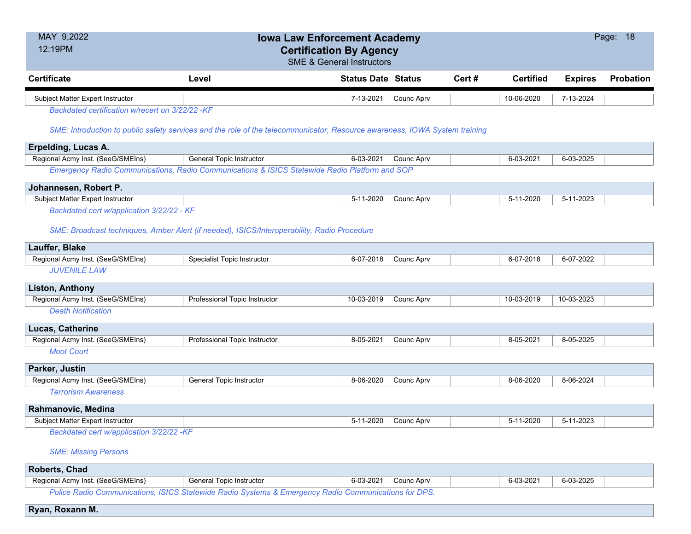| MAY 9,2022                                      | <b>Iowa Law Enforcement Academy</b>                                                                                        |                           |            |        |                  | Page: 18       |           |
|-------------------------------------------------|----------------------------------------------------------------------------------------------------------------------------|---------------------------|------------|--------|------------------|----------------|-----------|
| 12:19PM                                         | <b>Certification By Agency</b><br><b>SME &amp; General Instructors</b>                                                     |                           |            |        |                  |                |           |
|                                                 |                                                                                                                            |                           |            |        |                  |                |           |
| <b>Certificate</b>                              | Level                                                                                                                      | <b>Status Date Status</b> |            | Cert # | <b>Certified</b> | <b>Expires</b> | Probation |
| Subject Matter Expert Instructor                |                                                                                                                            | 7-13-2021                 | Counc Aprv |        | 10-06-2020       | 7-13-2024      |           |
| Backdated certification w/recert on 3/22/22 -KF |                                                                                                                            |                           |            |        |                  |                |           |
|                                                 | SME: Introduction to public safety services and the role of the telecommunicator, Resource awareness, IOWA System training |                           |            |        |                  |                |           |
| Erpelding, Lucas A.                             |                                                                                                                            |                           |            |        |                  |                |           |
| Regional Acmy Inst. (SeeG/SMEIns)               | General Topic Instructor                                                                                                   | 6-03-2021                 | Counc Aprv |        | 6-03-2021        | 6-03-2025      |           |
|                                                 | Emergency Radio Communications, Radio Communications & ISICS Statewide Radio Platform and SOP                              |                           |            |        |                  |                |           |
| Johannesen, Robert P.                           |                                                                                                                            |                           |            |        |                  |                |           |
| Subject Matter Expert Instructor                |                                                                                                                            | 5-11-2020                 | Counc Aprv |        | 5-11-2020        | 5-11-2023      |           |
| Backdated cert w/application 3/22/22 - KF       |                                                                                                                            |                           |            |        |                  |                |           |
|                                                 | SME: Broadcast techniques, Amber Alert (if needed), ISICS/Interoperability, Radio Procedure                                |                           |            |        |                  |                |           |
|                                                 |                                                                                                                            |                           |            |        |                  |                |           |
| Lauffer, Blake                                  |                                                                                                                            |                           |            |        |                  |                |           |
| Regional Acmy Inst. (SeeG/SMEIns)               | <b>Specialist Topic Instructor</b>                                                                                         | 6-07-2018                 | Counc Aprv |        | 6-07-2018        | 6-07-2022      |           |
| <b>JUVENILE LAW</b>                             |                                                                                                                            |                           |            |        |                  |                |           |
| <b>Liston, Anthony</b>                          |                                                                                                                            |                           |            |        |                  |                |           |
| Regional Acmy Inst. (SeeG/SMEIns)               | Professional Topic Instructor                                                                                              | 10-03-2019                | Counc Aprv |        | 10-03-2019       | 10-03-2023     |           |
| <b>Death Notification</b>                       |                                                                                                                            |                           |            |        |                  |                |           |
| Lucas, Catherine                                |                                                                                                                            |                           |            |        |                  |                |           |
| Regional Acmy Inst. (SeeG/SMEIns)               | Professional Topic Instructor                                                                                              | 8-05-2021                 | Counc Aprv |        | 8-05-2021        | 8-05-2025      |           |
| <b>Moot Court</b>                               |                                                                                                                            |                           |            |        |                  |                |           |
| Parker, Justin                                  |                                                                                                                            |                           |            |        |                  |                |           |
| Regional Acmy Inst. (SeeG/SMEIns)               | <b>General Topic Instructor</b>                                                                                            | 8-06-2020                 | Counc Aprv |        | 8-06-2020        | 8-06-2024      |           |
| <b>Terrorism Awareness</b>                      |                                                                                                                            |                           |            |        |                  |                |           |
| Rahmanovic, Medina                              |                                                                                                                            |                           |            |        |                  |                |           |
| Subject Matter Expert Instructor                |                                                                                                                            | $5-11-2020$               | Counc Aprv |        | 5-11-2020        | 5-11-2023      |           |
| Backdated cert w/application 3/22/22 -KF        |                                                                                                                            |                           |            |        |                  |                |           |
|                                                 |                                                                                                                            |                           |            |        |                  |                |           |
| <b>SME: Missing Persons</b>                     |                                                                                                                            |                           |            |        |                  |                |           |
| Roberts, Chad                                   |                                                                                                                            |                           |            |        |                  |                |           |
| Regional Acmy Inst. (SeeG/SMEIns)               | <b>General Topic Instructor</b>                                                                                            | 6-03-2021                 | Counc Aprv |        | 6-03-2021        | 6-03-2025      |           |
| die Communicatione JOJCO Otatowide Bodie O      |                                                                                                                            |                           |            |        |                  |                |           |

*Police Radio Communications, ISICS Statewide Radio Systems & Emergency Radio Communications for DPS.*

**Ryan, Roxann M.**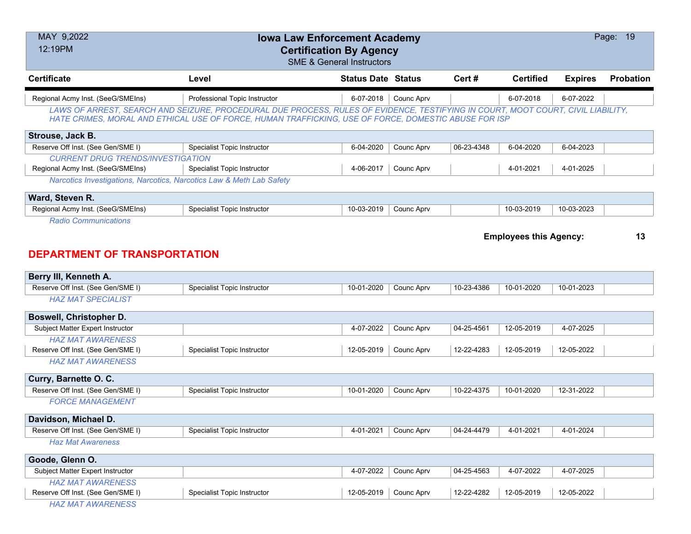| MAY 9,2022<br>12:19PM                                                |                                                                                                                                                                                                                                          | <b>Iowa Law Enforcement Academy</b><br><b>Certification By Agency</b><br><b>SME &amp; General Instructors</b> |            |            |                               |                | Page: 19         |
|----------------------------------------------------------------------|------------------------------------------------------------------------------------------------------------------------------------------------------------------------------------------------------------------------------------------|---------------------------------------------------------------------------------------------------------------|------------|------------|-------------------------------|----------------|------------------|
| <b>Certificate</b>                                                   | Level                                                                                                                                                                                                                                    | <b>Status Date Status</b>                                                                                     |            | Cert#      | <b>Certified</b>              | <b>Expires</b> | <b>Probation</b> |
| Regional Acmy Inst. (SeeG/SMEIns)                                    | Professional Topic Instructor                                                                                                                                                                                                            | 6-07-2018                                                                                                     | Counc Aprv |            | 6-07-2018                     | 6-07-2022      |                  |
|                                                                      | LAWS OF ARREST, SEARCH AND SEIZURE, PROCEDURAL DUE PROCESS, RULES OF EVIDENCE, TESTIFYING IN COURT, MOOT COURT, CIVIL LIABILITY,<br>HATE CRIMES, MORAL AND ETHICAL USE OF FORCE, HUMAN TRAFFICKING, USE OF FORCE, DOMESTIC ABUSE FOR ISP |                                                                                                               |            |            |                               |                |                  |
| Strouse, Jack B.                                                     |                                                                                                                                                                                                                                          |                                                                                                               |            |            |                               |                |                  |
| Reserve Off Inst. (See Gen/SME I)                                    | <b>Specialist Topic Instructor</b>                                                                                                                                                                                                       | 6-04-2020                                                                                                     | Counc Aprv | 06-23-4348 | 6-04-2020                     | 6-04-2023      |                  |
| <b>CURRENT DRUG TRENDS/INVESTIGATION</b>                             |                                                                                                                                                                                                                                          |                                                                                                               |            |            |                               |                |                  |
| Regional Acmy Inst. (SeeG/SMEIns)                                    | Specialist Topic Instructor                                                                                                                                                                                                              | 4-06-2017                                                                                                     | Counc Aprv |            | 4-01-2021                     | 4-01-2025      |                  |
| Narcotics Investigations, Narcotics, Narcotics Law & Meth Lab Safety |                                                                                                                                                                                                                                          |                                                                                                               |            |            |                               |                |                  |
| Ward, Steven R.                                                      |                                                                                                                                                                                                                                          |                                                                                                               |            |            |                               |                |                  |
| Regional Acmy Inst. (SeeG/SMEIns)                                    | Specialist Topic Instructor                                                                                                                                                                                                              | 10-03-2019                                                                                                    | Counc Aprv |            | 10-03-2019                    | 10-03-2023     |                  |
| <b>Radio Communications</b><br><b>DEPARTMENT OF TRANSPORTATION</b>   |                                                                                                                                                                                                                                          |                                                                                                               |            |            | <b>Employees this Agency:</b> |                | 13               |
| Berry III, Kenneth A.                                                |                                                                                                                                                                                                                                          |                                                                                                               |            |            |                               |                |                  |
| Reserve Off Inst. (See Gen/SME I)                                    | <b>Specialist Topic Instructor</b>                                                                                                                                                                                                       | 10-01-2020                                                                                                    | Counc Aprv | 10-23-4386 | 10-01-2020                    | 10-01-2023     |                  |
| <b>HAZ MAT SPECIALIST</b>                                            |                                                                                                                                                                                                                                          |                                                                                                               |            |            |                               |                |                  |
| Boswell, Christopher D.                                              |                                                                                                                                                                                                                                          |                                                                                                               |            |            |                               |                |                  |
| Subject Matter Expert Instructor                                     |                                                                                                                                                                                                                                          | 4-07-2022                                                                                                     | Counc Aprv | 04-25-4561 | 12-05-2019                    | 4-07-2025      |                  |
| <b>HAZ MAT AWARENESS</b>                                             |                                                                                                                                                                                                                                          |                                                                                                               |            |            |                               |                |                  |
| Reserve Off Inst. (See Gen/SME I)                                    | <b>Specialist Topic Instructor</b>                                                                                                                                                                                                       | 12-05-2019                                                                                                    | Counc Aprv | 12-22-4283 | 12-05-2019                    | 12-05-2022     |                  |
| <b>HAZ MAT AWARENESS</b>                                             |                                                                                                                                                                                                                                          |                                                                                                               |            |            |                               |                |                  |
| Curry, Barnette O. C.                                                |                                                                                                                                                                                                                                          |                                                                                                               |            |            |                               |                |                  |
| Reserve Off Inst. (See Gen/SME I)                                    | <b>Specialist Topic Instructor</b>                                                                                                                                                                                                       | 10-01-2020                                                                                                    | Counc Aprv | 10-22-4375 | 10-01-2020                    | 12-31-2022     |                  |
| <b>FORCE MANAGEMENT</b>                                              |                                                                                                                                                                                                                                          |                                                                                                               |            |            |                               |                |                  |
| Davidson, Michael D.                                                 |                                                                                                                                                                                                                                          |                                                                                                               |            |            |                               |                |                  |
| Reserve Off Inst. (See Gen/SME I)                                    | <b>Specialist Topic Instructor</b>                                                                                                                                                                                                       | 4-01-2021                                                                                                     | Counc Aprv | 04-24-4479 | 4-01-2021                     | 4-01-2024      |                  |
| <b>Haz Mat Awareness</b>                                             |                                                                                                                                                                                                                                          |                                                                                                               |            |            |                               |                |                  |
| Goode, Glenn O.                                                      |                                                                                                                                                                                                                                          |                                                                                                               |            |            |                               |                |                  |
| Subject Matter Expert Instructor                                     |                                                                                                                                                                                                                                          | 4-07-2022                                                                                                     | Counc Aprv | 04-25-4563 | 4-07-2022                     | 4-07-2025      |                  |
| <b>HAZ MAT AWARENESS</b>                                             |                                                                                                                                                                                                                                          |                                                                                                               |            |            |                               |                |                  |
| Reserve Off Inst. (See Gen/SME I)                                    | Specialist Topic Instructor                                                                                                                                                                                                              | 12-05-2019                                                                                                    | Counc Aprv | 12-22-4282 | 12-05-2019                    | 12-05-2022     |                  |
| <b>HAZ MAT AWARENESS</b>                                             |                                                                                                                                                                                                                                          |                                                                                                               |            |            |                               |                |                  |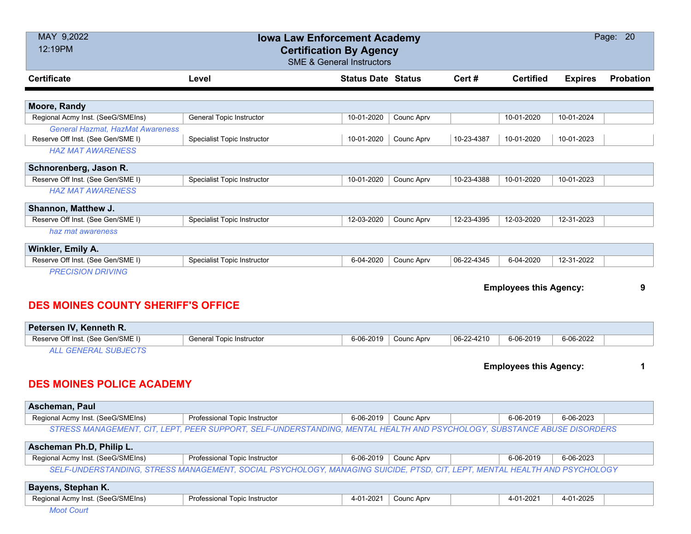| MAY 9,2022                                | <b>Iowa Law Enforcement Academy</b>                                                                                       |                           |            |            |                               |                | Page: 20         |
|-------------------------------------------|---------------------------------------------------------------------------------------------------------------------------|---------------------------|------------|------------|-------------------------------|----------------|------------------|
| 12:19PM                                   | <b>Certification By Agency</b><br><b>SME &amp; General Instructors</b>                                                    |                           |            |            |                               |                |                  |
| <b>Certificate</b>                        | Level                                                                                                                     | <b>Status Date Status</b> |            | Cert #     | <b>Certified</b>              | <b>Expires</b> | <b>Probation</b> |
| Moore, Randy                              |                                                                                                                           |                           |            |            |                               |                |                  |
| Regional Acmy Inst. (SeeG/SMEIns)         | <b>General Topic Instructor</b>                                                                                           | 10-01-2020                | Counc Aprv |            | 10-01-2020                    | 10-01-2024     |                  |
| General Hazmat, HazMat Awareness          |                                                                                                                           |                           |            |            |                               |                |                  |
| Reserve Off Inst. (See Gen/SME I)         | <b>Specialist Topic Instructor</b>                                                                                        | 10-01-2020                | Counc Aprv | 10-23-4387 | 10-01-2020                    | 10-01-2023     |                  |
| <b>HAZ MAT AWARENESS</b>                  |                                                                                                                           |                           |            |            |                               |                |                  |
| Schnorenberg, Jason R.                    |                                                                                                                           |                           |            |            |                               |                |                  |
| Reserve Off Inst. (See Gen/SME I)         | Specialist Topic Instructor                                                                                               | 10-01-2020                | Counc Aprv | 10-23-4388 | 10-01-2020                    | 10-01-2023     |                  |
| <b>HAZ MAT AWARENESS</b>                  |                                                                                                                           |                           |            |            |                               |                |                  |
| Shannon, Matthew J.                       |                                                                                                                           |                           |            |            |                               |                |                  |
| Reserve Off Inst. (See Gen/SME I)         | <b>Specialist Topic Instructor</b>                                                                                        | 12-03-2020                | Counc Aprv | 12-23-4395 | 12-03-2020                    | 12-31-2023     |                  |
| haz mat awareness                         |                                                                                                                           |                           |            |            |                               |                |                  |
| Winkler, Emily A.                         |                                                                                                                           |                           |            |            |                               |                |                  |
| Reserve Off Inst. (See Gen/SME I)         | <b>Specialist Topic Instructor</b>                                                                                        | 6-04-2020                 | Counc Aprv | 06-22-4345 | 6-04-2020                     | 12-31-2022     |                  |
| <b>DES MOINES COUNTY SHERIFF'S OFFICE</b> |                                                                                                                           |                           |            |            | <b>Employees this Agency:</b> |                | 9                |
| Petersen IV, Kenneth R.                   |                                                                                                                           |                           |            |            |                               |                |                  |
| Reserve Off Inst. (See Gen/SME I)         | <b>General Topic Instructor</b>                                                                                           | 6-06-2019                 | Counc Aprv | 06-22-4210 | 6-06-2019                     | 6-06-2022      |                  |
| <b>ALL GENERAL SUBJECTS</b>               |                                                                                                                           |                           |            |            |                               |                |                  |
| <b>DES MOINES POLICE ACADEMY</b>          |                                                                                                                           |                           |            |            | <b>Employees this Agency:</b> |                | 1                |
| Ascheman, Paul                            |                                                                                                                           |                           |            |            |                               |                |                  |
| Regional Acmy Inst. (SeeG/SMEIns)         | Professional Topic Instructor                                                                                             | 6-06-2019                 | Counc Aprv |            | 6-06-2019                     | 6-06-2023      |                  |
|                                           | STRESS MANAGEMENT, CIT, LEPT, PEER SUPPORT, SELF-UNDERSTANDING, MENTAL HEALTH AND PSYCHOLOGY, SUBSTANCE ABUSE DISORDERS   |                           |            |            |                               |                |                  |
| Ascheman Ph.D, Philip L.                  |                                                                                                                           |                           |            |            |                               |                |                  |
| Regional Acmy Inst. (SeeG/SMEIns)         | Professional Topic Instructor                                                                                             | 6-06-2019                 | Counc Aprv |            | 6-06-2019                     | 6-06-2023      |                  |
|                                           | SELF-UNDERSTANDING, STRESS MANAGEMENT, SOCIAL PSYCHOLOGY, MANAGING SUICIDE, PTSD, CIT, LEPT, MENTAL HEALTH AND PSYCHOLOGY |                           |            |            |                               |                |                  |
| Bayens, Stephan K.                        |                                                                                                                           |                           |            |            |                               |                |                  |
| Regional Acmy Inst. (SeeG/SMEIns)         | Professional Topic Instructor                                                                                             | 4-01-2021                 | Counc Aprv |            | 4-01-2021                     | 4-01-2025      |                  |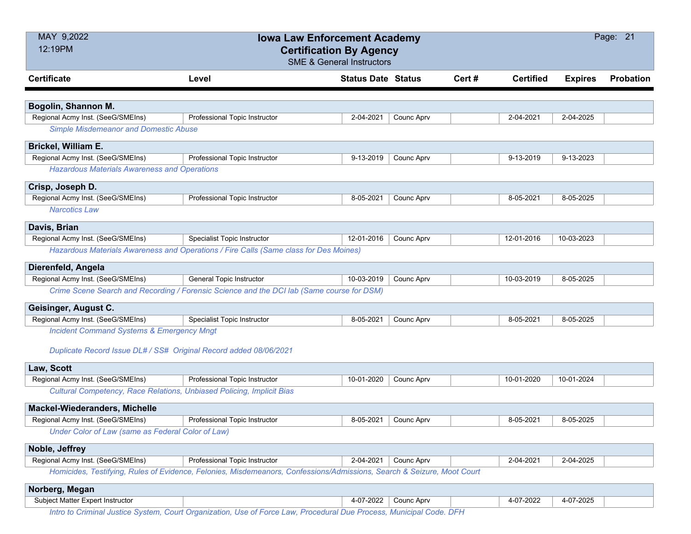| MAY 9,2022                                                            | <b>Iowa Law Enforcement Academy</b><br><b>Certification By Agency</b>                                                  |                                      |                        |       |                  |                | Page: 21         |
|-----------------------------------------------------------------------|------------------------------------------------------------------------------------------------------------------------|--------------------------------------|------------------------|-------|------------------|----------------|------------------|
| 12:19PM                                                               |                                                                                                                        | <b>SME &amp; General Instructors</b> |                        |       |                  |                |                  |
| <b>Certificate</b>                                                    | Level                                                                                                                  | <b>Status Date Status</b>            |                        | Cert# | <b>Certified</b> | <b>Expires</b> | <b>Probation</b> |
|                                                                       |                                                                                                                        |                                      |                        |       |                  |                |                  |
| Bogolin, Shannon M.<br>Regional Acmy Inst. (SeeG/SMEIns)              | Professional Topic Instructor                                                                                          | 2-04-2021                            | Counc Aprv             |       | 2-04-2021        | 2-04-2025      |                  |
| <b>Simple Misdemeanor and Domestic Abuse</b>                          |                                                                                                                        |                                      |                        |       |                  |                |                  |
| Brickel, William E.                                                   |                                                                                                                        |                                      |                        |       |                  |                |                  |
| Regional Acmy Inst. (SeeG/SMEIns)                                     | Professional Topic Instructor                                                                                          | 9-13-2019                            | Counc Aprv             |       | 9-13-2019        | 9-13-2023      |                  |
| <b>Hazardous Materials Awareness and Operations</b>                   |                                                                                                                        |                                      |                        |       |                  |                |                  |
| Crisp, Joseph D.                                                      |                                                                                                                        |                                      |                        |       |                  |                |                  |
| Regional Acmy Inst. (SeeG/SMEIns)                                     | Professional Topic Instructor                                                                                          | 8-05-2021                            | Counc Aprv             |       | 8-05-2021        | 8-05-2025      |                  |
| <b>Narcotics Law</b>                                                  |                                                                                                                        |                                      |                        |       |                  |                |                  |
| Davis, Brian                                                          |                                                                                                                        |                                      |                        |       |                  |                |                  |
| Regional Acmy Inst. (SeeG/SMEIns)                                     | Specialist Topic Instructor                                                                                            | 12-01-2016                           | Counc Aprv             |       | 12-01-2016       | 10-03-2023     |                  |
|                                                                       | Hazardous Materials Awareness and Operations / Fire Calls (Same class for Des Moines)                                  |                                      |                        |       |                  |                |                  |
| Dierenfeld, Angela                                                    |                                                                                                                        |                                      |                        |       |                  |                |                  |
| Regional Acmy Inst. (SeeG/SMEIns)                                     | General Topic Instructor                                                                                               | 10-03-2019                           | Counc Aprv             |       | 10-03-2019       | 8-05-2025      |                  |
|                                                                       | Crime Scene Search and Recording / Forensic Science and the DCI lab (Same course for DSM)                              |                                      |                        |       |                  |                |                  |
| Geisinger, August C.                                                  |                                                                                                                        |                                      |                        |       |                  |                |                  |
| Regional Acmy Inst. (SeeG/SMEIns)                                     | <b>Specialist Topic Instructor</b>                                                                                     | 8-05-2021                            | Counc Aprv             |       | 8-05-2021        | 8-05-2025      |                  |
| <b>Incident Command Systems &amp; Emergency Mngt</b>                  |                                                                                                                        |                                      |                        |       |                  |                |                  |
| Duplicate Record Issue DL# / SS# Original Record added 08/06/2021     |                                                                                                                        |                                      |                        |       |                  |                |                  |
| Law, Scott                                                            |                                                                                                                        |                                      |                        |       |                  |                |                  |
| Regional Acmy Inst. (SeeG/SMEIns)                                     | Professional Topic Instructor                                                                                          | 10-01-2020                           | Counc Aprv             |       | 10-01-2020       | 10-01-2024     |                  |
| Cultural Competency, Race Relations, Unbiased Policing, Implicit Bias |                                                                                                                        |                                      |                        |       |                  |                |                  |
| Mackel-Wiederanders, Michelle                                         |                                                                                                                        |                                      |                        |       |                  |                |                  |
| Regional Acmy Inst. (SeeG/SMEIns)                                     | Professional Topic Instructor                                                                                          |                                      | 8-05-2021   Counc Aprv |       | 8-05-2021        | 8-05-2025      |                  |
| Under Color of Law (same as Federal Color of Law)                     |                                                                                                                        |                                      |                        |       |                  |                |                  |
| Noble, Jeffrey                                                        |                                                                                                                        |                                      |                        |       |                  |                |                  |
| Regional Acmy Inst. (SeeG/SMEIns)                                     | Professional Topic Instructor                                                                                          | 2-04-2021                            | Counc Aprv             |       | 2-04-2021        | 2-04-2025      |                  |
|                                                                       | Homicides, Testifying, Rules of Evidence, Felonies, Misdemeanors, Confessions/Admissions, Search & Seizure, Moot Court |                                      |                        |       |                  |                |                  |
| Norberg, Megan                                                        |                                                                                                                        |                                      |                        |       |                  |                |                  |
| Subject Matter Expert Instructor                                      |                                                                                                                        | 4-07-2022                            | Counc Aprv             |       | 4-07-2022        | 4-07-2025      |                  |
|                                                                       | Intro to Criminal Justice System, Court Organization, Use of Force Law, Procedural Due Process, Municipal Code. DFH    |                                      |                        |       |                  |                |                  |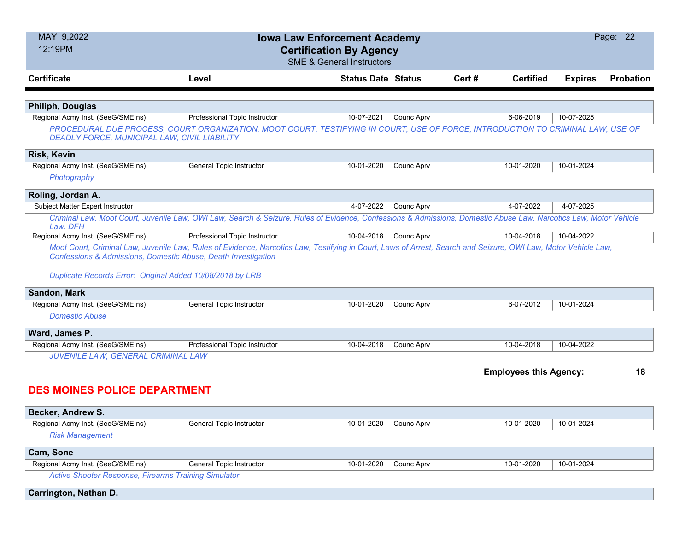| MAY 9,2022<br>12:19PM                                                                                                                                 | <b>Iowa Law Enforcement Academy</b><br><b>Certification By Agency</b>                                                                                            | <b>SME &amp; General Instructors</b> |            |        |                               |                | Page: 22  |
|-------------------------------------------------------------------------------------------------------------------------------------------------------|------------------------------------------------------------------------------------------------------------------------------------------------------------------|--------------------------------------|------------|--------|-------------------------------|----------------|-----------|
| <b>Certificate</b>                                                                                                                                    | Level                                                                                                                                                            | <b>Status Date Status</b>            |            | Cert # | <b>Certified</b>              | <b>Expires</b> | Probation |
|                                                                                                                                                       |                                                                                                                                                                  |                                      |            |        |                               |                |           |
| <b>Philiph, Douglas</b>                                                                                                                               |                                                                                                                                                                  |                                      |            |        |                               |                |           |
| Regional Acmy Inst. (SeeG/SMEIns)                                                                                                                     | Professional Topic Instructor                                                                                                                                    | 10-07-2021                           | Counc Aprv |        | 6-06-2019                     | 10-07-2025     |           |
| DEADLY FORCE, MUNICIPAL LAW, CIVIL LIABILITY                                                                                                          | PROCEDURAL DUE PROCESS, COURT ORGANIZATION, MOOT COURT, TESTIFYING IN COURT, USE OF FORCE, INTRODUCTION TO CRIMINAL LAW, USE OF                                  |                                      |            |        |                               |                |           |
| <b>Risk, Kevin</b>                                                                                                                                    |                                                                                                                                                                  |                                      |            |        |                               |                |           |
| Regional Acmy Inst. (SeeG/SMEIns)                                                                                                                     | <b>General Topic Instructor</b>                                                                                                                                  | 10-01-2020                           | Counc Aprv |        | 10-01-2020                    | 10-01-2024     |           |
| Photography                                                                                                                                           |                                                                                                                                                                  |                                      |            |        |                               |                |           |
| Roling, Jordan A.                                                                                                                                     |                                                                                                                                                                  |                                      |            |        |                               |                |           |
| Subject Matter Expert Instructor                                                                                                                      |                                                                                                                                                                  | 4-07-2022                            | Counc Aprv |        | 4-07-2022                     | 4-07-2025      |           |
| Law, DFH                                                                                                                                              | Criminal Law, Moot Court, Juvenile Law, OWI Law, Search & Seizure, Rules of Evidence, Confessions & Admissions, Domestic Abuse Law, Narcotics Law, Motor Vehicle |                                      |            |        |                               |                |           |
| Regional Acmy Inst. (SeeG/SMEIns)                                                                                                                     | Professional Topic Instructor                                                                                                                                    | 10-04-2018   Counc Aprv              |            |        | 10-04-2018                    | 10-04-2022     |           |
| <b>Confessions &amp; Admissions, Domestic Abuse, Death Investigation</b><br>Duplicate Records Error: Original Added 10/08/2018 by LRB<br>Sandon, Mark |                                                                                                                                                                  |                                      |            |        |                               |                |           |
| Regional Acmy Inst. (SeeG/SMEIns)                                                                                                                     | <b>General Topic Instructor</b>                                                                                                                                  | 10-01-2020                           | Counc Aprv |        | 6-07-2012                     | 10-01-2024     |           |
| <b>Domestic Abuse</b>                                                                                                                                 |                                                                                                                                                                  |                                      |            |        |                               |                |           |
| Ward, James P.                                                                                                                                        |                                                                                                                                                                  |                                      |            |        |                               |                |           |
| Regional Acmy Inst. (SeeG/SMEIns)                                                                                                                     | Professional Topic Instructor                                                                                                                                    | 10-04-2018                           | Counc Aprv |        | 10-04-2018                    | 10-04-2022     |           |
| JUVENILE LAW, GENERAL CRIMINAL LAW                                                                                                                    |                                                                                                                                                                  |                                      |            |        |                               |                |           |
| <b>DES MOINES POLICE DEPARTMENT</b>                                                                                                                   |                                                                                                                                                                  |                                      |            |        | <b>Employees this Agency:</b> |                | 18        |
|                                                                                                                                                       |                                                                                                                                                                  |                                      |            |        |                               |                |           |
| Becker, Andrew S.                                                                                                                                     |                                                                                                                                                                  |                                      |            |        |                               |                |           |
| Regional Acmy Inst. (SeeG/SMEIns)                                                                                                                     | <b>General Topic Instructor</b>                                                                                                                                  | 10-01-2020                           | Counc Aprv |        | 10-01-2020                    | 10-01-2024     |           |
| <b>Risk Management</b>                                                                                                                                |                                                                                                                                                                  |                                      |            |        |                               |                |           |
| Cam, Sone                                                                                                                                             |                                                                                                                                                                  |                                      |            |        |                               |                |           |
| Regional Acmy Inst. (SeeG/SMEIns)                                                                                                                     | <b>General Topic Instructor</b>                                                                                                                                  | 10-01-2020                           | Counc Aprv |        | 10-01-2020                    | 10-01-2024     |           |
| <b>Active Shooter Response, Firearms Training Simulator</b>                                                                                           |                                                                                                                                                                  |                                      |            |        |                               |                |           |
| Carrington, Nathan D.                                                                                                                                 |                                                                                                                                                                  |                                      |            |        |                               |                |           |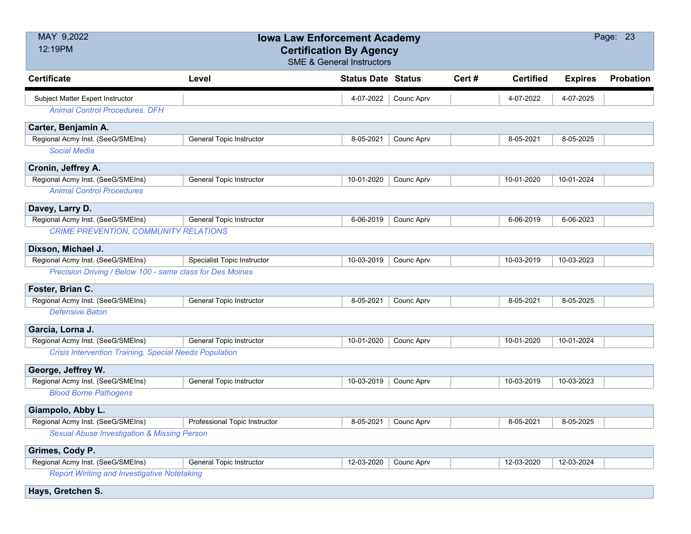| MAY 9,2022<br>12:19PM                                         | <b>Iowa Law Enforcement Academy</b><br><b>Certification By Agency</b> | <b>SME &amp; General Instructors</b> |            |       |                  |                | Page: 23         |
|---------------------------------------------------------------|-----------------------------------------------------------------------|--------------------------------------|------------|-------|------------------|----------------|------------------|
| <b>Certificate</b>                                            | Level                                                                 | <b>Status Date Status</b>            |            | Cert# | <b>Certified</b> | <b>Expires</b> | <b>Probation</b> |
| Subject Matter Expert Instructor                              |                                                                       | 4-07-2022                            | Counc Aprv |       | 4-07-2022        | 4-07-2025      |                  |
| <b>Animal Control Procedures. DFH</b>                         |                                                                       |                                      |            |       |                  |                |                  |
| Carter, Benjamin A.                                           |                                                                       |                                      |            |       |                  |                |                  |
| Regional Acmy Inst. (SeeG/SMEIns)                             | <b>General Topic Instructor</b>                                       | 8-05-2021                            | Counc Aprv |       | 8-05-2021        | 8-05-2025      |                  |
| <b>Social Media</b>                                           |                                                                       |                                      |            |       |                  |                |                  |
| Cronin, Jeffrey A.                                            |                                                                       |                                      |            |       |                  |                |                  |
| Regional Acmy Inst. (SeeG/SMEIns)                             | <b>General Topic Instructor</b>                                       | 10-01-2020                           | Counc Aprv |       | 10-01-2020       | 10-01-2024     |                  |
| <b>Animal Control Procedures</b>                              |                                                                       |                                      |            |       |                  |                |                  |
| Davey, Larry D.                                               |                                                                       |                                      |            |       |                  |                |                  |
| Regional Acmy Inst. (SeeG/SMEIns)                             | General Topic Instructor                                              | 6-06-2019                            | Counc Aprv |       | 6-06-2019        | 6-06-2023      |                  |
| CRIME PREVENTION, COMMUNITY RELATIONS                         |                                                                       |                                      |            |       |                  |                |                  |
| Dixson, Michael J.                                            |                                                                       |                                      |            |       |                  |                |                  |
| Regional Acmy Inst. (SeeG/SMEIns)                             | Specialist Topic Instructor                                           | 10-03-2019                           | Counc Aprv |       | 10-03-2019       | 10-03-2023     |                  |
| Precision Driving / Below 100 - same class for Des Moines     |                                                                       |                                      |            |       |                  |                |                  |
| Foster, Brian C.                                              |                                                                       |                                      |            |       |                  |                |                  |
| Regional Acmy Inst. (SeeG/SMEIns)                             | <b>General Topic Instructor</b>                                       | 8-05-2021                            | Counc Aprv |       | 8-05-2021        | 8-05-2025      |                  |
| <b>Defensive Baton</b>                                        |                                                                       |                                      |            |       |                  |                |                  |
| Garcia, Lorna J.                                              |                                                                       |                                      |            |       |                  |                |                  |
| Regional Acmy Inst. (SeeG/SMEIns)                             | General Topic Instructor                                              | 10-01-2020                           | Counc Aprv |       | 10-01-2020       | 10-01-2024     |                  |
| <b>Crisis Intervention Training, Special Needs Population</b> |                                                                       |                                      |            |       |                  |                |                  |
| George, Jeffrey W.                                            |                                                                       |                                      |            |       |                  |                |                  |
| Regional Acmy Inst. (SeeG/SMEIns)                             | <b>General Topic Instructor</b>                                       | 10-03-2019                           | Counc Aprv |       | 10-03-2019       | 10-03-2023     |                  |
| <b>Blood Borne Pathogens</b>                                  |                                                                       |                                      |            |       |                  |                |                  |
| Giampolo, Abby L.                                             |                                                                       |                                      |            |       |                  |                |                  |
| Regional Acmy Inst. (SeeG/SMEIns)                             | Professional Topic Instructor                                         | 8-05-2021                            | Counc Aprv |       | 8-05-2021        | 8-05-2025      |                  |
| <b>Sexual Abuse Investigation &amp; Missing Person</b>        |                                                                       |                                      |            |       |                  |                |                  |
| Grimes, Cody P.                                               |                                                                       |                                      |            |       |                  |                |                  |
| Regional Acmy Inst. (SeeG/SMEIns)                             | General Topic Instructor                                              | 12-03-2020                           | Counc Aprv |       | 12-03-2020       | 12-03-2024     |                  |
| <b>Report Wiriting and Investigative Notetaking</b>           |                                                                       |                                      |            |       |                  |                |                  |
| Hays, Gretchen S.                                             |                                                                       |                                      |            |       |                  |                |                  |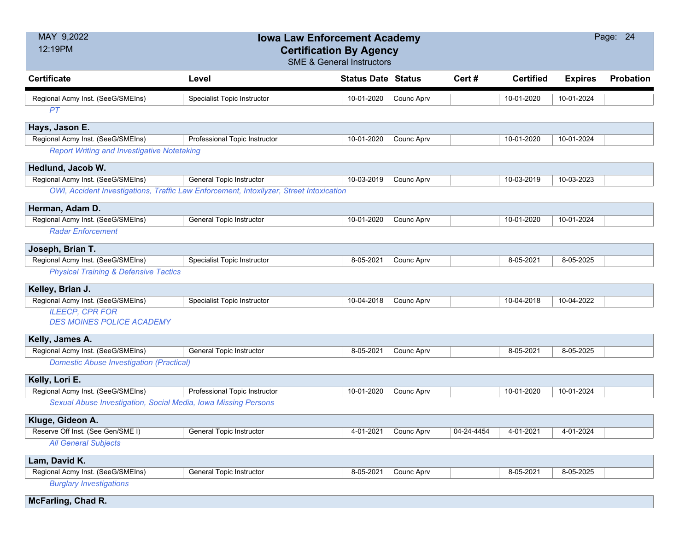| MAY 9,2022<br>12:19PM                                          | <b>Iowa Law Enforcement Academy</b><br><b>Certification By Agency</b><br><b>SME &amp; General Instructors</b> |                           |            | Page: 24   |                  |                |                  |
|----------------------------------------------------------------|---------------------------------------------------------------------------------------------------------------|---------------------------|------------|------------|------------------|----------------|------------------|
| <b>Certificate</b>                                             | Level                                                                                                         | <b>Status Date Status</b> |            | Cert#      | <b>Certified</b> | <b>Expires</b> | <b>Probation</b> |
| Regional Acmy Inst. (SeeG/SMEIns)                              | Specialist Topic Instructor                                                                                   | 10-01-2020                | Counc Aprv |            | 10-01-2020       | 10-01-2024     |                  |
| PT                                                             |                                                                                                               |                           |            |            |                  |                |                  |
| Hays, Jason E.                                                 |                                                                                                               |                           |            |            |                  |                |                  |
| Regional Acmy Inst. (SeeG/SMEIns)                              | Professional Topic Instructor                                                                                 | 10-01-2020                | Counc Aprv |            | 10-01-2020       | 10-01-2024     |                  |
| <b>Report Writing and Investigative Notetaking</b>             |                                                                                                               |                           |            |            |                  |                |                  |
| Hedlund, Jacob W.                                              |                                                                                                               |                           |            |            |                  |                |                  |
| Regional Acmy Inst. (SeeG/SMEIns)                              | <b>General Topic Instructor</b>                                                                               | 10-03-2019                | Counc Aprv |            | 10-03-2019       | 10-03-2023     |                  |
|                                                                | OWI, Accident Investigations, Traffic Law Enforcement, Intoxilyzer, Street Intoxication                       |                           |            |            |                  |                |                  |
| Herman, Adam D.                                                |                                                                                                               |                           |            |            |                  |                |                  |
| Regional Acmy Inst. (SeeG/SMEIns)                              | <b>General Topic Instructor</b>                                                                               | 10-01-2020                | Counc Aprv |            | 10-01-2020       | 10-01-2024     |                  |
| <b>Radar Enforcement</b>                                       |                                                                                                               |                           |            |            |                  |                |                  |
| Joseph, Brian T.                                               |                                                                                                               |                           |            |            |                  |                |                  |
| Regional Acmy Inst. (SeeG/SMEIns)                              | Specialist Topic Instructor                                                                                   | 8-05-2021                 | Counc Aprv |            | 8-05-2021        | 8-05-2025      |                  |
| <b>Physical Training &amp; Defensive Tactics</b>               |                                                                                                               |                           |            |            |                  |                |                  |
| Kelley, Brian J.                                               |                                                                                                               |                           |            |            |                  |                |                  |
| Regional Acmy Inst. (SeeG/SMEIns)                              | Specialist Topic Instructor                                                                                   | 10-04-2018                | Counc Aprv |            | 10-04-2018       | 10-04-2022     |                  |
| <b>ILEECP, CPR FOR</b><br><b>DES MOINES POLICE ACADEMY</b>     |                                                                                                               |                           |            |            |                  |                |                  |
| Kelly, James A.                                                |                                                                                                               |                           |            |            |                  |                |                  |
| Regional Acmy Inst. (SeeG/SMEIns)                              | <b>General Topic Instructor</b>                                                                               | 8-05-2021                 | Counc Aprv |            | 8-05-2021        | 8-05-2025      |                  |
| <b>Domestic Abuse Investigation (Practical)</b>                |                                                                                                               |                           |            |            |                  |                |                  |
| Kelly, Lori E.                                                 |                                                                                                               |                           |            |            |                  |                |                  |
| Regional Acmy Inst. (SeeG/SMEIns)                              | Professional Topic Instructor                                                                                 | 10-01-2020                | Counc Aprv |            | 10-01-2020       | 10-01-2024     |                  |
| Sexual Abuse Investigation, Social Media, Iowa Missing Persons |                                                                                                               |                           |            |            |                  |                |                  |
| Kluge, Gideon A.                                               |                                                                                                               |                           |            |            |                  |                |                  |
| Reserve Off Inst. (See Gen/SME I)                              | General Topic Instructor                                                                                      | 4-01-2021                 | Counc Aprv | 04-24-4454 | 4-01-2021        | 4-01-2024      |                  |
| <b>All General Subjects</b>                                    |                                                                                                               |                           |            |            |                  |                |                  |
| Lam, David K.                                                  |                                                                                                               |                           |            |            |                  |                |                  |
| Regional Acmy Inst. (SeeG/SMEIns)                              | <b>General Topic Instructor</b>                                                                               | 8-05-2021                 | Counc Aprv |            | 8-05-2021        | 8-05-2025      |                  |
| <b>Burglary Investigations</b>                                 |                                                                                                               |                           |            |            |                  |                |                  |
| <b>McFarling, Chad R.</b>                                      |                                                                                                               |                           |            |            |                  |                |                  |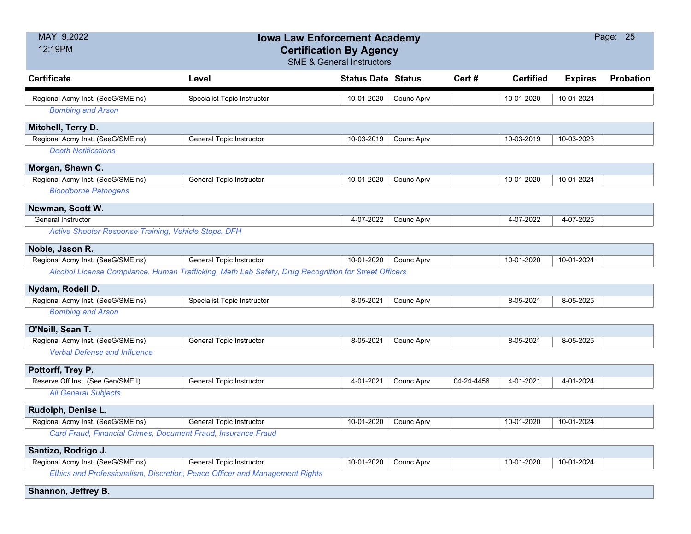| MAY 9,2022<br>12:19PM                                         | <b>Iowa Law Enforcement Academy</b><br><b>Certification By Agency</b><br><b>SME &amp; General Instructors</b> |                           |            |            |                  |                | Page: 25         |
|---------------------------------------------------------------|---------------------------------------------------------------------------------------------------------------|---------------------------|------------|------------|------------------|----------------|------------------|
| <b>Certificate</b>                                            | Level                                                                                                         | <b>Status Date Status</b> |            | Cert#      | <b>Certified</b> | <b>Expires</b> | <b>Probation</b> |
| Regional Acmy Inst. (SeeG/SMEIns)                             | <b>Specialist Topic Instructor</b>                                                                            | 10-01-2020                | Counc Aprv |            | 10-01-2020       | 10-01-2024     |                  |
| <b>Bombing and Arson</b>                                      |                                                                                                               |                           |            |            |                  |                |                  |
| Mitchell, Terry D.                                            |                                                                                                               |                           |            |            |                  |                |                  |
| Regional Acmy Inst. (SeeG/SMEIns)                             | <b>General Topic Instructor</b>                                                                               | 10-03-2019                | Counc Aprv |            | 10-03-2019       | 10-03-2023     |                  |
| <b>Death Notifications</b>                                    |                                                                                                               |                           |            |            |                  |                |                  |
| Morgan, Shawn C.                                              |                                                                                                               |                           |            |            |                  |                |                  |
| Regional Acmy Inst. (SeeG/SMEIns)                             | <b>General Topic Instructor</b>                                                                               | 10-01-2020                | Counc Aprv |            | 10-01-2020       | 10-01-2024     |                  |
| <b>Bloodborne Pathogens</b>                                   |                                                                                                               |                           |            |            |                  |                |                  |
| Newman, Scott W.                                              |                                                                                                               |                           |            |            |                  |                |                  |
| <b>General Instructor</b>                                     |                                                                                                               | 4-07-2022                 | Counc Aprv |            | 4-07-2022        | 4-07-2025      |                  |
| Active Shooter Response Training, Vehicle Stops. DFH          |                                                                                                               |                           |            |            |                  |                |                  |
| Noble, Jason R.                                               |                                                                                                               |                           |            |            |                  |                |                  |
| Regional Acmy Inst. (SeeG/SMEIns)                             | General Topic Instructor                                                                                      | 10-01-2020                | Counc Aprv |            | 10-01-2020       | 10-01-2024     |                  |
|                                                               | Alcohol License Compliance, Human Trafficking, Meth Lab Safety, Drug Recognition for Street Officers          |                           |            |            |                  |                |                  |
| Nydam, Rodell D.                                              |                                                                                                               |                           |            |            |                  |                |                  |
| Regional Acmy Inst. (SeeG/SMEIns)                             | <b>Specialist Topic Instructor</b>                                                                            | 8-05-2021                 | Counc Aprv |            | 8-05-2021        | 8-05-2025      |                  |
| <b>Bombing and Arson</b>                                      |                                                                                                               |                           |            |            |                  |                |                  |
| O'Neill, Sean T.                                              |                                                                                                               |                           |            |            |                  |                |                  |
| Regional Acmy Inst. (SeeG/SMEIns)                             | <b>General Topic Instructor</b>                                                                               | 8-05-2021                 | Counc Aprv |            | 8-05-2021        | 8-05-2025      |                  |
| <b>Verbal Defense and Influence</b>                           |                                                                                                               |                           |            |            |                  |                |                  |
| Pottorff, Trey P.                                             |                                                                                                               |                           |            |            |                  |                |                  |
| Reserve Off Inst. (See Gen/SME I)                             | <b>General Topic Instructor</b>                                                                               | 4-01-2021                 | Counc Aprv | 04-24-4456 | 4-01-2021        | 4-01-2024      |                  |
| <b>All General Subjects</b>                                   |                                                                                                               |                           |            |            |                  |                |                  |
| Rudolph, Denise L.                                            |                                                                                                               |                           |            |            |                  |                |                  |
| Regional Acmy Inst. (SeeG/SMEIns)                             | <b>General Topic Instructor</b>                                                                               | 10-01-2020                | Counc Aprv |            | 10-01-2020       | 10-01-2024     |                  |
| Card Fraud, Financial Crimes, Document Fraud, Insurance Fraud |                                                                                                               |                           |            |            |                  |                |                  |
| Santizo, Rodrigo J.                                           |                                                                                                               |                           |            |            |                  |                |                  |
| Regional Acmy Inst. (SeeG/SMEIns)                             | <b>General Topic Instructor</b>                                                                               | 10-01-2020                | Counc Aprv |            | 10-01-2020       | 10-01-2024     |                  |
|                                                               | Ethics and Professionalism, Discretion, Peace Officer and Management Rights                                   |                           |            |            |                  |                |                  |

**Shannon, Jeffrey B.**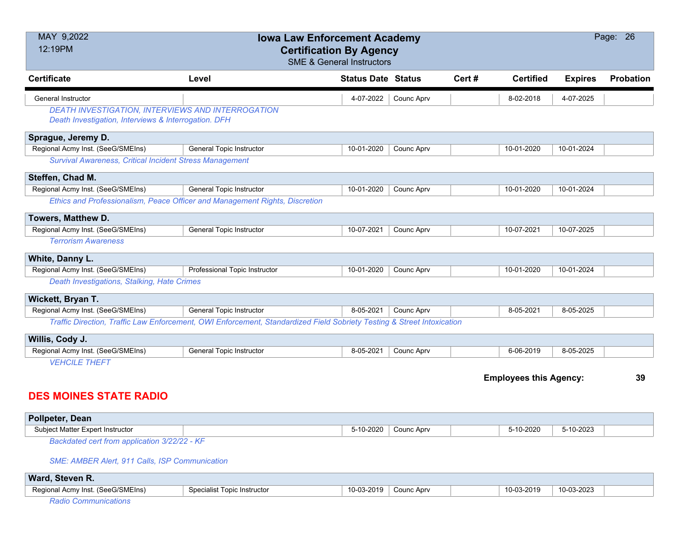| MAY 9,2022<br>12:19PM                                          | <b>Iowa Law Enforcement Academy</b><br><b>Certification By Agency</b><br><b>SME &amp; General Instructors</b>          |                           |            |       |                               |                | Page: 26  |
|----------------------------------------------------------------|------------------------------------------------------------------------------------------------------------------------|---------------------------|------------|-------|-------------------------------|----------------|-----------|
| <b>Certificate</b>                                             | Level                                                                                                                  | <b>Status Date Status</b> |            | Cert# | <b>Certified</b>              | <b>Expires</b> | Probation |
| General Instructor                                             |                                                                                                                        | 4-07-2022                 | Counc Aprv |       | 8-02-2018                     | 4-07-2025      |           |
| <b>DEATH INVESTIGATION, INTERVIEWS AND INTERROGATION</b>       |                                                                                                                        |                           |            |       |                               |                |           |
| Death Investigation, Interviews & Interrogation. DFH           |                                                                                                                        |                           |            |       |                               |                |           |
| Sprague, Jeremy D.                                             |                                                                                                                        |                           |            |       |                               |                |           |
| Regional Acmy Inst. (SeeG/SMEIns)                              | <b>General Topic Instructor</b>                                                                                        | 10-01-2020                | Counc Aprv |       | 10-01-2020                    | 10-01-2024     |           |
| <b>Survival Awareness, Critical Incident Stress Management</b> |                                                                                                                        |                           |            |       |                               |                |           |
| Steffen, Chad M.                                               |                                                                                                                        |                           |            |       |                               |                |           |
| Regional Acmy Inst. (SeeG/SMEIns)                              | General Topic Instructor                                                                                               | 10-01-2020                | Counc Aprv |       | 10-01-2020                    | 10-01-2024     |           |
|                                                                | Ethics and Professionalism, Peace Officer and Management Rights, Discretion                                            |                           |            |       |                               |                |           |
| Towers, Matthew D.                                             |                                                                                                                        |                           |            |       |                               |                |           |
| Regional Acmy Inst. (SeeG/SMEIns)                              | <b>General Topic Instructor</b>                                                                                        | 10-07-2021                | Counc Aprv |       | 10-07-2021                    | 10-07-2025     |           |
| <b>Terrorism Awareness</b>                                     |                                                                                                                        |                           |            |       |                               |                |           |
| White, Danny L.                                                |                                                                                                                        |                           |            |       |                               |                |           |
| Regional Acmy Inst. (SeeG/SMEIns)                              | Professional Topic Instructor                                                                                          | 10-01-2020                | Counc Aprv |       | 10-01-2020                    | 10-01-2024     |           |
| Death Investigations, Stalking, Hate Crimes                    |                                                                                                                        |                           |            |       |                               |                |           |
| Wickett, Bryan T.                                              |                                                                                                                        |                           |            |       |                               |                |           |
| Regional Acmy Inst. (SeeG/SMEIns)                              | General Topic Instructor                                                                                               | 8-05-2021                 | Counc Aprv |       | 8-05-2021                     | 8-05-2025      |           |
|                                                                | Traffic Direction, Traffic Law Enforcement, OWI Enforcement, Standardized Field Sobriety Testing & Street Intoxication |                           |            |       |                               |                |           |
| Willis, Cody J.                                                |                                                                                                                        |                           |            |       |                               |                |           |
| Regional Acmy Inst. (SeeG/SMEIns)                              | <b>General Topic Instructor</b>                                                                                        | 8-05-2021                 | Counc Aprv |       | 6-06-2019                     | 8-05-2025      |           |
| <b>VEHCILE THEFT</b>                                           |                                                                                                                        |                           |            |       |                               |                |           |
|                                                                |                                                                                                                        |                           |            |       | <b>Employees this Agency:</b> |                | 39        |
| <b>DES MOINES STATE RADIO</b>                                  |                                                                                                                        |                           |            |       |                               |                |           |
| Pollpeter, Dean                                                |                                                                                                                        |                           |            |       |                               |                |           |

| Subject Matter Expert Instructor                   | $-10 - 2020$ | Counc Apry | 5-10-2020 | 5-10-2023 |  |
|----------------------------------------------------|--------------|------------|-----------|-----------|--|
| <b>Dealphated cant from conligation 2/32/32 VE</b> |              |            |           |           |  |

*Backdated cert from application 3/22/22 - KF*

*SME: AMBER Alert, 911 Calls, ISP Communication*

| Ward,<br>Steven R.                   |                             |                                          |            |                              |            |
|--------------------------------------|-----------------------------|------------------------------------------|------------|------------------------------|------------|
| (SeeG/SMEIns)<br>Regional Acmy Inst. | Specialist Topic Instructor | }-2019<br>$\overline{A}$<br>$\mathbf{1}$ | Counc Aprv | 10-03-2019<br>$\overline{ }$ | 10-03-2023 |
|                                      |                             |                                          |            |                              |            |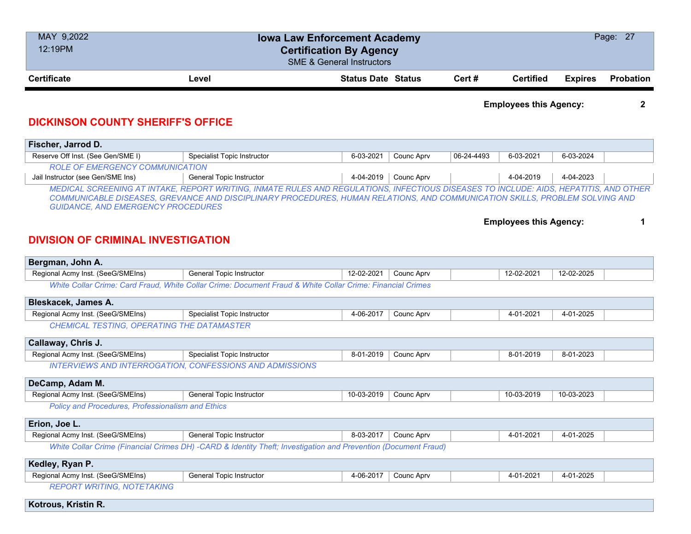| MAY 9,2022<br>12:19PM | <b>Iowa Law Enforcement Academy</b><br><b>Certification By Agency</b><br><b>SME &amp; General Instructors</b> |  |        |                  |                |                  |
|-----------------------|---------------------------------------------------------------------------------------------------------------|--|--------|------------------|----------------|------------------|
| <b>Certificate</b>    | <b>Status Date Status</b><br>Level                                                                            |  | Cert # | <b>Certified</b> | <b>Expires</b> | <b>Probation</b> |

**Employees this Agency: 2**

#### **DICKINSON COUNTY SHERIFF'S OFFICE**

| Fischer, Jarrod D.                                                                                                                                                                                                                                                                                                |                             |           |                        |            |           |           |  |  |  |
|-------------------------------------------------------------------------------------------------------------------------------------------------------------------------------------------------------------------------------------------------------------------------------------------------------------------|-----------------------------|-----------|------------------------|------------|-----------|-----------|--|--|--|
| Reserve Off Inst. (See Gen/SME I)                                                                                                                                                                                                                                                                                 | Specialist Topic Instructor | 6-03-2021 | Counc Aprv             | 06-24-4493 | 6-03-2021 | 6-03-2024 |  |  |  |
| <b>ROLE OF EMERGENCY COMMUNICATION</b>                                                                                                                                                                                                                                                                            |                             |           |                        |            |           |           |  |  |  |
| Jail Instructor (see Gen/SME Ins)                                                                                                                                                                                                                                                                                 | General Topic Instructor    |           | $4-04-2019$ Counc Aprv |            | 4-04-2019 | 4-04-2023 |  |  |  |
| MEDICAL SCREENING AT INTAKE, REPORT WRITING, INMATE RULES AND REGULATIONS, INFECTIOUS DISEASES TO INCLUDE: AIDS, HEPATITIS, AND OTHER<br>COMMUNICABLE DISEASES, GREVANCE AND DISCIPLINARY PROCEDURES, HUMAN RELATIONS, AND COMMUNICATION SKILLS, PROBLEM SOLVING AND<br><b>GUIDANCE, AND EMERGENCY PROCEDURES</b> |                             |           |                        |            |           |           |  |  |  |

**Employees this Agency: 1**

#### **DIVISION OF CRIMINAL INVESTIGATION**

| Bergman, John A.                                  |                                                                                                                |            |            |            |            |  |
|---------------------------------------------------|----------------------------------------------------------------------------------------------------------------|------------|------------|------------|------------|--|
| Regional Acmy Inst. (SeeG/SMEIns)                 | General Topic Instructor                                                                                       | 12-02-2021 | Counc Aprv | 12-02-2021 | 12-02-2025 |  |
|                                                   | White Collar Crime: Card Fraud, White Collar Crime: Document Fraud & White Collar Crime: Financial Crimes      |            |            |            |            |  |
| Bleskacek, James A.                               |                                                                                                                |            |            |            |            |  |
| Regional Acmy Inst. (SeeG/SMEIns)                 | <b>Specialist Topic Instructor</b>                                                                             | 4-06-2017  | Counc Aprv | 4-01-2021  | 4-01-2025  |  |
| CHEMICAL TESTING, OPERATING THE DATAMASTER        |                                                                                                                |            |            |            |            |  |
| Callaway, Chris J.                                |                                                                                                                |            |            |            |            |  |
| Regional Acmy Inst. (SeeG/SMEIns)                 | <b>Specialist Topic Instructor</b>                                                                             | 8-01-2019  | Counc Aprv | 8-01-2019  | 8-01-2023  |  |
|                                                   | <b>INTERVIEWS AND INTERROGATION, CONFESSIONS AND ADMISSIONS</b>                                                |            |            |            |            |  |
| DeCamp, Adam M.                                   |                                                                                                                |            |            |            |            |  |
| Regional Acmy Inst. (SeeG/SMEIns)                 | General Topic Instructor                                                                                       | 10-03-2019 | Counc Aprv | 10-03-2019 | 10-03-2023 |  |
| Policy and Procedures, Professionalism and Ethics |                                                                                                                |            |            |            |            |  |
| Erion, Joe L.                                     |                                                                                                                |            |            |            |            |  |
| Regional Acmy Inst. (SeeG/SMEIns)                 | General Topic Instructor                                                                                       | 8-03-2017  | Counc Aprv | 4-01-2021  | 4-01-2025  |  |
|                                                   | White Collar Crime (Financial Crimes DH) -CARD & Identity Theft; Investigation and Prevention (Document Fraud) |            |            |            |            |  |
| Kedley, Ryan P.                                   |                                                                                                                |            |            |            |            |  |
| Regional Acmy Inst. (SeeG/SMEIns)                 | General Topic Instructor                                                                                       | 4-06-2017  | Counc Aprv | 4-01-2021  | 4-01-2025  |  |
| <b>REPORT WRITING, NOTETAKING</b>                 |                                                                                                                |            |            |            |            |  |
| Kotrous, Kristin R.                               |                                                                                                                |            |            |            |            |  |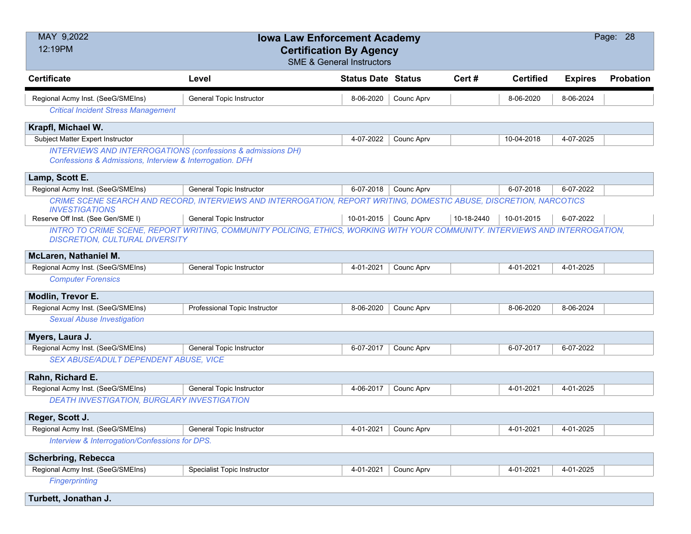| MAY 9,2022<br>12:19PM                                                                                                              | <b>Iowa Law Enforcement Academy</b><br><b>Certification By Agency</b><br><b>SME &amp; General Instructors</b>                |                           |            |            |                  |                | Page: 28         |
|------------------------------------------------------------------------------------------------------------------------------------|------------------------------------------------------------------------------------------------------------------------------|---------------------------|------------|------------|------------------|----------------|------------------|
| <b>Certificate</b>                                                                                                                 | Level                                                                                                                        | <b>Status Date Status</b> |            | Cert#      | <b>Certified</b> | <b>Expires</b> | <b>Probation</b> |
| Regional Acmy Inst. (SeeG/SMEIns)                                                                                                  | <b>General Topic Instructor</b>                                                                                              | 8-06-2020                 | Counc Aprv |            | 8-06-2020        | 8-06-2024      |                  |
| <b>Critical Incident Stress Management</b>                                                                                         |                                                                                                                              |                           |            |            |                  |                |                  |
| Krapfl, Michael W.                                                                                                                 |                                                                                                                              |                           |            |            |                  |                |                  |
| Subject Matter Expert Instructor                                                                                                   |                                                                                                                              | 4-07-2022                 | Counc Aprv |            | 10-04-2018       | 4-07-2025      |                  |
| <b>INTERVIEWS AND INTERROGATIONS (confessions &amp; admissions DH)</b><br>Confessions & Admissions, Interview & Interrogation. DFH |                                                                                                                              |                           |            |            |                  |                |                  |
| Lamp, Scott E.                                                                                                                     |                                                                                                                              |                           |            |            |                  |                |                  |
| Regional Acmy Inst. (SeeG/SMEIns)                                                                                                  | General Topic Instructor                                                                                                     | 6-07-2018                 | Counc Aprv |            | 6-07-2018        | 6-07-2022      |                  |
| <b>INVESTIGATIONS</b>                                                                                                              | CRIME SCENE SEARCH AND RECORD, INTERVIEWS AND INTERROGATION, REPORT WRITING, DOMESTIC ABUSE, DISCRETION, NARCOTICS           |                           |            |            |                  |                |                  |
| Reserve Off Inst. (See Gen/SME I)                                                                                                  | General Topic Instructor                                                                                                     | 10-01-2015                | Counc Aprv | 10-18-2440 | 10-01-2015       | 6-07-2022      |                  |
| <b>DISCRETION, CULTURAL DIVERSITY</b>                                                                                              | INTRO TO CRIME SCENE, REPORT WRITING, COMMUNITY POLICING, ETHICS, WORKING WITH YOUR COMMUNITY. INTERVIEWS AND INTERROGATION, |                           |            |            |                  |                |                  |
| McLaren, Nathaniel M.                                                                                                              |                                                                                                                              |                           |            |            |                  |                |                  |
| Regional Acmy Inst. (SeeG/SMEIns)                                                                                                  | <b>General Topic Instructor</b>                                                                                              | 4-01-2021                 | Counc Aprv |            | 4-01-2021        | 4-01-2025      |                  |
| <b>Computer Forensics</b>                                                                                                          |                                                                                                                              |                           |            |            |                  |                |                  |
| Modlin, Trevor E.                                                                                                                  |                                                                                                                              |                           |            |            |                  |                |                  |
| Regional Acmy Inst. (SeeG/SMEIns)                                                                                                  | Professional Topic Instructor                                                                                                | 8-06-2020                 | Counc Aprv |            | 8-06-2020        | 8-06-2024      |                  |
| <b>Sexual Abuse Investigation</b>                                                                                                  |                                                                                                                              |                           |            |            |                  |                |                  |
| Myers, Laura J.                                                                                                                    |                                                                                                                              |                           |            |            |                  |                |                  |
| Regional Acmy Inst. (SeeG/SMEIns)                                                                                                  | General Topic Instructor                                                                                                     | 6-07-2017                 | Counc Aprv |            | 6-07-2017        | 6-07-2022      |                  |
| SEX ABUSE/ADULT DEPENDENT ABUSE, VICE                                                                                              |                                                                                                                              |                           |            |            |                  |                |                  |
| Rahn, Richard E.                                                                                                                   |                                                                                                                              |                           |            |            |                  |                |                  |
| Regional Acmy Inst. (SeeG/SMEIns)                                                                                                  | <b>General Topic Instructor</b>                                                                                              | 4-06-2017                 | Counc Aprv |            | 4-01-2021        | 4-01-2025      |                  |
| DEATH INVESTIGATION, BURGLARY INVESTIGATION                                                                                        |                                                                                                                              |                           |            |            |                  |                |                  |
| Reger, Scott J.                                                                                                                    |                                                                                                                              |                           |            |            |                  |                |                  |
| Regional Acmy Inst. (SeeG/SMEIns)                                                                                                  | <b>General Topic Instructor</b>                                                                                              | 4-01-2021                 | Counc Aprv |            | 4-01-2021        | 4-01-2025      |                  |
| Interview & Interrogation/Confessions for DPS.                                                                                     |                                                                                                                              |                           |            |            |                  |                |                  |
| <b>Scherbring, Rebecca</b>                                                                                                         |                                                                                                                              |                           |            |            |                  |                |                  |
| Regional Acmy Inst. (SeeG/SMEIns)                                                                                                  | Specialist Topic Instructor                                                                                                  | 4-01-2021                 | Counc Aprv |            | 4-01-2021        | 4-01-2025      |                  |
| <b>Fingerprinting</b>                                                                                                              |                                                                                                                              |                           |            |            |                  |                |                  |
| Turbett, Jonathan J.                                                                                                               |                                                                                                                              |                           |            |            |                  |                |                  |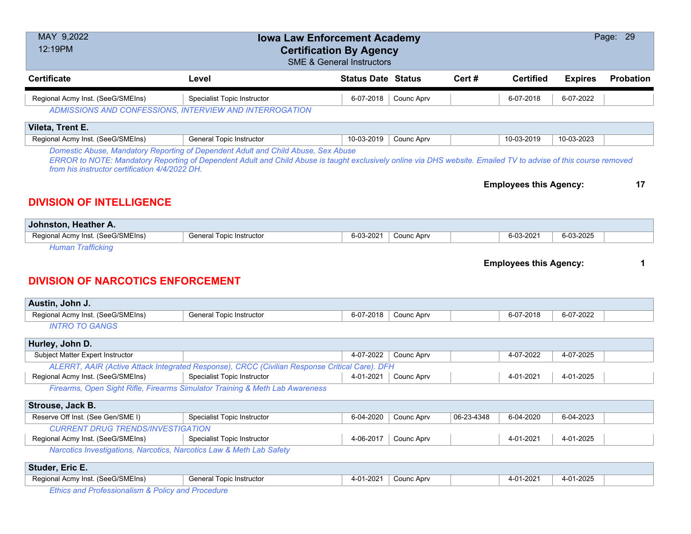| <b>Certified</b><br><b>Certificate</b><br><b>Status Date Status</b><br>Cert#<br>Probation<br>Level<br><b>Expires</b><br>Regional Acmy Inst. (SeeG/SMEIns)<br>Specialist Topic Instructor<br>Counc Aprv<br>6-07-2018<br>6-07-2018<br>6-07-2022                                                                                                                                    |   |  |  |  |  |  |  |  |  |
|----------------------------------------------------------------------------------------------------------------------------------------------------------------------------------------------------------------------------------------------------------------------------------------------------------------------------------------------------------------------------------|---|--|--|--|--|--|--|--|--|
|                                                                                                                                                                                                                                                                                                                                                                                  |   |  |  |  |  |  |  |  |  |
| ADMISSIONS AND CONFESSIONS, INTERVIEW AND INTERROGATION                                                                                                                                                                                                                                                                                                                          |   |  |  |  |  |  |  |  |  |
| Vileta, Trent E.                                                                                                                                                                                                                                                                                                                                                                 |   |  |  |  |  |  |  |  |  |
| Regional Acmy Inst. (SeeG/SMEIns)<br>General Topic Instructor<br>10-03-2019<br>10-03-2019<br>Counc Aprv<br>10-03-2023                                                                                                                                                                                                                                                            |   |  |  |  |  |  |  |  |  |
| Domestic Abuse, Mandatory Reporting of Dependent Adult and Child Abuse, Sex Abuse<br>ERROR to NOTE: Mandatory Reporting of Dependent Adult and Child Abuse is taught exclusively online via DHS website. Emailed TV to advise of this course removed<br>from his instructor certification 4/4/2022 DH.<br><b>Employees this Agency:</b><br>17<br><b>DIVISION OF INTELLIGENCE</b> |   |  |  |  |  |  |  |  |  |
|                                                                                                                                                                                                                                                                                                                                                                                  |   |  |  |  |  |  |  |  |  |
| Johnston, Heather A.<br>Regional Acmy Inst. (SeeG/SMEIns)<br><b>General Topic Instructor</b><br>6-03-2021<br>Counc Aprv<br>6-03-2025<br>6-03-2021                                                                                                                                                                                                                                |   |  |  |  |  |  |  |  |  |
| <b>Human Trafficking</b>                                                                                                                                                                                                                                                                                                                                                         |   |  |  |  |  |  |  |  |  |
| <b>Employees this Agency:</b><br><b>DIVISION OF NARCOTICS ENFORCEMENT</b><br>Austin, John J.                                                                                                                                                                                                                                                                                     | 1 |  |  |  |  |  |  |  |  |
| Regional Acmy Inst. (SeeG/SMEIns)<br><b>General Topic Instructor</b><br>6-07-2018<br>Counc Aprv<br>6-07-2018<br>6-07-2022                                                                                                                                                                                                                                                        |   |  |  |  |  |  |  |  |  |
| <b>INTRO TO GANGS</b>                                                                                                                                                                                                                                                                                                                                                            |   |  |  |  |  |  |  |  |  |
| Hurley, John D.                                                                                                                                                                                                                                                                                                                                                                  |   |  |  |  |  |  |  |  |  |
| Subject Matter Expert Instructor<br>4-07-2022<br>Counc Aprv<br>4-07-2022<br>4-07-2025                                                                                                                                                                                                                                                                                            |   |  |  |  |  |  |  |  |  |
| ALERRT, AAIR (Active Attack Integrated Response), CRCC (Civilian Response Critical Care). DFH                                                                                                                                                                                                                                                                                    |   |  |  |  |  |  |  |  |  |
| Regional Acmy Inst. (SeeG/SMEIns)<br>Specialist Topic Instructor<br>4-01-2021<br>4-01-2021<br>4-01-2025<br>Counc Aprv                                                                                                                                                                                                                                                            |   |  |  |  |  |  |  |  |  |
| Firearms, Open Sight Rifle, Firearms Simulator Training & Meth Lab Awareness                                                                                                                                                                                                                                                                                                     |   |  |  |  |  |  |  |  |  |
| Strouse, Jack B.                                                                                                                                                                                                                                                                                                                                                                 |   |  |  |  |  |  |  |  |  |
| Reserve Off Inst. (See Gen/SME I)<br><b>Specialist Topic Instructor</b><br>6-04-2020<br>06-23-4348<br>6-04-2020<br>6-04-2023<br>Counc Aprv                                                                                                                                                                                                                                       |   |  |  |  |  |  |  |  |  |
| <b>CURRENT DRUG TRENDS/INVESTIGATION</b><br>Regional Acmy Inst. (SeeG/SMEIns)<br>4-06-2017<br>Counc Aprv<br>4-01-2021<br>4-01-2025<br><b>Specialist Topic Instructor</b>                                                                                                                                                                                                         |   |  |  |  |  |  |  |  |  |
| Narcotics Investigations, Narcotics, Narcotics Law & Meth Lab Safety                                                                                                                                                                                                                                                                                                             |   |  |  |  |  |  |  |  |  |
| Studer, Eric E.                                                                                                                                                                                                                                                                                                                                                                  |   |  |  |  |  |  |  |  |  |
| Regional Acmy Inst. (SeeG/SMEIns)<br>General Topic Instructor<br>4-01-2021<br>Counc Aprv<br>4-01-2021<br>4-01-2025                                                                                                                                                                                                                                                               |   |  |  |  |  |  |  |  |  |

*Ethics and Professionalism & Policy and Procedure*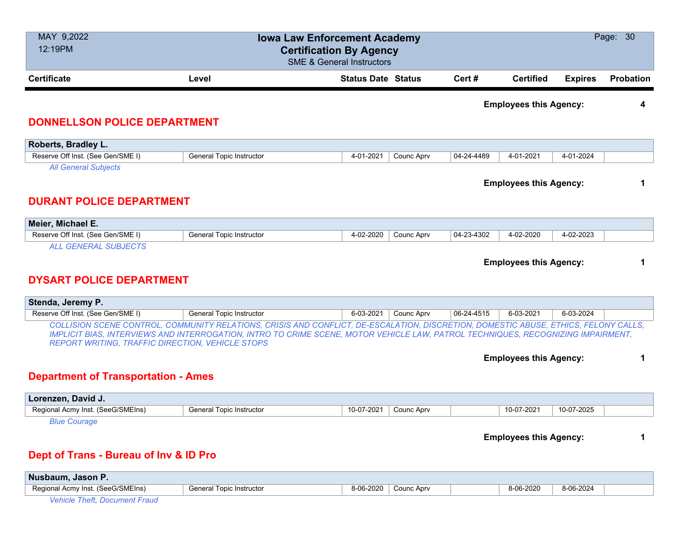| MAY 9,2022                                              | <b>Iowa Law Enforcement Academy</b>                                                                                                 |                           |            |            |                               | Page: 30       |                  |
|---------------------------------------------------------|-------------------------------------------------------------------------------------------------------------------------------------|---------------------------|------------|------------|-------------------------------|----------------|------------------|
| 12:19PM                                                 | <b>Certification By Agency</b>                                                                                                      |                           |            |            |                               |                |                  |
|                                                         | <b>SME &amp; General Instructors</b>                                                                                                |                           |            |            |                               |                |                  |
| <b>Certificate</b>                                      | Level                                                                                                                               | <b>Status Date Status</b> |            | Cert#      | <b>Certified</b>              | <b>Expires</b> | <b>Probation</b> |
|                                                         |                                                                                                                                     |                           |            |            | <b>Employees this Agency:</b> |                |                  |
|                                                         |                                                                                                                                     |                           |            |            |                               |                | 4                |
| <b>DONNELLSON POLICE DEPARTMENT</b>                     |                                                                                                                                     |                           |            |            |                               |                |                  |
| Roberts, Bradley L.                                     |                                                                                                                                     |                           |            |            |                               |                |                  |
| Reserve Off Inst. (See Gen/SME I)                       | <b>General Topic Instructor</b>                                                                                                     | 4-01-2021                 | Counc Aprv | 04-24-4489 | 4-01-2021                     | 4-01-2024      |                  |
| <b>All General Subjects</b>                             |                                                                                                                                     |                           |            |            |                               |                |                  |
|                                                         |                                                                                                                                     |                           |            |            | <b>Employees this Agency:</b> |                | 1                |
|                                                         |                                                                                                                                     |                           |            |            |                               |                |                  |
| <b>DURANT POLICE DEPARTMENT</b>                         |                                                                                                                                     |                           |            |            |                               |                |                  |
| Meier, Michael E.                                       |                                                                                                                                     |                           |            |            |                               |                |                  |
| Reserve Off Inst. (See Gen/SME I)                       | General Topic Instructor                                                                                                            | 4-02-2020                 | Counc Aprv | 04-23-4302 | 4-02-2020                     | 4-02-2023      |                  |
| <b>ALL GENERAL SUBJECTS</b>                             |                                                                                                                                     |                           |            |            |                               |                |                  |
|                                                         |                                                                                                                                     |                           |            |            | <b>Employees this Agency:</b> |                | 1                |
|                                                         |                                                                                                                                     |                           |            |            |                               |                |                  |
| <b>DYSART POLICE DEPARTMENT</b>                         |                                                                                                                                     |                           |            |            |                               |                |                  |
| Stenda, Jeremy P.                                       |                                                                                                                                     |                           |            |            |                               |                |                  |
| Reserve Off Inst. (See Gen/SME I)                       | General Topic Instructor                                                                                                            | 6-03-2021                 | Counc Aprv | 06-24-4515 | 6-03-2021                     | 6-03-2024      |                  |
|                                                         | COLLISION SCENE CONTROL, COMMUNITY RELATIONS, CRISIS AND CONFLICT, DE-ESCALATION, DISCRETION, DOMESTIC ABUSE, ETHICS, FELONY CALLS, |                           |            |            |                               |                |                  |
|                                                         | IMPLICIT BIAS, INTERVIEWS AND INTERROGATION, INTRO TO CRIME SCENE, MOTOR VEHICLE LAW, PATROL TECHNIQUES, RECOGNIZING IMPAIRMENT,    |                           |            |            |                               |                |                  |
| <b>REPORT WRITING, TRAFFIC DIRECTION, VEHICLE STOPS</b> |                                                                                                                                     |                           |            |            |                               |                |                  |
|                                                         |                                                                                                                                     |                           |            |            | <b>Employees this Agency:</b> |                | 1                |
|                                                         |                                                                                                                                     |                           |            |            |                               |                |                  |
| <b>Department of Transportation - Ames</b>              |                                                                                                                                     |                           |            |            |                               |                |                  |
| Lorenzen, David J.                                      |                                                                                                                                     |                           |            |            |                               |                |                  |
| Regional Acmy Inst. (SeeG/SMEIns)                       | <b>General Topic Instructor</b>                                                                                                     | 10-07-2021                | Counc Aprv |            | 10-07-2021                    | 10-07-2025     |                  |
| <b>Blue Courage</b>                                     |                                                                                                                                     |                           |            |            |                               |                |                  |
|                                                         |                                                                                                                                     |                           |            |            | <b>Employees this Agency:</b> |                | 1                |
|                                                         |                                                                                                                                     |                           |            |            |                               |                |                  |
| Dept of Trans - Bureau of Inv & ID Pro                  |                                                                                                                                     |                           |            |            |                               |                |                  |
| Nusbaum, Jason P.                                       |                                                                                                                                     |                           |            |            |                               |                |                  |
| Regional Acmy Inst. (SeeG/SMEIns)                       | General Topic Instructor                                                                                                            | 8-06-2020                 | Counc Aprv |            | 8-06-2020                     | 8-06-2024      |                  |
| Vehicle Theft, Document Fraud                           |                                                                                                                                     |                           |            |            |                               |                |                  |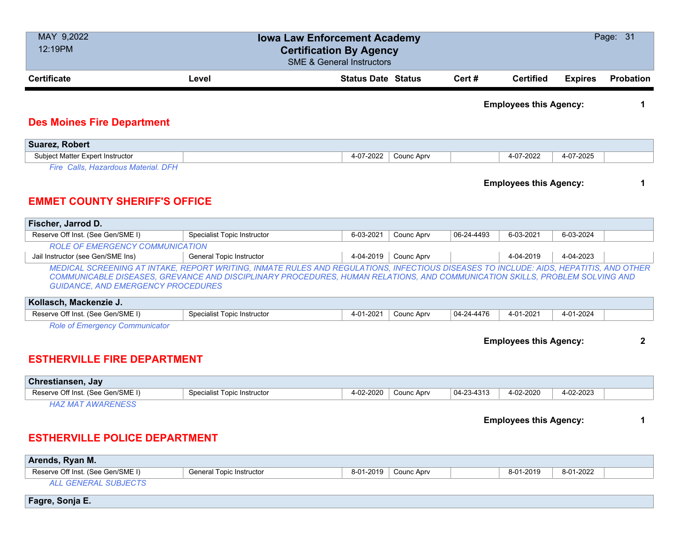| MAY 9,2022<br>12:19PM                                                                                                                                                                                                                                                                                             | Page: 31<br><b>Iowa Law Enforcement Academy</b><br><b>Certification By Agency</b><br><b>SME &amp; General Instructors</b> |                           |            |            |                               |                |              |  |  |
|-------------------------------------------------------------------------------------------------------------------------------------------------------------------------------------------------------------------------------------------------------------------------------------------------------------------|---------------------------------------------------------------------------------------------------------------------------|---------------------------|------------|------------|-------------------------------|----------------|--------------|--|--|
| <b>Certificate</b>                                                                                                                                                                                                                                                                                                | Level                                                                                                                     | <b>Status Date Status</b> |            | Cert #     | <b>Certified</b>              | <b>Expires</b> | Probation    |  |  |
| <b>Des Moines Fire Department</b>                                                                                                                                                                                                                                                                                 |                                                                                                                           |                           |            |            | <b>Employees this Agency:</b> |                | 1            |  |  |
| <b>Suarez, Robert</b>                                                                                                                                                                                                                                                                                             |                                                                                                                           |                           |            |            |                               |                |              |  |  |
| Subject Matter Expert Instructor                                                                                                                                                                                                                                                                                  |                                                                                                                           | 4-07-2022                 | Counc Aprv |            | 4-07-2022                     | 4-07-2025      |              |  |  |
| Fire Calls, Hazardous Material. DFH                                                                                                                                                                                                                                                                               |                                                                                                                           |                           |            |            |                               |                |              |  |  |
| <b>Employees this Agency:</b><br>1<br><b>EMMET COUNTY SHERIFF'S OFFICE</b>                                                                                                                                                                                                                                        |                                                                                                                           |                           |            |            |                               |                |              |  |  |
| Fischer, Jarrod D.                                                                                                                                                                                                                                                                                                |                                                                                                                           |                           |            |            |                               |                |              |  |  |
| Reserve Off Inst. (See Gen/SME I)                                                                                                                                                                                                                                                                                 | <b>Specialist Topic Instructor</b>                                                                                        | 6-03-2021                 | Counc Aprv | 06-24-4493 | 6-03-2021                     | 6-03-2024      |              |  |  |
| <b>ROLE OF EMERGENCY COMMUNICATION</b><br>Jail Instructor (see Gen/SME Ins)                                                                                                                                                                                                                                       | General Topic Instructor                                                                                                  | 4-04-2019                 | Counc Aprv |            | 4-04-2019                     | 4-04-2023      |              |  |  |
| MEDICAL SCREENING AT INTAKE, REPORT WRITING, INMATE RULES AND REGULATIONS, INFECTIOUS DISEASES TO INCLUDE: AIDS, HEPATITIS, AND OTHER<br>COMMUNICABLE DISEASES, GREVANCE AND DISCIPLINARY PROCEDURES, HUMAN RELATIONS, AND COMMUNICATION SKILLS, PROBLEM SOLVING AND<br><b>GUIDANCE, AND EMERGENCY PROCEDURES</b> |                                                                                                                           |                           |            |            |                               |                |              |  |  |
| Kollasch, Mackenzie J.                                                                                                                                                                                                                                                                                            |                                                                                                                           |                           |            |            |                               |                |              |  |  |
| Reserve Off Inst. (See Gen/SME I)                                                                                                                                                                                                                                                                                 | <b>Specialist Topic Instructor</b>                                                                                        | 4-01-2021                 | Counc Aprv | 04-24-4476 | 4-01-2021                     | 4-01-2024      |              |  |  |
| <b>Role of Emergency Communicator</b><br><b>ESTHERVILLE FIRE DEPARTMENT</b>                                                                                                                                                                                                                                       |                                                                                                                           |                           |            |            | <b>Employees this Agency:</b> |                | $\mathbf{2}$ |  |  |
| Chrestiansen, Jay                                                                                                                                                                                                                                                                                                 |                                                                                                                           |                           |            |            |                               |                |              |  |  |
| Reserve Off Inst. (See Gen/SME I)                                                                                                                                                                                                                                                                                 | <b>Specialist Topic Instructor</b>                                                                                        | 4-02-2020                 | Counc Aprv | 04-23-4313 | 4-02-2020                     | 4-02-2023      |              |  |  |
| <b>HAZ MAT AWARENESS</b>                                                                                                                                                                                                                                                                                          |                                                                                                                           |                           |            |            |                               |                |              |  |  |
|                                                                                                                                                                                                                                                                                                                   | <b>Employees this Agency:</b><br>1<br><b>ESTHERVILLE POLICE DEPARTMENT</b>                                                |                           |            |            |                               |                |              |  |  |
| Arends, Ryan M.                                                                                                                                                                                                                                                                                                   |                                                                                                                           |                           |            |            |                               |                |              |  |  |
| Reserve Off Inst. (See Gen/SME I)                                                                                                                                                                                                                                                                                 | <b>General Topic Instructor</b>                                                                                           | 8-01-2019                 | Counc Aprv |            | 8-01-2019                     | 8-01-2022      |              |  |  |
| <b>ALL GENERAL SUBJECTS</b>                                                                                                                                                                                                                                                                                       |                                                                                                                           |                           |            |            |                               |                |              |  |  |

**Fagre, Sonja E.**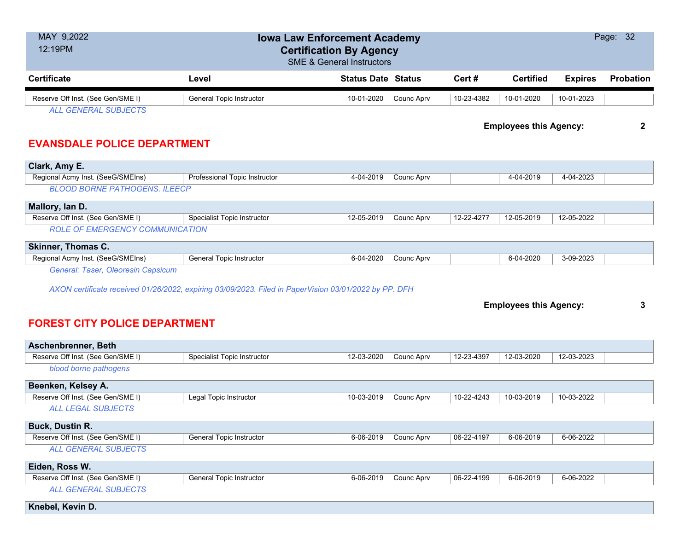| MAY 9,2022<br>12:19PM                                            | <b>Iowa Law Enforcement Academy</b><br><b>Certification By Agency</b><br><b>SME &amp; General Instructors</b> |                           |            |                  |                |                  |  |  |
|------------------------------------------------------------------|---------------------------------------------------------------------------------------------------------------|---------------------------|------------|------------------|----------------|------------------|--|--|
| <b>Certificate</b>                                               | Level                                                                                                         | <b>Status Date Status</b> | Cert#      | <b>Certified</b> | <b>Expires</b> | <b>Probation</b> |  |  |
| Reserve Off Inst. (See Gen/SME I)<br><b>ALL GENERAL SUBJECTS</b> | General Topic Instructor                                                                                      | 10-01-2020<br>Counc Aprv  | 10-23-4382 | 10-01-2020       | 10-01-2023     |                  |  |  |

**Employees this Agency: 2**

### **EVANSDALE POLICE DEPARTMENT**

| Clark, Amy E.                          |                                    |            |            |            |            |            |  |  |  |
|----------------------------------------|------------------------------------|------------|------------|------------|------------|------------|--|--|--|
| Regional Acmy Inst. (SeeG/SMEIns)      | Professional Topic Instructor      | 4-04-2019  | Counc Apry |            | 4-04-2019  | 4-04-2023  |  |  |  |
| <b>BLOOD BORNE PATHOGENS, ILEECP</b>   |                                    |            |            |            |            |            |  |  |  |
| Mallory, lan D.                        |                                    |            |            |            |            |            |  |  |  |
| Reserve Off Inst. (See Gen/SME I)      | <b>Specialist Topic Instructor</b> | 12-05-2019 | Counc Apry | 12-22-4277 | 12-05-2019 | 12-05-2022 |  |  |  |
| <b>ROLE OF EMERGENCY COMMUNICATION</b> |                                    |            |            |            |            |            |  |  |  |
| Skinner, Thomas C.                     |                                    |            |            |            |            |            |  |  |  |
| Regional Acmy Inst. (SeeG/SMEIns)      | <b>General Topic Instructor</b>    | 6-04-2020  | Counc Aprv |            | 6-04-2020  | 3-09-2023  |  |  |  |

*General: Taser, Oleoresin Capsicum*

*AXON certificate received 01/26/2022, expiring 03/09/2023. Filed in PaperVision 03/01/2022 by PP. DFH*

#### **Employees this Agency: 3**

### **FOREST CITY POLICE DEPARTMENT**

| Aschenbrenner, Beth               |                                    |            |            |            |            |            |  |
|-----------------------------------|------------------------------------|------------|------------|------------|------------|------------|--|
| Reserve Off Inst. (See Gen/SME I) | <b>Specialist Topic Instructor</b> | 12-03-2020 | Counc Aprv | 12-23-4397 | 12-03-2020 | 12-03-2023 |  |
| blood borne pathogens             |                                    |            |            |            |            |            |  |
| Beenken, Kelsey A.                |                                    |            |            |            |            |            |  |
| Reserve Off Inst. (See Gen/SME I) | Legal Topic Instructor             | 10-03-2019 | Counc Aprv | 10-22-4243 | 10-03-2019 | 10-03-2022 |  |
| <b>ALL LEGAL SUBJECTS</b>         |                                    |            |            |            |            |            |  |
| <b>Buck, Dustin R.</b>            |                                    |            |            |            |            |            |  |
| Reserve Off Inst. (See Gen/SME I) | <b>General Topic Instructor</b>    | 6-06-2019  | Counc Aprv | 06-22-4197 | 6-06-2019  | 6-06-2022  |  |
| <b>ALL GENERAL SUBJECTS</b>       |                                    |            |            |            |            |            |  |
| Eiden, Ross W.                    |                                    |            |            |            |            |            |  |
| Reserve Off Inst. (See Gen/SME I) | <b>General Topic Instructor</b>    | 6-06-2019  | Counc Aprv | 06-22-4199 | 6-06-2019  | 6-06-2022  |  |
| <b>ALL GENERAL SUBJECTS</b>       |                                    |            |            |            |            |            |  |
| Knebel, Kevin D.                  |                                    |            |            |            |            |            |  |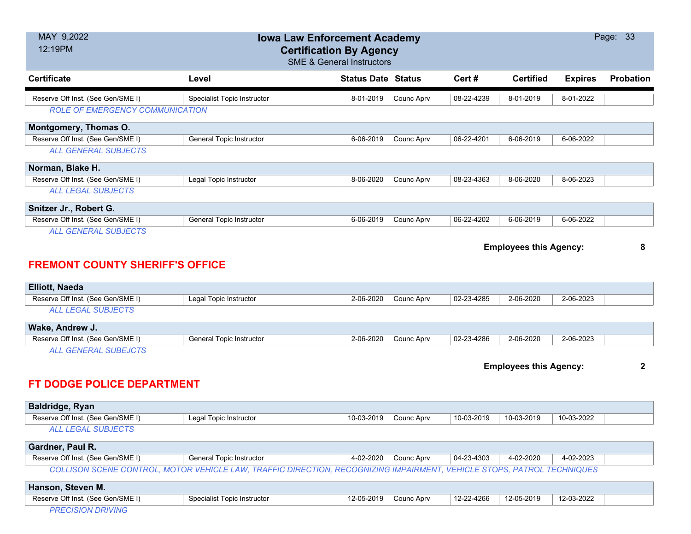| MAY 9,2022                             |                                                                                                                        | <b>Iowa Law Enforcement Academy</b>                                    |            |            |                               |                | Page: 33         |
|----------------------------------------|------------------------------------------------------------------------------------------------------------------------|------------------------------------------------------------------------|------------|------------|-------------------------------|----------------|------------------|
| 12:19PM                                |                                                                                                                        | <b>Certification By Agency</b><br><b>SME &amp; General Instructors</b> |            |            |                               |                |                  |
| <b>Certificate</b>                     | Level                                                                                                                  | <b>Status Date Status</b>                                              |            | Cert #     | <b>Certified</b>              | <b>Expires</b> | <b>Probation</b> |
| Reserve Off Inst. (See Gen/SME I)      | <b>Specialist Topic Instructor</b>                                                                                     | 8-01-2019                                                              | Counc Aprv | 08-22-4239 | 8-01-2019                     | 8-01-2022      |                  |
| <b>ROLE OF EMERGENCY COMMUNICATION</b> |                                                                                                                        |                                                                        |            |            |                               |                |                  |
| Montgomery, Thomas O.                  |                                                                                                                        |                                                                        |            |            |                               |                |                  |
| Reserve Off Inst. (See Gen/SME I)      | General Topic Instructor                                                                                               | 6-06-2019                                                              | Counc Aprv | 06-22-4201 | 6-06-2019                     | 6-06-2022      |                  |
| <b>ALL GENERAL SUBJECTS</b>            |                                                                                                                        |                                                                        |            |            |                               |                |                  |
| Norman, Blake H.                       |                                                                                                                        |                                                                        |            |            |                               |                |                  |
| Reserve Off Inst. (See Gen/SME I)      | Legal Topic Instructor                                                                                                 | 8-06-2020                                                              | Counc Aprv | 08-23-4363 | 8-06-2020                     | 8-06-2023      |                  |
| <b>ALL LEGAL SUBJECTS</b>              |                                                                                                                        |                                                                        |            |            |                               |                |                  |
| Snitzer Jr., Robert G.                 |                                                                                                                        |                                                                        |            |            |                               |                |                  |
| Reserve Off Inst. (See Gen/SME I)      | <b>General Topic Instructor</b>                                                                                        | 6-06-2019                                                              | Counc Aprv | 06-22-4202 | 6-06-2019                     | 6-06-2022      |                  |
| <b>ALL GENERAL SUBJECTS</b>            |                                                                                                                        |                                                                        |            |            |                               |                |                  |
| <b>FREMONT COUNTY SHERIFF'S OFFICE</b> |                                                                                                                        |                                                                        |            |            | <b>Employees this Agency:</b> |                | 8                |
| <b>Elliott, Naeda</b>                  |                                                                                                                        |                                                                        |            |            |                               |                |                  |
| Reserve Off Inst. (See Gen/SME I)      | Legal Topic Instructor                                                                                                 | 2-06-2020                                                              | Counc Aprv | 02-23-4285 | 2-06-2020                     | 2-06-2023      |                  |
| <b>ALL LEGAL SUBJECTS</b>              |                                                                                                                        |                                                                        |            |            |                               |                |                  |
| Wake, Andrew J.                        |                                                                                                                        |                                                                        |            |            |                               |                |                  |
| Reserve Off Inst. (See Gen/SME I)      | <b>General Topic Instructor</b>                                                                                        | 2-06-2020                                                              | Counc Aprv | 02-23-4286 | 2-06-2020                     | 2-06-2023      |                  |
| <b>ALL GENERAL SUBEJCTS</b>            |                                                                                                                        |                                                                        |            |            |                               |                |                  |
|                                        |                                                                                                                        |                                                                        |            |            | <b>Employees this Agency:</b> |                | $\mathbf{2}$     |
| <b>FT DODGE POLICE DEPARTMENT</b>      |                                                                                                                        |                                                                        |            |            |                               |                |                  |
| Baldridge, Ryan                        |                                                                                                                        |                                                                        |            |            |                               |                |                  |
| Reserve Off Inst. (See Gen/SME I)      | Legal Topic Instructor                                                                                                 | 10-03-2019                                                             | Counc Aprv | 10-03-2019 | 10-03-2019                    | 10-03-2022     |                  |
| <b>ALL LEGAL SUBJECTS</b>              |                                                                                                                        |                                                                        |            |            |                               |                |                  |
| Gardner, Paul R.                       |                                                                                                                        |                                                                        |            |            |                               |                |                  |
| Reserve Off Inst. (See Gen/SME I)      | General Topic Instructor                                                                                               | 4-02-2020                                                              | Counc Aprv | 04-23-4303 | 4-02-2020                     | 4-02-2023      |                  |
|                                        | COLLISON SCENE CONTROL, MOTOR VEHICLE LAW, TRAFFIC DIRECTION, RECOGNIZING IMPAIRMENT, VEHICLE STOPS, PATROL TECHNIQUES |                                                                        |            |            |                               |                |                  |
| Hanson, Steven M.                      |                                                                                                                        |                                                                        |            |            |                               |                |                  |
| Reserve Off Inst. (See Gen/SME I)      | <b>Specialist Topic Instructor</b>                                                                                     | 12-05-2019                                                             | Counc Aprv | 12-22-4266 | 12-05-2019                    | 12-03-2022     |                  |
| <b>PRECISION DRIVING</b>               |                                                                                                                        |                                                                        |            |            |                               |                |                  |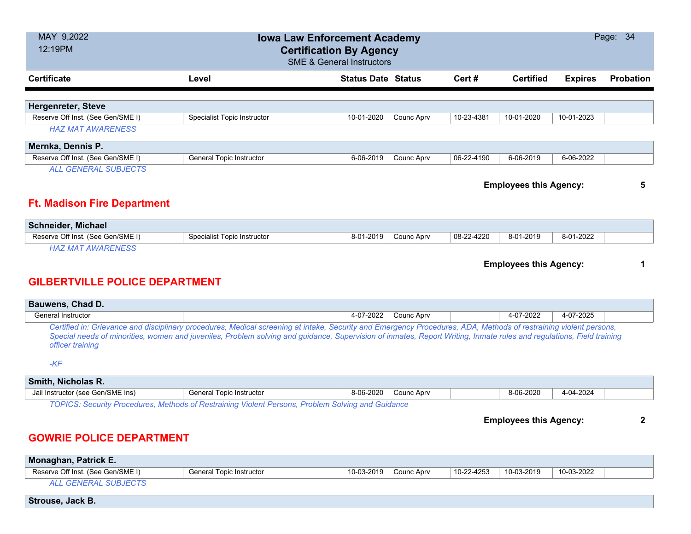| MAY 9,2022<br>12:19PM                 | Page: 34<br><b>Iowa Law Enforcement Academy</b><br><b>Certification By Agency</b><br><b>SME &amp; General Instructors</b>                                                                                                                                                                                                                 |                           |            |            |                               |                |           |
|---------------------------------------|-------------------------------------------------------------------------------------------------------------------------------------------------------------------------------------------------------------------------------------------------------------------------------------------------------------------------------------------|---------------------------|------------|------------|-------------------------------|----------------|-----------|
| <b>Certificate</b>                    | Level                                                                                                                                                                                                                                                                                                                                     | <b>Status Date Status</b> |            | Cert#      | <b>Certified</b>              | <b>Expires</b> | Probation |
| <b>Hergenreter, Steve</b>             |                                                                                                                                                                                                                                                                                                                                           |                           |            |            |                               |                |           |
| Reserve Off Inst. (See Gen/SME I)     | <b>Specialist Topic Instructor</b>                                                                                                                                                                                                                                                                                                        | 10-01-2020                | Counc Aprv | 10-23-4381 | 10-01-2020                    | 10-01-2023     |           |
| <b>HAZ MAT AWARENESS</b>              |                                                                                                                                                                                                                                                                                                                                           |                           |            |            |                               |                |           |
| Mernka, Dennis P.                     |                                                                                                                                                                                                                                                                                                                                           |                           |            |            |                               |                |           |
| Reserve Off Inst. (See Gen/SME I)     | General Topic Instructor                                                                                                                                                                                                                                                                                                                  | 6-06-2019                 | Counc Aprv | 06-22-4190 | 6-06-2019                     | 6-06-2022      |           |
| <b>ALL GENERAL SUBJECTS</b>           |                                                                                                                                                                                                                                                                                                                                           |                           |            |            |                               |                |           |
|                                       |                                                                                                                                                                                                                                                                                                                                           |                           |            |            | <b>Employees this Agency:</b> |                | 5         |
| <b>Ft. Madison Fire Department</b>    |                                                                                                                                                                                                                                                                                                                                           |                           |            |            |                               |                |           |
| <b>Schneider, Michael</b>             |                                                                                                                                                                                                                                                                                                                                           |                           |            |            |                               |                |           |
| Reserve Off Inst. (See Gen/SME I)     | Specialist Topic Instructor                                                                                                                                                                                                                                                                                                               | 8-01-2019                 | Counc Aprv | 08-22-4220 | 8-01-2019                     | 8-01-2022      |           |
| <b>HAZ MAT AWARENESS</b>              |                                                                                                                                                                                                                                                                                                                                           |                           |            |            |                               |                |           |
|                                       |                                                                                                                                                                                                                                                                                                                                           |                           |            |            | <b>Employees this Agency:</b> |                | 1         |
| <b>GILBERTVILLE POLICE DEPARTMENT</b> |                                                                                                                                                                                                                                                                                                                                           |                           |            |            |                               |                |           |
| Bauwens, Chad D.                      |                                                                                                                                                                                                                                                                                                                                           |                           |            |            |                               |                |           |
| General Instructor                    |                                                                                                                                                                                                                                                                                                                                           | 4-07-2022                 | Counc Aprv |            | 4-07-2022                     | 4-07-2025      |           |
| officer training                      | Certified in: Grievance and disciplinary procedures, Medical screening at intake, Security and Emergency Procedures, ADA, Methods of restraining violent persons,<br>Special needs of minorities, women and juveniles, Problem solving and guidance, Supervision of inmates, Report Writing, Inmate rules and regulations, Field training |                           |            |            |                               |                |           |
| $-KF$                                 |                                                                                                                                                                                                                                                                                                                                           |                           |            |            |                               |                |           |
| Smith, Nicholas R.                    |                                                                                                                                                                                                                                                                                                                                           |                           |            |            |                               |                |           |
| Jail Instructor (see Gen/SME Ins)     | General Topic Instructor                                                                                                                                                                                                                                                                                                                  | 8-06-2020                 | Counc Aprv |            | 8-06-2020                     | 4-04-2024      |           |
|                                       | TOPICS: Security Procedures, Methods of Restraining Violent Persons, Problem Solving and Guidance                                                                                                                                                                                                                                         |                           |            |            | <b>Employees this Agency:</b> |                | 2         |

#### **GOWRIE POLICE DEPARTMENT**

| <b>Monaghan, Patrick E.</b>       |                                 |            |            |                  |            |            |  |
|-----------------------------------|---------------------------------|------------|------------|------------------|------------|------------|--|
| Reserve Off Inst. (See Gen/SME I) | <b>General Topic Instructor</b> | 10-03-2019 | Counc Aprv | $10 - 22 - 4253$ | 10-03-2019 | 10-03-2022 |  |
| ALL GENERAL SUBJECTS              |                                 |            |            |                  |            |            |  |
| Strouse, Jack B.                  |                                 |            |            |                  |            |            |  |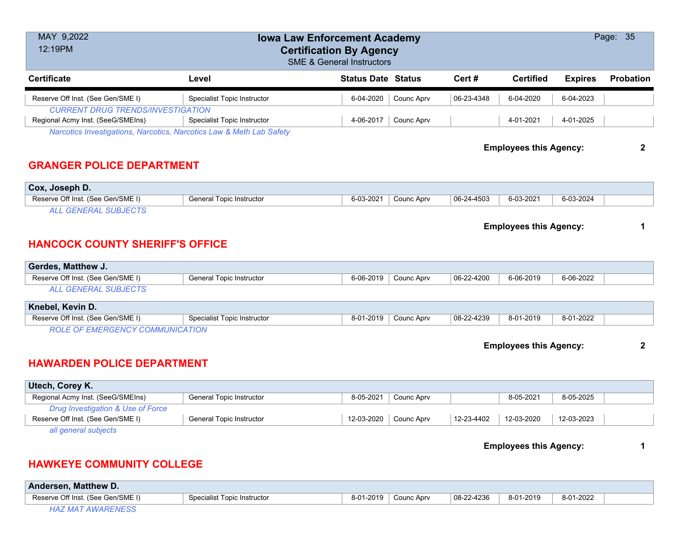| MAY 9,2022<br><b>Iowa Law Enforcement Academy</b><br>12:19PM<br><b>Certification By Agency</b><br><b>SME &amp; General Instructors</b> |                                    |                           |            |            |                               | Page: 35       |              |
|----------------------------------------------------------------------------------------------------------------------------------------|------------------------------------|---------------------------|------------|------------|-------------------------------|----------------|--------------|
| <b>Certificate</b>                                                                                                                     | Level                              | <b>Status Date Status</b> |            | Cert#      | <b>Certified</b>              | <b>Expires</b> | Probation    |
| Reserve Off Inst. (See Gen/SME I)                                                                                                      | Specialist Topic Instructor        | 6-04-2020                 | Counc Aprv | 06-23-4348 | 6-04-2020                     | 6-04-2023      |              |
| <b>CURRENT DRUG TRENDS/INVESTIGATION</b><br>Regional Acmy Inst. (SeeG/SMEIns)                                                          | Specialist Topic Instructor        | 4-06-2017                 | Counc Aprv |            | 4-01-2021                     | 4-01-2025      |              |
| Narcotics Investigations, Narcotics, Narcotics Law & Meth Lab Safety                                                                   |                                    |                           |            |            |                               |                |              |
| <b>Employees this Agency:</b><br><b>GRANGER POLICE DEPARTMENT</b>                                                                      |                                    |                           |            |            |                               |                | $\mathbf{2}$ |
| Cox, Joseph D.                                                                                                                         |                                    |                           |            |            |                               |                |              |
| Reserve Off Inst. (See Gen/SME I)                                                                                                      | <b>General Topic Instructor</b>    | 6-03-2021                 | Counc Aprv | 06-24-4503 | 6-03-2021                     | 6-03-2024      |              |
| <b>ALL GENERAL SUBJECTS</b>                                                                                                            |                                    |                           |            |            |                               |                |              |
| <b>HANCOCK COUNTY SHERIFF'S OFFICE</b>                                                                                                 |                                    |                           |            |            | <b>Employees this Agency:</b> |                | 1            |
| Gerdes, Matthew J.                                                                                                                     |                                    |                           |            |            |                               |                |              |
| Reserve Off Inst. (See Gen/SME I)<br><b>ALL GENERAL SUBJECTS</b>                                                                       | <b>General Topic Instructor</b>    | 6-06-2019                 | Counc Aprv | 06-22-4200 | 6-06-2019                     | 6-06-2022      |              |
|                                                                                                                                        |                                    |                           |            |            |                               |                |              |
| Knebel, Kevin D.                                                                                                                       |                                    |                           |            |            |                               |                |              |
| Reserve Off Inst. (See Gen/SME I)                                                                                                      | <b>Specialist Topic Instructor</b> | 8-01-2019                 | Counc Aprv | 08-22-4239 | 8-01-2019                     | 8-01-2022      |              |
| <b>ROLE OF EMERGENCY COMMUNICATION</b>                                                                                                 |                                    |                           |            |            |                               |                |              |
| <b>Employees this Agency:</b>                                                                                                          |                                    |                           |            |            |                               | $\mathbf{2}$   |              |
| <b>HAWARDEN POLICE DEPARTMENT</b>                                                                                                      |                                    |                           |            |            |                               |                |              |
| Utech, Corey K.                                                                                                                        |                                    |                           |            |            |                               |                |              |
| Regional Acmy Inst. (SeeG/SMEIns)                                                                                                      | General Topic Instructor           | 8-05-2021                 | Counc Aprv |            | 8-05-2021                     | 8-05-2025      |              |
| Drug Investigation & Use of Force<br>Reserve Off Inst. (See Gen/SME I)                                                                 | <b>General Topic Instructor</b>    | 12-03-2020                | Counc Aprv | 12-23-4402 | 12-03-2020                    | 12-03-2023     |              |
| all general subjects                                                                                                                   |                                    |                           |            |            |                               |                |              |
|                                                                                                                                        | <b>Employees this Agency:</b>      |                           |            |            |                               |                | 1            |

# **HAWKEYE COMMUNITY COLLEGE**

| <b>Andersen, Matthew D.</b>       |                             |           |            |            |           |           |  |
|-----------------------------------|-----------------------------|-----------|------------|------------|-----------|-----------|--|
| Reserve Off Inst. (See Gen/SME I) | Specialist Topic Instructor | 8-01-2019 | Counc Apry | 08-22-4236 | 8-01-2019 | 8-01-2022 |  |
| HAZ MAT AWARENESS                 |                             |           |            |            |           |           |  |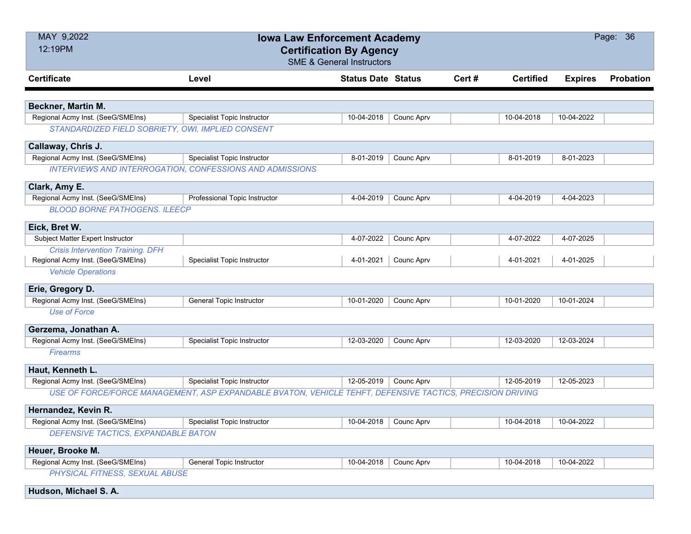| MAY 9,2022                                        | <b>Iowa Law Enforcement Academy</b>                                                                       |                           |            |       |                  | Page: 36       |                  |  |
|---------------------------------------------------|-----------------------------------------------------------------------------------------------------------|---------------------------|------------|-------|------------------|----------------|------------------|--|
| 12:19PM<br><b>Certification By Agency</b>         |                                                                                                           |                           |            |       |                  |                |                  |  |
| <b>SME &amp; General Instructors</b>              |                                                                                                           |                           |            |       |                  |                |                  |  |
| <b>Certificate</b>                                | Level                                                                                                     | <b>Status Date Status</b> |            | Cert# | <b>Certified</b> | <b>Expires</b> | <b>Probation</b> |  |
|                                                   |                                                                                                           |                           |            |       |                  |                |                  |  |
| Beckner, Martin M.                                |                                                                                                           |                           |            |       |                  |                |                  |  |
| Regional Acmy Inst. (SeeG/SMEIns)                 | Specialist Topic Instructor                                                                               | 10-04-2018                | Counc Aprv |       | 10-04-2018       | 10-04-2022     |                  |  |
| STANDARDIZED FIELD SOBRIETY, OWI, IMPLIED CONSENT |                                                                                                           |                           |            |       |                  |                |                  |  |
| Callaway, Chris J.                                |                                                                                                           |                           |            |       |                  |                |                  |  |
| Regional Acmy Inst. (SeeG/SMEIns)                 | <b>Specialist Topic Instructor</b>                                                                        | 8-01-2019                 | Counc Aprv |       | 8-01-2019        | 8-01-2023      |                  |  |
|                                                   | <b>INTERVIEWS AND INTERROGATION, CONFESSIONS AND ADMISSIONS</b>                                           |                           |            |       |                  |                |                  |  |
| Clark, Amy E.                                     |                                                                                                           |                           |            |       |                  |                |                  |  |
| Regional Acmy Inst. (SeeG/SMEIns)                 | Professional Topic Instructor                                                                             | 4-04-2019                 | Counc Aprv |       | 4-04-2019        | 4-04-2023      |                  |  |
| <b>BLOOD BORNE PATHOGENS. ILEECP</b>              |                                                                                                           |                           |            |       |                  |                |                  |  |
| Eick, Bret W.                                     |                                                                                                           |                           |            |       |                  |                |                  |  |
| Subject Matter Expert Instructor                  |                                                                                                           | 4-07-2022                 | Counc Aprv |       | 4-07-2022        | 4-07-2025      |                  |  |
| <b>Crisis Intervention Training. DFH</b>          |                                                                                                           |                           |            |       |                  |                |                  |  |
| Regional Acmy Inst. (SeeG/SMEIns)                 | Specialist Topic Instructor                                                                               | 4-01-2021                 | Counc Aprv |       | 4-01-2021        | 4-01-2025      |                  |  |
| <b>Vehicle Operations</b>                         |                                                                                                           |                           |            |       |                  |                |                  |  |
| Erie, Gregory D.                                  |                                                                                                           |                           |            |       |                  |                |                  |  |
| Regional Acmy Inst. (SeeG/SMEIns)                 | <b>General Topic Instructor</b>                                                                           | 10-01-2020                | Counc Aprv |       | 10-01-2020       | 10-01-2024     |                  |  |
| <b>Use of Force</b>                               |                                                                                                           |                           |            |       |                  |                |                  |  |
| Gerzema, Jonathan A.                              |                                                                                                           |                           |            |       |                  |                |                  |  |
| Regional Acmy Inst. (SeeG/SMEIns)                 | <b>Specialist Topic Instructor</b>                                                                        | 12-03-2020                | Counc Aprv |       | 12-03-2020       | 12-03-2024     |                  |  |
| <b>Firearms</b>                                   |                                                                                                           |                           |            |       |                  |                |                  |  |
| Haut, Kenneth L.                                  |                                                                                                           |                           |            |       |                  |                |                  |  |
| Regional Acmy Inst. (SeeG/SMEIns)                 | <b>Specialist Topic Instructor</b>                                                                        | 12-05-2019                | Counc Aprv |       | 12-05-2019       | 12-05-2023     |                  |  |
|                                                   | USE OF FORCE/FORCE MANAGEMENT, ASP EXPANDABLE BVATON, VEHICLE TEHFT, DEFENSIVE TACTICS, PRECISION DRIVING |                           |            |       |                  |                |                  |  |
| Hernandez, Kevin R.                               |                                                                                                           |                           |            |       |                  |                |                  |  |
| Regional Acmy Inst. (SeeG/SMEIns)                 | Specialist Topic Instructor                                                                               | 10-04-2018   Counc Aprv   |            |       | 10-04-2018       | 10-04-2022     |                  |  |
| DEFENSIVE TACTICS, EXPANDABLE BATON               |                                                                                                           |                           |            |       |                  |                |                  |  |
|                                                   |                                                                                                           |                           |            |       |                  |                |                  |  |
| Heuer, Brooke M.                                  |                                                                                                           |                           |            |       |                  |                |                  |  |
| Regional Acmy Inst. (SeeG/SMEIns)                 | General Topic Instructor                                                                                  | 10-04-2018                | Counc Aprv |       | 10-04-2018       | 10-04-2022     |                  |  |
| PHYSICAL FITNESS, SEXUAL ABUSE                    |                                                                                                           |                           |            |       |                  |                |                  |  |
| Hudson, Michael S. A.                             |                                                                                                           |                           |            |       |                  |                |                  |  |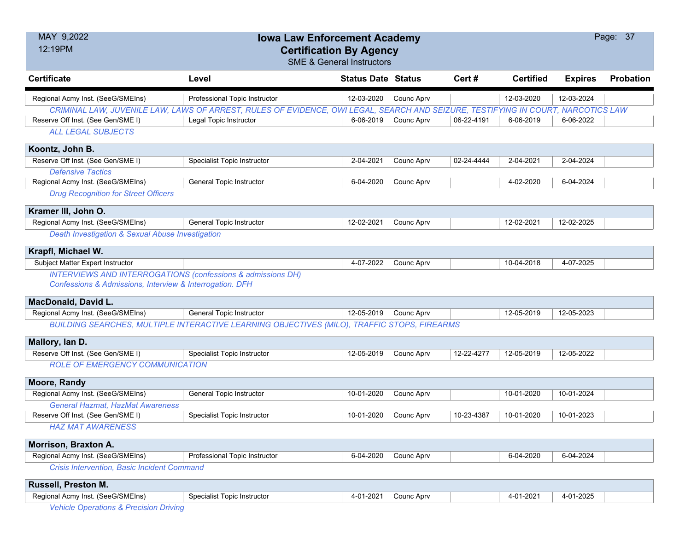| MAY 9,2022                                                  | <b>Iowa Law Enforcement Academy</b>                                                                                              |                           |                        |            |                  |                | Page: 37  |
|-------------------------------------------------------------|----------------------------------------------------------------------------------------------------------------------------------|---------------------------|------------------------|------------|------------------|----------------|-----------|
| 12:19PM                                                     | <b>Certification By Agency</b>                                                                                                   |                           |                        |            |                  |                |           |
|                                                             | <b>SME &amp; General Instructors</b>                                                                                             |                           |                        |            |                  |                |           |
| <b>Certificate</b>                                          | Level                                                                                                                            | <b>Status Date Status</b> |                        | Cert#      | <b>Certified</b> | <b>Expires</b> | Probation |
| Regional Acmy Inst. (SeeG/SMEIns)                           | Professional Topic Instructor                                                                                                    | 12-03-2020                | Counc Aprv             |            | 12-03-2020       | 12-03-2024     |           |
|                                                             | CRIMINAL LAW, JUVENILE LAW, LAWS OF ARREST, RULES OF EVIDENCE, OWI LEGAL, SEARCH AND SEIZURE, TESTIFYING IN COURT, NARCOTICS LAW |                           |                        |            |                  |                |           |
| Reserve Off Inst. (See Gen/SME I)                           | Legal Topic Instructor                                                                                                           |                           | $6-06-2019$ Counc Aprv | 06-22-4191 | 6-06-2019        | 6-06-2022      |           |
| <b>ALL LEGAL SUBJECTS</b>                                   |                                                                                                                                  |                           |                        |            |                  |                |           |
| Koontz, John B.                                             |                                                                                                                                  |                           |                        |            |                  |                |           |
| Reserve Off Inst. (See Gen/SME I)                           | Specialist Topic Instructor                                                                                                      | 2-04-2021                 | Counc Aprv             | 02-24-4444 | 2-04-2021        | 2-04-2024      |           |
| <b>Defensive Tactics</b>                                    |                                                                                                                                  |                           |                        |            |                  |                |           |
| Regional Acmy Inst. (SeeG/SMEIns)                           | General Topic Instructor                                                                                                         | 6-04-2020                 | Counc Aprv             |            | 4-02-2020        | 6-04-2024      |           |
| <b>Drug Recognition for Street Officers</b>                 |                                                                                                                                  |                           |                        |            |                  |                |           |
| Kramer III, John O.                                         |                                                                                                                                  |                           |                        |            |                  |                |           |
| Regional Acmy Inst. (SeeG/SMEIns)                           | <b>General Topic Instructor</b>                                                                                                  | 12-02-2021                | Counc Aprv             |            | 12-02-2021       | 12-02-2025     |           |
| Death Investigation & Sexual Abuse Investigation            |                                                                                                                                  |                           |                        |            |                  |                |           |
| Krapfl, Michael W.                                          |                                                                                                                                  |                           |                        |            |                  |                |           |
| Subject Matter Expert Instructor                            |                                                                                                                                  | 4-07-2022                 | Counc Aprv             |            | 10-04-2018       | 4-07-2025      |           |
| INTERVIEWS AND INTERROGATIONS (confessions & admissions DH) |                                                                                                                                  |                           |                        |            |                  |                |           |
| Confessions & Admissions, Interview & Interrogation. DFH    |                                                                                                                                  |                           |                        |            |                  |                |           |
| MacDonald, David L.                                         |                                                                                                                                  |                           |                        |            |                  |                |           |
| Regional Acmy Inst. (SeeG/SMEIns)                           | <b>General Topic Instructor</b>                                                                                                  | 12-05-2019                | Counc Aprv             |            | 12-05-2019       | 12-05-2023     |           |
|                                                             | BUILDING SEARCHES, MULTIPLE INTERACTIVE LEARNING OBJECTIVES (MILO), TRAFFIC STOPS, FIREARMS                                      |                           |                        |            |                  |                |           |
| Mallory, Ian D.                                             |                                                                                                                                  |                           |                        |            |                  |                |           |
| Reserve Off Inst. (See Gen/SME I)                           | Specialist Topic Instructor                                                                                                      | 12-05-2019                | Counc Aprv             | 12-22-4277 | 12-05-2019       | 12-05-2022     |           |
| <b>ROLE OF EMERGENCY COMMUNICATION</b>                      |                                                                                                                                  |                           |                        |            |                  |                |           |
| Moore, Randy                                                |                                                                                                                                  |                           |                        |            |                  |                |           |
| Regional Acmy Inst. (SeeG/SMEIns)                           | General Topic Instructor                                                                                                         | 10-01-2020                | Counc Aprv             |            | 10-01-2020       | 10-01-2024     |           |
| <b>General Hazmat, HazMat Awareness</b>                     |                                                                                                                                  |                           |                        |            |                  |                |           |
| Reserve Off Inst. (See Gen/SME I)                           | Specialist Topic Instructor                                                                                                      | 10-01-2020                | Counc Aprv             | 10-23-4387 | 10-01-2020       | 10-01-2023     |           |
| <b>HAZ MAT AWARENESS</b>                                    |                                                                                                                                  |                           |                        |            |                  |                |           |
| Morrison, Braxton A.                                        |                                                                                                                                  |                           |                        |            |                  |                |           |
| Regional Acmy Inst. (SeeG/SMEIns)                           | Professional Topic Instructor                                                                                                    | 6-04-2020                 | Counc Aprv             |            | 6-04-2020        | 6-04-2024      |           |
| Crisis Intervention, Basic Incident Command                 |                                                                                                                                  |                           |                        |            |                  |                |           |
| Russell, Preston M.                                         |                                                                                                                                  |                           |                        |            |                  |                |           |
| Regional Acmy Inst. (SeeG/SMEIns)                           | <b>Specialist Topic Instructor</b>                                                                                               | 4-01-2021                 | Counc Aprv             |            | 4-01-2021        | 4-01-2025      |           |
| <b>Vehicle Operations &amp; Precision Driving</b>           |                                                                                                                                  |                           |                        |            |                  |                |           |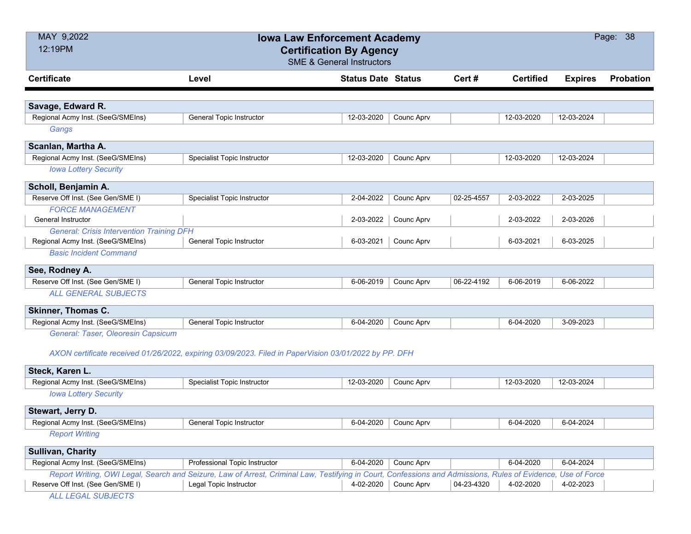| MAY 9,2022                                       | <b>Iowa Law Enforcement Academy</b>                                                                                                                          |                           |                      | Page: 38   |                  |                |           |
|--------------------------------------------------|--------------------------------------------------------------------------------------------------------------------------------------------------------------|---------------------------|----------------------|------------|------------------|----------------|-----------|
| 12:19PM                                          | <b>Certification By Agency</b>                                                                                                                               |                           |                      |            |                  |                |           |
|                                                  | <b>SME &amp; General Instructors</b>                                                                                                                         |                           |                      |            |                  |                |           |
| <b>Certificate</b>                               | Level                                                                                                                                                        | <b>Status Date Status</b> |                      | Cert #     | <b>Certified</b> | <b>Expires</b> | Probation |
|                                                  |                                                                                                                                                              |                           |                      |            |                  |                |           |
| Savage, Edward R.                                |                                                                                                                                                              |                           |                      |            |                  |                |           |
| Regional Acmy Inst. (SeeG/SMEIns)                | <b>General Topic Instructor</b>                                                                                                                              | 12-03-2020                | Counc Aprv           |            | 12-03-2020       | 12-03-2024     |           |
| Gangs                                            |                                                                                                                                                              |                           |                      |            |                  |                |           |
| Scanlan, Martha A.                               |                                                                                                                                                              |                           |                      |            |                  |                |           |
| Regional Acmy Inst. (SeeG/SMEIns)                | Specialist Topic Instructor                                                                                                                                  | 12-03-2020                | Counc Aprv           |            | 12-03-2020       | 12-03-2024     |           |
| <b>Iowa Lottery Security</b>                     |                                                                                                                                                              |                           |                      |            |                  |                |           |
| Scholl, Benjamin A.                              |                                                                                                                                                              |                           |                      |            |                  |                |           |
| Reserve Off Inst. (See Gen/SME I)                | Specialist Topic Instructor                                                                                                                                  | 2-04-2022                 | Counc Aprv           | 02-25-4557 | 2-03-2022        | 2-03-2025      |           |
| <b>FORCE MANAGEMENT</b>                          |                                                                                                                                                              |                           |                      |            |                  |                |           |
| General Instructor                               |                                                                                                                                                              | 2-03-2022                 | Counc Aprv           |            | 2-03-2022        | 2-03-2026      |           |
| <b>General: Crisis Intervention Training DFH</b> |                                                                                                                                                              |                           |                      |            |                  |                |           |
| Regional Acmy Inst. (SeeG/SMEIns)                | <b>General Topic Instructor</b>                                                                                                                              | 6-03-2021                 | Counc Aprv           |            | 6-03-2021        | 6-03-2025      |           |
| <b>Basic Incident Command</b>                    |                                                                                                                                                              |                           |                      |            |                  |                |           |
| See, Rodney A.                                   |                                                                                                                                                              |                           |                      |            |                  |                |           |
| Reserve Off Inst. (See Gen/SME I)                | <b>General Topic Instructor</b>                                                                                                                              | 6-06-2019                 | Counc Aprv           | 06-22-4192 | 6-06-2019        | 6-06-2022      |           |
| <b>ALL GENERAL SUBJECTS</b>                      |                                                                                                                                                              |                           |                      |            |                  |                |           |
| <b>Skinner, Thomas C.</b>                        |                                                                                                                                                              |                           |                      |            |                  |                |           |
| Regional Acmy Inst. (SeeG/SMEIns)                | <b>General Topic Instructor</b>                                                                                                                              | 6-04-2020                 | Counc Aprv           |            | 6-04-2020        | 3-09-2023      |           |
| General: Taser, Oleoresin Capsicum               |                                                                                                                                                              |                           |                      |            |                  |                |           |
|                                                  | AXON certificate received 01/26/2022, expiring 03/09/2023. Filed in PaperVision 03/01/2022 by PP. DFH                                                        |                           |                      |            |                  |                |           |
| Steck, Karen L.                                  |                                                                                                                                                              |                           |                      |            |                  |                |           |
| Regional Acmy Inst. (SeeG/SMEIns)                | Specialist Topic Instructor                                                                                                                                  | 12-03-2020                | <b>Counc Aprv</b>    |            | 12-03-2020       | 12-03-2024     |           |
| <b>Iowa Lottery Security</b>                     |                                                                                                                                                              |                           |                      |            |                  |                |           |
| Stewart, Jerry D.                                |                                                                                                                                                              |                           |                      |            |                  |                |           |
| Regional Acmy Inst. (SeeG/SMEIns)                | <b>General Topic Instructor</b>                                                                                                                              |                           | 6-04-2020 Counc Aprv |            | 6-04-2020        | 6-04-2024      |           |
| <b>Report Writing</b>                            |                                                                                                                                                              |                           |                      |            |                  |                |           |
| <b>Sullivan, Charity</b>                         |                                                                                                                                                              |                           |                      |            |                  |                |           |
| Regional Acmy Inst. (SeeG/SMEIns)                | Professional Topic Instructor                                                                                                                                | 6-04-2020                 | Counc Aprv           |            | 6-04-2020        | 6-04-2024      |           |
|                                                  | Report Writing, OWI Legal, Search and Seizure, Law of Arrest, Criminal Law, Testifying in Court, Confessions and Admissions, Rules of Evidence, Use of Force |                           |                      |            |                  |                |           |
| Reserve Off Inst. (See Gen/SME I)                | Legal Topic Instructor                                                                                                                                       | 4-02-2020                 | Counc Aprv           | 04-23-4320 | 4-02-2020        | 4-02-2023      |           |
| <b>ALL LEGAL SUBJECTS</b>                        |                                                                                                                                                              |                           |                      |            |                  |                |           |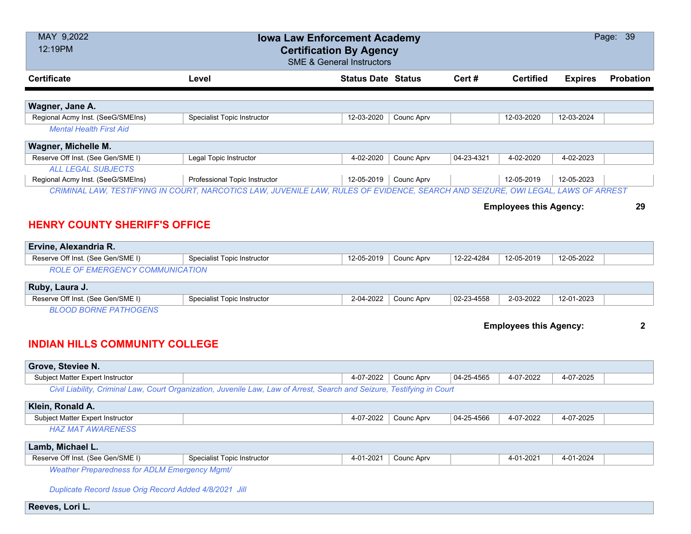| MAY 9,2022<br>12:19PM                                                                                                            |                                    | <b>Iowa Law Enforcement Academy</b><br><b>Certification By Agency</b><br><b>SME &amp; General Instructors</b> |            |            |                               |                | Page: 39         |
|----------------------------------------------------------------------------------------------------------------------------------|------------------------------------|---------------------------------------------------------------------------------------------------------------|------------|------------|-------------------------------|----------------|------------------|
| <b>Certificate</b>                                                                                                               | Level                              | <b>Status Date Status</b>                                                                                     |            | Cert#      | <b>Certified</b>              | <b>Expires</b> | <b>Probation</b> |
| Wagner, Jane A.                                                                                                                  |                                    |                                                                                                               |            |            |                               |                |                  |
| Regional Acmy Inst. (SeeG/SMEIns)                                                                                                | <b>Specialist Topic Instructor</b> | 12-03-2020                                                                                                    | Counc Aprv |            | 12-03-2020                    | 12-03-2024     |                  |
| <b>Mental Health First Aid</b>                                                                                                   |                                    |                                                                                                               |            |            |                               |                |                  |
| Wagner, Michelle M.                                                                                                              |                                    |                                                                                                               |            |            |                               |                |                  |
| Reserve Off Inst. (See Gen/SME I)                                                                                                | Legal Topic Instructor             | 4-02-2020                                                                                                     | Counc Aprv | 04-23-4321 | 4-02-2020                     | 4-02-2023      |                  |
| <b>ALL LEGAL SUBJECTS</b>                                                                                                        |                                    |                                                                                                               |            |            |                               |                |                  |
| Regional Acmy Inst. (SeeG/SMEIns)                                                                                                | Professional Topic Instructor      | 12-05-2019                                                                                                    | Counc Aprv |            | 12-05-2019                    | 12-05-2023     |                  |
| CRIMINAL LAW, TESTIFYING IN COURT, NARCOTICS LAW, JUVENILE LAW, RULES OF EVIDENCE, SEARCH AND SEIZURE, OWI LEGAL, LAWS OF ARREST |                                    |                                                                                                               |            |            |                               |                |                  |
|                                                                                                                                  |                                    |                                                                                                               |            |            | <b>Employees this Agency:</b> |                | 29               |
| <b>HENRY COUNTY SHERIFF'S OFFICE</b>                                                                                             |                                    |                                                                                                               |            |            |                               |                |                  |
| Ervine, Alexandria R.                                                                                                            |                                    |                                                                                                               |            |            |                               |                |                  |
| Reserve Off Inst. (See Gen/SME I)                                                                                                | Specialist Topic Instructor        | 12-05-2019                                                                                                    | Counc Aprv | 12-22-4284 | 12-05-2019                    | 12-05-2022     |                  |
| <b>ROLE OF EMERGENCY COMMUNICATION</b>                                                                                           |                                    |                                                                                                               |            |            |                               |                |                  |
|                                                                                                                                  |                                    |                                                                                                               |            |            |                               |                |                  |
| Ruby, Laura J.                                                                                                                   |                                    |                                                                                                               |            |            |                               |                |                  |
| Reserve Off Inst. (See Gen/SME I)                                                                                                | Specialist Topic Instructor        | 2-04-2022                                                                                                     | Counc Aprv | 02-23-4558 | 2-03-2022                     | 12-01-2023     |                  |
| <b>BLOOD BORNE PATHOGENS</b>                                                                                                     |                                    |                                                                                                               |            |            |                               |                |                  |
|                                                                                                                                  |                                    |                                                                                                               |            |            | <b>Employees this Agency:</b> |                | $\mathbf{2}$     |
| <b>INDIAN HILLS COMMUNITY COLLEGE</b>                                                                                            |                                    |                                                                                                               |            |            |                               |                |                  |
| Grove, Steviee N.                                                                                                                |                                    |                                                                                                               |            |            |                               |                |                  |
| Subject Matter Expert Instructor                                                                                                 |                                    | 4-07-2022                                                                                                     | Counc Aprv | 04-25-4565 | 4-07-2022                     | 4-07-2025      |                  |
| Civil Liability, Criminal Law, Court Organization, Juvenile Law, Law of Arrest, Search and Seizure, Testifying in Court          |                                    |                                                                                                               |            |            |                               |                |                  |
| Klein, Ronald A.                                                                                                                 |                                    |                                                                                                               |            |            |                               |                |                  |
| Subject Matter Expert Instructor                                                                                                 |                                    | 4-07-2022                                                                                                     | Counc Apry | 04-25-4566 | 4-07-2022                     | 4-07-2025      |                  |
| <b>HAZ MAT AWARENESS</b>                                                                                                         |                                    |                                                                                                               |            |            |                               |                |                  |
| Lamb, Michael L.                                                                                                                 |                                    |                                                                                                               |            |            |                               |                |                  |
| Reserve Off Inst. (See Gen/SME I)                                                                                                | Specialist Topic Instructor        | 4-01-2021                                                                                                     | Counc Aprv |            | 4-01-2021                     | 4-01-2024      |                  |
| <b>Weather Preparedness for ADLM Emergency Mgmt/</b>                                                                             |                                    |                                                                                                               |            |            |                               |                |                  |
|                                                                                                                                  |                                    |                                                                                                               |            |            |                               |                |                  |
| Duplicate Record Issue Orig Record Added 4/8/2021 Jill                                                                           |                                    |                                                                                                               |            |            |                               |                |                  |
| Reeves, Lori L.                                                                                                                  |                                    |                                                                                                               |            |            |                               |                |                  |
|                                                                                                                                  |                                    |                                                                                                               |            |            |                               |                |                  |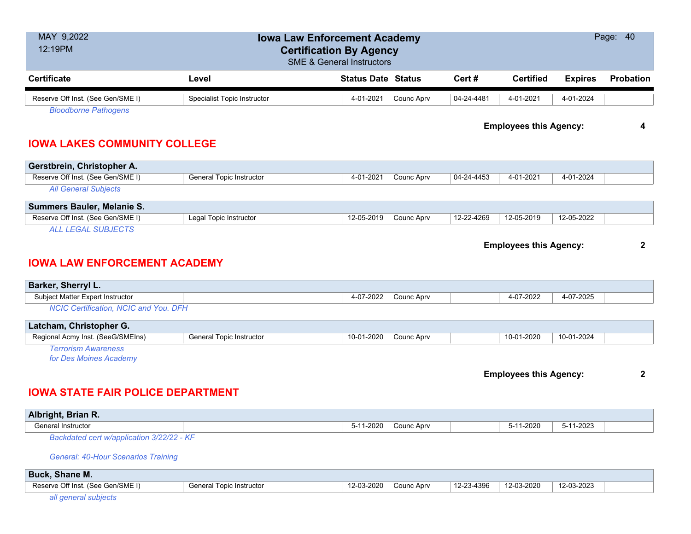| MAY 9,2022<br>12:19PM                                |                                 | <b>Iowa Law Enforcement Academy</b><br><b>Certification By Agency</b><br><b>SME &amp; General Instructors</b> |            |            |                               |                | Page: 40     |
|------------------------------------------------------|---------------------------------|---------------------------------------------------------------------------------------------------------------|------------|------------|-------------------------------|----------------|--------------|
| <b>Certificate</b>                                   | Level                           | <b>Status Date Status</b>                                                                                     |            | Cert#      | <b>Certified</b>              | <b>Expires</b> | Probation    |
| Reserve Off Inst. (See Gen/SME I)                    | Specialist Topic Instructor     | 4-01-2021                                                                                                     | Counc Aprv | 04-24-4481 | 4-01-2021                     | 4-01-2024      |              |
| <b>Bloodborne Pathogens</b>                          |                                 |                                                                                                               |            |            |                               |                |              |
|                                                      |                                 |                                                                                                               |            |            | <b>Employees this Agency:</b> |                | 4            |
| <b>IOWA LAKES COMMUNITY COLLEGE</b>                  |                                 |                                                                                                               |            |            |                               |                |              |
| Gerstbrein, Christopher A.                           |                                 |                                                                                                               |            |            |                               |                |              |
| Reserve Off Inst. (See Gen/SME I)                    | General Topic Instructor        | 4-01-2021                                                                                                     | Counc Aprv | 04-24-4453 | 4-01-2021                     | 4-01-2024      |              |
| <b>All General Subjects</b>                          |                                 |                                                                                                               |            |            |                               |                |              |
| Summers Bauler, Melanie S.                           |                                 |                                                                                                               |            |            |                               |                |              |
| Reserve Off Inst. (See Gen/SME I)                    | Legal Topic Instructor          | 12-05-2019                                                                                                    | Counc Aprv | 12-22-4269 | 12-05-2019                    | 12-05-2022     |              |
| <b>ALL LEGAL SUBJECTS</b>                            |                                 |                                                                                                               |            |            |                               |                |              |
|                                                      |                                 |                                                                                                               |            |            |                               |                | $\mathbf{2}$ |
| <b>IOWA LAW ENFORCEMENT ACADEMY</b>                  |                                 |                                                                                                               |            |            | <b>Employees this Agency:</b> |                |              |
| Barker, Sherryl L.                                   |                                 |                                                                                                               |            |            |                               |                |              |
| Subject Matter Expert Instructor                     |                                 | 4-07-2022                                                                                                     | Counc Aprv |            | 4-07-2022                     | 4-07-2025      |              |
| <b>NCIC Certification, NCIC and You. DFH</b>         |                                 |                                                                                                               |            |            |                               |                |              |
| Latcham, Christopher G.                              |                                 |                                                                                                               |            |            |                               |                |              |
| Regional Acmy Inst. (SeeG/SMEIns)                    | <b>General Topic Instructor</b> | 10-01-2020                                                                                                    | Counc Aprv |            | 10-01-2020                    | 10-01-2024     |              |
| <b>Terrorism Awareness</b><br>for Des Moines Academy |                                 |                                                                                                               |            |            |                               |                |              |
|                                                      |                                 |                                                                                                               |            |            |                               |                | $\mathbf{2}$ |
| <b>IOWA STATE FAIR POLICE DEPARTMENT</b>             |                                 |                                                                                                               |            |            | <b>Employees this Agency:</b> |                |              |
| Albright, Brian R.                                   |                                 |                                                                                                               |            |            |                               |                |              |
| <b>General Instructor</b>                            |                                 | 5-11-2020                                                                                                     | Counc Aprv |            | 5-11-2020                     | 5-11-2023      |              |
| Backdated cert w/application 3/22/22 - KF            |                                 |                                                                                                               |            |            |                               |                |              |
| <b>General: 40-Hour Scenarios Training</b>           |                                 |                                                                                                               |            |            |                               |                |              |

| _ _ _ _ _ _ _ _ _ _ _ _ _ _ _ _ _ |                             |                       |            |            |            |            |  |
|-----------------------------------|-----------------------------|-----------------------|------------|------------|------------|------------|--|
| Reserve Off Inst. (See Gen/SME I) | . Topic Instructor<br>Gener | -3-2020.<br>$12 - 03$ | Counc Aprv | 12-23-4396 | 12-03-2020 | 12-03-2023 |  |
|                                   |                             |                       |            |            |            |            |  |

*all general subjects*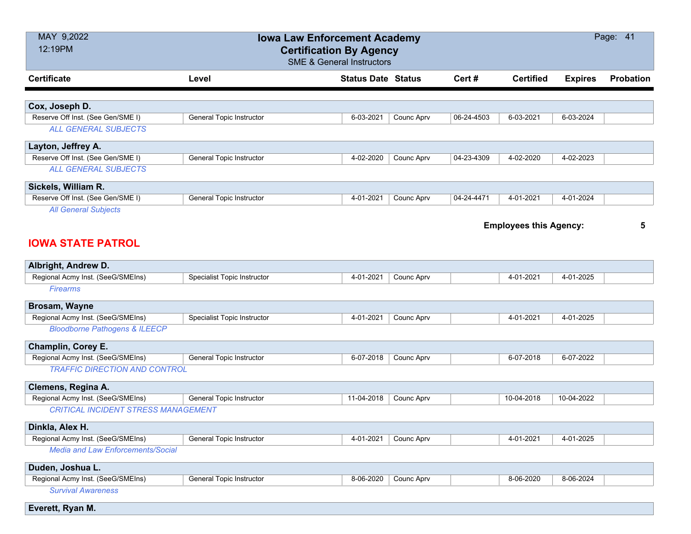| MAY 9,2022<br>12:19PM                      |                                    | <b>Iowa Law Enforcement Academy</b><br><b>Certification By Agency</b><br><b>SME &amp; General Instructors</b> |            |            |                               |                | Page: 41         |
|--------------------------------------------|------------------------------------|---------------------------------------------------------------------------------------------------------------|------------|------------|-------------------------------|----------------|------------------|
| <b>Certificate</b>                         | Level                              | <b>Status Date Status</b>                                                                                     |            | Cert#      | <b>Certified</b>              | <b>Expires</b> | <b>Probation</b> |
| Cox, Joseph D.                             |                                    |                                                                                                               |            |            |                               |                |                  |
| Reserve Off Inst. (See Gen/SME I)          | General Topic Instructor           | 6-03-2021                                                                                                     | Counc Aprv | 06-24-4503 | 6-03-2021                     | 6-03-2024      |                  |
| <b>ALL GENERAL SUBJECTS</b>                |                                    |                                                                                                               |            |            |                               |                |                  |
| Layton, Jeffrey A.                         |                                    |                                                                                                               |            |            |                               |                |                  |
| Reserve Off Inst. (See Gen/SME I)          | General Topic Instructor           | 4-02-2020                                                                                                     | Counc Aprv | 04-23-4309 | 4-02-2020                     | 4-02-2023      |                  |
| <b>ALL GENERAL SUBJECTS</b>                |                                    |                                                                                                               |            |            |                               |                |                  |
| Sickels, William R.                        |                                    |                                                                                                               |            |            |                               |                |                  |
| Reserve Off Inst. (See Gen/SME I)          | General Topic Instructor           | 4-01-2021                                                                                                     | Counc Aprv | 04-24-4471 | 4-01-2021                     | 4-01-2024      |                  |
| <b>All General Subjects</b>                |                                    |                                                                                                               |            |            |                               |                |                  |
|                                            |                                    |                                                                                                               |            |            | <b>Employees this Agency:</b> |                | 5                |
| <b>IOWA STATE PATROL</b>                   |                                    |                                                                                                               |            |            |                               |                |                  |
| Albright, Andrew D.                        |                                    |                                                                                                               |            |            |                               |                |                  |
| Regional Acmy Inst. (SeeG/SMEIns)          | Specialist Topic Instructor        | 4-01-2021                                                                                                     | Counc Aprv |            | 4-01-2021                     | 4-01-2025      |                  |
| <b>Firearms</b>                            |                                    |                                                                                                               |            |            |                               |                |                  |
| Brosam, Wayne                              |                                    |                                                                                                               |            |            |                               |                |                  |
| Regional Acmy Inst. (SeeG/SMEIns)          | <b>Specialist Topic Instructor</b> | 4-01-2021                                                                                                     | Counc Aprv |            | 4-01-2021                     | 4-01-2025      |                  |
| <b>Bloodborne Pathogens &amp; ILEECP</b>   |                                    |                                                                                                               |            |            |                               |                |                  |
| Champlin, Corey E.                         |                                    |                                                                                                               |            |            |                               |                |                  |
| Regional Acmy Inst. (SeeG/SMEIns)          | General Topic Instructor           | 6-07-2018                                                                                                     | Counc Aprv |            | 6-07-2018                     | 6-07-2022      |                  |
| <b>TRAFFIC DIRECTION AND CONTROL</b>       |                                    |                                                                                                               |            |            |                               |                |                  |
| Clemens, Regina A.                         |                                    |                                                                                                               |            |            |                               |                |                  |
| Regional Acmy Inst. (SeeG/SMEIns)          | General Topic Instructor           | 11-04-2018                                                                                                    | Counc Aprv |            | 10-04-2018                    | 10-04-2022     |                  |
| <b>CRITICAL INCIDENT STRESS MANAGEMENT</b> |                                    |                                                                                                               |            |            |                               |                |                  |
| Dinkla, Alex H.                            |                                    |                                                                                                               |            |            |                               |                |                  |
| Regional Acmy Inst. (SeeG/SMEIns)          | General Topic Instructor           | 4-01-2021                                                                                                     | Counc Aprv |            | 4-01-2021                     | 4-01-2025      |                  |
| <b>Media and Law Enforcements/Social</b>   |                                    |                                                                                                               |            |            |                               |                |                  |
| Duden, Joshua L.                           |                                    |                                                                                                               |            |            |                               |                |                  |
| Regional Acmy Inst. (SeeG/SMEIns)          | <b>General Topic Instructor</b>    | 8-06-2020                                                                                                     | Counc Aprv |            | 8-06-2020                     | 8-06-2024      |                  |
| <b>Survival Awareness</b>                  |                                    |                                                                                                               |            |            |                               |                |                  |
| Everett, Ryan M.                           |                                    |                                                                                                               |            |            |                               |                |                  |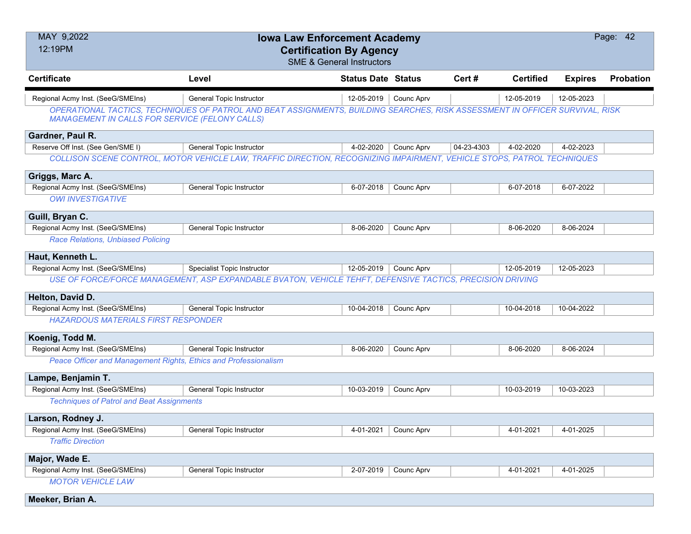| MAY 9,2022<br>12:19PM                                           | <b>Iowa Law Enforcement Academy</b><br><b>Certification By Agency</b>                                                                                    | <b>SME &amp; General Instructors</b> |            |            |                  |                | Page: 42         |
|-----------------------------------------------------------------|----------------------------------------------------------------------------------------------------------------------------------------------------------|--------------------------------------|------------|------------|------------------|----------------|------------------|
| <b>Certificate</b>                                              | Level                                                                                                                                                    | <b>Status Date Status</b>            |            | Cert#      | <b>Certified</b> | <b>Expires</b> | <b>Probation</b> |
| Regional Acmy Inst. (SeeG/SMEIns)                               | General Topic Instructor<br>OPERATIONAL TACTICS, TECHNIQUES OF PATROL AND BEAT ASSIGNMENTS, BUILDING SEARCHES, RISK ASSESSMENT IN OFFICER SURVIVAL, RISK | $12 - 05 - 2019$                     | Counc Aprv |            | 12-05-2019       | 12-05-2023     |                  |
| MANAGEMENT IN CALLS FOR SERVICE (FELONY CALLS)                  |                                                                                                                                                          |                                      |            |            |                  |                |                  |
| Gardner, Paul R.                                                |                                                                                                                                                          |                                      |            |            |                  |                |                  |
| Reserve Off Inst. (See Gen/SME I)                               | <b>General Topic Instructor</b>                                                                                                                          | 4-02-2020                            | Counc Aprv | 04-23-4303 | 4-02-2020        | 4-02-2023      |                  |
|                                                                 | COLLISON SCENE CONTROL, MOTOR VEHICLE LAW, TRAFFIC DIRECTION, RECOGNIZING IMPAIRMENT, VEHICLE STOPS, PATROL TECHNIQUES                                   |                                      |            |            |                  |                |                  |
| Griggs, Marc A.                                                 |                                                                                                                                                          |                                      |            |            |                  |                |                  |
| Regional Acmy Inst. (SeeG/SMEIns)                               | General Topic Instructor                                                                                                                                 | 6-07-2018                            | Counc Aprv |            | 6-07-2018        | 6-07-2022      |                  |
| <b>OWI INVESTIGATIVE</b>                                        |                                                                                                                                                          |                                      |            |            |                  |                |                  |
| Guill, Bryan C.                                                 |                                                                                                                                                          |                                      |            |            |                  |                |                  |
| Regional Acmy Inst. (SeeG/SMEIns)                               | <b>General Topic Instructor</b>                                                                                                                          | 8-06-2020                            | Counc Aprv |            | 8-06-2020        | 8-06-2024      |                  |
| <b>Race Relations, Unbiased Policing</b>                        |                                                                                                                                                          |                                      |            |            |                  |                |                  |
| Haut, Kenneth L.                                                |                                                                                                                                                          |                                      |            |            |                  |                |                  |
| Regional Acmy Inst. (SeeG/SMEIns)                               | <b>Specialist Topic Instructor</b>                                                                                                                       | 12-05-2019                           | Counc Aprv |            | 12-05-2019       | 12-05-2023     |                  |
|                                                                 | USE OF FORCE/FORCE MANAGEMENT, ASP EXPANDABLE BVATON, VEHICLE TEHFT, DEFENSIVE TACTICS, PRECISION DRIVING                                                |                                      |            |            |                  |                |                  |
| Helton, David D.                                                |                                                                                                                                                          |                                      |            |            |                  |                |                  |
| Regional Acmy Inst. (SeeG/SMEIns)                               | <b>General Topic Instructor</b>                                                                                                                          | 10-04-2018                           | Counc Aprv |            | 10-04-2018       | 10-04-2022     |                  |
| <b>HAZARDOUS MATERIALS FIRST RESPONDER</b>                      |                                                                                                                                                          |                                      |            |            |                  |                |                  |
| Koenig, Todd M.                                                 |                                                                                                                                                          |                                      |            |            |                  |                |                  |
| Regional Acmy Inst. (SeeG/SMEIns)                               | <b>General Topic Instructor</b>                                                                                                                          | 8-06-2020                            | Counc Aprv |            | 8-06-2020        | 8-06-2024      |                  |
| Peace Officer and Management Rights, Ethics and Professionalism |                                                                                                                                                          |                                      |            |            |                  |                |                  |
| Lampe, Benjamin T.                                              |                                                                                                                                                          |                                      |            |            |                  |                |                  |
| Regional Acmy Inst. (SeeG/SMEIns)                               | <b>General Topic Instructor</b>                                                                                                                          | 10-03-2019                           | Counc Aprv |            | 10-03-2019       | 10-03-2023     |                  |
| <b>Techniques of Patrol and Beat Assignments</b>                |                                                                                                                                                          |                                      |            |            |                  |                |                  |
| Larson, Rodney J.                                               |                                                                                                                                                          |                                      |            |            |                  |                |                  |
| Regional Acmy Inst. (SeeG/SMEIns)                               | General Topic Instructor                                                                                                                                 | 4-01-2021                            | Counc Aprv |            | 4-01-2021        | 4-01-2025      |                  |
| <b>Traffic Direction</b>                                        |                                                                                                                                                          |                                      |            |            |                  |                |                  |
| Major, Wade E.                                                  |                                                                                                                                                          |                                      |            |            |                  |                |                  |
| Regional Acmy Inst. (SeeG/SMEIns)                               | General Topic Instructor                                                                                                                                 | 2-07-2019                            | Counc Aprv |            | 4-01-2021        | 4-01-2025      |                  |
| <b>MOTOR VEHICLE LAW</b>                                        |                                                                                                                                                          |                                      |            |            |                  |                |                  |
| Meeker, Brian A.                                                |                                                                                                                                                          |                                      |            |            |                  |                |                  |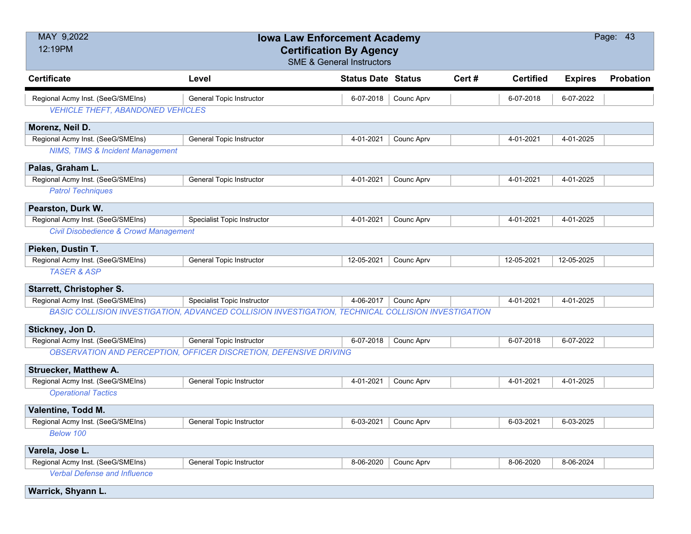| MAY 9,2022<br>12:19PM                            | <b>Iowa Law Enforcement Academy</b><br><b>Certification By Agency</b><br><b>SME &amp; General Instructors</b> |                           |            |       |                  |                | Page: 43  |
|--------------------------------------------------|---------------------------------------------------------------------------------------------------------------|---------------------------|------------|-------|------------------|----------------|-----------|
| <b>Certificate</b>                               | Level                                                                                                         | <b>Status Date Status</b> |            | Cert# | <b>Certified</b> | <b>Expires</b> | Probation |
| Regional Acmy Inst. (SeeG/SMEIns)                | General Topic Instructor                                                                                      | 6-07-2018                 | Counc Aprv |       | 6-07-2018        | 6-07-2022      |           |
| <b>VEHICLE THEFT, ABANDONED VEHICLES</b>         |                                                                                                               |                           |            |       |                  |                |           |
| Morenz, Neil D.                                  |                                                                                                               |                           |            |       |                  |                |           |
| Regional Acmy Inst. (SeeG/SMEIns)                | General Topic Instructor                                                                                      | 4-01-2021                 | Counc Aprv |       | 4-01-2021        | 4-01-2025      |           |
| <b>NIMS, TIMS &amp; Incident Management</b>      |                                                                                                               |                           |            |       |                  |                |           |
| Palas, Graham L.                                 |                                                                                                               |                           |            |       |                  |                |           |
| Regional Acmy Inst. (SeeG/SMEIns)                | <b>General Topic Instructor</b>                                                                               | 4-01-2021                 | Counc Aprv |       | 4-01-2021        | 4-01-2025      |           |
| <b>Patrol Techniques</b>                         |                                                                                                               |                           |            |       |                  |                |           |
| Pearston, Durk W.                                |                                                                                                               |                           |            |       |                  |                |           |
| Regional Acmy Inst. (SeeG/SMEIns)                | <b>Specialist Topic Instructor</b>                                                                            | 4-01-2021                 | Counc Aprv |       | 4-01-2021        | 4-01-2025      |           |
| <b>Civil Disobedience &amp; Crowd Management</b> |                                                                                                               |                           |            |       |                  |                |           |
| Pieken, Dustin T.                                |                                                                                                               |                           |            |       |                  |                |           |
| Regional Acmy Inst. (SeeG/SMEIns)                | General Topic Instructor                                                                                      | 12-05-2021                | Counc Aprv |       | 12-05-2021       | 12-05-2025     |           |
| <b>TASER &amp; ASP</b>                           |                                                                                                               |                           |            |       |                  |                |           |
| <b>Starrett, Christopher S.</b>                  |                                                                                                               |                           |            |       |                  |                |           |
| Regional Acmy Inst. (SeeG/SMEIns)                | Specialist Topic Instructor                                                                                   | 4-06-2017                 | Counc Aprv |       | 4-01-2021        | 4-01-2025      |           |
|                                                  | BASIC COLLISION INVESTIGATION, ADVANCED COLLISION INVESTIGATION, TECHNICAL COLLISION INVESTIGATION            |                           |            |       |                  |                |           |
| Stickney, Jon D.                                 |                                                                                                               |                           |            |       |                  |                |           |
| Regional Acmy Inst. (SeeG/SMEIns)                | <b>General Topic Instructor</b>                                                                               | 6-07-2018                 | Counc Aprv |       | 6-07-2018        | 6-07-2022      |           |
|                                                  | <b>OBSERVATION AND PERCEPTION, OFFICER DISCRETION, DEFENSIVE DRIVING</b>                                      |                           |            |       |                  |                |           |
| <b>Struecker, Matthew A.</b>                     |                                                                                                               |                           |            |       |                  |                |           |
| Regional Acmy Inst. (SeeG/SMEIns)                | <b>General Topic Instructor</b>                                                                               | 4-01-2021                 | Counc Aprv |       | 4-01-2021        | 4-01-2025      |           |
| <b>Operational Tactics</b>                       |                                                                                                               |                           |            |       |                  |                |           |
| Valentine, Todd M.                               |                                                                                                               |                           |            |       |                  |                |           |
| Regional Acmy Inst. (SeeG/SMEIns)                | General Topic Instructor                                                                                      | 6-03-2021                 | Counc Aprv |       | 6-03-2021        | 6-03-2025      |           |
| Below 100                                        |                                                                                                               |                           |            |       |                  |                |           |
| Varela, Jose L.                                  |                                                                                                               |                           |            |       |                  |                |           |
| Regional Acmy Inst. (SeeG/SMEIns)                | General Topic Instructor                                                                                      | 8-06-2020                 | Counc Aprv |       | 8-06-2020        | 8-06-2024      |           |
| <b>Verbal Defense and Influence</b>              |                                                                                                               |                           |            |       |                  |                |           |
| Warrick, Shyann L.                               |                                                                                                               |                           |            |       |                  |                |           |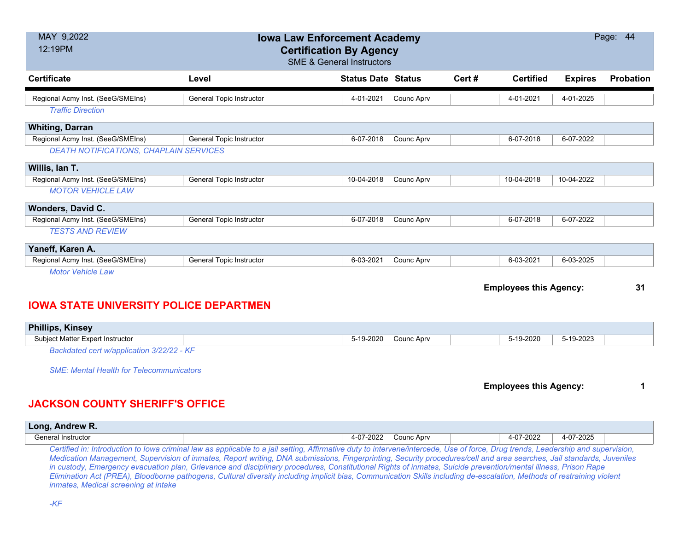| MAY 9,2022<br>12:19PM                         | <b>Iowa Law Enforcement Academy</b><br><b>Certification By Agency</b><br><b>SME &amp; General Instructors</b> |                           |                   |       |                               |                | Page: 44  |
|-----------------------------------------------|---------------------------------------------------------------------------------------------------------------|---------------------------|-------------------|-------|-------------------------------|----------------|-----------|
| <b>Certificate</b>                            | Level                                                                                                         | <b>Status Date Status</b> |                   | Cert# | <b>Certified</b>              | <b>Expires</b> | Probation |
| Regional Acmy Inst. (SeeG/SMEIns)             | <b>General Topic Instructor</b>                                                                               | 4-01-2021                 | Counc Aprv        |       | 4-01-2021                     | 4-01-2025      |           |
| <b>Traffic Direction</b>                      |                                                                                                               |                           |                   |       |                               |                |           |
| <b>Whiting, Darran</b>                        |                                                                                                               |                           |                   |       |                               |                |           |
| Regional Acmy Inst. (SeeG/SMEIns)             | <b>General Topic Instructor</b>                                                                               | 6-07-2018                 | Counc Aprv        |       | 6-07-2018                     | 6-07-2022      |           |
| DEATH NOTIFICATIONS, CHAPLAIN SERVICES        |                                                                                                               |                           |                   |       |                               |                |           |
| Willis, lan T.                                |                                                                                                               |                           |                   |       |                               |                |           |
| Regional Acmy Inst. (SeeG/SMEIns)             | General Topic Instructor                                                                                      | 10-04-2018                | Counc Aprv        |       | 10-04-2018                    | 10-04-2022     |           |
| <b>MOTOR VEHICLE LAW</b>                      |                                                                                                               |                           |                   |       |                               |                |           |
| <b>Wonders, David C.</b>                      |                                                                                                               |                           |                   |       |                               |                |           |
| Regional Acmy Inst. (SeeG/SMEIns)             | <b>General Topic Instructor</b>                                                                               | 6-07-2018                 | <b>Counc Aprv</b> |       | 6-07-2018                     | 6-07-2022      |           |
| <b>TESTS AND REVIEW</b>                       |                                                                                                               |                           |                   |       |                               |                |           |
| Yaneff, Karen A.                              |                                                                                                               |                           |                   |       |                               |                |           |
| Regional Acmy Inst. (SeeG/SMEIns)             | General Topic Instructor                                                                                      | 6-03-2021                 | Counc Aprv        |       | 6-03-2021                     | 6-03-2025      |           |
| <b>Motor Vehicle Law</b>                      |                                                                                                               |                           |                   |       |                               |                |           |
|                                               |                                                                                                               |                           |                   |       | <b>Employees this Agency:</b> |                | 31        |
| <b>IOWA STATE UNIVERSITY POLICE DEPARTMEN</b> |                                                                                                               |                           |                   |       |                               |                |           |

| <b>Kinsey</b><br>Phillips,                   |       |            |            |           |  |
|----------------------------------------------|-------|------------|------------|-----------|--|
| . Expert Instructor<br><b>Subiect Matter</b> | -2020 | Counc Aprv | $-19-2020$ | 5-19-2023 |  |
| $\sim$ $\sim$<br>.                           |       |            |            |           |  |

*Backdated cert w/application 3/22/22 - KF*

*SME: Mental Health for Telecommunicators*

**Employees this Agency: 1**

### **JACKSON COUNTY SHERIFF'S OFFICE**

| <b>Andrew R.</b><br>Long, |             |                   |            |     |                      |           |  |
|---------------------------|-------------|-------------------|------------|-----|----------------------|-----------|--|
| 3eneral Instructor        |             | $^{\circ}$ 7-2022 | Counc Aprv |     | .7-2022<br>-∩−<br>ע- | 4-07-2025 |  |
|                           | ____<br>___ |                   | __         | ___ |                      |           |  |

*Certified in: Introduction to Iowa criminal law as applicable to a jail setting, Affirmative duty to intervene/intercede, Use of force, Drug trends, Leadership and supervision, Medication Management, Supervision of inmates, Report writing, DNA submissions, Fingerprinting, Security procedures/cell and area searches, Jail standards, Juveniles in custody, Emergency evacuation plan, Grievance and disciplinary procedures, Constitutional Rights of inmates, Suicide prevention/mental illness, Prison Rape Elimination Act (PREA), Bloodborne pathogens, Cultural diversity including implicit bias, Communication Skills including de-escalation, Methods of restraining violent inmates, Medical screening at intake*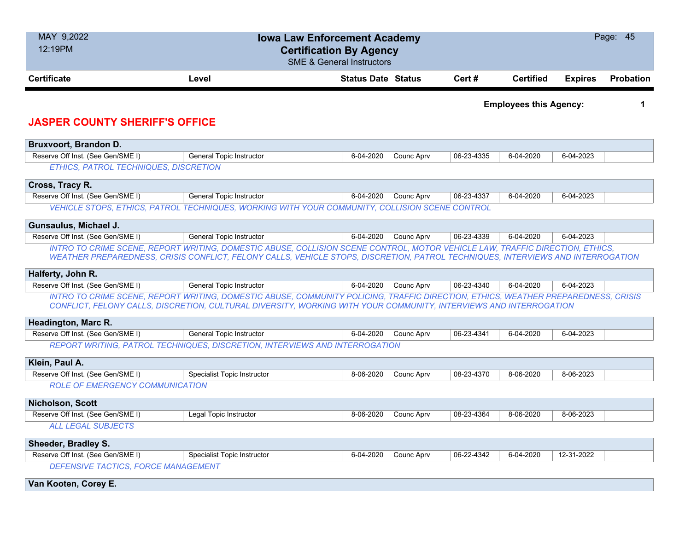| MAY 9,2022<br>12:19PM                  | <b>Iowa Law Enforcement Academy</b><br><b>Certification By Agency</b><br><b>SME &amp; General Instructors</b>                                                                                                                                                   |                           |            |            |                               |                | Page: 45         |
|----------------------------------------|-----------------------------------------------------------------------------------------------------------------------------------------------------------------------------------------------------------------------------------------------------------------|---------------------------|------------|------------|-------------------------------|----------------|------------------|
| <b>Certificate</b>                     | Level                                                                                                                                                                                                                                                           | <b>Status Date Status</b> |            | Cert#      | <b>Certified</b>              | <b>Expires</b> | <b>Probation</b> |
| <b>JASPER COUNTY SHERIFF'S OFFICE</b>  |                                                                                                                                                                                                                                                                 |                           |            |            | <b>Employees this Agency:</b> |                | 1                |
| Bruxvoort, Brandon D.                  |                                                                                                                                                                                                                                                                 |                           |            |            |                               |                |                  |
| Reserve Off Inst. (See Gen/SME I)      | <b>General Topic Instructor</b>                                                                                                                                                                                                                                 | 6-04-2020                 | Counc Aprv | 06-23-4335 | 6-04-2020                     | 6-04-2023      |                  |
| ETHICS, PATROL TECHNIQUES, DISCRETION  |                                                                                                                                                                                                                                                                 |                           |            |            |                               |                |                  |
| Cross, Tracy R.                        |                                                                                                                                                                                                                                                                 |                           |            |            |                               |                |                  |
| Reserve Off Inst. (See Gen/SME I)      | General Topic Instructor                                                                                                                                                                                                                                        | 6-04-2020                 | Counc Aprv | 06-23-4337 | 6-04-2020                     | 6-04-2023      |                  |
|                                        | VEHICLE STOPS, ETHICS, PATROL TECHNIQUES, WORKING WITH YOUR COMMUNITY, COLLISION SCENE CONTROL                                                                                                                                                                  |                           |            |            |                               |                |                  |
| Gunsaulus, Michael J.                  |                                                                                                                                                                                                                                                                 |                           |            |            |                               |                |                  |
| Reserve Off Inst. (See Gen/SME I)      | General Topic Instructor                                                                                                                                                                                                                                        | 6-04-2020                 | Counc Aprv | 06-23-4339 | 6-04-2020                     | 6-04-2023      |                  |
|                                        | INTRO TO CRIME SCENE, REPORT WRITING, DOMESTIC ABUSE, COLLISION SCENE CONTROL, MOTOR VEHICLE LAW, TRAFFIC DIRECTION, ETHICS,<br>WEATHER PREPAREDNESS, CRISIS CONFLICT, FELONY CALLS, VEHICLE STOPS, DISCRETION, PATROL TECHNIQUES, INTERVIEWS AND INTERROGATION |                           |            |            |                               |                |                  |
| Halferty, John R.                      |                                                                                                                                                                                                                                                                 |                           |            |            |                               |                |                  |
| Reserve Off Inst. (See Gen/SME I)      | General Topic Instructor                                                                                                                                                                                                                                        | 6-04-2020                 | Counc Aprv | 06-23-4340 | 6-04-2020                     | 6-04-2023      |                  |
|                                        | INTRO TO CRIME SCENE, REPORT WRITING, DOMESTIC ABUSE, COMMUNITY POLICING, TRAFFIC DIRECTION, ETHICS, WEATHER PREPAREDNESS, CRISIS<br>CONFLICT, FELONY CALLS, DISCRETION, CULTURAL DIVERSITY, WORKING WITH YOUR COMMUNITY, INTERVIEWS AND INTERROGATION          |                           |            |            |                               |                |                  |
| Headington, Marc R.                    |                                                                                                                                                                                                                                                                 |                           |            |            |                               |                |                  |
| Reserve Off Inst. (See Gen/SME I)      | <b>General Topic Instructor</b>                                                                                                                                                                                                                                 | 6-04-2020                 | Counc Aprv | 06-23-4341 | 6-04-2020                     | 6-04-2023      |                  |
|                                        | REPORT WRITING, PATROL TECHNIQUES, DISCRETION, INTERVIEWS AND INTERROGATION                                                                                                                                                                                     |                           |            |            |                               |                |                  |
| Klein, Paul A.                         |                                                                                                                                                                                                                                                                 |                           |            |            |                               |                |                  |
| Reserve Off Inst. (See Gen/SME I)      | <b>Specialist Topic Instructor</b>                                                                                                                                                                                                                              | 8-06-2020                 | Counc Aprv | 08-23-4370 | 8-06-2020                     | 8-06-2023      |                  |
| <b>ROLE OF EMERGENCY COMMUNICATION</b> |                                                                                                                                                                                                                                                                 |                           |            |            |                               |                |                  |
| <b>Nicholson, Scott</b>                |                                                                                                                                                                                                                                                                 |                           |            |            |                               |                |                  |
| Reserve Off Inst. (See Gen/SME I)      | Legal Topic Instructor                                                                                                                                                                                                                                          | 8-06-2020                 | Counc Aprv | 08-23-4364 | 8-06-2020                     | 8-06-2023      |                  |
| <b>ALL LEGAL SUBJECTS</b>              |                                                                                                                                                                                                                                                                 |                           |            |            |                               |                |                  |
| Sheeder, Bradley S.                    |                                                                                                                                                                                                                                                                 |                           |            |            |                               |                |                  |
| Reserve Off Inst. (See Gen/SME I)      | <b>Specialist Topic Instructor</b>                                                                                                                                                                                                                              | 6-04-2020                 | Counc Aprv | 06-22-4342 | 6-04-2020                     | 12-31-2022     |                  |
| DEFENSIVE TACTICS, FORCE MANAGEMENT    |                                                                                                                                                                                                                                                                 |                           |            |            |                               |                |                  |
| Van Kooten, Corey E.                   |                                                                                                                                                                                                                                                                 |                           |            |            |                               |                |                  |
|                                        |                                                                                                                                                                                                                                                                 |                           |            |            |                               |                |                  |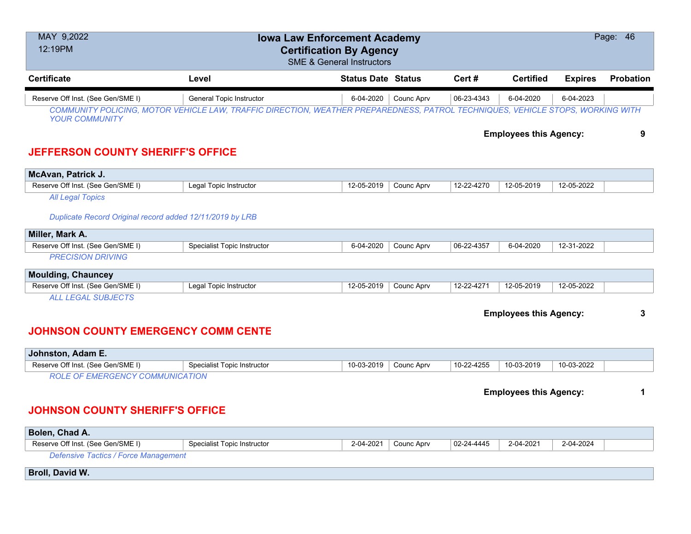| MAY 9,2022<br>12:19PM                                    | Page: 46<br><b>Iowa Law Enforcement Academy</b><br><b>Certification By Agency</b><br><b>SME &amp; General Instructors</b>      |                           |            |            |                               |                |                  |  |  |
|----------------------------------------------------------|--------------------------------------------------------------------------------------------------------------------------------|---------------------------|------------|------------|-------------------------------|----------------|------------------|--|--|
| <b>Certificate</b>                                       | Level                                                                                                                          | <b>Status Date Status</b> |            | Cert #     | <b>Certified</b>              | <b>Expires</b> | <b>Probation</b> |  |  |
| Reserve Off Inst. (See Gen/SME I)                        | <b>General Topic Instructor</b>                                                                                                | 6-04-2020                 | Counc Aprv | 06-23-4343 | 6-04-2020                     | 6-04-2023      |                  |  |  |
| <b>YOUR COMMUNITY</b>                                    | COMMUNITY POLICING, MOTOR VEHICLE LAW, TRAFFIC DIRECTION, WEATHER PREPAREDNESS, PATROL TECHNIQUES, VEHICLE STOPS, WORKING WITH |                           |            |            |                               |                |                  |  |  |
|                                                          |                                                                                                                                |                           |            |            | <b>Employees this Agency:</b> |                | 9                |  |  |
| <b>JEFFERSON COUNTY SHERIFF'S OFFICE</b>                 |                                                                                                                                |                           |            |            |                               |                |                  |  |  |
| McAvan, Patrick J.                                       |                                                                                                                                |                           |            |            |                               |                |                  |  |  |
| Reserve Off Inst. (See Gen/SME I)                        | Legal Topic Instructor                                                                                                         | 12-05-2019                | Counc Aprv | 12-22-4270 | 12-05-2019                    | 12-05-2022     |                  |  |  |
| <b>All Legal Topics</b>                                  |                                                                                                                                |                           |            |            |                               |                |                  |  |  |
| Duplicate Record Original record added 12/11/2019 by LRB |                                                                                                                                |                           |            |            |                               |                |                  |  |  |
| Miller, Mark A.                                          |                                                                                                                                |                           |            |            |                               |                |                  |  |  |
| Reserve Off Inst. (See Gen/SME I)                        | <b>Specialist Topic Instructor</b>                                                                                             | 6-04-2020                 | Counc Aprv | 06-22-4357 | 6-04-2020                     | 12-31-2022     |                  |  |  |
| <b>PRECISION DRIVING</b>                                 |                                                                                                                                |                           |            |            |                               |                |                  |  |  |
| <b>Moulding, Chauncey</b>                                |                                                                                                                                |                           |            |            |                               |                |                  |  |  |
| Reserve Off Inst. (See Gen/SME I)                        | Legal Topic Instructor                                                                                                         | 12-05-2019                | Counc Aprv | 12-22-4271 | 12-05-2019                    | 12-05-2022     |                  |  |  |
| <b>ALL LEGAL SUBJECTS</b>                                |                                                                                                                                |                           |            |            |                               |                |                  |  |  |
|                                                          |                                                                                                                                |                           |            |            | <b>Employees this Agency:</b> |                | 3                |  |  |

# **JOHNSON COUNTY EMERGENCY COMM CENTE**

| ∣ Johnston. Adam E.                                                          |                             |            |            |            |            |            |  |
|------------------------------------------------------------------------------|-----------------------------|------------|------------|------------|------------|------------|--|
| Reserve Off Inst. (See Gen/SME I)                                            | Specialist Topic Instructor | 10-03-2019 | Counc Apry | 10-22-4255 | 10-03-2019 | 10-03-2022 |  |
| MFRGFNC:\<br>עת זו בא: זומרוממת ומיותר זו ז<br>べい トイ<br>$\cdot$ ( ) $\vdash$ |                             |            |            |            |            |            |  |

*ROLE OF EMERGENCY COMMUNICATION*

**Employees this Agency: 1**

# **JOHNSON COUNTY SHERIFF'S OFFICE**

| Bolen, Chad A.                              |                             |           |            |                  |           |           |  |  |
|---------------------------------------------|-----------------------------|-----------|------------|------------------|-----------|-----------|--|--|
| Reserve Off Inst. (See Gen/SME I)           | Specialist Topic Instructor | 2-04-2021 | Counc Aprv | $02 - 24 - 4445$ | 2-04-2021 | 2-04-2024 |  |  |
| <b>Defensive Tactics / Force Management</b> |                             |           |            |                  |           |           |  |  |
| <b>Broll, David W.</b>                      |                             |           |            |                  |           |           |  |  |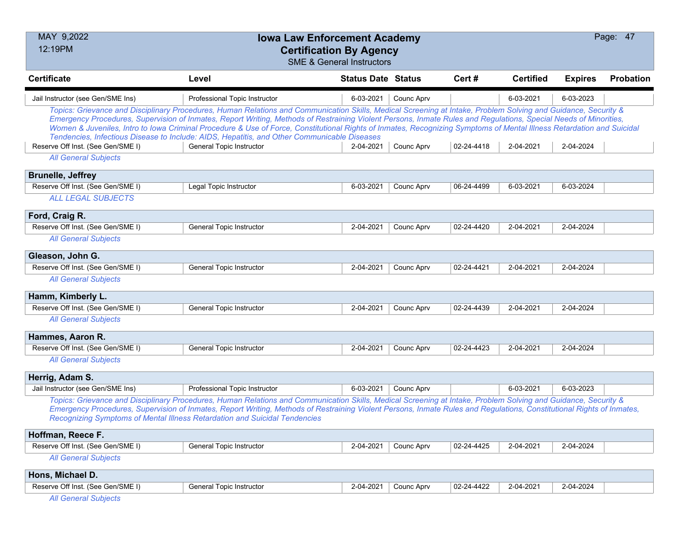| MAY 9,2022                        | <b>Iowa Law Enforcement Academy</b>                                                                                                                                                                                                                                                                                                                                                                                                                                                                                                                                                                        |                                      |            |            |                  |                | Page: 47  |
|-----------------------------------|------------------------------------------------------------------------------------------------------------------------------------------------------------------------------------------------------------------------------------------------------------------------------------------------------------------------------------------------------------------------------------------------------------------------------------------------------------------------------------------------------------------------------------------------------------------------------------------------------------|--------------------------------------|------------|------------|------------------|----------------|-----------|
| 12:19PM                           | <b>Certification By Agency</b>                                                                                                                                                                                                                                                                                                                                                                                                                                                                                                                                                                             | <b>SME &amp; General Instructors</b> |            |            |                  |                |           |
| <b>Certificate</b>                | Level                                                                                                                                                                                                                                                                                                                                                                                                                                                                                                                                                                                                      | <b>Status Date Status</b>            |            | Cert #     | <b>Certified</b> | <b>Expires</b> | Probation |
| Jail Instructor (see Gen/SME Ins) | Professional Topic Instructor                                                                                                                                                                                                                                                                                                                                                                                                                                                                                                                                                                              | 6-03-2021                            | Counc Aprv |            | 6-03-2021        | 6-03-2023      |           |
|                                   | Topics: Grievance and Disciplinary Procedures, Human Relations and Communication Skills, Medical Screening at Intake, Problem Solving and Guidance, Security &<br>Emergency Procedures, Supervision of Inmates, Report Writing, Methods of Restraining Violent Persons, Inmate Rules and Regulations, Special Needs of Minorities,<br>Women & Juveniles, Intro to Iowa Criminal Procedure & Use of Force, Constitutional Rights of Inmates, Recognizing Symptoms of Mental Illness Retardation and Suicidal<br>Tendencies, Infectious Disease to Include: AIDS, Hepatitis, and Other Communicable Diseases |                                      |            |            |                  |                |           |
| Reserve Off Inst. (See Gen/SME I) | General Topic Instructor                                                                                                                                                                                                                                                                                                                                                                                                                                                                                                                                                                                   | 2-04-2021                            | Counc Aprv | 02-24-4418 | 2-04-2021        | 2-04-2024      |           |
| <b>All General Subjects</b>       |                                                                                                                                                                                                                                                                                                                                                                                                                                                                                                                                                                                                            |                                      |            |            |                  |                |           |
| <b>Brunelle, Jeffrey</b>          |                                                                                                                                                                                                                                                                                                                                                                                                                                                                                                                                                                                                            |                                      |            |            |                  |                |           |
| Reserve Off Inst. (See Gen/SME I) | Legal Topic Instructor                                                                                                                                                                                                                                                                                                                                                                                                                                                                                                                                                                                     | 6-03-2021                            | Counc Aprv | 06-24-4499 | 6-03-2021        | 6-03-2024      |           |
| <b>ALL LEGAL SUBJECTS</b>         |                                                                                                                                                                                                                                                                                                                                                                                                                                                                                                                                                                                                            |                                      |            |            |                  |                |           |
| Ford, Craig R.                    |                                                                                                                                                                                                                                                                                                                                                                                                                                                                                                                                                                                                            |                                      |            |            |                  |                |           |
| Reserve Off Inst. (See Gen/SME I) | General Topic Instructor                                                                                                                                                                                                                                                                                                                                                                                                                                                                                                                                                                                   | 2-04-2021                            | Counc Aprv | 02-24-4420 | 2-04-2021        | 2-04-2024      |           |
| <b>All General Subjects</b>       |                                                                                                                                                                                                                                                                                                                                                                                                                                                                                                                                                                                                            |                                      |            |            |                  |                |           |
| Gleason, John G.                  |                                                                                                                                                                                                                                                                                                                                                                                                                                                                                                                                                                                                            |                                      |            |            |                  |                |           |
| Reserve Off Inst. (See Gen/SME I) | <b>General Topic Instructor</b>                                                                                                                                                                                                                                                                                                                                                                                                                                                                                                                                                                            | 2-04-2021                            | Counc Aprv | 02-24-4421 | 2-04-2021        | 2-04-2024      |           |
| <b>All General Subjects</b>       |                                                                                                                                                                                                                                                                                                                                                                                                                                                                                                                                                                                                            |                                      |            |            |                  |                |           |
| Hamm, Kimberly L.                 |                                                                                                                                                                                                                                                                                                                                                                                                                                                                                                                                                                                                            |                                      |            |            |                  |                |           |
| Reserve Off Inst. (See Gen/SME I) | General Topic Instructor                                                                                                                                                                                                                                                                                                                                                                                                                                                                                                                                                                                   | 2-04-2021                            | Counc Aprv | 02-24-4439 | 2-04-2021        | 2-04-2024      |           |
| <b>All General Subjects</b>       |                                                                                                                                                                                                                                                                                                                                                                                                                                                                                                                                                                                                            |                                      |            |            |                  |                |           |
| Hammes, Aaron R.                  |                                                                                                                                                                                                                                                                                                                                                                                                                                                                                                                                                                                                            |                                      |            |            |                  |                |           |
| Reserve Off Inst. (See Gen/SME I) | General Topic Instructor                                                                                                                                                                                                                                                                                                                                                                                                                                                                                                                                                                                   | 2-04-2021                            | Counc Aprv | 02-24-4423 | 2-04-2021        | 2-04-2024      |           |
| <b>All General Subjects</b>       |                                                                                                                                                                                                                                                                                                                                                                                                                                                                                                                                                                                                            |                                      |            |            |                  |                |           |
| Herrig, Adam S.                   |                                                                                                                                                                                                                                                                                                                                                                                                                                                                                                                                                                                                            |                                      |            |            |                  |                |           |
| Jail Instructor (see Gen/SME Ins) | Professional Topic Instructor                                                                                                                                                                                                                                                                                                                                                                                                                                                                                                                                                                              | 6-03-2021                            | Counc Aprv |            | 6-03-2021        | 6-03-2023      |           |
|                                   | Topics: Grievance and Disciplinary Procedures, Human Relations and Communication Skills, Medical Screening at Intake, Problem Solving and Guidance, Security &<br>Emergency Procedures, Supervision of Inmates, Report Writing, Methods of Restraining Violent Persons, Inmate Rules and Regulations, Constitutional Rights of Inmates,<br>Recognizing Symptoms of Mental Illness Retardation and Suicidal Tendencies                                                                                                                                                                                      |                                      |            |            |                  |                |           |
| Hoffman, Reece F.                 |                                                                                                                                                                                                                                                                                                                                                                                                                                                                                                                                                                                                            |                                      |            |            |                  |                |           |
| Reserve Off Inst. (See Gen/SME I) | <b>General Topic Instructor</b>                                                                                                                                                                                                                                                                                                                                                                                                                                                                                                                                                                            | 2-04-2021                            | Counc Aprv | 02-24-4425 | 2-04-2021        | 2-04-2024      |           |
| <b>All General Subjects</b>       |                                                                                                                                                                                                                                                                                                                                                                                                                                                                                                                                                                                                            |                                      |            |            |                  |                |           |
| Hons, Michael D.                  |                                                                                                                                                                                                                                                                                                                                                                                                                                                                                                                                                                                                            |                                      |            |            |                  |                |           |
| Reserve Off Inst. (See Gen/SME I) | General Topic Instructor                                                                                                                                                                                                                                                                                                                                                                                                                                                                                                                                                                                   | 2-04-2021                            | Counc Aprv | 02-24-4422 | 2-04-2021        | 2-04-2024      |           |
| <b>All General Subjects</b>       |                                                                                                                                                                                                                                                                                                                                                                                                                                                                                                                                                                                                            |                                      |            |            |                  |                |           |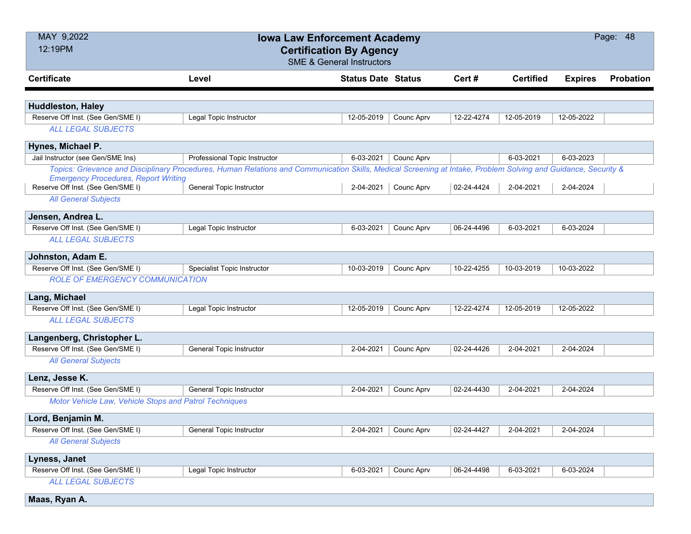| MAY 9,2022                                             | <b>Iowa Law Enforcement Academy</b>                                                                                                                            |                           |            |            |                  |                | Page: 48         |
|--------------------------------------------------------|----------------------------------------------------------------------------------------------------------------------------------------------------------------|---------------------------|------------|------------|------------------|----------------|------------------|
| 12:19PM                                                | <b>Certification By Agency</b>                                                                                                                                 |                           |            |            |                  |                |                  |
|                                                        | <b>SME &amp; General Instructors</b>                                                                                                                           |                           |            |            |                  |                |                  |
| <b>Certificate</b>                                     | Level                                                                                                                                                          | <b>Status Date Status</b> |            | Cert#      | <b>Certified</b> | <b>Expires</b> | <b>Probation</b> |
|                                                        |                                                                                                                                                                |                           |            |            |                  |                |                  |
| <b>Huddleston, Haley</b>                               |                                                                                                                                                                |                           |            |            |                  |                |                  |
| Reserve Off Inst. (See Gen/SME I)                      | Legal Topic Instructor                                                                                                                                         | 12-05-2019                | Counc Aprv | 12-22-4274 | 12-05-2019       | 12-05-2022     |                  |
| <b>ALL LEGAL SUBJECTS</b>                              |                                                                                                                                                                |                           |            |            |                  |                |                  |
| Hynes, Michael P.                                      |                                                                                                                                                                |                           |            |            |                  |                |                  |
| Jail Instructor (see Gen/SME Ins)                      | Professional Topic Instructor                                                                                                                                  | 6-03-2021                 | Counc Aprv |            | 6-03-2021        | 6-03-2023      |                  |
| <b>Emergency Procedures, Report Writing</b>            | Topics: Grievance and Disciplinary Procedures, Human Relations and Communication Skills, Medical Screening at Intake, Problem Solving and Guidance, Security & |                           |            |            |                  |                |                  |
| Reserve Off Inst. (See Gen/SME I)                      | General Topic Instructor                                                                                                                                       | 2-04-2021                 | Counc Aprv | 02-24-4424 | 2-04-2021        | 2-04-2024      |                  |
| <b>All General Subjects</b>                            |                                                                                                                                                                |                           |            |            |                  |                |                  |
| Jensen, Andrea L.                                      |                                                                                                                                                                |                           |            |            |                  |                |                  |
| Reserve Off Inst. (See Gen/SME I)                      | Legal Topic Instructor                                                                                                                                         | 6-03-2021                 | Counc Aprv | 06-24-4496 | 6-03-2021        | 6-03-2024      |                  |
| <b>ALL LEGAL SUBJECTS</b>                              |                                                                                                                                                                |                           |            |            |                  |                |                  |
| Johnston, Adam E.                                      |                                                                                                                                                                |                           |            |            |                  |                |                  |
| Reserve Off Inst. (See Gen/SME I)                      | Specialist Topic Instructor                                                                                                                                    | 10-03-2019                | Counc Aprv | 10-22-4255 | 10-03-2019       | 10-03-2022     |                  |
| <b>ROLE OF EMERGENCY COMMUNICATION</b>                 |                                                                                                                                                                |                           |            |            |                  |                |                  |
| Lang, Michael                                          |                                                                                                                                                                |                           |            |            |                  |                |                  |
| Reserve Off Inst. (See Gen/SME I)                      | Legal Topic Instructor                                                                                                                                         | 12-05-2019                | Counc Aprv | 12-22-4274 | 12-05-2019       | 12-05-2022     |                  |
| <b>ALL LEGAL SUBJECTS</b>                              |                                                                                                                                                                |                           |            |            |                  |                |                  |
| Langenberg, Christopher L.                             |                                                                                                                                                                |                           |            |            |                  |                |                  |
| Reserve Off Inst. (See Gen/SME I)                      | General Topic Instructor                                                                                                                                       | 2-04-2021                 | Counc Aprv | 02-24-4426 | 2-04-2021        | 2-04-2024      |                  |
| <b>All General Subjects</b>                            |                                                                                                                                                                |                           |            |            |                  |                |                  |
| Lenz, Jesse K.                                         |                                                                                                                                                                |                           |            |            |                  |                |                  |
| Reserve Off Inst. (See Gen/SME I)                      | General Topic Instructor                                                                                                                                       | 2-04-2021                 | Counc Aprv | 02-24-4430 | 2-04-2021        | 2-04-2024      |                  |
| Motor Vehicle Law, Vehicle Stops and Patrol Techniques |                                                                                                                                                                |                           |            |            |                  |                |                  |
| Lord, Benjamin M.                                      |                                                                                                                                                                |                           |            |            |                  |                |                  |
| Reserve Off Inst. (See Gen/SME I)                      | General Topic Instructor                                                                                                                                       | 2-04-2021                 | Counc Aprv | 02-24-4427 | 2-04-2021        | 2-04-2024      |                  |
| <b>All General Subjects</b>                            |                                                                                                                                                                |                           |            |            |                  |                |                  |
| Lyness, Janet                                          |                                                                                                                                                                |                           |            |            |                  |                |                  |
| Reserve Off Inst. (See Gen/SME I)                      | Legal Topic Instructor                                                                                                                                         | 6-03-2021                 | Counc Aprv | 06-24-4498 | 6-03-2021        | 6-03-2024      |                  |
| <b>ALL LEGAL SUBJECTS</b>                              |                                                                                                                                                                |                           |            |            |                  |                |                  |
| Maas, Ryan A.                                          |                                                                                                                                                                |                           |            |            |                  |                |                  |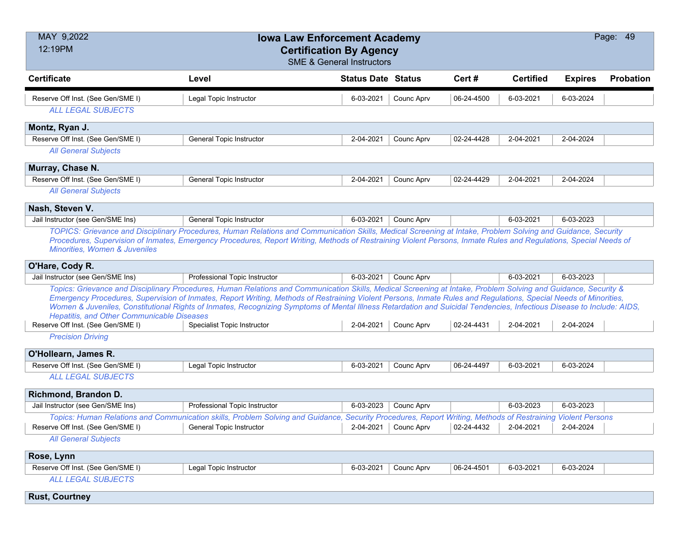| MAY 9,2022                                        | <b>Iowa Law Enforcement Academy</b>                                                                                                                                                            |                           |            |            |                  |                | Page: 49  |
|---------------------------------------------------|------------------------------------------------------------------------------------------------------------------------------------------------------------------------------------------------|---------------------------|------------|------------|------------------|----------------|-----------|
| 12:19PM                                           | <b>Certification By Agency</b>                                                                                                                                                                 |                           |            |            |                  |                |           |
|                                                   | <b>SME &amp; General Instructors</b>                                                                                                                                                           |                           |            |            |                  |                |           |
| <b>Certificate</b>                                | Level                                                                                                                                                                                          | <b>Status Date Status</b> |            | Cert#      | <b>Certified</b> | <b>Expires</b> | Probation |
| Reserve Off Inst. (See Gen/SME I)                 | Legal Topic Instructor                                                                                                                                                                         | 6-03-2021                 | Counc Aprv | 06-24-4500 | 6-03-2021        | 6-03-2024      |           |
| <b>ALL LEGAL SUBJECTS</b>                         |                                                                                                                                                                                                |                           |            |            |                  |                |           |
| Montz, Ryan J.                                    |                                                                                                                                                                                                |                           |            |            |                  |                |           |
| Reserve Off Inst. (See Gen/SME I)                 | <b>General Topic Instructor</b>                                                                                                                                                                | 2-04-2021                 | Counc Aprv | 02-24-4428 | 2-04-2021        | 2-04-2024      |           |
| <b>All General Subjects</b>                       |                                                                                                                                                                                                |                           |            |            |                  |                |           |
| Murray, Chase N.                                  |                                                                                                                                                                                                |                           |            |            |                  |                |           |
| Reserve Off Inst. (See Gen/SME I)                 | <b>General Topic Instructor</b>                                                                                                                                                                | 2-04-2021                 | Counc Aprv | 02-24-4429 | 2-04-2021        | 2-04-2024      |           |
| <b>All General Subjects</b>                       |                                                                                                                                                                                                |                           |            |            |                  |                |           |
| Nash, Steven V.                                   |                                                                                                                                                                                                |                           |            |            |                  |                |           |
| Jail Instructor (see Gen/SME Ins)                 | <b>General Topic Instructor</b>                                                                                                                                                                | 6-03-2021                 | Counc Aprv |            | 6-03-2021        | 6-03-2023      |           |
|                                                   | TOPICS: Grievance and Disciplinary Procedures, Human Relations and Communication Skills, Medical Screening at Intake, Problem Solving and Guidance, Security                                   |                           |            |            |                  |                |           |
|                                                   | Procedures, Supervision of Inmates, Emergency Procedures, Report Writing, Methods of Restraining Violent Persons, Inmate Rules and Regulations, Special Needs of                               |                           |            |            |                  |                |           |
| <b>Minorities, Women &amp; Juveniles</b>          |                                                                                                                                                                                                |                           |            |            |                  |                |           |
| O'Hare, Cody R.                                   |                                                                                                                                                                                                |                           |            |            |                  |                |           |
| Jail Instructor (see Gen/SME Ins)                 | Professional Topic Instructor                                                                                                                                                                  | 6-03-2021                 | Counc Aprv |            | 6-03-2021        | 6-03-2023      |           |
|                                                   | Topics: Grievance and Disciplinary Procedures, Human Relations and Communication Skills, Medical Screening at Intake, Problem Solving and Guidance, Security &                                 |                           |            |            |                  |                |           |
|                                                   | Emergency Procedures, Supervision of Inmates, Report Writing, Methods of Restraining Violent Persons, Inmate Rules and Regulations, Special Needs of Minorities,                               |                           |            |            |                  |                |           |
| <b>Hepatitis, and Other Communicable Diseases</b> | Women & Juveniles, Constitutional Rights of Inmates, Recognizing Symptoms of Mental Illness Retardation and Suicidal Tendencies, Infectious Disease to Include: AIDS,                          |                           |            |            |                  |                |           |
| Reserve Off Inst. (See Gen/SME I)                 | Specialist Topic Instructor                                                                                                                                                                    | 2-04-2021                 | Counc Aprv | 02-24-4431 | 2-04-2021        | 2-04-2024      |           |
| <b>Precision Driving</b>                          |                                                                                                                                                                                                |                           |            |            |                  |                |           |
| O'Hollearn, James R.                              |                                                                                                                                                                                                |                           |            |            |                  |                |           |
| Reserve Off Inst. (See Gen/SME I)                 | Legal Topic Instructor                                                                                                                                                                         | 6-03-2021                 | Counc Aprv | 06-24-4497 | 6-03-2021        | 6-03-2024      |           |
| <b>ALL LEGAL SUBJECTS</b>                         |                                                                                                                                                                                                |                           |            |            |                  |                |           |
|                                                   |                                                                                                                                                                                                |                           |            |            |                  |                |           |
| Richmond, Brandon D.                              |                                                                                                                                                                                                | 6-03-2023                 |            |            |                  | 6-03-2023      |           |
| Jail Instructor (see Gen/SME Ins)                 | Professional Topic Instructor                                                                                                                                                                  |                           | Counc Aprv |            | 6-03-2023        |                |           |
| Reserve Off Inst. (See Gen/SME I)                 | Topics: Human Relations and Communication skills, Problem Solving and Guidance, Security Procedures, Report Writing, Methods of Restraining Violent Persons<br><b>General Topic Instructor</b> | 2-04-2021                 | Counc Aprv | 02-24-4432 | 2-04-2021        | 2-04-2024      |           |
|                                                   |                                                                                                                                                                                                |                           |            |            |                  |                |           |
| <b>All General Subjects</b>                       |                                                                                                                                                                                                |                           |            |            |                  |                |           |
| Rose, Lynn                                        |                                                                                                                                                                                                |                           |            |            |                  |                |           |
| Reserve Off Inst. (See Gen/SME I)                 | Legal Topic Instructor                                                                                                                                                                         | 6-03-2021                 | Counc Aprv | 06-24-4501 | 6-03-2021        | 6-03-2024      |           |
| <b>ALL LEGAL SUBJECTS</b>                         |                                                                                                                                                                                                |                           |            |            |                  |                |           |
| <b>Rust, Courtney</b>                             |                                                                                                                                                                                                |                           |            |            |                  |                |           |
|                                                   |                                                                                                                                                                                                |                           |            |            |                  |                |           |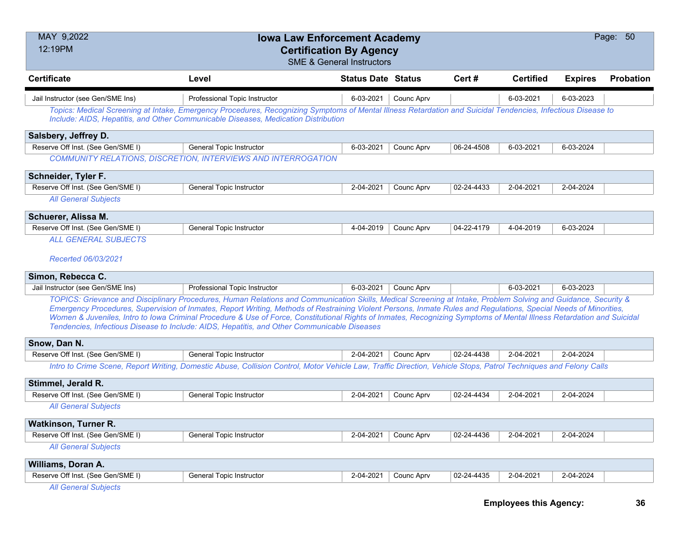| MAY 9,2022<br>Page: 50<br><b>Iowa Law Enforcement Academy</b><br>12:19PM<br><b>Certification By Agency</b><br><b>SME &amp; General Instructors</b> |                                                                                                                                                                                                                                                                                                                                                                                                                                                                                                                                                                                                            |                           |            |            |                               |                |                  |  |  |
|----------------------------------------------------------------------------------------------------------------------------------------------------|------------------------------------------------------------------------------------------------------------------------------------------------------------------------------------------------------------------------------------------------------------------------------------------------------------------------------------------------------------------------------------------------------------------------------------------------------------------------------------------------------------------------------------------------------------------------------------------------------------|---------------------------|------------|------------|-------------------------------|----------------|------------------|--|--|
| <b>Certificate</b>                                                                                                                                 | Level                                                                                                                                                                                                                                                                                                                                                                                                                                                                                                                                                                                                      | <b>Status Date Status</b> |            | Cert#      | <b>Certified</b>              | <b>Expires</b> | <b>Probation</b> |  |  |
| Jail Instructor (see Gen/SME Ins)                                                                                                                  | Professional Topic Instructor                                                                                                                                                                                                                                                                                                                                                                                                                                                                                                                                                                              | 6-03-2021                 | Counc Aprv |            | 6-03-2021                     | 6-03-2023      |                  |  |  |
|                                                                                                                                                    | Topics: Medical Screening at Intake, Emergency Procedures, Recognizing Symptoms of Mental Illness Retardation and Suicidal Tendencies, Infectious Disease to<br>Include: AIDS, Hepatitis, and Other Communicable Diseases, Medication Distribution                                                                                                                                                                                                                                                                                                                                                         |                           |            |            |                               |                |                  |  |  |
| Salsbery, Jeffrey D.                                                                                                                               |                                                                                                                                                                                                                                                                                                                                                                                                                                                                                                                                                                                                            |                           |            |            |                               |                |                  |  |  |
| Reserve Off Inst. (See Gen/SME I)                                                                                                                  | General Topic Instructor                                                                                                                                                                                                                                                                                                                                                                                                                                                                                                                                                                                   | 6-03-2021                 | Counc Aprv | 06-24-4508 | 6-03-2021                     | 6-03-2024      |                  |  |  |
|                                                                                                                                                    | <b>COMMUNITY RELATIONS, DISCRETION, INTERVIEWS AND INTERROGATION</b>                                                                                                                                                                                                                                                                                                                                                                                                                                                                                                                                       |                           |            |            |                               |                |                  |  |  |
| Schneider, Tyler F.                                                                                                                                |                                                                                                                                                                                                                                                                                                                                                                                                                                                                                                                                                                                                            |                           |            |            |                               |                |                  |  |  |
| Reserve Off Inst. (See Gen/SME I)                                                                                                                  | General Topic Instructor                                                                                                                                                                                                                                                                                                                                                                                                                                                                                                                                                                                   | 2-04-2021                 | Counc Aprv | 02-24-4433 | 2-04-2021                     | 2-04-2024      |                  |  |  |
| <b>All General Subjects</b>                                                                                                                        |                                                                                                                                                                                                                                                                                                                                                                                                                                                                                                                                                                                                            |                           |            |            |                               |                |                  |  |  |
| Schuerer, Alissa M.                                                                                                                                |                                                                                                                                                                                                                                                                                                                                                                                                                                                                                                                                                                                                            |                           |            |            |                               |                |                  |  |  |
| Reserve Off Inst. (See Gen/SME I)                                                                                                                  | General Topic Instructor                                                                                                                                                                                                                                                                                                                                                                                                                                                                                                                                                                                   | 4-04-2019                 | Counc Aprv | 04-22-4179 | 4-04-2019                     | 6-03-2024      |                  |  |  |
| <b>ALL GENERAL SUBJECTS</b><br>Recerted 06/03/2021                                                                                                 |                                                                                                                                                                                                                                                                                                                                                                                                                                                                                                                                                                                                            |                           |            |            |                               |                |                  |  |  |
| Simon, Rebecca C.                                                                                                                                  |                                                                                                                                                                                                                                                                                                                                                                                                                                                                                                                                                                                                            |                           |            |            |                               |                |                  |  |  |
| Jail Instructor (see Gen/SME Ins)                                                                                                                  | Professional Topic Instructor                                                                                                                                                                                                                                                                                                                                                                                                                                                                                                                                                                              | 6-03-2021                 | Counc Aprv |            | 6-03-2021                     | 6-03-2023      |                  |  |  |
|                                                                                                                                                    | TOPICS: Grievance and Disciplinary Procedures, Human Relations and Communication Skills, Medical Screening at Intake, Problem Solving and Guidance, Security &<br>Emergency Procedures, Supervision of Inmates, Report Writing, Methods of Restraining Violent Persons, Inmate Rules and Regulations, Special Needs of Minorities,<br>Women & Juveniles, Intro to Iowa Criminal Procedure & Use of Force, Constitutional Rights of Inmates, Recognizing Symptoms of Mental Illness Retardation and Suicidal<br>Tendencies, Infectious Disease to Include: AIDS, Hepatitis, and Other Communicable Diseases |                           |            |            |                               |                |                  |  |  |
| Snow, Dan N.                                                                                                                                       |                                                                                                                                                                                                                                                                                                                                                                                                                                                                                                                                                                                                            |                           |            |            |                               |                |                  |  |  |
| Reserve Off Inst. (See Gen/SME I)                                                                                                                  | General Topic Instructor                                                                                                                                                                                                                                                                                                                                                                                                                                                                                                                                                                                   | 2-04-2021                 | Counc Aprv | 02-24-4438 | 2-04-2021                     | 2-04-2024      |                  |  |  |
|                                                                                                                                                    | Intro to Crime Scene, Report Writing, Domestic Abuse, Collision Control, Motor Vehicle Law, Traffic Direction, Vehicle Stops, Patrol Techniques and Felony Calls                                                                                                                                                                                                                                                                                                                                                                                                                                           |                           |            |            |                               |                |                  |  |  |
| Stimmel, Jerald R.                                                                                                                                 |                                                                                                                                                                                                                                                                                                                                                                                                                                                                                                                                                                                                            |                           |            |            |                               |                |                  |  |  |
| Reserve Off Inst. (See Gen/SME I)                                                                                                                  | General Topic Instructor                                                                                                                                                                                                                                                                                                                                                                                                                                                                                                                                                                                   | 2-04-2021                 | Counc Aprv | 02-24-4434 | 2-04-2021                     | 2-04-2024      |                  |  |  |
| <b>All General Subjects</b>                                                                                                                        |                                                                                                                                                                                                                                                                                                                                                                                                                                                                                                                                                                                                            |                           |            |            |                               |                |                  |  |  |
| Watkinson, Turner R.                                                                                                                               |                                                                                                                                                                                                                                                                                                                                                                                                                                                                                                                                                                                                            |                           |            |            |                               |                |                  |  |  |
| Reserve Off Inst. (See Gen/SME I)                                                                                                                  | <b>General Topic Instructor</b>                                                                                                                                                                                                                                                                                                                                                                                                                                                                                                                                                                            | 2-04-2021                 | Counc Aprv | 02-24-4436 | 2-04-2021                     | 2-04-2024      |                  |  |  |
| <b>All General Subjects</b>                                                                                                                        |                                                                                                                                                                                                                                                                                                                                                                                                                                                                                                                                                                                                            |                           |            |            |                               |                |                  |  |  |
| Williams, Doran A.                                                                                                                                 |                                                                                                                                                                                                                                                                                                                                                                                                                                                                                                                                                                                                            |                           |            |            |                               |                |                  |  |  |
| Reserve Off Inst. (See Gen/SME I)                                                                                                                  | General Topic Instructor                                                                                                                                                                                                                                                                                                                                                                                                                                                                                                                                                                                   | 2-04-2021                 | Counc Aprv | 02-24-4435 | 2-04-2021                     | 2-04-2024      |                  |  |  |
| <b>All General Subjects</b>                                                                                                                        |                                                                                                                                                                                                                                                                                                                                                                                                                                                                                                                                                                                                            |                           |            |            | <b>Employees this Agency:</b> |                | 36               |  |  |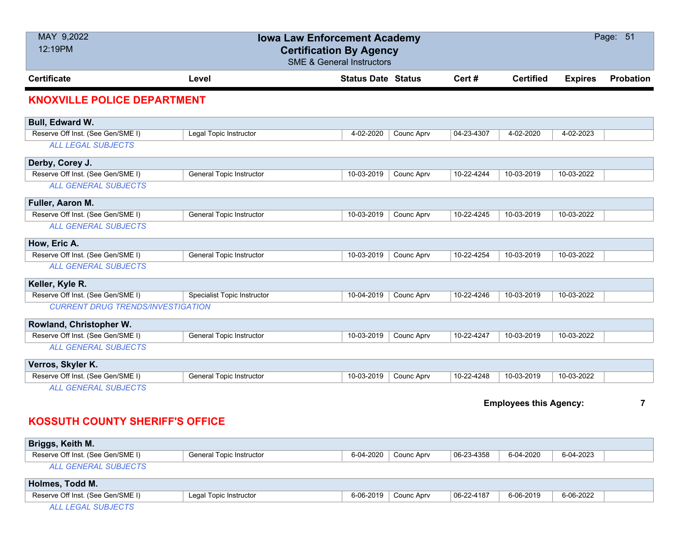| MAY 9,2022<br>12:19PM                    |                                 | <b>Iowa Law Enforcement Academy</b><br><b>Certification By Agency</b><br><b>SME &amp; General Instructors</b> |            |            |                               |                | Page: 51         |
|------------------------------------------|---------------------------------|---------------------------------------------------------------------------------------------------------------|------------|------------|-------------------------------|----------------|------------------|
| <b>Certificate</b>                       | Level                           | <b>Status Date Status</b>                                                                                     |            | Cert#      | <b>Certified</b>              | <b>Expires</b> | <b>Probation</b> |
| <b>KNOXVILLE POLICE DEPARTMENT</b>       |                                 |                                                                                                               |            |            |                               |                |                  |
| Bull, Edward W.                          |                                 |                                                                                                               |            |            |                               |                |                  |
| Reserve Off Inst. (See Gen/SME I)        | Legal Topic Instructor          | 4-02-2020                                                                                                     | Counc Aprv | 04-23-4307 | 4-02-2020                     | 4-02-2023      |                  |
| <b>ALL LEGAL SUBJECTS</b>                |                                 |                                                                                                               |            |            |                               |                |                  |
| Derby, Corey J.                          |                                 |                                                                                                               |            |            |                               |                |                  |
| Reserve Off Inst. (See Gen/SME I)        | General Topic Instructor        | 10-03-2019                                                                                                    | Counc Aprv | 10-22-4244 | 10-03-2019                    | 10-03-2022     |                  |
| <b>ALL GENERAL SUBJECTS</b>              |                                 |                                                                                                               |            |            |                               |                |                  |
| Fuller, Aaron M.                         |                                 |                                                                                                               |            |            |                               |                |                  |
| Reserve Off Inst. (See Gen/SME I)        | <b>General Topic Instructor</b> | 10-03-2019                                                                                                    | Counc Aprv | 10-22-4245 | 10-03-2019                    | 10-03-2022     |                  |
| <b>ALL GENERAL SUBJECTS</b>              |                                 |                                                                                                               |            |            |                               |                |                  |
| How, Eric A.                             |                                 |                                                                                                               |            |            |                               |                |                  |
| Reserve Off Inst. (See Gen/SME I)        | <b>General Topic Instructor</b> | 10-03-2019                                                                                                    | Counc Aprv | 10-22-4254 | 10-03-2019                    | 10-03-2022     |                  |
| <b>ALL GENERAL SUBJECTS</b>              |                                 |                                                                                                               |            |            |                               |                |                  |
| Keller, Kyle R.                          |                                 |                                                                                                               |            |            |                               |                |                  |
| Reserve Off Inst. (See Gen/SME I)        | Specialist Topic Instructor     | 10-04-2019                                                                                                    | Counc Aprv | 10-22-4246 | 10-03-2019                    | 10-03-2022     |                  |
| <b>CURRENT DRUG TRENDS/INVESTIGATION</b> |                                 |                                                                                                               |            |            |                               |                |                  |
| Rowland, Christopher W.                  |                                 |                                                                                                               |            |            |                               |                |                  |
| Reserve Off Inst. (See Gen/SME I)        | <b>General Topic Instructor</b> | 10-03-2019                                                                                                    | Counc Aprv | 10-22-4247 | 10-03-2019                    | 10-03-2022     |                  |
| <b>ALL GENERAL SUBJECTS</b>              |                                 |                                                                                                               |            |            |                               |                |                  |
| Verros, Skyler K.                        |                                 |                                                                                                               |            |            |                               |                |                  |
| Reserve Off Inst. (See Gen/SME I)        | General Topic Instructor        | 10-03-2019                                                                                                    | Counc Aprv | 10-22-4248 | 10-03-2019                    | 10-03-2022     |                  |
| <b>ALL GENERAL SUBJECTS</b>              |                                 |                                                                                                               |            |            |                               |                |                  |
|                                          |                                 |                                                                                                               |            |            | <b>Employees this Agency:</b> |                | $\overline{7}$   |

# **KOSSUTH COUNTY SHERIFF'S OFFICE**

| Briggs, Keith M.                  |                          |           |            |            |           |           |  |
|-----------------------------------|--------------------------|-----------|------------|------------|-----------|-----------|--|
| Reserve Off Inst. (See Gen/SME I) | General Topic Instructor | 6-04-2020 | Counc Aprv | 06-23-4358 | 6-04-2020 | 6-04-2023 |  |
| ALL GENERAL SUBJECTS              |                          |           |            |            |           |           |  |
| Holmes, Todd M.                   |                          |           |            |            |           |           |  |

| (See Gen/SME I`<br>Reserve Off Inst. | Legali<br>Topic Instructor | 6-06-2019 | Counc Aprv | $06 - 22 - 4187$ | 6-06-2019 | 6-06-2022 |  |
|--------------------------------------|----------------------------|-----------|------------|------------------|-----------|-----------|--|
| 771 CLID IEA<br>.                    |                            |           |            |                  |           |           |  |

*ALL LEGAL SUBJECTS*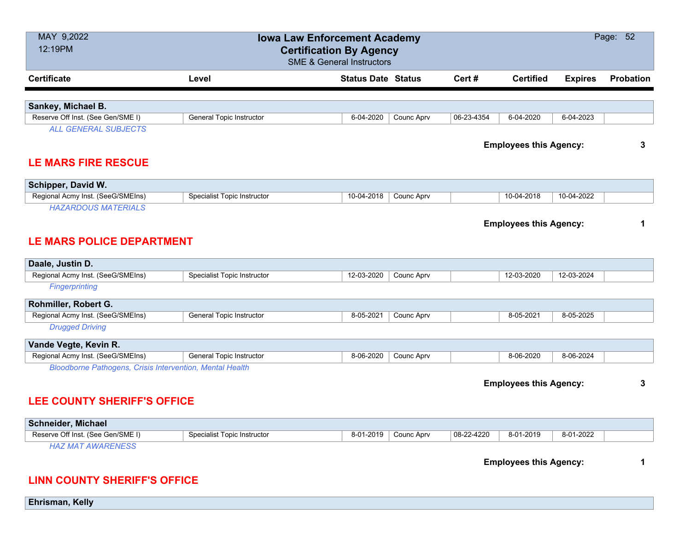| MAY 9,2022<br>12:19PM                                                                                 |                                    | <b>Iowa Law Enforcement Academy</b><br><b>Certification By Agency</b><br><b>SME &amp; General Instructors</b> |            |            |                               |                | Page: 52  |
|-------------------------------------------------------------------------------------------------------|------------------------------------|---------------------------------------------------------------------------------------------------------------|------------|------------|-------------------------------|----------------|-----------|
| <b>Certificate</b>                                                                                    | Level                              | <b>Status Date Status</b>                                                                                     |            | Cert #     | <b>Certified</b>              | <b>Expires</b> | Probation |
|                                                                                                       |                                    |                                                                                                               |            |            |                               |                |           |
| Sankey, Michael B.                                                                                    |                                    |                                                                                                               |            |            |                               |                |           |
| Reserve Off Inst. (See Gen/SME I)                                                                     | <b>General Topic Instructor</b>    | 6-04-2020                                                                                                     | Counc Aprv | 06-23-4354 | 6-04-2020                     | 6-04-2023      |           |
| <b>ALL GENERAL SUBJECTS</b><br><b>LE MARS FIRE RESCUE</b>                                             |                                    |                                                                                                               |            |            | <b>Employees this Agency:</b> |                | 3         |
| Schipper, David W.                                                                                    |                                    |                                                                                                               |            |            |                               |                |           |
| Regional Acmy Inst. (SeeG/SMEIns)                                                                     | <b>Specialist Topic Instructor</b> | 10-04-2018                                                                                                    | Counc Aprv |            | 10-04-2018                    | 10-04-2022     |           |
| <b>HAZARDOUS MATERIALS</b>                                                                            |                                    |                                                                                                               |            |            |                               |                |           |
| <b>LE MARS POLICE DEPARTMENT</b>                                                                      |                                    |                                                                                                               |            |            | <b>Employees this Agency:</b> |                | 1         |
| Daale, Justin D.                                                                                      |                                    |                                                                                                               |            |            |                               |                |           |
| Regional Acmy Inst. (SeeG/SMEIns)                                                                     | <b>Specialist Topic Instructor</b> | 12-03-2020                                                                                                    | Counc Aprv |            | 12-03-2020                    | 12-03-2024     |           |
| Fingerprinting                                                                                        |                                    |                                                                                                               |            |            |                               |                |           |
| Rohmiller, Robert G.                                                                                  |                                    |                                                                                                               |            |            |                               |                |           |
| Regional Acmy Inst. (SeeG/SMEIns)                                                                     | General Topic Instructor           | 8-05-2021                                                                                                     | Counc Aprv |            | 8-05-2021                     | 8-05-2025      |           |
| <b>Drugged Driving</b>                                                                                |                                    |                                                                                                               |            |            |                               |                |           |
| Vande Vegte, Kevin R.                                                                                 |                                    |                                                                                                               |            |            |                               |                |           |
| Regional Acmy Inst. (SeeG/SMEIns)                                                                     | <b>General Topic Instructor</b>    | 8-06-2020                                                                                                     | Counc Aprv |            | 8-06-2020                     | 8-06-2024      |           |
| <b>Bloodborne Pathogens, Crisis Intervention, Mental Health</b><br><b>LEE COUNTY SHERIFF'S OFFICE</b> |                                    |                                                                                                               |            |            | <b>Employees this Agency:</b> |                | 3         |
| <b>Schneider, Michael</b>                                                                             |                                    |                                                                                                               |            |            |                               |                |           |
| Reserve Off Inst. (See Gen/SME I)                                                                     | Specialist Topic Instructor        | 8-01-2019                                                                                                     | Counc Aprv | 08-22-4220 | 8-01-2019                     | 8-01-2022      |           |
| <b>HAZ MAT AWARENESS</b>                                                                              |                                    |                                                                                                               |            |            | <b>Employees this Agency:</b> |                | 1         |

#### **LINN COUNTY SHERIFF'S OFFICE**

**Ehrisman, Kelly**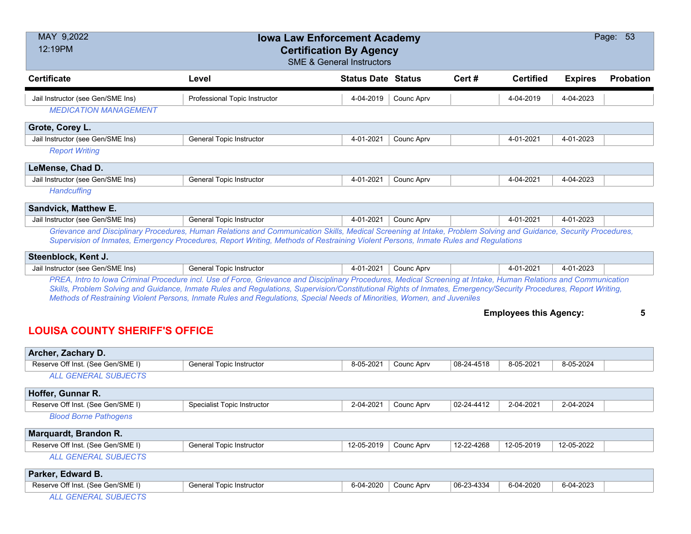| MAY 9,2022<br>12:19PM                 |                                                                                                                                                                                                                                                                                                                                                                                                                                                                 | <b>Iowa Law Enforcement Academy</b><br><b>Certification By Agency</b><br><b>SME &amp; General Instructors</b> |                   |       |                               |                | Page: 53  |
|---------------------------------------|-----------------------------------------------------------------------------------------------------------------------------------------------------------------------------------------------------------------------------------------------------------------------------------------------------------------------------------------------------------------------------------------------------------------------------------------------------------------|---------------------------------------------------------------------------------------------------------------|-------------------|-------|-------------------------------|----------------|-----------|
| <b>Certificate</b>                    | Level                                                                                                                                                                                                                                                                                                                                                                                                                                                           | <b>Status Date Status</b>                                                                                     |                   | Cert# | <b>Certified</b>              | <b>Expires</b> | Probation |
| Jail Instructor (see Gen/SME Ins)     | Professional Topic Instructor                                                                                                                                                                                                                                                                                                                                                                                                                                   | 4-04-2019                                                                                                     | <b>Counc Aprv</b> |       | 4-04-2019                     | 4-04-2023      |           |
| <b>MEDICATION MANAGEMENT</b>          |                                                                                                                                                                                                                                                                                                                                                                                                                                                                 |                                                                                                               |                   |       |                               |                |           |
| Grote, Corey L.                       |                                                                                                                                                                                                                                                                                                                                                                                                                                                                 |                                                                                                               |                   |       |                               |                |           |
| Jail Instructor (see Gen/SME Ins)     | <b>General Topic Instructor</b>                                                                                                                                                                                                                                                                                                                                                                                                                                 | 4-01-2021                                                                                                     | Counc Aprv        |       | 4-01-2021                     | 4-01-2023      |           |
| <b>Report Writing</b>                 |                                                                                                                                                                                                                                                                                                                                                                                                                                                                 |                                                                                                               |                   |       |                               |                |           |
| LeMense, Chad D.                      |                                                                                                                                                                                                                                                                                                                                                                                                                                                                 |                                                                                                               |                   |       |                               |                |           |
| Jail Instructor (see Gen/SME Ins)     | <b>General Topic Instructor</b>                                                                                                                                                                                                                                                                                                                                                                                                                                 | 4-01-2021                                                                                                     | Counc Aprv        |       | 4-04-2021                     | 4-04-2023      |           |
| Handcuffing                           |                                                                                                                                                                                                                                                                                                                                                                                                                                                                 |                                                                                                               |                   |       |                               |                |           |
| <b>Sandvick, Matthew E.</b>           |                                                                                                                                                                                                                                                                                                                                                                                                                                                                 |                                                                                                               |                   |       |                               |                |           |
| Jail Instructor (see Gen/SME Ins)     | General Topic Instructor                                                                                                                                                                                                                                                                                                                                                                                                                                        | 4-01-2021                                                                                                     | Counc Aprv        |       | 4-01-2021                     | 4-01-2023      |           |
|                                       | Grievance and Disciplinary Procedures, Human Relations and Communication Skills, Medical Screening at Intake, Problem Solving and Guidance, Security Procedures,<br>Supervision of Inmates, Emergency Procedures, Report Writing, Methods of Restraining Violent Persons, Inmate Rules and Regulations                                                                                                                                                          |                                                                                                               |                   |       |                               |                |           |
| Steenblock, Kent J.                   |                                                                                                                                                                                                                                                                                                                                                                                                                                                                 |                                                                                                               |                   |       |                               |                |           |
| Jail Instructor (see Gen/SME Ins)     | <b>General Topic Instructor</b>                                                                                                                                                                                                                                                                                                                                                                                                                                 | 4-01-2021                                                                                                     | Counc Aprv        |       | 4-01-2021                     | 4-01-2023      |           |
|                                       | PREA, Intro to Iowa Criminal Procedure incl. Use of Force, Grievance and Disciplinary Procedures, Medical Screening at Intake, Human Relations and Communication<br>Skills, Problem Solving and Guidance, Inmate Rules and Regulations, Supervision/Constitutional Rights of Inmates, Emergency/Security Procedures, Report Writing,<br>Methods of Restraining Violent Persons, Inmate Rules and Regulations, Special Needs of Minorities, Women, and Juveniles |                                                                                                               |                   |       |                               |                |           |
|                                       |                                                                                                                                                                                                                                                                                                                                                                                                                                                                 |                                                                                                               |                   |       | <b>Employees this Agency:</b> |                | 5         |
| <b>LOUISA COUNTY SHERIFF'S OFFICE</b> |                                                                                                                                                                                                                                                                                                                                                                                                                                                                 |                                                                                                               |                   |       |                               |                |           |
| Archer Zachary D                      |                                                                                                                                                                                                                                                                                                                                                                                                                                                                 |                                                                                                               |                   |       |                               |                |           |

| AVIVI, EUVINI J P.                |                                    |            |            |            |            |            |  |
|-----------------------------------|------------------------------------|------------|------------|------------|------------|------------|--|
| Reserve Off Inst. (See Gen/SME I) | General Topic Instructor           | 8-05-2021  | Counc Aprv | 08-24-4518 | 8-05-2021  | 8-05-2024  |  |
| <b>ALL GENERAL SUBJECTS</b>       |                                    |            |            |            |            |            |  |
| Hoffer, Gunnar R.                 |                                    |            |            |            |            |            |  |
| Reserve Off Inst. (See Gen/SME I) | <b>Specialist Topic Instructor</b> | 2-04-2021  | Counc Aprv | 02-24-4412 | 2-04-2021  | 2-04-2024  |  |
| <b>Blood Borne Pathogens</b>      |                                    |            |            |            |            |            |  |
| Marquardt, Brandon R.             |                                    |            |            |            |            |            |  |
| Reserve Off Inst. (See Gen/SME I) | <b>General Topic Instructor</b>    | 12-05-2019 | Counc Aprv | 12-22-4268 | 12-05-2019 | 12-05-2022 |  |
| <b>ALL GENERAL SUBJECTS</b>       |                                    |            |            |            |            |            |  |
| Parker, Edward B.                 |                                    |            |            |            |            |            |  |
| Reserve Off Inst. (See Gen/SME I) | <b>General Topic Instructor</b>    | 6-04-2020  | Counc Aprv | 06-23-4334 | 6-04-2020  | 6-04-2023  |  |
| <b>ALL GENERAL SUBJECTS</b>       |                                    |            |            |            |            |            |  |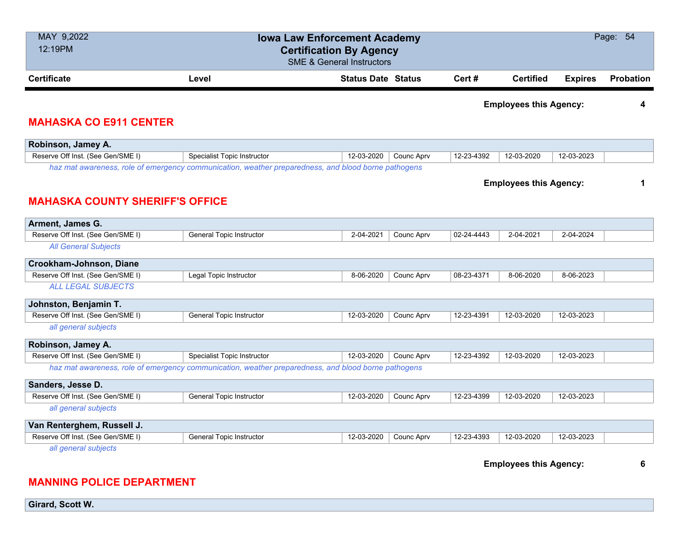| MAY 9,2022<br>12:19PM                                      |                                                                                                     | <b>Iowa Law Enforcement Academy</b><br><b>Certification By Agency</b><br><b>SME &amp; General Instructors</b> |            |            |                               |                | Page: 54         |
|------------------------------------------------------------|-----------------------------------------------------------------------------------------------------|---------------------------------------------------------------------------------------------------------------|------------|------------|-------------------------------|----------------|------------------|
| <b>Certificate</b>                                         | Level                                                                                               | <b>Status Date Status</b>                                                                                     |            | Cert#      | <b>Certified</b>              | <b>Expires</b> | <b>Probation</b> |
| <b>MAHASKA CO E911 CENTER</b>                              |                                                                                                     |                                                                                                               |            |            | <b>Employees this Agency:</b> |                | 4                |
|                                                            |                                                                                                     |                                                                                                               |            |            |                               |                |                  |
| Robinson, Jamey A.<br>Reserve Off Inst. (See Gen/SME I)    | Specialist Topic Instructor                                                                         | 12-03-2020                                                                                                    | Counc Aprv | 12-23-4392 | 12-03-2020                    | 12-03-2023     |                  |
|                                                            | haz mat awareness, role of emergency communication, weather preparedness, and blood borne pathogens |                                                                                                               |            |            |                               |                |                  |
| <b>MAHASKA COUNTY SHERIFF'S OFFICE</b><br>Arment, James G. |                                                                                                     |                                                                                                               |            |            | <b>Employees this Agency:</b> |                | 1                |
| Reserve Off Inst. (See Gen/SME I)                          | General Topic Instructor                                                                            | 2-04-2021                                                                                                     | Counc Aprv | 02-24-4443 | 2-04-2021                     | 2-04-2024      |                  |
| <b>All General Subjects</b>                                |                                                                                                     |                                                                                                               |            |            |                               |                |                  |
| Crookham-Johnson, Diane                                    |                                                                                                     |                                                                                                               |            |            |                               |                |                  |
| Reserve Off Inst. (See Gen/SME I)                          | Legal Topic Instructor                                                                              | 8-06-2020                                                                                                     | Counc Aprv | 08-23-4371 | 8-06-2020                     | 8-06-2023      |                  |
| <b>ALL LEGAL SUBJECTS</b>                                  |                                                                                                     |                                                                                                               |            |            |                               |                |                  |
| Johnston, Benjamin T.                                      |                                                                                                     |                                                                                                               |            |            |                               |                |                  |
| Reserve Off Inst. (See Gen/SME I)                          | General Topic Instructor                                                                            | 12-03-2020                                                                                                    | Counc Aprv | 12-23-4391 | 12-03-2020                    | 12-03-2023     |                  |
| all general subjects                                       |                                                                                                     |                                                                                                               |            |            |                               |                |                  |
| Robinson, Jamey A.                                         |                                                                                                     |                                                                                                               |            |            |                               |                |                  |
| Reserve Off Inst. (See Gen/SME I)                          | <b>Specialist Topic Instructor</b>                                                                  | 12-03-2020                                                                                                    | Counc Aprv | 12-23-4392 | 12-03-2020                    | 12-03-2023     |                  |
|                                                            | haz mat awareness, role of emergency communication, weather preparedness, and blood borne pathogens |                                                                                                               |            |            |                               |                |                  |
| Sanders, Jesse D.                                          |                                                                                                     |                                                                                                               |            |            |                               |                |                  |
| Reserve Off Inst. (See Gen/SME I)                          | General Topic Instructor                                                                            | 12-03-2020                                                                                                    | Counc Aprv | 12-23-4399 | 12-03-2020                    | 12-03-2023     |                  |
| all general subjects                                       |                                                                                                     |                                                                                                               |            |            |                               |                |                  |
| Van Renterghem, Russell J.                                 |                                                                                                     |                                                                                                               |            |            |                               |                |                  |
| Reserve Off Inst. (See Gen/SME I)                          | General Topic Instructor                                                                            | 12-03-2020                                                                                                    | Counc Aprv | 12-23-4393 | 12-03-2020                    | 12-03-2023     |                  |
| all general subjects                                       |                                                                                                     |                                                                                                               |            |            | <b>Employees this Agency:</b> |                | 6                |

#### **MANNING POLICE DEPARTMENT**

**Girard, Scott W.**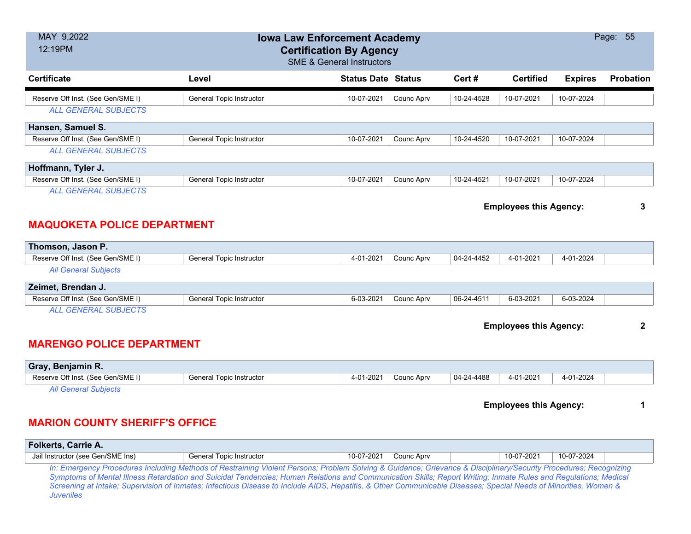| MAY 9,2022<br>12:19PM                                            |                          | <b>Iowa Law Enforcement Academy</b><br><b>Certification By Agency</b><br><b>SME &amp; General Instructors</b> |            |            |                               |                | Page: 55         |
|------------------------------------------------------------------|--------------------------|---------------------------------------------------------------------------------------------------------------|------------|------------|-------------------------------|----------------|------------------|
| <b>Certificate</b>                                               | Level                    | <b>Status Date Status</b>                                                                                     |            | Cert#      | <b>Certified</b>              | <b>Expires</b> | <b>Probation</b> |
| Reserve Off Inst. (See Gen/SME I)<br><b>ALL GENERAL SUBJECTS</b> | General Topic Instructor | 10-07-2021                                                                                                    | Counc Aprv | 10-24-4528 | 10-07-2021                    | 10-07-2024     |                  |
| Hansen, Samuel S.                                                |                          |                                                                                                               |            |            |                               |                |                  |
| Reserve Off Inst. (See Gen/SME I)                                | General Topic Instructor | 10-07-2021                                                                                                    | Counc Aprv | 10-24-4520 | 10-07-2021                    | 10-07-2024     |                  |
| <b>ALL GENERAL SUBJECTS</b>                                      |                          |                                                                                                               |            |            |                               |                |                  |
| Hoffmann, Tyler J.                                               |                          |                                                                                                               |            |            |                               |                |                  |
| Reserve Off Inst. (See Gen/SME I)                                | General Topic Instructor | 10-07-2021                                                                                                    | Counc Aprv | 10-24-4521 | 10-07-2021                    | 10-07-2024     |                  |
| <b>ALL GENERAL SUBJECTS</b>                                      |                          |                                                                                                               |            |            |                               |                |                  |
| <b>MAQUOKETA POLICE DEPARTMENT</b>                               |                          |                                                                                                               |            |            | <b>Employees this Agency:</b> |                | 3                |

# **Thomson, Jason P.** Reserve Off Inst. (See Gen/SME I) General Topic Instructor 4-01-2021 Counc Aprv 04-24-4452 4-01-2021 4-01-2024 *All General Subjects*

| <b>Zeimet, Brendan J.</b>                                               |                               |             |            |            |           |           |  |
|-------------------------------------------------------------------------|-------------------------------|-------------|------------|------------|-----------|-----------|--|
| Reserve Off Inst. (See Gen/SME I)                                       | I Topic Instructor<br>General | ่ 6-03-2021 | Counc Aprv | 06-24-4511 | 6-03-2021 | 6-03-2024 |  |
| $\cdots$ $\alpha$ $\cdots$ $\cdots$ $\alpha$ $\cdots$ $\alpha$ $\cdots$ |                               |             |            |            |           |           |  |

*ALL GENERAL SUBJECTS*

#### **Employees this Agency: 2**

### **MARENGO POLICE DEPARTMENT**

| Gray, Benjamin R.                 |                          |           |            |            |           |           |  |
|-----------------------------------|--------------------------|-----------|------------|------------|-----------|-----------|--|
| Reserve Off Inst. (See Gen/SME I) | General Topic Instructor | 4-01-2021 | Counc Aprv | 04-24-4488 | 4-01-2021 | 4-01-2024 |  |
| All General Subjects              |                          |           |            |            |           |           |  |

#### **Employees this Agency: 1**

### **MARION COUNTY SHERIFF'S OFFICE**

| <b>Folkerts, Carrie A.</b>        |                                                                                                                                                                                                                                                                                                                                                                                                                                                                                                        |            |            |            |            |  |
|-----------------------------------|--------------------------------------------------------------------------------------------------------------------------------------------------------------------------------------------------------------------------------------------------------------------------------------------------------------------------------------------------------------------------------------------------------------------------------------------------------------------------------------------------------|------------|------------|------------|------------|--|
| Jail Instructor (see Gen/SME Ins) | General Topic Instructor                                                                                                                                                                                                                                                                                                                                                                                                                                                                               | 10-07-2021 | Counc Aprv | 10-07-2021 | 10-07-2024 |  |
| Juveniles                         | In: Emergency Procedures Including Methods of Restraining Violent Persons; Problem Solving & Guidance; Grievance & Disciplinary/Security Procedures; Recognizing<br>Symptoms of Mental Illness Retardation and Suicidal Tendencies; Human Relations and Communication Skills; Report Writing; Inmate Rules and Regulations; Medical<br>Screening at Intake; Supervision of Inmates; Infectious Disease to Include AIDS, Hepatitis, & Other Communicable Diseases; Special Needs of Minorities, Women & |            |            |            |            |  |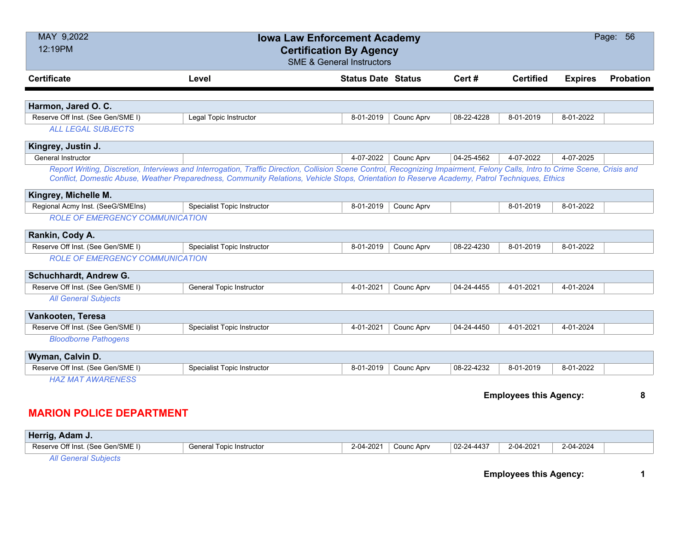| MAY 9,2022<br>Page: 56<br><b>Iowa Law Enforcement Academy</b><br>12:19PM<br><b>Certification By Agency</b><br><b>SME &amp; General Instructors</b> |                                                                                                                                                                                                                                                                                                                               |                           |            |            |                               |                |                  |  |
|----------------------------------------------------------------------------------------------------------------------------------------------------|-------------------------------------------------------------------------------------------------------------------------------------------------------------------------------------------------------------------------------------------------------------------------------------------------------------------------------|---------------------------|------------|------------|-------------------------------|----------------|------------------|--|
| <b>Certificate</b>                                                                                                                                 | Level                                                                                                                                                                                                                                                                                                                         | <b>Status Date Status</b> |            | Cert#      | <b>Certified</b>              | <b>Expires</b> | <b>Probation</b> |  |
| Harmon, Jared O. C.                                                                                                                                |                                                                                                                                                                                                                                                                                                                               |                           |            |            |                               |                |                  |  |
| Reserve Off Inst. (See Gen/SME I)                                                                                                                  | Legal Topic Instructor                                                                                                                                                                                                                                                                                                        | 8-01-2019                 | Counc Aprv | 08-22-4228 | 8-01-2019                     | 8-01-2022      |                  |  |
| <b>ALL LEGAL SUBJECTS</b>                                                                                                                          |                                                                                                                                                                                                                                                                                                                               |                           |            |            |                               |                |                  |  |
| Kingrey, Justin J.                                                                                                                                 |                                                                                                                                                                                                                                                                                                                               |                           |            |            |                               |                |                  |  |
| <b>General Instructor</b>                                                                                                                          |                                                                                                                                                                                                                                                                                                                               | 4-07-2022                 | Counc Aprv | 04-25-4562 | 4-07-2022                     | 4-07-2025      |                  |  |
|                                                                                                                                                    | Report Writing, Discretion, Interviews and Interrogation, Traffic Direction, Collision Scene Control, Recognizing Impairment, Felony Calls, Intro to Crime Scene, Crisis and<br>Conflict, Domestic Abuse, Weather Preparedness, Community Relations, Vehicle Stops, Orientation to Reserve Academy, Patrol Techniques, Ethics |                           |            |            |                               |                |                  |  |
| Kingrey, Michelle M.                                                                                                                               |                                                                                                                                                                                                                                                                                                                               |                           |            |            |                               |                |                  |  |
| Regional Acmy Inst. (SeeG/SMEIns)                                                                                                                  | Specialist Topic Instructor                                                                                                                                                                                                                                                                                                   | 8-01-2019                 | Counc Aprv |            | 8-01-2019                     | 8-01-2022      |                  |  |
| <b>ROLE OF EMERGENCY COMMUNICATION</b>                                                                                                             |                                                                                                                                                                                                                                                                                                                               |                           |            |            |                               |                |                  |  |
| Rankin, Cody A.                                                                                                                                    |                                                                                                                                                                                                                                                                                                                               |                           |            |            |                               |                |                  |  |
| Reserve Off Inst. (See Gen/SME I)                                                                                                                  | Specialist Topic Instructor                                                                                                                                                                                                                                                                                                   | 8-01-2019                 | Counc Aprv | 08-22-4230 | 8-01-2019                     | 8-01-2022      |                  |  |
| <b>ROLE OF EMERGENCY COMMUNICATION</b>                                                                                                             |                                                                                                                                                                                                                                                                                                                               |                           |            |            |                               |                |                  |  |
| Schuchhardt, Andrew G.                                                                                                                             |                                                                                                                                                                                                                                                                                                                               |                           |            |            |                               |                |                  |  |
| Reserve Off Inst. (See Gen/SME I)                                                                                                                  | <b>General Topic Instructor</b>                                                                                                                                                                                                                                                                                               | 4-01-2021                 | Counc Aprv | 04-24-4455 | 4-01-2021                     | 4-01-2024      |                  |  |
| <b>All General Subjects</b>                                                                                                                        |                                                                                                                                                                                                                                                                                                                               |                           |            |            |                               |                |                  |  |
| Vankooten, Teresa                                                                                                                                  |                                                                                                                                                                                                                                                                                                                               |                           |            |            |                               |                |                  |  |
| Reserve Off Inst. (See Gen/SME I)                                                                                                                  | Specialist Topic Instructor                                                                                                                                                                                                                                                                                                   | 4-01-2021                 | Counc Aprv | 04-24-4450 | 4-01-2021                     | 4-01-2024      |                  |  |
| <b>Bloodborne Pathogens</b>                                                                                                                        |                                                                                                                                                                                                                                                                                                                               |                           |            |            |                               |                |                  |  |
| Wyman, Calvin D.                                                                                                                                   |                                                                                                                                                                                                                                                                                                                               |                           |            |            |                               |                |                  |  |
| Reserve Off Inst. (See Gen/SME I)                                                                                                                  | <b>Specialist Topic Instructor</b>                                                                                                                                                                                                                                                                                            | 8-01-2019                 | Counc Aprv | 08-22-4232 | 8-01-2019                     | 8-01-2022      |                  |  |
| <b>HAZ MAT AWARENESS</b>                                                                                                                           |                                                                                                                                                                                                                                                                                                                               |                           |            |            |                               |                |                  |  |
|                                                                                                                                                    |                                                                                                                                                                                                                                                                                                                               |                           |            |            | <b>Employees this Agency:</b> |                | 8                |  |
| <b>MARION POLICE DEPARTMENT</b>                                                                                                                    |                                                                                                                                                                                                                                                                                                                               |                           |            |            |                               |                |                  |  |

| Herrig, Adam J.                                                                                                                                                                                                                                                                                                                            |                          |           |            |                  |           |           |  |
|--------------------------------------------------------------------------------------------------------------------------------------------------------------------------------------------------------------------------------------------------------------------------------------------------------------------------------------------|--------------------------|-----------|------------|------------------|-----------|-----------|--|
| Reserve Off Inst. (See Gen/SME I)                                                                                                                                                                                                                                                                                                          | General Topic Instructor | 2-04-2021 | Counc Aprv | $02 - 24 - 4437$ | 2-04-2021 | 2-04-2024 |  |
| $\mathbf{A} \mathbf{B}$ and $\mathbf{A} \mathbf{B}$ and $\mathbf{A} \mathbf{B}$ and $\mathbf{A} \mathbf{B}$ and $\mathbf{A} \mathbf{B}$ and $\mathbf{A} \mathbf{B}$ and $\mathbf{A} \mathbf{B}$ and $\mathbf{A} \mathbf{B}$ and $\mathbf{A} \mathbf{B}$ and $\mathbf{A} \mathbf{B}$ and $\mathbf{A} \mathbf{B}$ and $\mathbf{A} \mathbf{B$ |                          |           |            |                  |           |           |  |

*All General Subjects*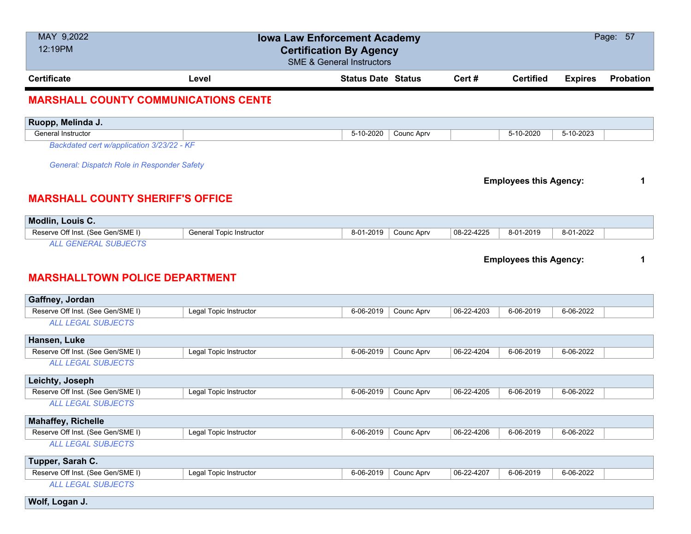| MAY 9,2022<br>12:19PM                       |                                 | <b>Iowa Law Enforcement Academy</b><br><b>Certification By Agency</b><br><b>SME &amp; General Instructors</b> |            |            |                               |                | Page: 57  |
|---------------------------------------------|---------------------------------|---------------------------------------------------------------------------------------------------------------|------------|------------|-------------------------------|----------------|-----------|
| <b>Certificate</b>                          | Level                           | <b>Status Date Status</b>                                                                                     |            | Cert#      | <b>Certified</b>              | <b>Expires</b> | Probation |
| <b>MARSHALL COUNTY COMMUNICATIONS CENTE</b> |                                 |                                                                                                               |            |            |                               |                |           |
| Ruopp, Melinda J.                           |                                 |                                                                                                               |            |            |                               |                |           |
| General Instructor                          |                                 | 5-10-2020                                                                                                     | Counc Aprv |            | 5-10-2020                     | 5-10-2023      |           |
| Backdated cert w/application 3/23/22 - KF   |                                 |                                                                                                               |            |            |                               |                |           |
| General: Dispatch Role in Responder Safety  |                                 |                                                                                                               |            |            |                               |                |           |
|                                             |                                 |                                                                                                               |            |            | <b>Employees this Agency:</b> |                | 1         |
| <b>MARSHALL COUNTY SHERIFF'S OFFICE</b>     |                                 |                                                                                                               |            |            |                               |                |           |
|                                             |                                 |                                                                                                               |            |            |                               |                |           |
| Modlin, Louis C.                            |                                 |                                                                                                               |            |            |                               |                |           |
| Reserve Off Inst. (See Gen/SME I)           | <b>General Topic Instructor</b> | 8-01-2019                                                                                                     | Counc Aprv | 08-22-4225 | 8-01-2019                     | 8-01-2022      |           |
| <b>ALL GENERAL SUBJECTS</b>                 |                                 |                                                                                                               |            |            |                               |                |           |
|                                             |                                 |                                                                                                               |            |            | <b>Employees this Agency:</b> |                | 1         |
| <b>MARSHALLTOWN POLICE DEPARTMENT</b>       |                                 |                                                                                                               |            |            |                               |                |           |
| Gaffney, Jordan                             |                                 |                                                                                                               |            |            |                               |                |           |
| Reserve Off Inst. (See Gen/SME I)           | Legal Topic Instructor          | 6-06-2019                                                                                                     | Counc Aprv | 06-22-4203 | 6-06-2019                     | 6-06-2022      |           |
| <b>ALL LEGAL SUBJECTS</b>                   |                                 |                                                                                                               |            |            |                               |                |           |
| Hansen, Luke                                |                                 |                                                                                                               |            |            |                               |                |           |
| Reserve Off Inst. (See Gen/SME I)           | Legal Topic Instructor          | 6-06-2019                                                                                                     | Counc Aprv | 06-22-4204 | 6-06-2019                     | 6-06-2022      |           |
| <b>ALL LEGAL SUBJECTS</b>                   |                                 |                                                                                                               |            |            |                               |                |           |
| Leichty, Joseph                             |                                 |                                                                                                               |            |            |                               |                |           |
| Reserve Off Inst. (See Gen/SME I)           | Legal Topic Instructor          | 6-06-2019                                                                                                     | Counc Aprv | 06-22-4205 | 6-06-2019                     | 6-06-2022      |           |
| <b>ALL LEGAL SUBJECTS</b>                   |                                 |                                                                                                               |            |            |                               |                |           |
| <b>Mahaffey, Richelle</b>                   |                                 |                                                                                                               |            |            |                               |                |           |
| Reserve Off Inst. (See Gen/SME I)           | Legal Topic Instructor          | 6-06-2019                                                                                                     | Counc Aprv | 06-22-4206 | 6-06-2019                     | 6-06-2022      |           |
| <b>ALL LEGAL SUBJECTS</b>                   |                                 |                                                                                                               |            |            |                               |                |           |
| Tupper, Sarah C.                            |                                 |                                                                                                               |            |            |                               |                |           |
| Reserve Off Inst. (See Gen/SME I)           | Legal Topic Instructor          | 6-06-2019                                                                                                     | Counc Aprv | 06-22-4207 | 6-06-2019                     | 6-06-2022      |           |
| <b>ALL LEGAL SUBJECTS</b>                   |                                 |                                                                                                               |            |            |                               |                |           |
| Wolf, Logan J.                              |                                 |                                                                                                               |            |            |                               |                |           |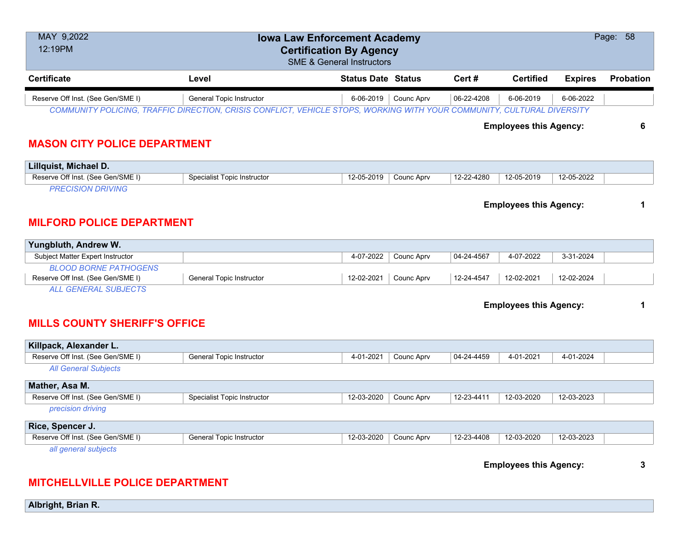| MAY 9,2022<br>12:19PM             | Page: 58<br><b>Iowa Law Enforcement Academy</b><br><b>Certification By Agency</b><br><b>SME &amp; General Instructors</b> |                           |            |            |                               |                |                  |  |  |
|-----------------------------------|---------------------------------------------------------------------------------------------------------------------------|---------------------------|------------|------------|-------------------------------|----------------|------------------|--|--|
| <b>Certificate</b>                | Level                                                                                                                     | <b>Status Date Status</b> |            | Cert #     | <b>Certified</b>              | <b>Expires</b> | <b>Probation</b> |  |  |
| Reserve Off Inst. (See Gen/SME I) | <b>General Topic Instructor</b>                                                                                           | $6 - 06 - 2019$           | Counc Aprv | 06-22-4208 | 6-06-2019                     | 6-06-2022      |                  |  |  |
|                                   | COMMUNITY POLICING, TRAFFIC DIRECTION, CRISIS CONFLICT, VEHICLE STOPS, WORKING WITH YOUR COMMUNITY, CULTURAL DIVERSITY    |                           |            |            |                               |                |                  |  |  |
|                                   |                                                                                                                           |                           |            |            | <b>Employees this Agency:</b> |                | 6                |  |  |

### **MASON CITY POLICE DEPARTMENT**

| Lillquist, Michael D.             |                             |            |            |            |            |            |  |
|-----------------------------------|-----------------------------|------------|------------|------------|------------|------------|--|
| Reserve Off Inst. (See Gen/SME I) | Specialist Topic Instructor | 12-05-2019 | Counc Apry | 12-22-4280 | 12-05-2019 | 12-05-2022 |  |
|                                   |                             |            |            |            |            |            |  |

**Employees this Agency: 1**

#### **MILFORD POLICE DEPARTMENT**

| Yungbluth, Andrew W.              |                                 |            |            |            |            |            |  |
|-----------------------------------|---------------------------------|------------|------------|------------|------------|------------|--|
| Subject Matter Expert Instructor  |                                 | 4-07-2022  | Counc Aprv | 04-24-4567 | 4-07-2022  | 3-31-2024  |  |
| <b>BLOOD BORNE PATHOGENS</b>      |                                 |            |            |            |            |            |  |
| Reserve Off Inst. (See Gen/SME I) | <b>General Topic Instructor</b> | 12-02-2021 | Counc Aprv | 12-24-4547 | 12-02-2021 | 12-02-2024 |  |
| 11.25                             |                                 |            |            |            |            |            |  |

*ALL GENERAL SUBJECTS*

**Employees this Agency: 1**

## **MILLS COUNTY SHERIFF'S OFFICE**

| Killpack, Alexander L.            |                                    |                                                                    |  |
|-----------------------------------|------------------------------------|--------------------------------------------------------------------|--|
| Reserve Off Inst. (See Gen/SME I) | General Topic Instructor           | 04-24-4459<br>4-01-2021<br>Counc Aprv<br>4-01-2021<br>4-01-2024    |  |
| <b>All General Subjects</b>       |                                    |                                                                    |  |
| Mather, Asa M.                    |                                    |                                                                    |  |
| Reserve Off Inst. (See Gen/SME I) | <b>Specialist Topic Instructor</b> | 12-03-2020<br>12-23-4411<br>Counc Aprv<br>12-03-2020<br>12-03-2023 |  |
| precision driving                 |                                    |                                                                    |  |
| Rice, Spencer J.                  |                                    |                                                                    |  |
| Reserve Off Inst. (See Gen/SME I) | General Topic Instructor           | 12-03-2020<br>12-23-4408<br>12-03-2020<br>12-03-2023<br>Counc Aprv |  |
| all general subjects              |                                    |                                                                    |  |

**Employees this Agency: 3**

# **MITCHELLVILLE POLICE DEPARTMENT**

**Albright, Brian R.**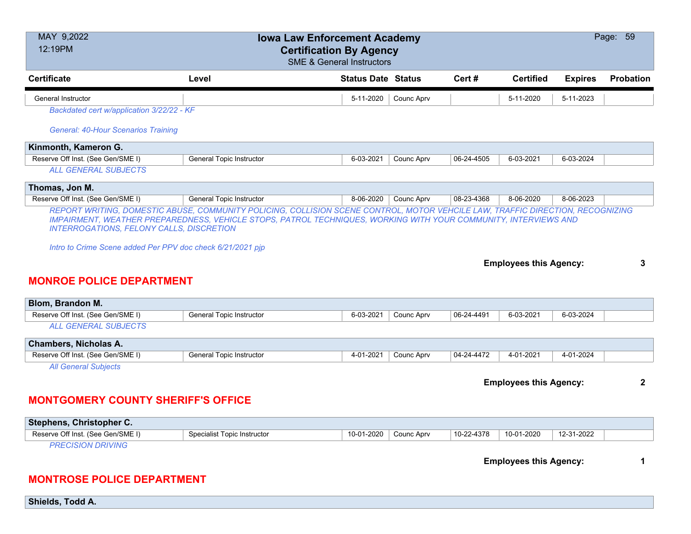| MAY 9,2022<br>Page: 59<br><b>Iowa Law Enforcement Academy</b><br>12:19PM<br><b>Certification By Agency</b><br><b>SME &amp; General Instructors</b> |                                 |                           |            |            |                               |                |                  |  |
|----------------------------------------------------------------------------------------------------------------------------------------------------|---------------------------------|---------------------------|------------|------------|-------------------------------|----------------|------------------|--|
| <b>Certificate</b>                                                                                                                                 | Level                           | <b>Status Date Status</b> |            | Cert#      | <b>Certified</b>              | <b>Expires</b> | <b>Probation</b> |  |
| <b>General Instructor</b>                                                                                                                          |                                 | 5-11-2020                 | Counc Aprv |            | 5-11-2020                     | 5-11-2023      |                  |  |
| Backdated cert w/application 3/22/22 - KF                                                                                                          |                                 |                           |            |            |                               |                |                  |  |
| <b>General: 40-Hour Scenarios Training</b>                                                                                                         |                                 |                           |            |            |                               |                |                  |  |
| Kinmonth, Kameron G.                                                                                                                               |                                 |                           |            |            |                               |                |                  |  |
| Reserve Off Inst. (See Gen/SME I)                                                                                                                  | <b>General Topic Instructor</b> | 6-03-2021                 | Counc Aprv | 06-24-4505 | 6-03-2021                     | 6-03-2024      |                  |  |
| <b>ALL GENERAL SUBJECTS</b>                                                                                                                        |                                 |                           |            |            |                               |                |                  |  |
| Thomas, Jon M.                                                                                                                                     |                                 |                           |            |            |                               |                |                  |  |
| Reserve Off Inst. (See Gen/SME I)                                                                                                                  | General Topic Instructor        | 8-06-2020                 | Counc Aprv | 08-23-4368 | 8-06-2020                     | 8-06-2023      |                  |  |
| <b>MONROE POLICE DEPARTMENT</b>                                                                                                                    |                                 |                           |            |            |                               |                |                  |  |
| Blom, Brandon M.                                                                                                                                   |                                 | 6-03-2021                 |            | 06-24-4491 | 6-03-2021                     | 6-03-2024      |                  |  |
| Reserve Off Inst. (See Gen/SME I)                                                                                                                  | General Topic Instructor        |                           | Counc Aprv |            |                               |                |                  |  |
| <b>ALL GENERAL SUBJECTS</b>                                                                                                                        |                                 |                           |            |            |                               |                |                  |  |
| <b>Chambers, Nicholas A.</b>                                                                                                                       |                                 |                           |            |            |                               |                |                  |  |
| Reserve Off Inst. (See Gen/SME I)                                                                                                                  | <b>General Topic Instructor</b> | 4-01-2021                 | Counc Aprv | 04-24-4472 | 4-01-2021                     | 4-01-2024      |                  |  |
| <b>All General Subjects</b>                                                                                                                        |                                 |                           |            |            |                               |                |                  |  |
|                                                                                                                                                    |                                 |                           |            |            |                               |                |                  |  |
|                                                                                                                                                    |                                 |                           |            |            | <b>Employees this Agency:</b> |                | $\mathbf{2}$     |  |
| <b>MONTGOMERY COUNTY SHERIFF'S OFFICE</b>                                                                                                          |                                 |                           |            |            |                               |                |                  |  |
| Stephens, Christopher C.                                                                                                                           |                                 |                           |            |            |                               |                |                  |  |
| Reserve Off Inst. (See Gen/SME I)                                                                                                                  | Specialist Topic Instructor     | 10-01-2020                | Counc Aprv | 10-22-4378 | 10-01-2020                    | 12-31-2022     |                  |  |
| <b>PRECISION DRIVING</b>                                                                                                                           |                                 |                           |            |            |                               |                |                  |  |
|                                                                                                                                                    |                                 |                           |            |            | <b>Employees this Agency:</b> |                |                  |  |

**Shields, Todd A.**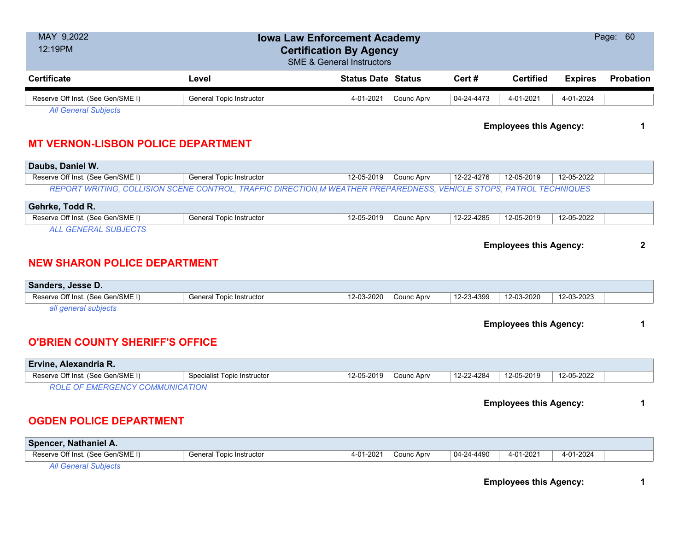| MAY 9,2022<br>12:19PM                                            | Page: 60<br><b>Iowa Law Enforcement Academy</b><br><b>Certification By Agency</b><br><b>SME &amp; General Instructors</b> |                           |            |            |                               |                |                  |  |  |
|------------------------------------------------------------------|---------------------------------------------------------------------------------------------------------------------------|---------------------------|------------|------------|-------------------------------|----------------|------------------|--|--|
| <b>Certificate</b>                                               | Level                                                                                                                     | <b>Status Date Status</b> |            | Cert#      | <b>Certified</b>              | <b>Expires</b> | <b>Probation</b> |  |  |
| Reserve Off Inst. (See Gen/SME I)                                | <b>General Topic Instructor</b>                                                                                           | 4-01-2021                 | Counc Aprv | 04-24-4473 | 4-01-2021                     | 4-01-2024      |                  |  |  |
| <b>All General Subjects</b>                                      |                                                                                                                           |                           |            |            | <b>Employees this Agency:</b> |                | 1                |  |  |
| <b>MT VERNON-LISBON POLICE DEPARTMENT</b>                        |                                                                                                                           |                           |            |            |                               |                |                  |  |  |
| Daubs, Daniel W.                                                 |                                                                                                                           |                           |            |            |                               |                |                  |  |  |
| Reserve Off Inst. (See Gen/SME I)                                | <b>General Topic Instructor</b>                                                                                           | 12-05-2019                | Counc Aprv | 12-22-4276 | $12 - 05 - 2019$              | 12-05-2022     |                  |  |  |
|                                                                  | REPORT WRITING, COLLISION SCENE CONTROL, TRAFFIC DIRECTION, M WEATHER PREPAREDNESS, VEHICLE STOPS, PATROL TECHNIQUES      |                           |            |            |                               |                |                  |  |  |
| Gehrke, Todd R.                                                  |                                                                                                                           |                           |            |            |                               |                |                  |  |  |
| Reserve Off Inst. (See Gen/SME I)                                | General Topic Instructor                                                                                                  | 12-05-2019                | Counc Aprv | 12-22-4285 | 12-05-2019                    | 12-05-2022     |                  |  |  |
| <b>NEW SHARON POLICE DEPARTMENT</b><br>Sanders, Jesse D.         |                                                                                                                           |                           |            |            |                               |                |                  |  |  |
| Reserve Off Inst. (See Gen/SME I)                                | General Topic Instructor                                                                                                  | 12-03-2020                | Counc Aprv | 12-23-4399 | 12-03-2020                    | 12-03-2023     |                  |  |  |
| all general subjects                                             |                                                                                                                           |                           |            |            |                               |                |                  |  |  |
| <b>O'BRIEN COUNTY SHERIFF'S OFFICE</b>                           |                                                                                                                           |                           |            |            | <b>Employees this Agency:</b> |                | 1                |  |  |
| Ervine, Alexandria R.                                            |                                                                                                                           |                           |            |            |                               |                |                  |  |  |
| Reserve Off Inst. (See Gen/SME I)                                | Specialist Topic Instructor                                                                                               | 12-05-2019                | Counc Aprv | 12-22-4284 | 12-05-2019                    | 12-05-2022     |                  |  |  |
| <b>ROLE OF EMERGENCY COMMUNICATION</b>                           |                                                                                                                           |                           |            |            |                               |                |                  |  |  |
|                                                                  |                                                                                                                           |                           |            |            |                               |                |                  |  |  |
|                                                                  |                                                                                                                           |                           |            |            | <b>Employees this Agency:</b> |                | 1                |  |  |
| <b>OGDEN POLICE DEPARTMENT</b>                                   |                                                                                                                           |                           |            |            |                               |                |                  |  |  |
| Spencer, Nathaniel A.                                            |                                                                                                                           |                           |            |            |                               |                |                  |  |  |
| Reserve Off Inst. (See Gen/SME I)<br><b>All General Subjects</b> | <b>General Topic Instructor</b>                                                                                           | 4-01-2021                 | Counc Aprv | 04-24-4490 | 4-01-2021                     | 4-01-2024      |                  |  |  |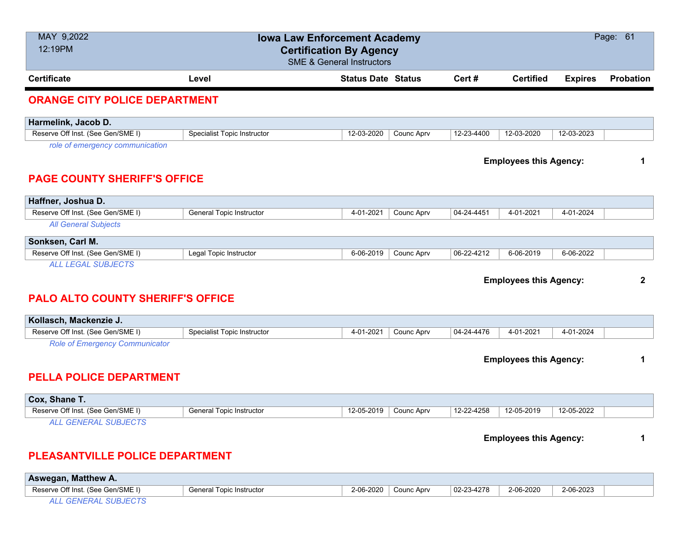| MAY 9,2022<br>12:19PM                    | Page: 61<br><b>Iowa Law Enforcement Academy</b><br><b>Certification By Agency</b><br><b>SME &amp; General Instructors</b> |                           |            |            |                               |                |                  |  |  |  |
|------------------------------------------|---------------------------------------------------------------------------------------------------------------------------|---------------------------|------------|------------|-------------------------------|----------------|------------------|--|--|--|
| <b>Certificate</b>                       | Level                                                                                                                     | <b>Status Date Status</b> |            | Cert#      | <b>Certified</b>              | <b>Expires</b> | <b>Probation</b> |  |  |  |
| <b>ORANGE CITY POLICE DEPARTMENT</b>     |                                                                                                                           |                           |            |            |                               |                |                  |  |  |  |
| Harmelink, Jacob D.                      |                                                                                                                           |                           |            |            |                               |                |                  |  |  |  |
| Reserve Off Inst. (See Gen/SME I)        | <b>Specialist Topic Instructor</b>                                                                                        | 12-03-2020                | Counc Aprv | 12-23-4400 | 12-03-2020                    | 12-03-2023     |                  |  |  |  |
| role of emergency communication          |                                                                                                                           |                           |            |            |                               |                |                  |  |  |  |
|                                          |                                                                                                                           |                           |            |            | <b>Employees this Agency:</b> |                | 1                |  |  |  |
| <b>PAGE COUNTY SHERIFF'S OFFICE</b>      |                                                                                                                           |                           |            |            |                               |                |                  |  |  |  |
|                                          |                                                                                                                           |                           |            |            |                               |                |                  |  |  |  |
| Haffner, Joshua D.                       |                                                                                                                           |                           |            |            |                               |                |                  |  |  |  |
| Reserve Off Inst. (See Gen/SME I)        | <b>General Topic Instructor</b>                                                                                           | 4-01-2021                 | Counc Aprv | 04-24-4451 | 4-01-2021                     | 4-01-2024      |                  |  |  |  |
| <b>All General Subjects</b>              |                                                                                                                           |                           |            |            |                               |                |                  |  |  |  |
| Sonksen, Carl M.                         |                                                                                                                           |                           |            |            |                               |                |                  |  |  |  |
| Reserve Off Inst. (See Gen/SME I)        | Legal Topic Instructor                                                                                                    | 6-06-2019                 | Counc Aprv | 06-22-4212 | 6-06-2019                     | 6-06-2022      |                  |  |  |  |
| <b>ALL LEGAL SUBJECTS</b>                |                                                                                                                           |                           |            |            |                               |                |                  |  |  |  |
|                                          |                                                                                                                           |                           |            |            | <b>Employees this Agency:</b> |                | $\mathbf{2}$     |  |  |  |
| <b>PALO ALTO COUNTY SHERIFF'S OFFICE</b> |                                                                                                                           |                           |            |            |                               |                |                  |  |  |  |
| Kollasch, Mackenzie J.                   |                                                                                                                           |                           |            |            |                               |                |                  |  |  |  |
| Reserve Off Inst. (See Gen/SME I)        | <b>Specialist Topic Instructor</b>                                                                                        | 4-01-2021                 | Counc Aprv | 04-24-4476 | 4-01-2021                     | 4-01-2024      |                  |  |  |  |
| <b>Role of Emergency Communicator</b>    |                                                                                                                           |                           |            |            |                               |                |                  |  |  |  |
|                                          |                                                                                                                           |                           |            |            | <b>Employees this Agency:</b> |                | 1                |  |  |  |
|                                          |                                                                                                                           |                           |            |            |                               |                |                  |  |  |  |
| <b>PELLA POLICE DEPARTMENT</b>           |                                                                                                                           |                           |            |            |                               |                |                  |  |  |  |
| Cox, Shane T.                            |                                                                                                                           |                           |            |            |                               |                |                  |  |  |  |
| Reserve Off Inst. (See Gen/SME I)        | <b>General Topic Instructor</b>                                                                                           | 12-05-2019                | Counc Aprv | 12-22-4258 | 12-05-2019                    | 12-05-2022     |                  |  |  |  |
| <b>ALL GENERAL SUBJECTS</b>              |                                                                                                                           |                           |            |            |                               |                |                  |  |  |  |
|                                          |                                                                                                                           |                           |            |            | <b>Employees this Agency:</b> |                | 1                |  |  |  |
| PLEASANTVILLE POLICE DEPARTMENT          |                                                                                                                           |                           |            |            |                               |                |                  |  |  |  |
| Aswegan, Matthew A.                      |                                                                                                                           |                           |            |            |                               |                |                  |  |  |  |

Reserve Off Inst. (See Gen/SME I) General Topic Instructor 2-06-2020 2-06-2020 Counc Aprv 02-23-4278 2-06-2020 2-06-2023

*ALL GENERAL SUBJECTS*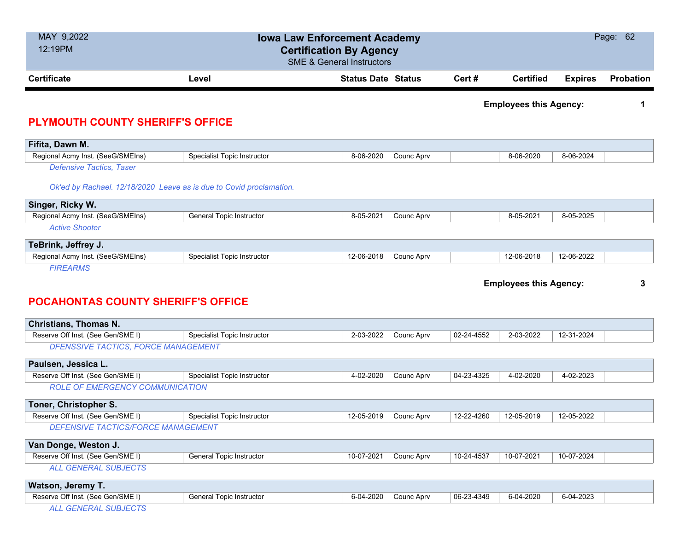| MAY 9,2022<br>12:19PM                                               | <b>Iowa Law Enforcement Academy</b><br><b>Certification By Agency</b><br><b>SME &amp; General Instructors</b> |                           |        |                               |                |                  |  |  |
|---------------------------------------------------------------------|---------------------------------------------------------------------------------------------------------------|---------------------------|--------|-------------------------------|----------------|------------------|--|--|
| <b>Certificate</b>                                                  | Level                                                                                                         | <b>Status Date Status</b> | Cert # | <b>Certified</b>              | <b>Expires</b> | <b>Probation</b> |  |  |
|                                                                     |                                                                                                               |                           |        | <b>Employees this Agency:</b> |                |                  |  |  |
| <b>PLYMOUTH COUNTY SHERIFF'S OFFICE</b>                             |                                                                                                               |                           |        |                               |                |                  |  |  |
| Fifita, Dawn M.                                                     |                                                                                                               |                           |        |                               |                |                  |  |  |
| Regional Acmy Inst. (SeeG/SMEIns)                                   | <b>Specialist Topic Instructor</b>                                                                            | 8-06-2020<br>Counc Aprv   |        | 8-06-2020                     | 8-06-2024      |                  |  |  |
| <b>Defensive Tactics, Taser</b>                                     |                                                                                                               |                           |        |                               |                |                  |  |  |
| Ok'ed by Rachael. 12/18/2020 Leave as is due to Covid proclamation. |                                                                                                               |                           |        |                               |                |                  |  |  |
| Singer, Ricky W.                                                    |                                                                                                               |                           |        |                               |                |                  |  |  |
| Regional Acmy Inst. (SeeG/SMEIns)                                   | General Topic Instructor                                                                                      | 8-05-2021<br>Counc Aprv   |        | 8-05-2021                     | 8-05-2025      |                  |  |  |

|                       | $(0.11)$ (called the $(0.000)$ called the $(0.000)$ |  |
|-----------------------|-----------------------------------------------------|--|
| <b>Active Shooter</b> |                                                     |  |

| TeBrink, Jeffrey J.               |                             |            |            |            |            |  |
|-----------------------------------|-----------------------------|------------|------------|------------|------------|--|
| Regional Acmy Inst. (SeeG/SMEIns) | Specialist Topic Instructor | 12-06-2018 | Counc Apry | 12-06-2018 | 12-06-2022 |  |
| <b>FIREARMJ</b>                   |                             |            |            |            |            |  |

**Employees this Agency: 3**

### **POCAHONTAS COUNTY SHERIFF'S OFFICE**

| <b>Christians, Thomas N.</b>               |                                    |            |            |            |            |            |  |  |  |
|--------------------------------------------|------------------------------------|------------|------------|------------|------------|------------|--|--|--|
| Reserve Off Inst. (See Gen/SME I)          | Specialist Topic Instructor        | 2-03-2022  | Counc Aprv | 02-24-4552 | 2-03-2022  | 12-31-2024 |  |  |  |
| <b>DFENSSIVE TACTICS, FORCE MANAGEMENT</b> |                                    |            |            |            |            |            |  |  |  |
| Paulsen, Jessica L.                        |                                    |            |            |            |            |            |  |  |  |
| Reserve Off Inst. (See Gen/SME I)          | <b>Specialist Topic Instructor</b> | 4-02-2020  | Counc Aprv | 04-23-4325 | 4-02-2020  | 4-02-2023  |  |  |  |
| <b>ROLE OF EMERGENCY COMMUNICATION</b>     |                                    |            |            |            |            |            |  |  |  |
| Toner, Christopher S.                      |                                    |            |            |            |            |            |  |  |  |
| Reserve Off Inst. (See Gen/SME I)          | Specialist Topic Instructor        | 12-05-2019 | Counc Aprv | 12-22-4260 | 12-05-2019 | 12-05-2022 |  |  |  |
| <b>DEFENSIVE TACTICS/FORCE MANAGEMENT</b>  |                                    |            |            |            |            |            |  |  |  |
| Van Donge, Weston J.                       |                                    |            |            |            |            |            |  |  |  |
| Reserve Off Inst. (See Gen/SME I)          | General Topic Instructor           | 10-07-2021 | Counc Aprv | 10-24-4537 | 10-07-2021 | 10-07-2024 |  |  |  |
| <b>ALL GENERAL SUBJECTS</b>                |                                    |            |            |            |            |            |  |  |  |
| Watson, Jeremy T.                          |                                    |            |            |            |            |            |  |  |  |
| Reserve Off Inst. (See Gen/SME I)          | General Topic Instructor           | 6-04-2020  | Counc Aprv | 06-23-4349 | 6-04-2020  | 6-04-2023  |  |  |  |

*ALL GENERAL SUBJECTS*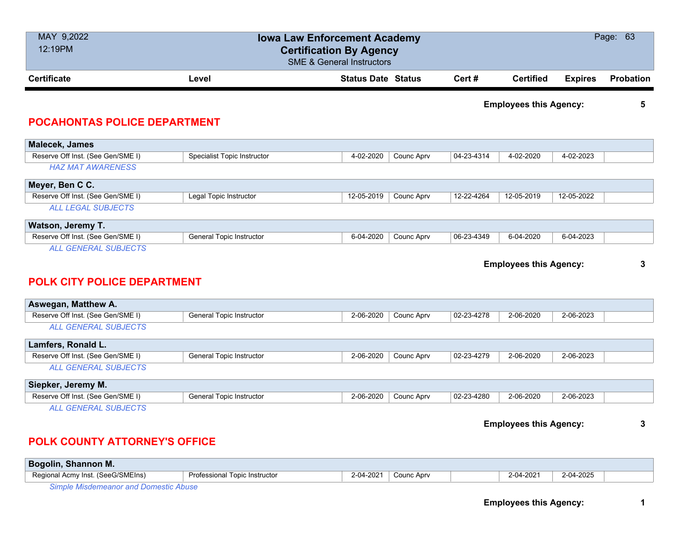| MAY 9,2022<br>12:19PM                                             | <b>Iowa Law Enforcement Academy</b><br><b>Certification By Agency</b><br><b>SME &amp; General Instructors</b> |                           |            |            |                               |                | Page: 63         |
|-------------------------------------------------------------------|---------------------------------------------------------------------------------------------------------------|---------------------------|------------|------------|-------------------------------|----------------|------------------|
| <b>Certificate</b>                                                | Level                                                                                                         | <b>Status Date Status</b> |            | Cert#      | <b>Certified</b>              | <b>Expires</b> | <b>Probation</b> |
| <b>POCAHONTAS POLICE DEPARTMENT</b>                               |                                                                                                               |                           |            |            | <b>Employees this Agency:</b> |                | 5                |
| Malecek, James                                                    |                                                                                                               |                           |            |            |                               |                |                  |
| Reserve Off Inst. (See Gen/SME I)                                 | Specialist Topic Instructor                                                                                   | 4-02-2020                 | Counc Aprv | 04-23-4314 | 4-02-2020                     | 4-02-2023      |                  |
| <b>HAZ MAT AWARENESS</b>                                          |                                                                                                               |                           |            |            |                               |                |                  |
| Meyer, Ben C C.                                                   |                                                                                                               |                           |            |            |                               |                |                  |
| Reserve Off Inst. (See Gen/SME I)                                 | Legal Topic Instructor                                                                                        | 12-05-2019                | Counc Aprv | 12-22-4264 | 12-05-2019                    | 12-05-2022     |                  |
| <b>ALL LEGAL SUBJECTS</b>                                         |                                                                                                               |                           |            |            |                               |                |                  |
| Watson, Jeremy T.                                                 |                                                                                                               |                           |            |            |                               |                |                  |
| Reserve Off Inst. (See Gen/SME I)                                 | General Topic Instructor                                                                                      | 6-04-2020                 | Counc Aprv | 06-23-4349 | 6-04-2020                     | 6-04-2023      |                  |
| <b>ALL GENERAL SUBJECTS</b><br><b>POLK CITY POLICE DEPARTMENT</b> |                                                                                                               |                           |            |            | <b>Employees this Agency:</b> |                | 3                |
| Aswegan, Matthew A.                                               |                                                                                                               |                           |            |            |                               |                |                  |
| Reserve Off Inst. (See Gen/SME I)                                 | General Topic Instructor                                                                                      | 2-06-2020                 | Counc Aprv | 02-23-4278 | 2-06-2020                     | 2-06-2023      |                  |
| <b>ALL GENERAL SUBJECTS</b>                                       |                                                                                                               |                           |            |            |                               |                |                  |
| Lamfers, Ronald L.                                                |                                                                                                               |                           |            |            |                               |                |                  |
| Reserve Off Inst. (See Gen/SME I)                                 | General Topic Instructor                                                                                      | 2-06-2020                 | Counc Aprv | 02-23-4279 | 2-06-2020                     | 2-06-2023      |                  |
| <b>ALL GENERAL SUBJECTS</b>                                       |                                                                                                               |                           |            |            |                               |                |                  |
| Siepker, Jeremy M.                                                |                                                                                                               |                           |            |            |                               |                |                  |
| Reserve Off Inst. (See Gen/SME I)                                 | <b>General Topic Instructor</b>                                                                               | 2-06-2020                 | Counc Aprv | 02-23-4280 | 2-06-2020                     | 2-06-2023      |                  |
| <b>ALL GENERAL SUBJECTS</b>                                       |                                                                                                               |                           |            |            | <b>Employees this Agency:</b> |                | 3                |

#### **POLK COUNTY ATTORNEY'S OFFICE**

| <b>Bogolin, Shannon M.</b>        |                               |           |            |                |           |  |
|-----------------------------------|-------------------------------|-----------|------------|----------------|-----------|--|
| Regional Acmy Inst. (SeeG/SMEIns) | Professional Topic Instructor | 2-04-2021 | Counc Aprv | $2 - 04 - 202$ | 2-04-2025 |  |
| $\sim$                            |                               |           |            |                |           |  |

*Simple Misdemeanor and Domestic Abuse*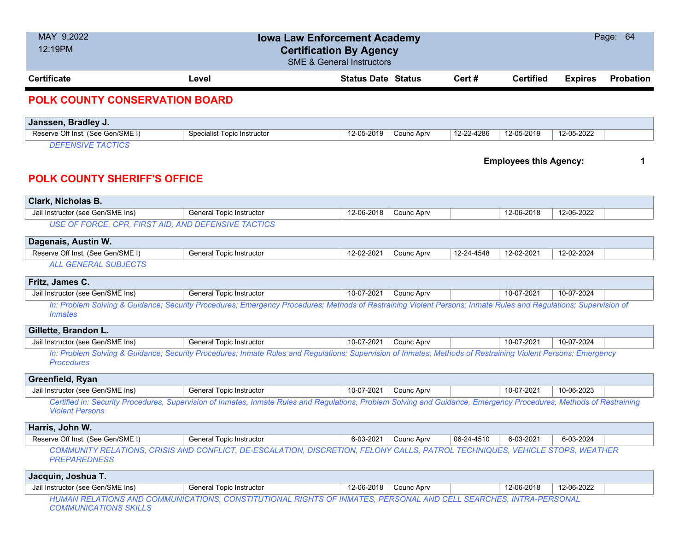| MAY 9,2022<br>12:19PM                                                                            | Page: 64<br><b>Iowa Law Enforcement Academy</b><br><b>Certification By Agency</b><br><b>SME &amp; General Instructors</b>                                           |                           |                   |            |                  |                |                  |  |  |  |
|--------------------------------------------------------------------------------------------------|---------------------------------------------------------------------------------------------------------------------------------------------------------------------|---------------------------|-------------------|------------|------------------|----------------|------------------|--|--|--|
| <b>Certificate</b>                                                                               | Level                                                                                                                                                               | <b>Status Date Status</b> |                   | Cert#      | <b>Certified</b> | <b>Expires</b> | <b>Probation</b> |  |  |  |
| <b>POLK COUNTY CONSERVATION BOARD</b>                                                            |                                                                                                                                                                     |                           |                   |            |                  |                |                  |  |  |  |
| Janssen, Bradley J.                                                                              |                                                                                                                                                                     |                           |                   |            |                  |                |                  |  |  |  |
| Reserve Off Inst. (See Gen/SME I)                                                                | Specialist Topic Instructor                                                                                                                                         | 12-05-2019                | Counc Aprv        | 12-22-4286 | 12-05-2019       | 12-05-2022     |                  |  |  |  |
| <b>DEFENSIVE TACTICS</b><br><b>Employees this Agency:</b><br><b>POLK COUNTY SHERIFF'S OFFICE</b> |                                                                                                                                                                     |                           |                   |            |                  |                |                  |  |  |  |
| Clark, Nicholas B.                                                                               |                                                                                                                                                                     |                           |                   |            |                  |                |                  |  |  |  |
| Jail Instructor (see Gen/SME Ins)                                                                | General Topic Instructor                                                                                                                                            | 12-06-2018                | Counc Aprv        |            | 12-06-2018       | 12-06-2022     |                  |  |  |  |
| USE OF FORCE, CPR, FIRST AID, AND DEFENSIVE TACTICS                                              |                                                                                                                                                                     |                           |                   |            |                  |                |                  |  |  |  |
| Dagenais, Austin W.                                                                              |                                                                                                                                                                     |                           |                   |            |                  |                |                  |  |  |  |
| Reserve Off Inst. (See Gen/SME I)                                                                | General Topic Instructor                                                                                                                                            | 12-02-2021                | Counc Aprv        | 12-24-4548 | 12-02-2021       | 12-02-2024     |                  |  |  |  |
| <b>ALL GENERAL SUBJECTS</b>                                                                      |                                                                                                                                                                     |                           |                   |            |                  |                |                  |  |  |  |
| Fritz, James C.                                                                                  |                                                                                                                                                                     |                           |                   |            |                  |                |                  |  |  |  |
| Jail Instructor (see Gen/SME Ins)                                                                | General Topic Instructor                                                                                                                                            | 10-07-2021                | Counc Aprv        |            | 10-07-2021       | 10-07-2024     |                  |  |  |  |
| <i>Inmates</i>                                                                                   | In: Problem Solving & Guidance; Security Procedures; Emergency Procedures; Methods of Restraining Violent Persons; Inmate Rules and Regulations; Supervision of     |                           |                   |            |                  |                |                  |  |  |  |
| Gillette, Brandon L.                                                                             |                                                                                                                                                                     |                           |                   |            |                  |                |                  |  |  |  |
| Jail Instructor (see Gen/SME Ins)                                                                | General Topic Instructor                                                                                                                                            | 10-07-2021                | Counc Aprv        |            | 10-07-2021       | 10-07-2024     |                  |  |  |  |
| <b>Procedures</b>                                                                                | In: Problem Solving & Guidance; Security Procedures; Inmate Rules and Regulations; Supervision of Inmates; Methods of Restraining Violent Persons; Emergency        |                           |                   |            |                  |                |                  |  |  |  |
| Greenfield, Ryan                                                                                 |                                                                                                                                                                     |                           |                   |            |                  |                |                  |  |  |  |
| Jail Instructor (see Gen/SME Ins)                                                                | <b>General Topic Instructor</b>                                                                                                                                     | 10-07-2021                | <b>Counc Aprv</b> |            | 10-07-2021       | 10-06-2023     |                  |  |  |  |
| <b>Violent Persons</b>                                                                           | Certified in: Security Procedures, Supervision of Inmates, Inmate Rules and Regulations, Problem Solving and Guidance, Emergency Procedures, Methods of Restraining |                           |                   |            |                  |                |                  |  |  |  |
| Harris, John W.                                                                                  |                                                                                                                                                                     |                           |                   |            |                  |                |                  |  |  |  |
| Reserve Off Inst. (See Gen/SME I)                                                                | <b>General Topic Instructor</b>                                                                                                                                     | 6-03-2021                 | Counc Aprv        | 06-24-4510 | 6-03-2021        | 6-03-2024      |                  |  |  |  |
| <b>PREPAREDNESS</b>                                                                              | COMMUNITY RELATIONS, CRISIS AND CONFLICT, DE-ESCALATION, DISCRETION, FELONY CALLS, PATROL TECHNIQUES, VEHICLE STOPS, WEATHER                                        |                           |                   |            |                  |                |                  |  |  |  |
| Jacquin, Joshua T.                                                                               |                                                                                                                                                                     |                           |                   |            |                  |                |                  |  |  |  |
| Jail Instructor (see Gen/SME Ins)                                                                | General Topic Instructor                                                                                                                                            | 12-06-2018                | Counc Aprv        |            | 12-06-2018       | 12-06-2022     |                  |  |  |  |
| <b>COMMUNICATIONS SKILLS</b>                                                                     | HUMAN RELATIONS AND COMMUNICATIONS, CONSTITUTIONAL RIGHTS OF INMATES, PERSONAL AND CELL SEARCHES, INTRA-PERSONAL                                                    |                           |                   |            |                  |                |                  |  |  |  |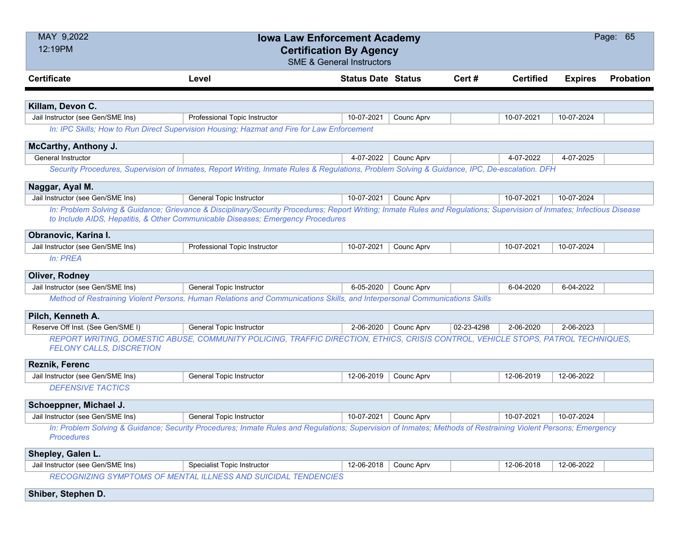| MAY 9,2022<br>Page: 65<br><b>Iowa Law Enforcement Academy</b><br>12:19PM<br><b>Certification By Agency</b><br><b>SME &amp; General Instructors</b> |                                                                                                                                                                        |                           |            |            |                  |                |                  |  |  |
|----------------------------------------------------------------------------------------------------------------------------------------------------|------------------------------------------------------------------------------------------------------------------------------------------------------------------------|---------------------------|------------|------------|------------------|----------------|------------------|--|--|
| <b>Certificate</b>                                                                                                                                 | Level                                                                                                                                                                  | <b>Status Date Status</b> |            | Cert#      | <b>Certified</b> | <b>Expires</b> | <b>Probation</b> |  |  |
|                                                                                                                                                    |                                                                                                                                                                        |                           |            |            |                  |                |                  |  |  |
| Killam, Devon C.                                                                                                                                   |                                                                                                                                                                        |                           |            |            |                  |                |                  |  |  |
| Jail Instructor (see Gen/SME Ins)                                                                                                                  | Professional Topic Instructor                                                                                                                                          | 10-07-2021                | Counc Aprv |            | 10-07-2021       | 10-07-2024     |                  |  |  |
| In: IPC Skills; How to Run Direct Supervision Housing; Hazmat and Fire for Law Enforcement                                                         |                                                                                                                                                                        |                           |            |            |                  |                |                  |  |  |
| McCarthy, Anthony J.                                                                                                                               |                                                                                                                                                                        |                           |            |            |                  |                |                  |  |  |
| General Instructor                                                                                                                                 |                                                                                                                                                                        | 4-07-2022                 | Counc Aprv |            | 4-07-2022        | 4-07-2025      |                  |  |  |
|                                                                                                                                                    | Security Procedures, Supervision of Inmates, Report Writing, Inmate Rules & Regulations, Problem Solving & Guidance, IPC, De-escalation. DFH                           |                           |            |            |                  |                |                  |  |  |
| Naggar, Ayal M.                                                                                                                                    |                                                                                                                                                                        |                           |            |            |                  |                |                  |  |  |
| Jail Instructor (see Gen/SME Ins)                                                                                                                  | General Topic Instructor                                                                                                                                               | 10-07-2021                | Counc Aprv |            | 10-07-2021       | 10-07-2024     |                  |  |  |
|                                                                                                                                                    | In: Problem Solving & Guidance; Grievance & Disciplinary/Security Procedures; Report Writing; Inmate Rules and Regulations; Supervision of Inmates; Infectious Disease |                           |            |            |                  |                |                  |  |  |
|                                                                                                                                                    | to Include AIDS, Hepatitis, & Other Communicable Diseases; Emergency Procedures                                                                                        |                           |            |            |                  |                |                  |  |  |
| Obranovic, Karina I.                                                                                                                               |                                                                                                                                                                        |                           |            |            |                  |                |                  |  |  |
| Jail Instructor (see Gen/SME Ins)                                                                                                                  | Professional Topic Instructor                                                                                                                                          | 10-07-2021                | Counc Aprv |            | 10-07-2021       | 10-07-2024     |                  |  |  |
| In: PREA                                                                                                                                           |                                                                                                                                                                        |                           |            |            |                  |                |                  |  |  |
| <b>Oliver, Rodney</b>                                                                                                                              |                                                                                                                                                                        |                           |            |            |                  |                |                  |  |  |
| Jail Instructor (see Gen/SME Ins)                                                                                                                  | General Topic Instructor                                                                                                                                               | 6-05-2020                 | Counc Aprv |            | 6-04-2020        | 6-04-2022      |                  |  |  |
|                                                                                                                                                    | Method of Restraining Violent Persons, Human Relations and Communications Skills, and Interpersonal Communications Skills                                              |                           |            |            |                  |                |                  |  |  |
| Pilch, Kenneth A.                                                                                                                                  |                                                                                                                                                                        |                           |            |            |                  |                |                  |  |  |
| Reserve Off Inst. (See Gen/SME I)                                                                                                                  | General Topic Instructor                                                                                                                                               | 2-06-2020                 | Counc Aprv | 02-23-4298 | 2-06-2020        | 2-06-2023      |                  |  |  |
| <b>FELONY CALLS, DISCRETION</b>                                                                                                                    | REPORT WRITING, DOMESTIC ABUSE, COMMUNITY POLICING, TRAFFIC DIRECTION, ETHICS, CRISIS CONTROL, VEHICLE STOPS, PATROL TECHNIQUES,                                       |                           |            |            |                  |                |                  |  |  |
| <b>Reznik, Ferenc</b>                                                                                                                              |                                                                                                                                                                        |                           |            |            |                  |                |                  |  |  |
| Jail Instructor (see Gen/SME Ins)                                                                                                                  | General Topic Instructor                                                                                                                                               | 12-06-2019                | Counc Aprv |            | 12-06-2019       | 12-06-2022     |                  |  |  |
| <b>DEFENSIVE TACTICS</b>                                                                                                                           |                                                                                                                                                                        |                           |            |            |                  |                |                  |  |  |
| Schoeppner, Michael J.                                                                                                                             |                                                                                                                                                                        |                           |            |            |                  |                |                  |  |  |
| Jail Instructor (see Gen/SME Ins)                                                                                                                  | General Topic Instructor                                                                                                                                               | 10-07-2021                | Counc Aprv |            | 10-07-2021       | 10-07-2024     |                  |  |  |
| <b>Procedures</b>                                                                                                                                  | In: Problem Solving & Guidance; Security Procedures; Inmate Rules and Regulations; Supervision of Inmates; Methods of Restraining Violent Persons; Emergency           |                           |            |            |                  |                |                  |  |  |
| Shepley, Galen L.                                                                                                                                  |                                                                                                                                                                        |                           |            |            |                  |                |                  |  |  |
| Jail Instructor (see Gen/SME Ins)                                                                                                                  | Specialist Topic Instructor                                                                                                                                            | 12-06-2018                | Counc Aprv |            | 12-06-2018       | 12-06-2022     |                  |  |  |
|                                                                                                                                                    | RECOGNIZING SYMPTOMS OF MENTAL ILLNESS AND SUICIDAL TENDENCIES                                                                                                         |                           |            |            |                  |                |                  |  |  |
| Shiber, Stephen D.                                                                                                                                 |                                                                                                                                                                        |                           |            |            |                  |                |                  |  |  |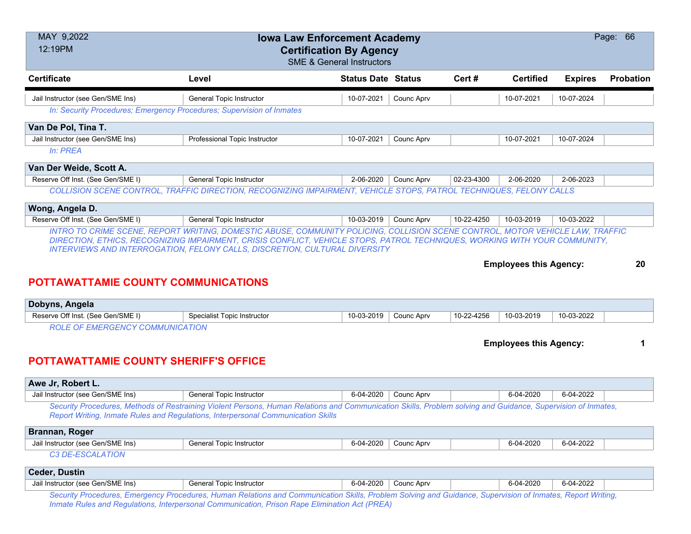| MAY 9,2022<br>Page: 66<br><b>Iowa Law Enforcement Academy</b><br>12:19PM<br><b>Certification By Agency</b><br><b>SME &amp; General Instructors</b> |                                                                                                                                                                                                                                                  |                           |            |            |                               |                |           |  |
|----------------------------------------------------------------------------------------------------------------------------------------------------|--------------------------------------------------------------------------------------------------------------------------------------------------------------------------------------------------------------------------------------------------|---------------------------|------------|------------|-------------------------------|----------------|-----------|--|
| <b>Certificate</b>                                                                                                                                 | Level                                                                                                                                                                                                                                            | <b>Status Date Status</b> |            | Cert#      | <b>Certified</b>              | <b>Expires</b> | Probation |  |
| Jail Instructor (see Gen/SME Ins)                                                                                                                  | General Topic Instructor                                                                                                                                                                                                                         | 10-07-2021                | Counc Aprv |            | 10-07-2021                    | 10-07-2024     |           |  |
|                                                                                                                                                    | In: Security Procedures; Emergency Procedures; Supervision of Inmates                                                                                                                                                                            |                           |            |            |                               |                |           |  |
| Van De Pol, Tina T.                                                                                                                                |                                                                                                                                                                                                                                                  |                           |            |            |                               |                |           |  |
| Jail Instructor (see Gen/SME Ins)                                                                                                                  | Professional Topic Instructor                                                                                                                                                                                                                    | 10-07-2021                | Counc Aprv |            | 10-07-2021                    | 10-07-2024     |           |  |
| In: PREA                                                                                                                                           |                                                                                                                                                                                                                                                  |                           |            |            |                               |                |           |  |
| Van Der Weide, Scott A.                                                                                                                            |                                                                                                                                                                                                                                                  |                           |            |            |                               |                |           |  |
| Reserve Off Inst. (See Gen/SME I)                                                                                                                  | General Topic Instructor                                                                                                                                                                                                                         | 2-06-2020                 | Counc Aprv | 02-23-4300 | 2-06-2020                     | 2-06-2023      |           |  |
|                                                                                                                                                    | COLLISION SCENE CONTROL, TRAFFIC DIRECTION, RECOGNIZING IMPAIRMENT, VEHICLE STOPS, PATROL TECHNIQUES, FELONY CALLS                                                                                                                               |                           |            |            |                               |                |           |  |
| Wong, Angela D.                                                                                                                                    |                                                                                                                                                                                                                                                  |                           |            |            |                               |                |           |  |
| Reserve Off Inst. (See Gen/SME I)                                                                                                                  | <b>General Topic Instructor</b>                                                                                                                                                                                                                  | 10-03-2019                | Counc Aprv | 10-22-4250 | 10-03-2019                    | 10-03-2022     |           |  |
|                                                                                                                                                    | INTRO TO CRIME SCENE, REPORT WRITING, DOMESTIC ABUSE, COMMUNITY POLICING, COLLISION SCENE CONTROL, MOTOR VEHICLE LAW, TRAFFIC                                                                                                                    |                           |            |            |                               |                |           |  |
| <b>POTTAWATTAMIE COUNTY COMMUNICATIONS</b>                                                                                                         | <b>INTERVIEWS AND INTERROGATION, FELONY CALLS, DISCRETION, CULTURAL DIVERSITY</b>                                                                                                                                                                |                           |            |            | <b>Employees this Agency:</b> |                | 20        |  |
| Dobyns, Angela                                                                                                                                     |                                                                                                                                                                                                                                                  |                           |            |            |                               |                |           |  |
| Reserve Off Inst. (See Gen/SME I)                                                                                                                  | <b>Specialist Topic Instructor</b>                                                                                                                                                                                                               | 10-03-2019                | Counc Aprv | 10-22-4256 | 10-03-2019                    | 10-03-2022     |           |  |
| <b>ROLE OF EMERGENCY COMMUNICATION</b><br><b>POTTAWATTAMIE COUNTY SHERIFF'S OFFICE</b>                                                             |                                                                                                                                                                                                                                                  |                           |            |            | <b>Employees this Agency:</b> |                |           |  |
| Awe Jr, Robert L.                                                                                                                                  |                                                                                                                                                                                                                                                  |                           |            |            |                               |                |           |  |
| Jail Instructor (see Gen/SME Ins)                                                                                                                  | General Topic Instructor                                                                                                                                                                                                                         | 6-04-2020                 | Counc Aprv |            | 6-04-2020                     | 6-04-2022      |           |  |
|                                                                                                                                                    | Security Procedures, Methods of Restraining Violent Persons, Human Relations and Communication Skills, Problem solving and Guidance, Supervision of Inmates,<br>Report Writing, Inmate Rules and Regulations, Interpersonal Communication Skills |                           |            |            |                               |                |           |  |
| Brannan, Roger                                                                                                                                     |                                                                                                                                                                                                                                                  |                           |            |            |                               |                |           |  |
| Jail Instructor (see Gen/SME Ins)                                                                                                                  | <b>General Topic Instructor</b>                                                                                                                                                                                                                  | 6-04-2020                 | Counc Aprv |            | 6-04-2020                     | 6-04-2022      |           |  |
| C3 DE-ESCALATION                                                                                                                                   |                                                                                                                                                                                                                                                  |                           |            |            |                               |                |           |  |
| <b>Ceder, Dustin</b>                                                                                                                               |                                                                                                                                                                                                                                                  |                           |            |            |                               |                |           |  |
| Jail Instructor (see Gen/SME Ins)                                                                                                                  | General Topic Instructor                                                                                                                                                                                                                         | 6-04-2020                 | Counc Aprv |            | 6-04-2020                     | 6-04-2022      |           |  |
|                                                                                                                                                    | Security Procedures, Emergency Procedures, Human Relations and Communication Skills, Problem Solving and Guidance, Supervision of Inmates, Report Writing,                                                                                       |                           |            |            |                               |                |           |  |

*Inmate Rules and Regulations, Interpersonal Communication, Prison Rape Elimination Act (PREA)*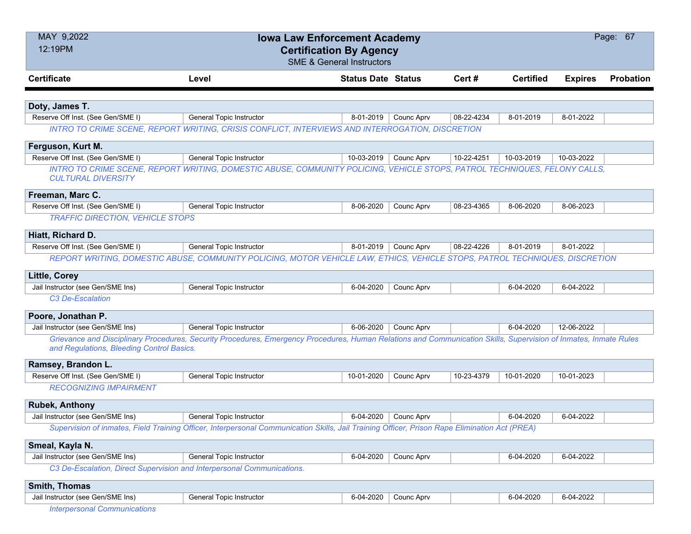| MAY 9,2022<br><b>Iowa Law Enforcement Academy</b><br>12:19PM<br><b>Certification By Agency</b> |                                                                                                                                                                  |                           |            |            |                  |                | Page: 67         |
|------------------------------------------------------------------------------------------------|------------------------------------------------------------------------------------------------------------------------------------------------------------------|---------------------------|------------|------------|------------------|----------------|------------------|
|                                                                                                | <b>SME &amp; General Instructors</b>                                                                                                                             |                           |            |            |                  |                |                  |
| <b>Certificate</b>                                                                             | Level                                                                                                                                                            | <b>Status Date Status</b> |            | Cert #     | <b>Certified</b> | <b>Expires</b> | <b>Probation</b> |
|                                                                                                |                                                                                                                                                                  |                           |            |            |                  |                |                  |
| Doty, James T.                                                                                 |                                                                                                                                                                  |                           |            |            |                  |                |                  |
| Reserve Off Inst. (See Gen/SME I)                                                              | <b>General Topic Instructor</b>                                                                                                                                  | 8-01-2019                 | Counc Aprv | 08-22-4234 | 8-01-2019        | 8-01-2022      |                  |
|                                                                                                | INTRO TO CRIME SCENE, REPORT WRITING, CRISIS CONFLICT, INTERVIEWS AND INTERROGATION, DISCRETION                                                                  |                           |            |            |                  |                |                  |
| Ferguson, Kurt M.                                                                              |                                                                                                                                                                  |                           |            |            |                  |                |                  |
| Reserve Off Inst. (See Gen/SME I)                                                              | General Topic Instructor                                                                                                                                         | 10-03-2019                | Counc Aprv | 10-22-4251 | 10-03-2019       | 10-03-2022     |                  |
| <b>CULTURAL DIVERSITY</b>                                                                      | INTRO TO CRIME SCENE, REPORT WRITING, DOMESTIC ABUSE, COMMUNITY POLICING, VEHICLE STOPS, PATROL TECHNIQUES, FELONY CALLS,                                        |                           |            |            |                  |                |                  |
| Freeman, Marc C.                                                                               |                                                                                                                                                                  |                           |            |            |                  |                |                  |
| Reserve Off Inst. (See Gen/SME I)                                                              | General Topic Instructor                                                                                                                                         | 8-06-2020                 | Counc Aprv | 08-23-4365 | 8-06-2020        | 8-06-2023      |                  |
| <b>TRAFFIC DIRECTION, VEHICLE STOPS</b>                                                        |                                                                                                                                                                  |                           |            |            |                  |                |                  |
| Hiatt, Richard D.                                                                              |                                                                                                                                                                  |                           |            |            |                  |                |                  |
| Reserve Off Inst. (See Gen/SME I)                                                              | General Topic Instructor                                                                                                                                         | 8-01-2019                 | Counc Aprv | 08-22-4226 | 8-01-2019        | 8-01-2022      |                  |
|                                                                                                | REPORT WRITING, DOMESTIC ABUSE, COMMUNITY POLICING, MOTOR VEHICLE LAW, ETHICS, VEHICLE STOPS, PATROL TECHNIQUES, DISCRETION                                      |                           |            |            |                  |                |                  |
|                                                                                                |                                                                                                                                                                  |                           |            |            |                  |                |                  |
| <b>Little, Corey</b>                                                                           |                                                                                                                                                                  |                           |            |            |                  |                |                  |
| Jail Instructor (see Gen/SME Ins)                                                              | <b>General Topic Instructor</b>                                                                                                                                  | 6-04-2020                 | Counc Aprv |            | 6-04-2020        | 6-04-2022      |                  |
| C3 De-Escalation                                                                               |                                                                                                                                                                  |                           |            |            |                  |                |                  |
| Poore, Jonathan P.                                                                             |                                                                                                                                                                  |                           |            |            |                  |                |                  |
| Jail Instructor (see Gen/SME Ins)                                                              | General Topic Instructor                                                                                                                                         | 6-06-2020                 | Counc Aprv |            | 6-04-2020        | 12-06-2022     |                  |
| and Regulations, Bleeding Control Basics.                                                      | Grievance and Disciplinary Procedures, Security Procedures, Emergency Procedures, Human Relations and Communication Skills, Supervision of Inmates, Inmate Rules |                           |            |            |                  |                |                  |
| Ramsey, Brandon L.                                                                             |                                                                                                                                                                  |                           |            |            |                  |                |                  |
| Reserve Off Inst. (See Gen/SME I)                                                              | <b>General Topic Instructor</b>                                                                                                                                  | 10-01-2020                | Counc Aprv | 10-23-4379 | 10-01-2020       | 10-01-2023     |                  |
| <b>RECOGNIZING IMPAIRMENT</b>                                                                  |                                                                                                                                                                  |                           |            |            |                  |                |                  |
| <b>Rubek, Anthony</b>                                                                          |                                                                                                                                                                  |                           |            |            |                  |                |                  |
| Jail Instructor (see Gen/SME Ins)                                                              | <b>General Topic Instructor</b>                                                                                                                                  | 6-04-2020                 | Counc Aprv |            | 6-04-2020        | 6-04-2022      |                  |
|                                                                                                | Supervision of inmates, Field Training Officer, Interpersonal Communication Skills, Jail Training Officer, Prison Rape Elimination Act (PREA)                    |                           |            |            |                  |                |                  |
| Smeal, Kayla N.                                                                                |                                                                                                                                                                  |                           |            |            |                  |                |                  |
| Jail Instructor (see Gen/SME Ins)                                                              | <b>General Topic Instructor</b>                                                                                                                                  | 6-04-2020                 | Counc Aprv |            | 6-04-2020        | 6-04-2022      |                  |
| C3 De-Escalation, Direct Supervision and Interpersonal Communications.                         |                                                                                                                                                                  |                           |            |            |                  |                |                  |
| Smith, Thomas                                                                                  |                                                                                                                                                                  |                           |            |            |                  |                |                  |
| Jail Instructor (see Gen/SME Ins)                                                              | General Topic Instructor                                                                                                                                         | 6-04-2020                 | Counc Aprv |            | 6-04-2020        | 6-04-2022      |                  |
| <b>Interpersonal Communications</b>                                                            |                                                                                                                                                                  |                           |            |            |                  |                |                  |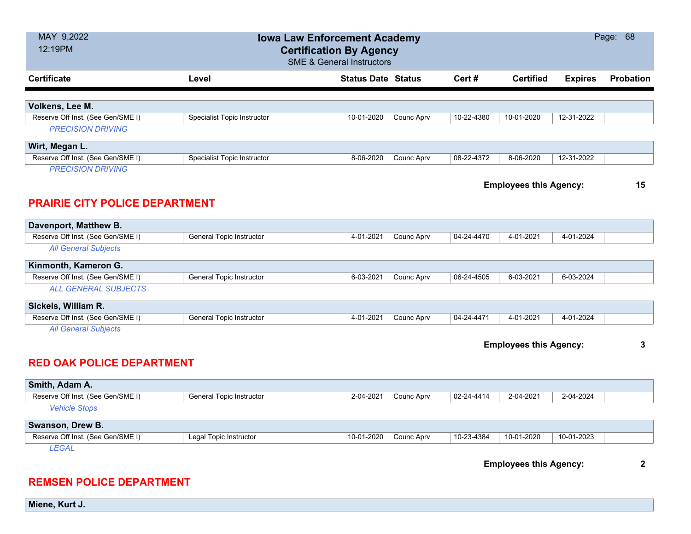| MAY 9,2022<br>12:19PM                                             |                                    | Page: 68<br><b>Iowa Law Enforcement Academy</b><br><b>Certification By Agency</b><br><b>SME &amp; General Instructors</b> |            |                               |                               |                |                  |  |  |
|-------------------------------------------------------------------|------------------------------------|---------------------------------------------------------------------------------------------------------------------------|------------|-------------------------------|-------------------------------|----------------|------------------|--|--|
| <b>Certificate</b>                                                | Level                              | <b>Status Date Status</b>                                                                                                 |            | Cert#                         | <b>Certified</b>              | <b>Expires</b> | <b>Probation</b> |  |  |
| Volkens, Lee M.                                                   |                                    |                                                                                                                           |            |                               |                               |                |                  |  |  |
| Reserve Off Inst. (See Gen/SME I)                                 | <b>Specialist Topic Instructor</b> | 10-01-2020                                                                                                                | Counc Aprv | 10-22-4380                    | 10-01-2020                    | 12-31-2022     |                  |  |  |
| <b>PRECISION DRIVING</b>                                          |                                    |                                                                                                                           |            |                               |                               |                |                  |  |  |
| Wirt, Megan L.                                                    |                                    |                                                                                                                           |            |                               |                               |                |                  |  |  |
| Reserve Off Inst. (See Gen/SME I)                                 | <b>Specialist Topic Instructor</b> | 8-06-2020                                                                                                                 | Counc Aprv | 08-22-4372                    | 8-06-2020                     | 12-31-2022     |                  |  |  |
| <b>PRECISION DRIVING</b><br><b>PRAIRIE CITY POLICE DEPARTMENT</b> |                                    |                                                                                                                           |            | <b>Employees this Agency:</b> |                               |                |                  |  |  |
| Davenport, Matthew B.                                             |                                    |                                                                                                                           |            |                               |                               |                |                  |  |  |
| Reserve Off Inst. (See Gen/SME I)                                 | General Topic Instructor           | 4-01-2021                                                                                                                 | Counc Aprv | 04-24-4470                    | 4-01-2021                     | 4-01-2024      |                  |  |  |
| <b>All General Subjects</b>                                       |                                    |                                                                                                                           |            |                               |                               |                |                  |  |  |
| Kinmonth, Kameron G.                                              |                                    |                                                                                                                           |            |                               |                               |                |                  |  |  |
| Reserve Off Inst. (See Gen/SME I)                                 | General Topic Instructor           | 6-03-2021                                                                                                                 | Counc Aprv | 06-24-4505                    | 6-03-2021                     | 6-03-2024      |                  |  |  |
| <b>ALL GENERAL SUBJECTS</b>                                       |                                    |                                                                                                                           |            |                               |                               |                |                  |  |  |
| Sickels, William R.                                               |                                    |                                                                                                                           |            |                               |                               |                |                  |  |  |
| Reserve Off Inst. (See Gen/SME I)                                 | <b>General Topic Instructor</b>    | 4-01-2021                                                                                                                 | Counc Aprv | 04-24-4471                    | 4-01-2021                     | 4-01-2024      |                  |  |  |
| <b>All General Subjects</b>                                       |                                    |                                                                                                                           |            |                               |                               |                |                  |  |  |
| <b>RED OAK POLICE DEPARTMENT</b>                                  |                                    |                                                                                                                           |            |                               | <b>Employees this Agency:</b> |                | 3                |  |  |
| Smith, Adam A.                                                    |                                    |                                                                                                                           |            |                               |                               |                |                  |  |  |
| Reserve Off Inst. (See Gen/SME I)                                 | General Topic Instructor           | 2-04-2021                                                                                                                 | Counc Aprv | 02-24-4414                    | 2-04-2021                     | 2-04-2024      |                  |  |  |
| <b>Vehicle Stops</b>                                              |                                    |                                                                                                                           |            |                               |                               |                |                  |  |  |
| Swanson, Drew B.                                                  |                                    |                                                                                                                           |            |                               |                               |                |                  |  |  |
| Reserve Off Inst. (See Gen/SME I)                                 | Legal Topic Instructor             | 10-01-2020                                                                                                                | Counc Aprv | 10-23-4384                    | 10-01-2020                    | 10-01-2023     |                  |  |  |
| <b>LEGAL</b>                                                      |                                    |                                                                                                                           |            |                               | <b>Employees this Agency:</b> |                | $\mathbf 2$      |  |  |
| <b>REMSEN POLICE DEPARTMENT</b>                                   |                                    |                                                                                                                           |            |                               |                               |                |                  |  |  |

**Miene, Kurt J.**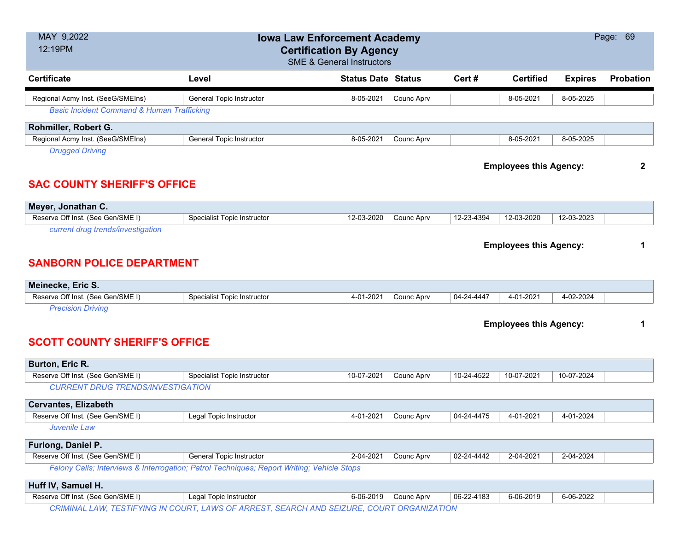| MAY 9,2022<br>12:19PM                                                 | <b>Iowa Law Enforcement Academy</b><br><b>Certification By Agency</b><br><b>SME &amp; General Instructors</b> |                           |            |                               |                               |                | Page: 69         |  |  |
|-----------------------------------------------------------------------|---------------------------------------------------------------------------------------------------------------|---------------------------|------------|-------------------------------|-------------------------------|----------------|------------------|--|--|
| <b>Certificate</b>                                                    | Level                                                                                                         | <b>Status Date Status</b> |            | Cert#                         | <b>Certified</b>              | <b>Expires</b> | <b>Probation</b> |  |  |
| Regional Acmy Inst. (SeeG/SMEIns)                                     | General Topic Instructor                                                                                      | 8-05-2021                 | Counc Aprv |                               | 8-05-2021                     | 8-05-2025      |                  |  |  |
| <b>Basic Incident Command &amp; Human Trafficking</b>                 |                                                                                                               |                           |            |                               |                               |                |                  |  |  |
| Rohmiller, Robert G.                                                  |                                                                                                               |                           |            |                               |                               |                |                  |  |  |
| Regional Acmy Inst. (SeeG/SMEIns)                                     | <b>General Topic Instructor</b>                                                                               | 8-05-2021                 | Counc Aprv |                               | 8-05-2021                     | 8-05-2025      |                  |  |  |
| <b>Drugged Driving</b><br><b>SAC COUNTY SHERIFF'S OFFICE</b>          |                                                                                                               |                           |            | <b>Employees this Agency:</b> |                               |                |                  |  |  |
| Meyer, Jonathan C.                                                    |                                                                                                               |                           |            |                               |                               |                |                  |  |  |
| Reserve Off Inst. (See Gen/SME I)                                     | Specialist Topic Instructor                                                                                   | 12-03-2020                | Counc Aprv | 12-23-4394                    | 12-03-2020                    | 12-03-2023     |                  |  |  |
| current drug trends/investigation<br><b>SANBORN POLICE DEPARTMENT</b> |                                                                                                               |                           |            |                               | <b>Employees this Agency:</b> |                | 1                |  |  |
| Meinecke, Eric S.                                                     |                                                                                                               |                           |            |                               |                               |                |                  |  |  |
| Reserve Off Inst. (See Gen/SME I)<br><b>Precision Driving</b>         | <b>Specialist Topic Instructor</b>                                                                            | 4-01-2021                 | Counc Aprv | 04-24-4447                    | 4-01-2021                     | 4-02-2024      |                  |  |  |
| <b>SCOTT COUNTY SHERIFF'S OFFICE</b>                                  |                                                                                                               |                           |            |                               | <b>Employees this Agency:</b> |                | 1                |  |  |
| Burton, Eric R.                                                       |                                                                                                               |                           |            |                               |                               |                |                  |  |  |
| Reserve Off Inst. (See Gen/SME I)                                     | <b>Specialist Topic Instructor</b>                                                                            | 10-07-2021                | Counc Aprv | 10-24-4522                    | 10-07-2021                    | 10-07-2024     |                  |  |  |
| <b>CURRENT DRUG TRENDS/INVESTIGATION</b>                              |                                                                                                               |                           |            |                               |                               |                |                  |  |  |
| <b>Cervantes, Elizabeth</b>                                           |                                                                                                               |                           |            |                               |                               |                |                  |  |  |
| Reserve Off Inst. (See Gen/SME I)                                     | Legal Topic Instructor                                                                                        | 4-01-2021                 | Counc Aprv | 04-24-4475                    | 4-01-2021                     | 4-01-2024      |                  |  |  |
| Juvenile Law                                                          |                                                                                                               |                           |            |                               |                               |                |                  |  |  |
| Furlong, Daniel P.                                                    |                                                                                                               |                           |            |                               |                               |                |                  |  |  |
| Reserve Off Inst. (See Gen/SME I)                                     | <b>General Topic Instructor</b>                                                                               | 2-04-2021                 | Counc Aprv | 02-24-4442                    | 2-04-2021                     | 2-04-2024      |                  |  |  |
|                                                                       | Felony Calls; Interviews & Interrogation; Patrol Techniques; Report Writing; Vehicle Stops                    |                           |            |                               |                               |                |                  |  |  |
| Huff IV, Samuel H.                                                    |                                                                                                               |                           |            |                               |                               |                |                  |  |  |
| Reserve Off Inst. (See Gen/SME I)                                     | Legal Topic Instructor                                                                                        | 6-06-2019                 | Counc Aprv | 06-22-4183                    | 6-06-2019                     | 6-06-2022      |                  |  |  |
|                                                                       | CRIMINAL LAW, TESTIFYING IN COURT, LAWS OF ARREST, SEARCH AND SEIZURE, COURT ORGANIZATION                     |                           |            |                               |                               |                |                  |  |  |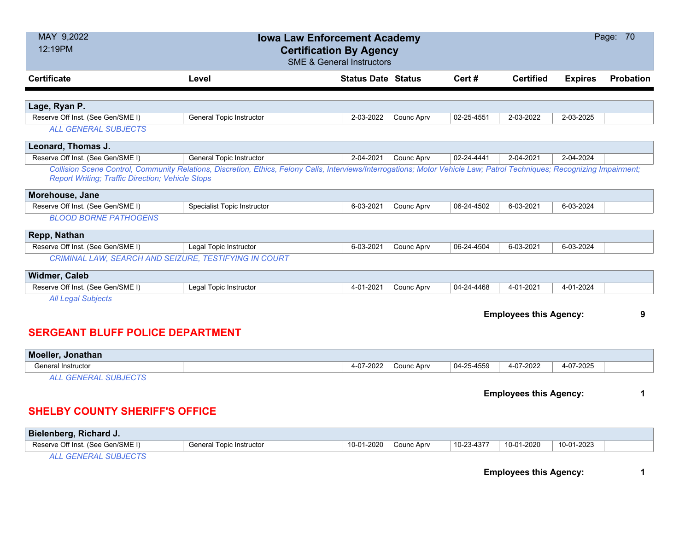| MAY 9,2022<br>12:19PM                                   | Page: 70<br><b>Iowa Law Enforcement Academy</b><br><b>Certification By Agency</b><br><b>SME &amp; General Instructors</b>                                                |                           |            |            |                               |                |           |  |  |
|---------------------------------------------------------|--------------------------------------------------------------------------------------------------------------------------------------------------------------------------|---------------------------|------------|------------|-------------------------------|----------------|-----------|--|--|
| <b>Certificate</b>                                      | Level                                                                                                                                                                    | <b>Status Date Status</b> |            | Cert#      | <b>Certified</b>              | <b>Expires</b> | Probation |  |  |
| Lage, Ryan P.                                           |                                                                                                                                                                          |                           |            |            |                               |                |           |  |  |
| Reserve Off Inst. (See Gen/SME I)                       | General Topic Instructor                                                                                                                                                 | 2-03-2022                 | Counc Aprv | 02-25-4551 | 2-03-2022                     | 2-03-2025      |           |  |  |
| <b>ALL GENERAL SUBJECTS</b>                             |                                                                                                                                                                          |                           |            |            |                               |                |           |  |  |
| Leonard, Thomas J.                                      |                                                                                                                                                                          |                           |            |            |                               |                |           |  |  |
| Reserve Off Inst. (See Gen/SME I)                       | <b>General Topic Instructor</b>                                                                                                                                          | 2-04-2021                 | Counc Aprv | 02-24-4441 | 2-04-2021                     | 2-04-2024      |           |  |  |
| <b>Report Writing; Traffic Direction; Vehicle Stops</b> | Collision Scene Control, Community Relations, Discretion, Ethics, Felony Calls, Interviews/Interrogations; Motor Vehicle Law; Patrol Techniques; Recognizing Impairment; |                           |            |            |                               |                |           |  |  |
| Morehouse, Jane                                         |                                                                                                                                                                          |                           |            |            |                               |                |           |  |  |
| Reserve Off Inst. (See Gen/SME I)                       | Specialist Topic Instructor                                                                                                                                              | 6-03-2021                 | Counc Aprv | 06-24-4502 | 6-03-2021                     | 6-03-2024      |           |  |  |
| <b>BLOOD BORNE PATHOGENS</b>                            |                                                                                                                                                                          |                           |            |            |                               |                |           |  |  |
| Repp, Nathan                                            |                                                                                                                                                                          |                           |            |            |                               |                |           |  |  |
| Reserve Off Inst. (See Gen/SME I)                       | Legal Topic Instructor                                                                                                                                                   | 6-03-2021                 | Counc Aprv | 06-24-4504 | 6-03-2021                     | 6-03-2024      |           |  |  |
| CRIMINAL LAW, SEARCH AND SEIZURE, TESTIFYING IN COURT   |                                                                                                                                                                          |                           |            |            |                               |                |           |  |  |
| <b>Widmer, Caleb</b>                                    |                                                                                                                                                                          |                           |            |            |                               |                |           |  |  |
| Reserve Off Inst. (See Gen/SME I)                       | Legal Topic Instructor                                                                                                                                                   | 4-01-2021                 | Counc Aprv | 04-24-4468 | 4-01-2021                     | 4-01-2024      |           |  |  |
| <b>All Legal Subjects</b>                               |                                                                                                                                                                          |                           |            |            |                               |                |           |  |  |
|                                                         |                                                                                                                                                                          |                           |            |            | <b>Employees this Agency:</b> |                | 9         |  |  |
| <b>SERGEANT BLUFF POLICE DEPARTMENT</b>                 |                                                                                                                                                                          |                           |            |            |                               |                |           |  |  |
| Moeller, Jonathan                                       |                                                                                                                                                                          |                           |            |            |                               |                |           |  |  |
| <b>General Instructor</b>                               |                                                                                                                                                                          | 4-07-2022                 | Counc Aprv | 04-25-4559 | 4-07-2022                     | 4-07-2025      |           |  |  |
| <b>ALL GENERAL SUBJECTS</b>                             |                                                                                                                                                                          |                           |            |            |                               |                |           |  |  |
|                                                         |                                                                                                                                                                          |                           |            |            | <b>Employees this Agency:</b> |                | 1         |  |  |
| <b>SHELBY COUNTY SHERIFF'S OFFICE</b>                   |                                                                                                                                                                          |                           |            |            |                               |                |           |  |  |

| Bielenberg, Richard J.            |                          |            |            |            |            |            |  |
|-----------------------------------|--------------------------|------------|------------|------------|------------|------------|--|
| Reserve Off Inst. (See Gen/SME I) | General Topic Instructor | 10-01-2020 | Counc Apry | 10-23-4377 | 10-01-2020 | 10-01-2023 |  |
| ALL CEMEDAL SUBJECTS              |                          |            |            |            |            |            |  |

*ALL GENERAL SUBJECTS*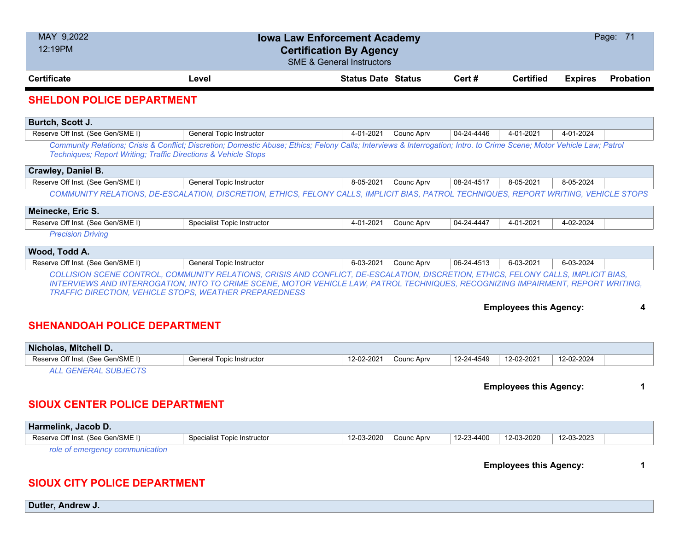| MAY 9,2022<br>12:19PM                                                | Page: 71<br><b>Iowa Law Enforcement Academy</b><br><b>Certification By Agency</b><br><b>SME &amp; General Instructors</b>                                                                                                                                                                                                        |                           |            |            |                               |                |           |
|----------------------------------------------------------------------|----------------------------------------------------------------------------------------------------------------------------------------------------------------------------------------------------------------------------------------------------------------------------------------------------------------------------------|---------------------------|------------|------------|-------------------------------|----------------|-----------|
| <b>Certificate</b>                                                   | Level                                                                                                                                                                                                                                                                                                                            | <b>Status Date Status</b> |            | Cert#      | <b>Certified</b>              | <b>Expires</b> | Probation |
| <b>SHELDON POLICE DEPARTMENT</b>                                     |                                                                                                                                                                                                                                                                                                                                  |                           |            |            |                               |                |           |
| Burtch, Scott J.                                                     |                                                                                                                                                                                                                                                                                                                                  |                           |            |            |                               |                |           |
| Reserve Off Inst. (See Gen/SME I)                                    | <b>General Topic Instructor</b>                                                                                                                                                                                                                                                                                                  | 4-01-2021                 | Counc Aprv | 04-24-4446 | 4-01-2021                     | 4-01-2024      |           |
| Techniques; Report Writing; Traffic Directions & Vehicle Stops       | Community Relations; Crisis & Conflict; Discretion; Domestic Abuse; Ethics; Felony Calls; Interviews & Interrogation; Intro. to Crime Scene; Motor Vehicle Law; Patrol                                                                                                                                                           |                           |            |            |                               |                |           |
| Crawley, Daniel B.                                                   |                                                                                                                                                                                                                                                                                                                                  |                           |            |            |                               |                |           |
| Reserve Off Inst. (See Gen/SME I)                                    | <b>General Topic Instructor</b>                                                                                                                                                                                                                                                                                                  | 8-05-2021                 | Counc Aprv | 08-24-4517 | 8-05-2021                     | 8-05-2024      |           |
|                                                                      | COMMUNITY RELATIONS, DE-ESCALATION, DISCRETION, ETHICS, FELONY CALLS, IMPLICIT BIAS, PATROL TECHNIQUES, REPORT WRITING, VEHICLE STOPS                                                                                                                                                                                            |                           |            |            |                               |                |           |
| Meinecke, Eric S.                                                    |                                                                                                                                                                                                                                                                                                                                  |                           |            |            |                               |                |           |
| Reserve Off Inst. (See Gen/SME I)                                    | Specialist Topic Instructor                                                                                                                                                                                                                                                                                                      | 4-01-2021                 | Counc Aprv | 04-24-4447 | 4-01-2021                     | 4-02-2024      |           |
| <b>Precision Driving</b>                                             |                                                                                                                                                                                                                                                                                                                                  |                           |            |            |                               |                |           |
| Wood, Todd A.                                                        |                                                                                                                                                                                                                                                                                                                                  |                           |            |            |                               |                |           |
| Reserve Off Inst. (See Gen/SME I)                                    | <b>General Topic Instructor</b>                                                                                                                                                                                                                                                                                                  | 6-03-2021                 | Counc Aprv | 06-24-4513 | 6-03-2021                     | 6-03-2024      |           |
|                                                                      | COLLISION SCENE CONTROL, COMMUNITY RELATIONS, CRISIS AND CONFLICT, DE-ESCALATION, DISCRETION, ETHICS, FELONY CALLS, IMPLICIT BIAS,<br>INTERVIEWS AND INTERROGATION, INTO TO CRIME SCENE, MOTOR VEHICLE LAW, PATROL TECHNIQUES, RECOGNIZING IMPAIRMENT, REPORT WRITING,<br>TRAFFIC DIRECTION, VEHICLE STOPS, WEATHER PREPAREDNESS |                           |            |            | <b>Employees this Agency:</b> |                | 4         |
| <b>SHENANDOAH POLICE DEPARTMENT</b>                                  |                                                                                                                                                                                                                                                                                                                                  |                           |            |            |                               |                |           |
| Nicholas, Mitchell D.                                                |                                                                                                                                                                                                                                                                                                                                  |                           |            |            |                               |                |           |
| Reserve Off Inst. (See Gen/SME I)                                    | <b>General Topic Instructor</b>                                                                                                                                                                                                                                                                                                  | 12-02-2021                | Counc Aprv | 12-24-4549 | 12-02-2021                    | 12-02-2024     |           |
| <b>ALL GENERAL SUBJECTS</b><br><b>SIOUX CENTER POLICE DEPARTMENT</b> |                                                                                                                                                                                                                                                                                                                                  |                           |            |            | <b>Employees this Agency:</b> |                | 1         |
|                                                                      |                                                                                                                                                                                                                                                                                                                                  |                           |            |            |                               |                |           |
| Harmelink, Jacob D.                                                  |                                                                                                                                                                                                                                                                                                                                  |                           |            |            |                               |                |           |
| Reserve Off Inst. (See Gen/SME I)                                    | Specialist Topic Instructor                                                                                                                                                                                                                                                                                                      | 12-03-2020                | Counc Aprv | 12-23-4400 | 12-03-2020                    | 12-03-2023     |           |

*role of emergency communication*

**Employees this Agency: 1**

### **SIOUX CITY POLICE DEPARTMENT**

**Dutler, Andrew J.**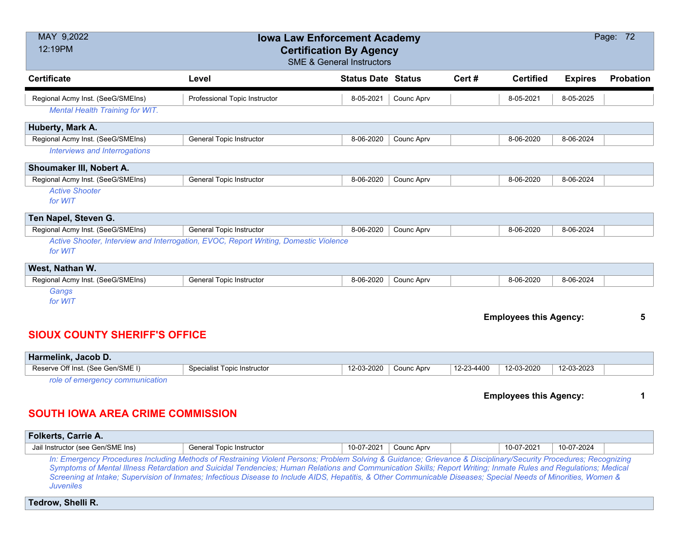| MAY 9,2022<br>Page: 72<br><b>Iowa Law Enforcement Academy</b><br>12:19PM<br><b>Certification By Agency</b><br><b>SME &amp; General Instructors</b> |                                                                                      |                           |                   |            |                               |                |                  |  |
|----------------------------------------------------------------------------------------------------------------------------------------------------|--------------------------------------------------------------------------------------|---------------------------|-------------------|------------|-------------------------------|----------------|------------------|--|
| <b>Certificate</b>                                                                                                                                 | Level                                                                                | <b>Status Date Status</b> |                   | Cert#      | <b>Certified</b>              | <b>Expires</b> | <b>Probation</b> |  |
| Regional Acmy Inst. (SeeG/SMEIns)                                                                                                                  | Professional Topic Instructor                                                        | 8-05-2021                 | Counc Aprv        |            | 8-05-2021                     | 8-05-2025      |                  |  |
| <b>Mental Health Training for WIT.</b>                                                                                                             |                                                                                      |                           |                   |            |                               |                |                  |  |
| Huberty, Mark A.                                                                                                                                   |                                                                                      |                           |                   |            |                               |                |                  |  |
| Regional Acmy Inst. (SeeG/SMEIns)                                                                                                                  | <b>General Topic Instructor</b>                                                      | 8-06-2020                 | Counc Aprv        |            | 8-06-2020                     | 8-06-2024      |                  |  |
| <b>Interviews and Interrogations</b>                                                                                                               |                                                                                      |                           |                   |            |                               |                |                  |  |
| Shoumaker III, Nobert A.                                                                                                                           |                                                                                      |                           |                   |            |                               |                |                  |  |
| Regional Acmy Inst. (SeeG/SMEIns)                                                                                                                  | <b>General Topic Instructor</b>                                                      | 8-06-2020                 | <b>Counc Aprv</b> |            | 8-06-2020                     | 8-06-2024      |                  |  |
| <b>Active Shooter</b>                                                                                                                              |                                                                                      |                           |                   |            |                               |                |                  |  |
| for WIT                                                                                                                                            |                                                                                      |                           |                   |            |                               |                |                  |  |
| Ten Napel, Steven G.                                                                                                                               |                                                                                      |                           |                   |            |                               |                |                  |  |
| Regional Acmy Inst. (SeeG/SMEIns)                                                                                                                  | <b>General Topic Instructor</b>                                                      | 8-06-2020                 | Counc Aprv        |            | 8-06-2020                     | 8-06-2024      |                  |  |
| for WIT                                                                                                                                            | Active Shooter, Interview and Interrogation, EVOC, Report Writing, Domestic Violence |                           |                   |            |                               |                |                  |  |
| West, Nathan W.                                                                                                                                    |                                                                                      |                           |                   |            |                               |                |                  |  |
| Regional Acmy Inst. (SeeG/SMEIns)                                                                                                                  | General Topic Instructor                                                             | 8-06-2020                 | Counc Aprv        |            | 8-06-2020                     | 8-06-2024      |                  |  |
| Gangs<br>for WIT                                                                                                                                   |                                                                                      |                           |                   |            |                               |                |                  |  |
|                                                                                                                                                    |                                                                                      |                           |                   |            | <b>Employees this Agency:</b> |                | 5                |  |
| <b>SIOUX COUNTY SHERIFF'S OFFICE</b>                                                                                                               |                                                                                      |                           |                   |            |                               |                |                  |  |
| Harmelink, Jacob D.                                                                                                                                |                                                                                      |                           |                   |            |                               |                |                  |  |
| Reserve Off Inst. (See Gen/SME I)                                                                                                                  | <b>Specialist Topic Instructor</b>                                                   | 12-03-2020                | Counc Aprv        | 12-23-4400 | 12-03-2020                    | 12-03-2023     |                  |  |

*role of emergency communication*

**Employees this Agency: 1**

## **SOUTH IOWA AREA CRIME COMMISSION**

| <b>Folkerts, Carrie A.</b>                                                                                                                                       |                                                                                                                                                                 |                       |  |  |            |            |  |  |  |
|------------------------------------------------------------------------------------------------------------------------------------------------------------------|-----------------------------------------------------------------------------------------------------------------------------------------------------------------|-----------------------|--|--|------------|------------|--|--|--|
| Jail Instructor (see Gen/SME Ins)                                                                                                                                | General Topic Instructor                                                                                                                                        | 10-07-2021 Counc Aprv |  |  | 10-07-2021 | 10-07-2024 |  |  |  |
| In: Emergency Procedures Including Methods of Restraining Violent Persons; Problem Solving & Guidance; Grievance & Disciplinary/Security Procedures; Recognizing |                                                                                                                                                                 |                       |  |  |            |            |  |  |  |
|                                                                                                                                                                  | Symptoms of Mental Illness Peterdation and Suisidal Tendencies: Human Pelations and Communication Skills: Penert Writing: Inmate Pulse and Pequlations: Medical |                       |  |  |            |            |  |  |  |

*Symptoms of Mental Illness Retardation and Suicidal Tendencies; Human Relations and Communication Skills; Report Writing; Inmate Rules and Regulations; Medical Screening at Intake; Supervision of Inmates; Infectious Disease to Include AIDS, Hepatitis, & Other Communicable Diseases; Special Needs of Minorities, Women & Juveniles*

**Tedrow, Shelli R.**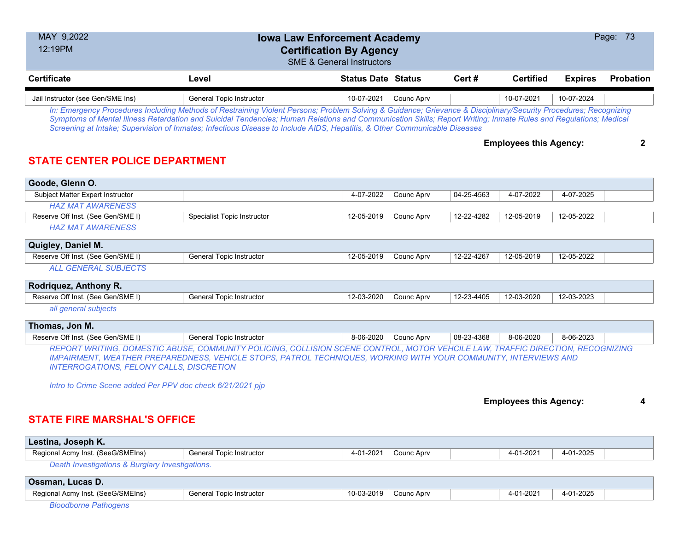| MAY 9,2022<br><b>Iowa Law Enforcement Academy</b><br>12:19PM<br><b>Certification By Agency</b><br><b>SME &amp; General Instructors</b>                                                                                                                                                                                                                                                                                                                           |                                    |                           |                   |            |                               |                | Page: 73         |  |
|------------------------------------------------------------------------------------------------------------------------------------------------------------------------------------------------------------------------------------------------------------------------------------------------------------------------------------------------------------------------------------------------------------------------------------------------------------------|------------------------------------|---------------------------|-------------------|------------|-------------------------------|----------------|------------------|--|
| <b>Certificate</b>                                                                                                                                                                                                                                                                                                                                                                                                                                               | Level                              | <b>Status Date Status</b> |                   | Cert#      | <b>Certified</b>              | <b>Expires</b> | <b>Probation</b> |  |
| Jail Instructor (see Gen/SME Ins)                                                                                                                                                                                                                                                                                                                                                                                                                                | <b>General Topic Instructor</b>    | 10-07-2021                | <b>Counc Aprv</b> |            | 10-07-2021                    | 10-07-2024     |                  |  |
| In: Emergency Procedures Including Methods of Restraining Violent Persons; Problem Solving & Guidance; Grievance & Disciplinary/Security Procedures; Recognizing<br>Symptoms of Mental Illness Retardation and Suicidal Tendencies; Human Relations and Communication Skills; Report Writing; Inmate Rules and Regulations; Medical<br>Screening at Intake; Supervision of Inmates; Infectious Disease to Include AIDS, Hepatitis, & Other Communicable Diseases |                                    |                           |                   |            |                               |                |                  |  |
| <b>STATE CENTER POLICE DEPARTMENT</b>                                                                                                                                                                                                                                                                                                                                                                                                                            |                                    |                           |                   |            | <b>Employees this Agency:</b> |                | 2                |  |
| Goode, Glenn O.                                                                                                                                                                                                                                                                                                                                                                                                                                                  |                                    |                           |                   |            |                               |                |                  |  |
| Subject Matter Expert Instructor                                                                                                                                                                                                                                                                                                                                                                                                                                 |                                    | 4-07-2022                 | Counc Aprv        | 04-25-4563 | 4-07-2022                     | 4-07-2025      |                  |  |
| <b>HAZ MAT AWARENESS</b>                                                                                                                                                                                                                                                                                                                                                                                                                                         |                                    |                           |                   |            |                               |                |                  |  |
| Reserve Off Inst. (See Gen/SME I)                                                                                                                                                                                                                                                                                                                                                                                                                                | <b>Specialist Topic Instructor</b> | 12-05-2019                | Counc Aprv        | 12-22-4282 | 12-05-2019                    | 12-05-2022     |                  |  |
| <b>HAZ MAT AWARENESS</b>                                                                                                                                                                                                                                                                                                                                                                                                                                         |                                    |                           |                   |            |                               |                |                  |  |
| Quigley, Daniel M.                                                                                                                                                                                                                                                                                                                                                                                                                                               |                                    |                           |                   |            |                               |                |                  |  |
| Reserve Off Inst. (See Gen/SME I)                                                                                                                                                                                                                                                                                                                                                                                                                                | General Topic Instructor           | 12-05-2019                | Counc Aprv        | 12-22-4267 | 12-05-2019                    | 12-05-2022     |                  |  |
| <b>ALL GENERAL SUBJECTS</b>                                                                                                                                                                                                                                                                                                                                                                                                                                      |                                    |                           |                   |            |                               |                |                  |  |
| Rodriquez, Anthony R.                                                                                                                                                                                                                                                                                                                                                                                                                                            |                                    |                           |                   |            |                               |                |                  |  |
| Reserve Off Inst. (See Gen/SME I)                                                                                                                                                                                                                                                                                                                                                                                                                                | <b>General Topic Instructor</b>    | 12-03-2020                | Counc Aprv        | 12-23-4405 | 12-03-2020                    | 12-03-2023     |                  |  |
| all general subjects                                                                                                                                                                                                                                                                                                                                                                                                                                             |                                    |                           |                   |            |                               |                |                  |  |
| Thomas, Jon M.                                                                                                                                                                                                                                                                                                                                                                                                                                                   |                                    |                           |                   |            |                               |                |                  |  |
| Reserve Off Inst. (See Gen/SME I)                                                                                                                                                                                                                                                                                                                                                                                                                                | <b>General Topic Instructor</b>    | 8-06-2020                 | Counc Aprv        | 08-23-4368 | 8-06-2020                     | 8-06-2023      |                  |  |

*REPORT WRITING, DOMESTIC ABUSE, COMMUNITY POLICING, COLLISION SCENE CONTROL, MOTOR VEHCILE LAW, TRAFFIC DIRECTION, RECOGNIZING IMPAIRMENT, WEATHER PREPAREDNESS, VEHICLE STOPS, PATROL TECHNIQUES, WORKING WITH YOUR COMMUNITY, INTERVIEWS AND INTERROGATIONS, FELONY CALLS, DISCRETION*

*Intro to Crime Scene added Per PPV doc check 6/21/2021 pjp*

| <b>Employees this Agency:</b> |  |  |
|-------------------------------|--|--|
|-------------------------------|--|--|

# **STATE FIRE MARSHAL'S OFFICE**

| Lestina, Joseph K.                              |                          |                  |            |                                                                                              |           |  |
|-------------------------------------------------|--------------------------|------------------|------------|----------------------------------------------------------------------------------------------|-----------|--|
| Regional Acmy Inst. (SeeG/SMEIns)               | General Topic Instructor | 1-2021 ،<br>4-01 | Counc Aprv | 4-01-2021<br>the contract of the contract of the contract of the contract of the contract of | 4-01-2025 |  |
| Death Investigations & Burglary Investigations. |                          |                  |            |                                                                                              |           |  |

*Death Investigations & Burglary Investigations.*

| <b>Ossman, Lucas D.</b>           |                          |                          |           |           |
|-----------------------------------|--------------------------|--------------------------|-----------|-----------|
| Regional Acmy Inst. (SeeG/SMEIns) | General Topic Instructor | 10-03-2019<br>Counc Apry | 4-01-2021 | 4-01-2025 |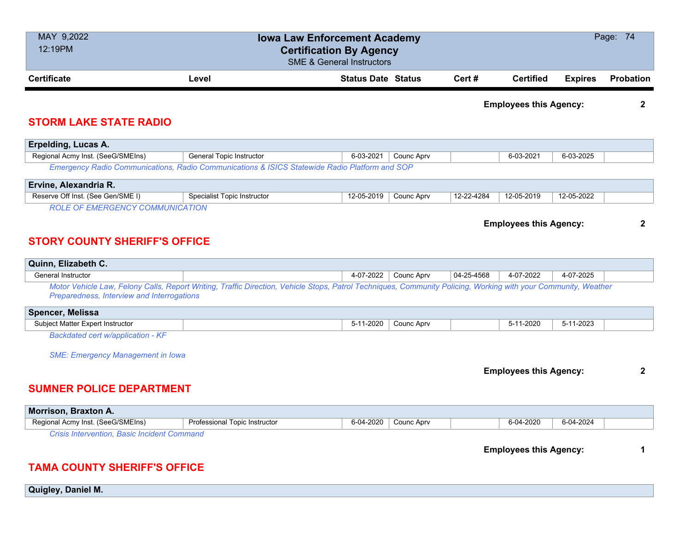| MAY 9,2022<br>12:19PM                                                                     |                                                                                                                                                                | <b>Iowa Law Enforcement Academy</b><br><b>Certification By Agency</b><br><b>SME &amp; General Instructors</b> |                   |            |                               |                | Page: 74     |
|-------------------------------------------------------------------------------------------|----------------------------------------------------------------------------------------------------------------------------------------------------------------|---------------------------------------------------------------------------------------------------------------|-------------------|------------|-------------------------------|----------------|--------------|
| <b>Certificate</b>                                                                        | Level                                                                                                                                                          | <b>Status Date Status</b>                                                                                     |                   | Cert#      | <b>Certified</b>              | <b>Expires</b> | Probation    |
| <b>STORM LAKE STATE RADIO</b>                                                             |                                                                                                                                                                |                                                                                                               |                   |            | <b>Employees this Agency:</b> |                | $\mathbf{2}$ |
| Erpelding, Lucas A.                                                                       |                                                                                                                                                                |                                                                                                               |                   |            |                               |                |              |
| Regional Acmy Inst. (SeeG/SMEIns)                                                         | <b>General Topic Instructor</b>                                                                                                                                | 6-03-2021                                                                                                     | Counc Aprv        |            | 6-03-2021                     | 6-03-2025      |              |
|                                                                                           | Emergency Radio Communications, Radio Communications & ISICS Statewide Radio Platform and SOP                                                                  |                                                                                                               |                   |            |                               |                |              |
| Ervine, Alexandria R.                                                                     |                                                                                                                                                                |                                                                                                               |                   |            |                               |                |              |
| Reserve Off Inst. (See Gen/SME I)                                                         | <b>Specialist Topic Instructor</b>                                                                                                                             | 12-05-2019                                                                                                    | Counc Aprv        | 12-22-4284 | 12-05-2019                    | 12-05-2022     |              |
| <b>STORY COUNTY SHERIFF'S OFFICE</b>                                                      |                                                                                                                                                                |                                                                                                               |                   |            | <b>Employees this Agency:</b> |                | $\mathbf{2}$ |
| Quinn, Elizabeth C.                                                                       |                                                                                                                                                                |                                                                                                               |                   |            |                               |                |              |
| General Instructor<br>Preparedness, Interview and Interrogations                          | Motor Vehicle Law, Felony Calls, Report Writing, Traffic Direction, Vehicle Stops, Patrol Techniques, Community Policing, Working with your Community, Weather | 4-07-2022                                                                                                     | Counc Aprv        | 04-25-4568 | 4-07-2022                     | 4-07-2025      |              |
| Spencer, Melissa                                                                          |                                                                                                                                                                |                                                                                                               |                   |            |                               |                |              |
| Subject Matter Expert Instructor                                                          |                                                                                                                                                                | 5-11-2020                                                                                                     | Counc Aprv        |            | 5-11-2020                     | 5-11-2023      |              |
| Backdated cert w/application - KF                                                         |                                                                                                                                                                |                                                                                                               |                   |            |                               |                |              |
| <b>SME: Emergency Management in Iowa</b><br><b>SUMNER POLICE DEPARTMENT</b>               |                                                                                                                                                                |                                                                                                               |                   |            | <b>Employees this Agency:</b> |                | $\mathbf{2}$ |
| Morrison, Braxton A.                                                                      |                                                                                                                                                                |                                                                                                               |                   |            |                               |                |              |
| Regional Acmy Inst. (SeeG/SMEIns)                                                         | Professional Topic Instructor                                                                                                                                  | 6-04-2020                                                                                                     | <b>Counc Aprv</b> |            | 6-04-2020                     | 6-04-2024      |              |
| <b>Crisis Intervention, Basic Incident Command</b><br><b>TAMA COUNTY SHERIFF'S OFFICE</b> |                                                                                                                                                                |                                                                                                               |                   |            | <b>Employees this Agency:</b> |                | 1            |

**Quigley, Daniel M.**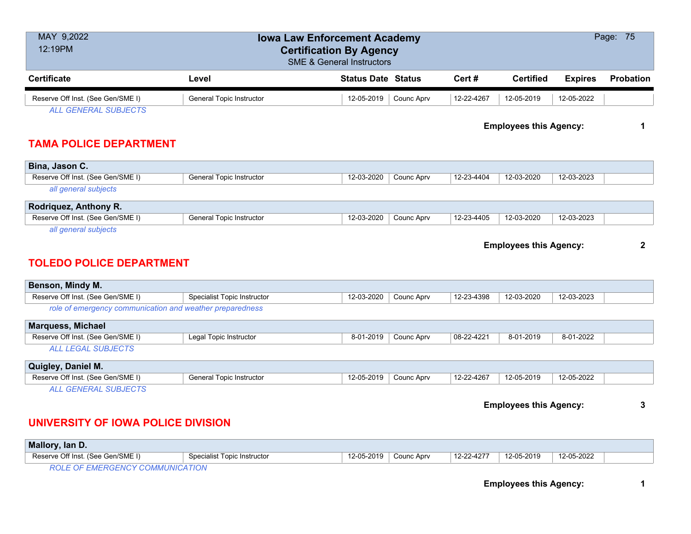| MAY 9,2022<br>12:19PM                                             |                                    | <b>Iowa Law Enforcement Academy</b><br><b>Certification By Agency</b><br><b>SME &amp; General Instructors</b> |            |            |                               |                | Page: 75         |
|-------------------------------------------------------------------|------------------------------------|---------------------------------------------------------------------------------------------------------------|------------|------------|-------------------------------|----------------|------------------|
| <b>Certificate</b>                                                | Level                              | <b>Status Date Status</b>                                                                                     |            | Cert#      | <b>Certified</b>              | <b>Expires</b> | <b>Probation</b> |
| Reserve Off Inst. (See Gen/SME I)                                 | <b>General Topic Instructor</b>    | 12-05-2019                                                                                                    | Counc Aprv | 12-22-4267 | 12-05-2019                    | 12-05-2022     |                  |
| <b>ALL GENERAL SUBJECTS</b>                                       |                                    |                                                                                                               |            |            |                               |                |                  |
|                                                                   |                                    |                                                                                                               |            |            | <b>Employees this Agency:</b> |                | 1                |
| <b>TAMA POLICE DEPARTMENT</b>                                     |                                    |                                                                                                               |            |            |                               |                |                  |
| Bina, Jason C.                                                    |                                    |                                                                                                               |            |            |                               |                |                  |
| Reserve Off Inst. (See Gen/SME I)                                 | <b>General Topic Instructor</b>    | 12-03-2020                                                                                                    | Counc Aprv | 12-23-4404 | 12-03-2020                    | 12-03-2023     |                  |
| all general subjects                                              |                                    |                                                                                                               |            |            |                               |                |                  |
| Rodriquez, Anthony R.                                             |                                    |                                                                                                               |            |            |                               |                |                  |
| Reserve Off Inst. (See Gen/SME I)                                 | <b>General Topic Instructor</b>    | 12-03-2020                                                                                                    | Counc Aprv | 12-23-4405 | 12-03-2020                    | 12-03-2023     |                  |
| all general subjects<br><b>TOLEDO POLICE DEPARTMENT</b>           |                                    |                                                                                                               |            |            | <b>Employees this Agency:</b> |                | $\mathbf{2}$     |
| Benson, Mindy M.                                                  |                                    |                                                                                                               |            |            |                               |                |                  |
| Reserve Off Inst. (See Gen/SME I)                                 | <b>Specialist Topic Instructor</b> | 12-03-2020                                                                                                    | Counc Aprv | 12-23-4398 | 12-03-2020                    | 12-03-2023     |                  |
| role of emergency communication and weather preparedness          |                                    |                                                                                                               |            |            |                               |                |                  |
| <b>Marquess, Michael</b>                                          |                                    |                                                                                                               |            |            |                               |                |                  |
| Reserve Off Inst. (See Gen/SME I)                                 | Legal Topic Instructor             | 8-01-2019                                                                                                     | Counc Aprv | 08-22-4221 | 8-01-2019                     | 8-01-2022      |                  |
| <b>ALL LEGAL SUBJECTS</b>                                         |                                    |                                                                                                               |            |            |                               |                |                  |
| Quigley, Daniel M.                                                |                                    |                                                                                                               |            |            |                               |                |                  |
| Reserve Off Inst. (See Gen/SME I)                                 | <b>General Topic Instructor</b>    | 12-05-2019                                                                                                    | Counc Aprv | 12-22-4267 | 12-05-2019                    | 12-05-2022     |                  |
| <b>ALL GENERAL SUBJECTS</b><br>UNIVERSITY OF IOWA POLICE DIVISION |                                    |                                                                                                               |            |            | <b>Employees this Agency:</b> |                | 3                |

| 12-05-2022<br>12-05-2019<br>12-22-4277<br>12-05-2019<br>Reserve Off Inst. (See Gen/SME I)<br>Specialist Topic Instructor<br>Counc Apry |  |
|----------------------------------------------------------------------------------------------------------------------------------------|--|
|                                                                                                                                        |  |

*ROLE OF EMERGENCY COMMUNICATION*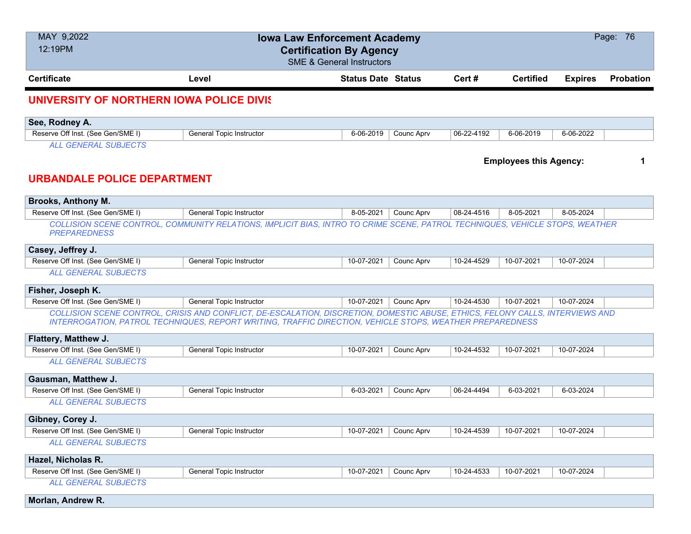| MAY 9,2022<br>12:19PM                                      | <b>Iowa Law Enforcement Academy</b><br><b>Certification By Agency</b><br><b>SME &amp; General Instructors</b>                                                                                                                             |                           |            |            |                               |                | Page: 76         |
|------------------------------------------------------------|-------------------------------------------------------------------------------------------------------------------------------------------------------------------------------------------------------------------------------------------|---------------------------|------------|------------|-------------------------------|----------------|------------------|
| <b>Certificate</b>                                         | Level                                                                                                                                                                                                                                     | <b>Status Date Status</b> |            | Cert #     | <b>Certified</b>              | <b>Expires</b> | <b>Probation</b> |
| UNIVERSITY OF NORTHERN IOWA POLICE DIVIS                   |                                                                                                                                                                                                                                           |                           |            |            |                               |                |                  |
| See, Rodney A.                                             |                                                                                                                                                                                                                                           |                           |            |            |                               |                |                  |
| Reserve Off Inst. (See Gen/SME I)                          | <b>General Topic Instructor</b>                                                                                                                                                                                                           | 6-06-2019                 | Counc Aprv | 06-22-4192 | 6-06-2019                     | 6-06-2022      |                  |
| <b>ALL GENERAL SUBJECTS</b><br>URBANDALE POLICE DEPARTMENT |                                                                                                                                                                                                                                           |                           |            |            | <b>Employees this Agency:</b> |                | 1                |
| <b>Brooks, Anthony M.</b>                                  |                                                                                                                                                                                                                                           |                           |            |            |                               |                |                  |
| Reserve Off Inst. (See Gen/SME I)                          | General Topic Instructor                                                                                                                                                                                                                  | 8-05-2021                 | Counc Aprv | 08-24-4516 | 8-05-2021                     | 8-05-2024      |                  |
| <b>PREPAREDNESS</b>                                        | COLLISION SCENE CONTROL, COMMUNITY RELATIONS, IMPLICIT BIAS, INTRO TO CRIME SCENE, PATROL TECHNIQUES, VEHICLE STOPS, WEATHER                                                                                                              |                           |            |            |                               |                |                  |
| Casey, Jeffrey J.                                          |                                                                                                                                                                                                                                           |                           |            |            |                               |                |                  |
| Reserve Off Inst. (See Gen/SME I)                          | <b>General Topic Instructor</b>                                                                                                                                                                                                           | 10-07-2021                | Counc Aprv | 10-24-4529 | 10-07-2021                    | 10-07-2024     |                  |
| <b>ALL GENERAL SUBJECTS</b>                                |                                                                                                                                                                                                                                           |                           |            |            |                               |                |                  |
| Fisher, Joseph K.                                          |                                                                                                                                                                                                                                           |                           |            |            |                               |                |                  |
| Reserve Off Inst. (See Gen/SME I)                          | General Topic Instructor                                                                                                                                                                                                                  | 10-07-2021                | Counc Aprv | 10-24-4530 | 10-07-2021                    | 10-07-2024     |                  |
|                                                            | COLLISION SCENE CONTROL, CRISIS AND CONFLICT, DE-ESCALATION, DISCRETION, DOMESTIC ABUSE, ETHICS, FELONY CALLS, INTERVIEWS AND<br>INTERROGATION, PATROL TECHNIQUES, REPORT WRITING, TRAFFIC DIRECTION, VEHICLE STOPS, WEATHER PREPAREDNESS |                           |            |            |                               |                |                  |
| Flattery, Matthew J.                                       |                                                                                                                                                                                                                                           |                           |            |            |                               |                |                  |
| Reserve Off Inst. (See Gen/SME I)                          | <b>General Topic Instructor</b>                                                                                                                                                                                                           | 10-07-2021                | Counc Aprv | 10-24-4532 | 10-07-2021                    | 10-07-2024     |                  |
| <b>ALL GENERAL SUBJECTS</b>                                |                                                                                                                                                                                                                                           |                           |            |            |                               |                |                  |
| Gausman, Matthew J.                                        |                                                                                                                                                                                                                                           |                           |            |            |                               |                |                  |
| Reserve Off Inst. (See Gen/SME I)                          | <b>General Topic Instructor</b>                                                                                                                                                                                                           | 6-03-2021                 | Counc Aprv | 06-24-4494 | 6-03-2021                     | 6-03-2024      |                  |
| <b>ALL GENERAL SUBJECTS</b>                                |                                                                                                                                                                                                                                           |                           |            |            |                               |                |                  |
| Gibney, Corey J.                                           |                                                                                                                                                                                                                                           |                           |            |            |                               |                |                  |
| Reserve Off Inst. (See Gen/SME I)                          | <b>General Topic Instructor</b>                                                                                                                                                                                                           | 10-07-2021                | Counc Aprv | 10-24-4539 | 10-07-2021                    | 10-07-2024     |                  |
| <b>ALL GENERAL SUBJECTS</b>                                |                                                                                                                                                                                                                                           |                           |            |            |                               |                |                  |
| Hazel, Nicholas R.                                         |                                                                                                                                                                                                                                           |                           |            |            |                               |                |                  |
| Reserve Off Inst. (See Gen/SME I)                          | General Topic Instructor                                                                                                                                                                                                                  | 10-07-2021                | Counc Aprv | 10-24-4533 | 10-07-2021                    | 10-07-2024     |                  |
| <b>ALL GENERAL SUBJECTS</b>                                |                                                                                                                                                                                                                                           |                           |            |            |                               |                |                  |
| Morlan, Andrew R.                                          |                                                                                                                                                                                                                                           |                           |            |            |                               |                |                  |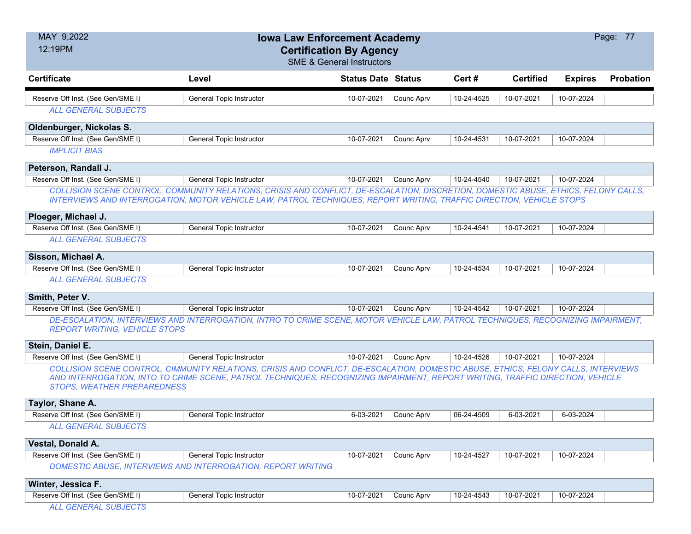| MAY 9,2022<br>12:19PM                | <b>Iowa Law Enforcement Academy</b><br><b>Certification By Agency</b><br><b>SME &amp; General Instructors</b>                                                                                                                                                       |                           |            |            |                  |                | Page: 77         |
|--------------------------------------|---------------------------------------------------------------------------------------------------------------------------------------------------------------------------------------------------------------------------------------------------------------------|---------------------------|------------|------------|------------------|----------------|------------------|
| <b>Certificate</b>                   | Level                                                                                                                                                                                                                                                               | <b>Status Date Status</b> |            | Cert#      | <b>Certified</b> | <b>Expires</b> | <b>Probation</b> |
| Reserve Off Inst. (See Gen/SME I)    | General Topic Instructor                                                                                                                                                                                                                                            | 10-07-2021                | Counc Aprv | 10-24-4525 | 10-07-2021       | 10-07-2024     |                  |
| <b>ALL GENERAL SUBJECTS</b>          |                                                                                                                                                                                                                                                                     |                           |            |            |                  |                |                  |
| Oldenburger, Nickolas S.             |                                                                                                                                                                                                                                                                     |                           |            |            |                  |                |                  |
| Reserve Off Inst. (See Gen/SME I)    | General Topic Instructor                                                                                                                                                                                                                                            | 10-07-2021                | Counc Aprv | 10-24-4531 | 10-07-2021       | 10-07-2024     |                  |
| <b>IMPLICIT BIAS</b>                 |                                                                                                                                                                                                                                                                     |                           |            |            |                  |                |                  |
| Peterson, Randall J.                 |                                                                                                                                                                                                                                                                     |                           |            |            |                  |                |                  |
| Reserve Off Inst. (See Gen/SME I)    | General Topic Instructor                                                                                                                                                                                                                                            | 10-07-2021                | Counc Aprv | 10-24-4540 | 10-07-2021       | 10-07-2024     |                  |
|                                      | COLLISION SCENE CONTROL, COMMUNITY RELATIONS, CRISIS AND CONFLICT, DE-ESCALATION, DISCRETION, DOMESTIC ABUSE, ETHICS, FELONY CALLS,                                                                                                                                 |                           |            |            |                  |                |                  |
|                                      | INTERVIEWS AND INTERROGATION, MOTOR VEHICLE LAW, PATROL TECHNIQUES, REPORT WRITING, TRAFFIC DIRECTION, VEHICLE STOPS                                                                                                                                                |                           |            |            |                  |                |                  |
| Ploeger, Michael J.                  |                                                                                                                                                                                                                                                                     |                           |            |            |                  |                |                  |
| Reserve Off Inst. (See Gen/SME I)    | General Topic Instructor                                                                                                                                                                                                                                            | 10-07-2021                | Counc Aprv | 10-24-4541 | 10-07-2021       | 10-07-2024     |                  |
| <b>ALL GENERAL SUBJECTS</b>          |                                                                                                                                                                                                                                                                     |                           |            |            |                  |                |                  |
| Sisson, Michael A.                   |                                                                                                                                                                                                                                                                     |                           |            |            |                  |                |                  |
| Reserve Off Inst. (See Gen/SME I)    | General Topic Instructor                                                                                                                                                                                                                                            | 10-07-2021                | Counc Aprv | 10-24-4534 | 10-07-2021       | 10-07-2024     |                  |
| <b>ALL GENERAL SUBJECTS</b>          |                                                                                                                                                                                                                                                                     |                           |            |            |                  |                |                  |
| Smith, Peter V.                      |                                                                                                                                                                                                                                                                     |                           |            |            |                  |                |                  |
| Reserve Off Inst. (See Gen/SME I)    | General Topic Instructor                                                                                                                                                                                                                                            | 10-07-2021                | Counc Aprv | 10-24-4542 | 10-07-2021       | 10-07-2024     |                  |
| <b>REPORT WRITING, VEHICLE STOPS</b> | DE-ESCALATION, INTERVIEWS AND INTERROGATION, INTRO TO CRIME SCENE, MOTOR VEHICLE LAW, PATROL TECHNIQUES, RECOGNIZING IMPAIRMENT,                                                                                                                                    |                           |            |            |                  |                |                  |
| Stein, Daniel E.                     |                                                                                                                                                                                                                                                                     |                           |            |            |                  |                |                  |
| Reserve Off Inst. (See Gen/SME I)    | General Topic Instructor                                                                                                                                                                                                                                            | 10-07-2021                | Counc Aprv | 10-24-4526 | 10-07-2021       | 10-07-2024     |                  |
| <b>STOPS, WEATHER PREPAREDNESS</b>   | COLLISION SCENE CONTROL, CIMMUNITY RELATIONS, CRISIS AND CONFLICT, DE-ESCALATION, DOMESTIC ABUSE, ETHICS, FELONY CALLS, INTERVIEWS<br>AND INTERROGATION, INTO TO CRIME SCENE, PATROL TECHNIQUES, RECOGNIZING IMPAIRMENT, REPORT WRITING, TRAFFIC DIRECTION, VEHICLE |                           |            |            |                  |                |                  |
| Taylor, Shane A.                     |                                                                                                                                                                                                                                                                     |                           |            |            |                  |                |                  |
| Reserve Off Inst. (See Gen/SME I)    | General Topic Instructor                                                                                                                                                                                                                                            | 6-03-2021                 | Counc Aprv | 06-24-4509 | 6-03-2021        | 6-03-2024      |                  |
| <b>ALL GENERAL SUBJECTS</b>          |                                                                                                                                                                                                                                                                     |                           |            |            |                  |                |                  |
| Vestal, Donald A.                    |                                                                                                                                                                                                                                                                     |                           |            |            |                  |                |                  |
| Reserve Off Inst. (See Gen/SME I)    | General Topic Instructor                                                                                                                                                                                                                                            | 10-07-2021                | Counc Aprv | 10-24-4527 | 10-07-2021       | 10-07-2024     |                  |
|                                      | DOMESTIC ABUSE, INTERVIEWS AND INTERROGATION, REPORT WRITING                                                                                                                                                                                                        |                           |            |            |                  |                |                  |
| Winter, Jessica F.                   |                                                                                                                                                                                                                                                                     |                           |            |            |                  |                |                  |
| Reserve Off Inst. (See Gen/SME I)    | General Topic Instructor                                                                                                                                                                                                                                            | 10-07-2021                | Counc Aprv | 10-24-4543 | 10-07-2021       | 10-07-2024     |                  |
| <b>ALL GENERAL SUBJECTS</b>          |                                                                                                                                                                                                                                                                     |                           |            |            |                  |                |                  |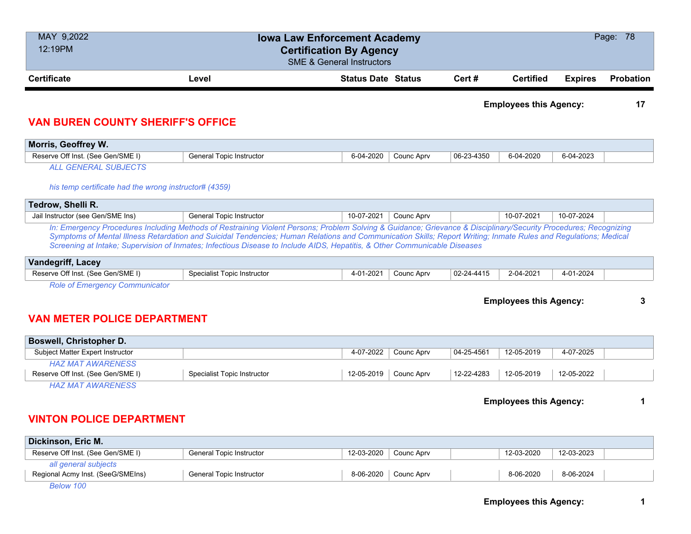| MAY 9,2022<br>12:19PM                                            |                          | <b>Iowa Law Enforcement Academy</b><br><b>Certification By Agency</b><br><b>SME &amp; General Instructors</b> |            |            |                               |                | Page: 78         |
|------------------------------------------------------------------|--------------------------|---------------------------------------------------------------------------------------------------------------|------------|------------|-------------------------------|----------------|------------------|
| <b>Certificate</b>                                               | Level                    | <b>Status Date Status</b>                                                                                     |            | Cert#      | <b>Certified</b>              | <b>Expires</b> | <b>Probation</b> |
|                                                                  |                          |                                                                                                               |            |            | <b>Employees this Agency:</b> |                | 17               |
|                                                                  |                          |                                                                                                               |            |            |                               |                |                  |
| <b>VAN BUREN COUNTY SHERIFF'S OFFICE</b><br>Morris, Geoffrey W.  |                          |                                                                                                               |            |            |                               |                |                  |
| Reserve Off Inst. (See Gen/SME I)<br><b>ALL GENERAL SUBJECTS</b> | General Topic Instructor | 6-04-2020                                                                                                     | Counc Aprv | 06-23-4350 | 6-04-2020                     | 6-04-2023      |                  |
| his temp certificate had the wrong instructor# (4359)            |                          |                                                                                                               |            |            |                               |                |                  |
| Tedrow, Shelli R.                                                |                          |                                                                                                               |            |            |                               |                |                  |

| Vandegriff, L<br>Lacev            |                             |                 |            |            |           |           |
|-----------------------------------|-----------------------------|-----------------|------------|------------|-----------|-----------|
| Reserve Off Inst. (See Gen/SME I) | Specialist Topic Instructor | $-2021$<br>4-U. | Counc Aprv | 02-24-4415 | 2-04-2021 | 4-01-2024 |
| __<br>---                         |                             |                 |            |            |           |           |

*Screening at Intake; Supervision of Inmates; Infectious Disease to Include AIDS, Hepatitis, & Other Communicable Diseases*

*Role of Emergency Communicator*

**Employees this Agency: 3**

# **VAN METER POLICE DEPARTMENT**

| <b>Boswell, Christopher D.</b>    |                             |            |            |                  |            |            |  |
|-----------------------------------|-----------------------------|------------|------------|------------------|------------|------------|--|
| Subject Matter Expert Instructor  |                             | 4-07-2022  | Counc Aprv | $04 - 25 - 4561$ | 12-05-2019 | 4-07-2025  |  |
| HAZ MAT AWARENESS                 |                             |            |            |                  |            |            |  |
| Reserve Off Inst. (See Gen/SME I) | Specialist Topic Instructor | 12-05-2019 | Counc Aprv | 12-22-4283       | 12-05-2019 | 12-05-2022 |  |
| HAZ MAT AWARENESS                 |                             |            |            |                  |            |            |  |

### **Employees this Agency: 1**

# **VINTON POLICE DEPARTMENT**

| Dickinson, Eric M.                |                                 |            |                        |            |            |  |
|-----------------------------------|---------------------------------|------------|------------------------|------------|------------|--|
| Reserve Off Inst. (See Gen/SME I) | <b>General Topic Instructor</b> | 12-03-2020 | Counc Aprv             | 12-03-2020 | 12-03-2023 |  |
| all general subjects              |                                 |            |                        |            |            |  |
| Regional Acmy Inst. (SeeG/SMEIns) | <b>General Topic Instructor</b> |            | $8-06-2020$ Counc Aprv | 8-06-2020  | 8-06-2024  |  |
| Below 100                         |                                 |            |                        |            |            |  |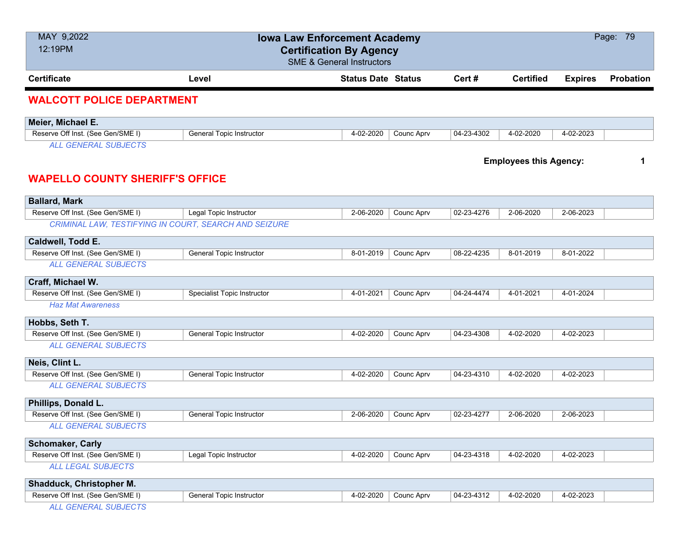| MAY 9,2022<br>12:19PM                                                 | <b>Iowa Law Enforcement Academy</b><br><b>Certification By Agency</b> | <b>SME &amp; General Instructors</b> |            |            |                               |                | Page: 79         |
|-----------------------------------------------------------------------|-----------------------------------------------------------------------|--------------------------------------|------------|------------|-------------------------------|----------------|------------------|
| <b>Certificate</b>                                                    | Level                                                                 | <b>Status Date Status</b>            |            | Cert#      | <b>Certified</b>              | <b>Expires</b> | <b>Probation</b> |
| <b>WALCOTT POLICE DEPARTMENT</b>                                      |                                                                       |                                      |            |            |                               |                |                  |
| Meier, Michael E.                                                     |                                                                       |                                      |            |            |                               |                |                  |
| Reserve Off Inst. (See Gen/SME I)                                     | <b>General Topic Instructor</b>                                       | 4-02-2020                            | Counc Aprv | 04-23-4302 | 4-02-2020                     | 4-02-2023      |                  |
| <b>ALL GENERAL SUBJECTS</b><br><b>WAPELLO COUNTY SHERIFF'S OFFICE</b> |                                                                       |                                      |            |            | <b>Employees this Agency:</b> |                | 1                |
| <b>Ballard, Mark</b>                                                  |                                                                       |                                      |            |            |                               |                |                  |
| Reserve Off Inst. (See Gen/SME I)                                     | Legal Topic Instructor                                                | 2-06-2020                            | Counc Aprv | 02-23-4276 | 2-06-2020                     | 2-06-2023      |                  |
| CRIMINAL LAW, TESTIFYING IN COURT, SEARCH AND SEIZURE                 |                                                                       |                                      |            |            |                               |                |                  |
| Caldwell, Todd E.                                                     |                                                                       |                                      |            |            |                               |                |                  |
| Reserve Off Inst. (See Gen/SME I)                                     | General Topic Instructor                                              | 8-01-2019                            | Counc Aprv | 08-22-4235 | 8-01-2019                     | 8-01-2022      |                  |
| <b>ALL GENERAL SUBJECTS</b>                                           |                                                                       |                                      |            |            |                               |                |                  |
| Craff, Michael W.                                                     |                                                                       |                                      |            |            |                               |                |                  |
| Reserve Off Inst. (See Gen/SME I)                                     | Specialist Topic Instructor                                           | 4-01-2021                            | Counc Aprv | 04-24-4474 | 4-01-2021                     | 4-01-2024      |                  |
| <b>Haz Mat Awareness</b>                                              |                                                                       |                                      |            |            |                               |                |                  |
| Hobbs, Seth T.                                                        |                                                                       |                                      |            |            |                               |                |                  |
| Reserve Off Inst. (See Gen/SME I)                                     | General Topic Instructor                                              | 4-02-2020                            | Counc Aprv | 04-23-4308 | 4-02-2020                     | 4-02-2023      |                  |
| <b>ALL GENERAL SUBJECTS</b>                                           |                                                                       |                                      |            |            |                               |                |                  |
| Neis, Clint L.                                                        |                                                                       |                                      |            |            |                               |                |                  |
| Reserve Off Inst. (See Gen/SME I)                                     | General Topic Instructor                                              | 4-02-2020                            | Counc Aprv | 04-23-4310 | 4-02-2020                     | 4-02-2023      |                  |
| <b>ALL GENERAL SUBJECTS</b>                                           |                                                                       |                                      |            |            |                               |                |                  |
| Phillips, Donald L.                                                   |                                                                       |                                      |            |            |                               |                |                  |
| Reserve Off Inst. (See Gen/SME I)                                     | <b>General Topic Instructor</b>                                       | 2-06-2020                            | Counc Aprv | 02-23-4277 | 2-06-2020                     | 2-06-2023      |                  |
| <b>ALL GENERAL SUBJECTS</b>                                           |                                                                       |                                      |            |            |                               |                |                  |
| <b>Schomaker, Carly</b>                                               |                                                                       |                                      |            |            |                               |                |                  |
| Reserve Off Inst. (See Gen/SME I)                                     | Legal Topic Instructor                                                | 4-02-2020                            | Counc Aprv | 04-23-4318 | 4-02-2020                     | 4-02-2023      |                  |
| <b>ALL LEGAL SUBJECTS</b>                                             |                                                                       |                                      |            |            |                               |                |                  |
| Shadduck, Christopher M.                                              |                                                                       |                                      |            |            |                               |                |                  |
| Reserve Off Inst. (See Gen/SME I)                                     | General Topic Instructor                                              | 4-02-2020                            | Counc Aprv | 04-23-4312 | 4-02-2020                     | 4-02-2023      |                  |
| ALL GENERAL SUBJECTS                                                  |                                                                       |                                      |            |            |                               |                |                  |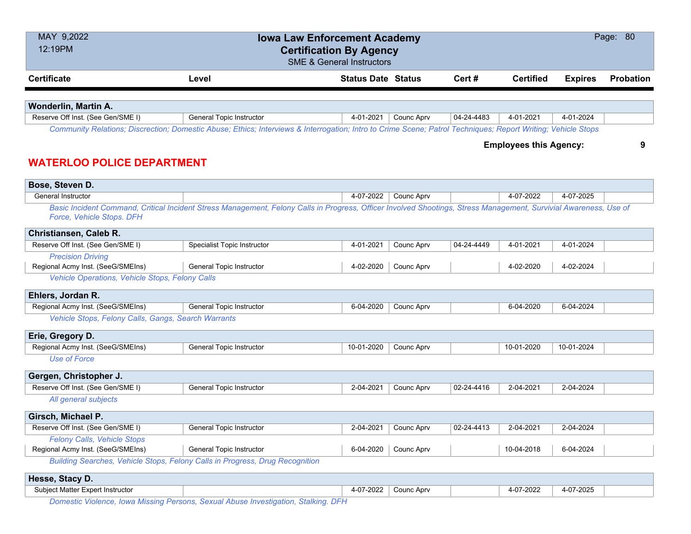| MAY 9,2022<br>12:19PM                               | <b>Iowa Law Enforcement Academy</b><br><b>Certification By Agency</b>                                                                                             | <b>SME &amp; General Instructors</b> |            |            |                               |                | Page: 80         |
|-----------------------------------------------------|-------------------------------------------------------------------------------------------------------------------------------------------------------------------|--------------------------------------|------------|------------|-------------------------------|----------------|------------------|
| <b>Certificate</b>                                  | Level                                                                                                                                                             | <b>Status Date Status</b>            |            | Cert#      | <b>Certified</b>              | <b>Expires</b> | <b>Probation</b> |
|                                                     |                                                                                                                                                                   |                                      |            |            |                               |                |                  |
| Wonderlin, Martin A.                                |                                                                                                                                                                   |                                      |            |            |                               |                |                  |
| Reserve Off Inst. (See Gen/SME I)                   | General Topic Instructor                                                                                                                                          | 4-01-2021                            | Counc Aprv | 04-24-4483 | 4-01-2021                     | 4-01-2024      |                  |
|                                                     | Community Relations; Discrection; Domestic Abuse; Ethics; Interviews & Interrogation; Intro to Crime Scene; Patrol Techniques; Report Writing; Vehicle Stops      |                                      |            |            |                               |                |                  |
| <b>WATERLOO POLICE DEPARTMENT</b>                   |                                                                                                                                                                   |                                      |            |            | <b>Employees this Agency:</b> |                | 9                |
| Bose, Steven D.                                     |                                                                                                                                                                   |                                      |            |            |                               |                |                  |
| <b>General Instructor</b>                           |                                                                                                                                                                   | 4-07-2022                            | Counc Aprv |            | 4-07-2022                     | 4-07-2025      |                  |
| Force, Vehicle Stops. DFH                           | Basic Incident Command, Critical Incident Stress Management, Felony Calls in Progress, Officer Involved Shootings, Stress Management, Survivial Awareness, Use of |                                      |            |            |                               |                |                  |
| Christiansen, Caleb R.                              |                                                                                                                                                                   |                                      |            |            |                               |                |                  |
| Reserve Off Inst. (See Gen/SME I)                   | Specialist Topic Instructor                                                                                                                                       | 4-01-2021                            | Counc Aprv | 04-24-4449 | 4-01-2021                     | 4-01-2024      |                  |
| <b>Precision Driving</b>                            |                                                                                                                                                                   |                                      |            |            |                               |                |                  |
| Regional Acmy Inst. (SeeG/SMEIns)                   | General Topic Instructor                                                                                                                                          | 4-02-2020                            | Counc Aprv |            | 4-02-2020                     | 4-02-2024      |                  |
| Vehicle Operations, Vehicle Stops, Felony Calls     |                                                                                                                                                                   |                                      |            |            |                               |                |                  |
| Ehlers, Jordan R.                                   |                                                                                                                                                                   |                                      |            |            |                               |                |                  |
| Regional Acmy Inst. (SeeG/SMEIns)                   | General Topic Instructor                                                                                                                                          | 6-04-2020                            | Counc Aprv |            | 6-04-2020                     | 6-04-2024      |                  |
| Vehicle Stops, Felony Calls, Gangs, Search Warrants |                                                                                                                                                                   |                                      |            |            |                               |                |                  |
| Erie, Gregory D.                                    |                                                                                                                                                                   |                                      |            |            |                               |                |                  |
| Regional Acmy Inst. (SeeG/SMEIns)                   | <b>General Topic Instructor</b>                                                                                                                                   | 10-01-2020                           | Counc Aprv |            | 10-01-2020                    | 10-01-2024     |                  |
| <b>Use of Force</b>                                 |                                                                                                                                                                   |                                      |            |            |                               |                |                  |
| Gergen, Christopher J.                              |                                                                                                                                                                   |                                      |            |            |                               |                |                  |
| Reserve Off Inst. (See Gen/SME I)                   | <b>General Topic Instructor</b>                                                                                                                                   | 2-04-2021                            | Counc Aprv | 02-24-4416 | 2-04-2021                     | 2-04-2024      |                  |
| All general subjects                                |                                                                                                                                                                   |                                      |            |            |                               |                |                  |
| Girsch, Michael P.                                  |                                                                                                                                                                   |                                      |            |            |                               |                |                  |
| Reserve Off Inst. (See Gen/SME I)                   | <b>General Topic Instructor</b>                                                                                                                                   | 2-04-2021                            | Counc Aprv | 02-24-4413 | 2-04-2021                     | 2-04-2024      |                  |
| Felony Calls, Vehicle Stops                         |                                                                                                                                                                   |                                      |            |            |                               |                |                  |
| Regional Acmy Inst. (SeeG/SMEIns)                   | General Topic Instructor                                                                                                                                          | 6-04-2020                            | Counc Aprv |            | 10-04-2018                    | 6-04-2024      |                  |
|                                                     | Building Searches, Vehicle Stops, Felony Calls in Progress, Drug Recognition                                                                                      |                                      |            |            |                               |                |                  |
| Hesse, Stacy D.                                     |                                                                                                                                                                   |                                      |            |            |                               |                |                  |
| Subject Matter Expert Instructor                    |                                                                                                                                                                   | 4-07-2022                            | Counc Aprv |            | 4-07-2022                     | 4-07-2025      |                  |

*Domestic Violence, Iowa Missing Persons, Sexual Abuse Investigation, Stalking. DFH*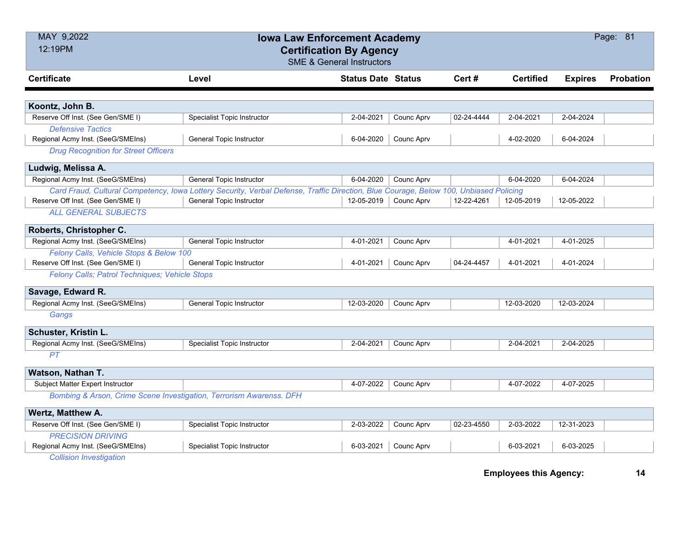| MAY 9,2022<br>12:19PM                                               | <b>Iowa Law Enforcement Academy</b>                                                                                                   | <b>Certification By Agency</b><br><b>SME &amp; General Instructors</b> |            |            |                  |                | Page: 81  |
|---------------------------------------------------------------------|---------------------------------------------------------------------------------------------------------------------------------------|------------------------------------------------------------------------|------------|------------|------------------|----------------|-----------|
| <b>Certificate</b>                                                  | Level                                                                                                                                 | <b>Status Date Status</b>                                              |            | Cert #     | <b>Certified</b> | <b>Expires</b> | Probation |
|                                                                     |                                                                                                                                       |                                                                        |            |            |                  |                |           |
| Koontz, John B.                                                     |                                                                                                                                       |                                                                        |            |            |                  |                |           |
| Reserve Off Inst. (See Gen/SME I)                                   | <b>Specialist Topic Instructor</b>                                                                                                    | 2-04-2021                                                              | Counc Aprv | 02-24-4444 | 2-04-2021        | 2-04-2024      |           |
| <b>Defensive Tactics</b>                                            |                                                                                                                                       |                                                                        |            |            |                  |                |           |
| Regional Acmy Inst. (SeeG/SMEIns)                                   | General Topic Instructor                                                                                                              | 6-04-2020                                                              | Counc Aprv |            | 4-02-2020        | 6-04-2024      |           |
| <b>Drug Recognition for Street Officers</b>                         |                                                                                                                                       |                                                                        |            |            |                  |                |           |
| Ludwig, Melissa A.                                                  |                                                                                                                                       |                                                                        |            |            |                  |                |           |
| Regional Acmy Inst. (SeeG/SMEIns)                                   | <b>General Topic Instructor</b>                                                                                                       | 6-04-2020                                                              | Counc Aprv |            | 6-04-2020        | 6-04-2024      |           |
|                                                                     | Card Fraud, Cultural Competency, Iowa Lottery Security, Verbal Defense, Traffic Direction, Blue Courage, Below 100, Unbiased Policing |                                                                        |            |            |                  |                |           |
| Reserve Off Inst. (See Gen/SME I)                                   | <b>General Topic Instructor</b>                                                                                                       | 12-05-2019                                                             | Counc Aprv | 12-22-4261 | 12-05-2019       | 12-05-2022     |           |
| <b>ALL GENERAL SUBJECTS</b>                                         |                                                                                                                                       |                                                                        |            |            |                  |                |           |
| Roberts, Christopher C.                                             |                                                                                                                                       |                                                                        |            |            |                  |                |           |
| Regional Acmy Inst. (SeeG/SMEIns)                                   | General Topic Instructor                                                                                                              | 4-01-2021                                                              | Counc Aprv |            | 4-01-2021        | 4-01-2025      |           |
| Felony Calls, Vehicle Stops & Below 100                             |                                                                                                                                       |                                                                        |            |            |                  |                |           |
| Reserve Off Inst. (See Gen/SME I)                                   | <b>General Topic Instructor</b>                                                                                                       | 4-01-2021                                                              | Counc Aprv | 04-24-4457 | 4-01-2021        | 4-01-2024      |           |
| Felony Calls; Patrol Techniques; Vehicle Stops                      |                                                                                                                                       |                                                                        |            |            |                  |                |           |
| Savage, Edward R.                                                   |                                                                                                                                       |                                                                        |            |            |                  |                |           |
| Regional Acmy Inst. (SeeG/SMEIns)                                   | General Topic Instructor                                                                                                              | 12-03-2020                                                             | Counc Aprv |            | 12-03-2020       | 12-03-2024     |           |
| Gangs                                                               |                                                                                                                                       |                                                                        |            |            |                  |                |           |
| Schuster, Kristin L.                                                |                                                                                                                                       |                                                                        |            |            |                  |                |           |
| Regional Acmy Inst. (SeeG/SMEIns)                                   | <b>Specialist Topic Instructor</b>                                                                                                    | 2-04-2021                                                              | Counc Aprv |            | 2-04-2021        | 2-04-2025      |           |
| PT                                                                  |                                                                                                                                       |                                                                        |            |            |                  |                |           |
| Watson, Nathan T.                                                   |                                                                                                                                       |                                                                        |            |            |                  |                |           |
| Subject Matter Expert Instructor                                    |                                                                                                                                       | 4-07-2022                                                              | Counc Aprv |            | 4-07-2022        | 4-07-2025      |           |
| Bombing & Arson, Crime Scene Investigation, Terrorism Awarenss. DFH |                                                                                                                                       |                                                                        |            |            |                  |                |           |
| Wertz, Matthew A.                                                   |                                                                                                                                       |                                                                        |            |            |                  |                |           |
| Reserve Off Inst. (See Gen/SME I)                                   | <b>Specialist Topic Instructor</b>                                                                                                    | 2-03-2022                                                              | Counc Aprv | 02-23-4550 | 2-03-2022        | 12-31-2023     |           |
| <b>PRECISION DRIVING</b>                                            |                                                                                                                                       |                                                                        |            |            |                  |                |           |
| Regional Acmy Inst. (SeeG/SMEIns)                                   | <b>Specialist Topic Instructor</b>                                                                                                    | 6-03-2021                                                              | Counc Aprv |            | 6-03-2021        | 6-03-2025      |           |
| Collinian Invantigation                                             |                                                                                                                                       |                                                                        |            |            |                  |                |           |

*Collision Investigation*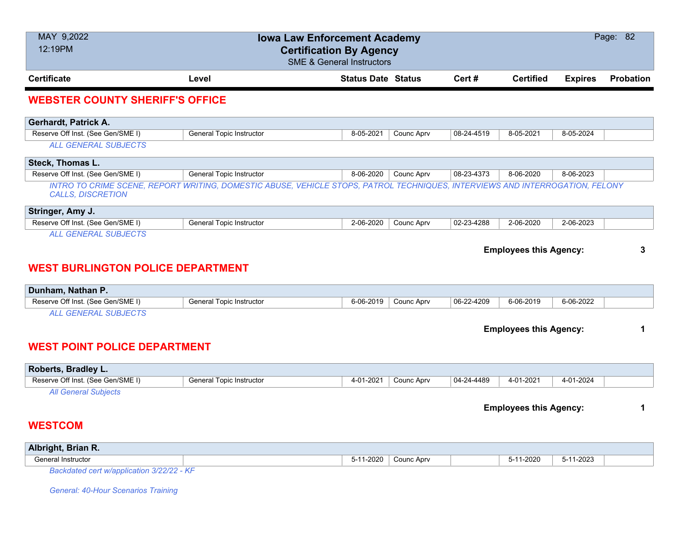| MAY 9,2022<br>12:19PM                                            | <b>Iowa Law Enforcement Academy</b>                                                                                          | <b>Certification By Agency</b><br><b>SME &amp; General Instructors</b> |            |            |                               |                | Page: 82  |
|------------------------------------------------------------------|------------------------------------------------------------------------------------------------------------------------------|------------------------------------------------------------------------|------------|------------|-------------------------------|----------------|-----------|
| <b>Certificate</b>                                               | Level                                                                                                                        | <b>Status Date Status</b>                                              |            | Cert #     | <b>Certified</b>              | <b>Expires</b> | Probation |
| <b>WEBSTER COUNTY SHERIFF'S OFFICE</b>                           |                                                                                                                              |                                                                        |            |            |                               |                |           |
| Gerhardt, Patrick A.                                             |                                                                                                                              |                                                                        |            |            |                               |                |           |
| Reserve Off Inst. (See Gen/SME I)                                | <b>General Topic Instructor</b>                                                                                              | 8-05-2021                                                              | Counc Aprv | 08-24-4519 | 8-05-2021                     | 8-05-2024      |           |
| <b>ALL GENERAL SUBJECTS</b>                                      |                                                                                                                              |                                                                        |            |            |                               |                |           |
| Steck, Thomas L.                                                 |                                                                                                                              |                                                                        |            |            |                               |                |           |
| Reserve Off Inst. (See Gen/SME I)                                | <b>General Topic Instructor</b>                                                                                              | 8-06-2020                                                              | Counc Aprv | 08-23-4373 | 8-06-2020                     | 8-06-2023      |           |
| <b>CALLS, DISCRETION</b>                                         | INTRO TO CRIME SCENE, REPORT WRITING, DOMESTIC ABUSE, VEHICLE STOPS, PATROL TECHNIQUES, INTERVIEWS AND INTERROGATION, FELONY |                                                                        |            |            |                               |                |           |
| Stringer, Amy J.                                                 |                                                                                                                              |                                                                        |            |            |                               |                |           |
| Reserve Off Inst. (See Gen/SME I)<br><b>ALL GENERAL SUBJECTS</b> | <b>General Topic Instructor</b>                                                                                              | 2-06-2020                                                              | Counc Aprv | 02-23-4288 | 2-06-2020                     | 2-06-2023      |           |
| <b>WEST BURLINGTON POLICE DEPARTMENT</b>                         |                                                                                                                              |                                                                        |            |            | <b>Employees this Agency:</b> |                | 3         |
| Dunham, Nathan P.<br>Reserve Off Inst. (See Gen/SME I)           | General Topic Instructor                                                                                                     | 6-06-2019                                                              | Counc Aprv | 06-22-4209 | 6-06-2019                     | 6-06-2022      |           |
| <b>ALL GENERAL SUBJECTS</b>                                      |                                                                                                                              |                                                                        |            |            |                               |                |           |
| <b>WEST POINT POLICE DEPARTMENT</b>                              |                                                                                                                              |                                                                        |            |            | <b>Employees this Agency:</b> |                | 1         |
| Roberts, Bradley L.                                              |                                                                                                                              |                                                                        |            |            |                               |                |           |
| Reserve Off Inst. (See Gen/SME I)                                | <b>General Topic Instructor</b>                                                                                              | 4-01-2021                                                              | Counc Aprv | 04-24-4489 | 4-01-2021                     | 4-01-2024      |           |
| <b>All General Subjects</b><br><b>WESTCOM</b>                    |                                                                                                                              |                                                                        |            |            | <b>Employees this Agency:</b> |                | 1         |
| Albright, Brian R.                                               |                                                                                                                              |                                                                        |            |            |                               |                |           |
| General Instructor                                               |                                                                                                                              | 5-11-2020                                                              | Counc Aprv |            | 5-11-2020                     | 5-11-2023      |           |

*Backdated cert w/application 3/22/22 - KF*

*General: 40-Hour Scenarios Training*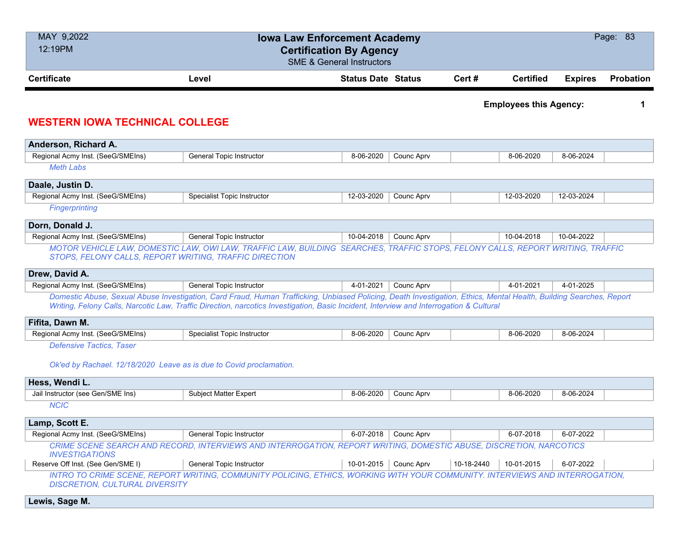| MAY 9,2022                                                          | <b>Iowa Law Enforcement Academy</b>                                                                                                                                                                                                                                                                            |                                      |            |            |                               |                | Page: 83         |
|---------------------------------------------------------------------|----------------------------------------------------------------------------------------------------------------------------------------------------------------------------------------------------------------------------------------------------------------------------------------------------------------|--------------------------------------|------------|------------|-------------------------------|----------------|------------------|
| 12:19PM                                                             | <b>Certification By Agency</b>                                                                                                                                                                                                                                                                                 |                                      |            |            |                               |                |                  |
|                                                                     |                                                                                                                                                                                                                                                                                                                | <b>SME &amp; General Instructors</b> |            |            |                               |                |                  |
| <b>Certificate</b>                                                  | Level                                                                                                                                                                                                                                                                                                          | <b>Status Date Status</b>            |            | Cert#      | <b>Certified</b>              | <b>Expires</b> | <b>Probation</b> |
|                                                                     |                                                                                                                                                                                                                                                                                                                |                                      |            |            |                               |                |                  |
|                                                                     |                                                                                                                                                                                                                                                                                                                |                                      |            |            | <b>Employees this Agency:</b> |                | 1                |
| <b>WESTERN IOWA TECHNICAL COLLEGE</b>                               |                                                                                                                                                                                                                                                                                                                |                                      |            |            |                               |                |                  |
| Anderson, Richard A.                                                |                                                                                                                                                                                                                                                                                                                |                                      |            |            |                               |                |                  |
| Regional Acmy Inst. (SeeG/SMEIns)                                   | <b>General Topic Instructor</b>                                                                                                                                                                                                                                                                                | 8-06-2020                            | Counc Aprv |            | 8-06-2020                     | 8-06-2024      |                  |
| <b>Meth Labs</b>                                                    |                                                                                                                                                                                                                                                                                                                |                                      |            |            |                               |                |                  |
|                                                                     |                                                                                                                                                                                                                                                                                                                |                                      |            |            |                               |                |                  |
| Daale, Justin D.                                                    | <b>Specialist Topic Instructor</b>                                                                                                                                                                                                                                                                             | 12-03-2020                           |            |            | 12-03-2020                    | 12-03-2024     |                  |
| Regional Acmy Inst. (SeeG/SMEIns)<br>Fingerprinting                 |                                                                                                                                                                                                                                                                                                                |                                      | Counc Aprv |            |                               |                |                  |
|                                                                     |                                                                                                                                                                                                                                                                                                                |                                      |            |            |                               |                |                  |
| Dorn, Donald J.                                                     |                                                                                                                                                                                                                                                                                                                |                                      |            |            |                               |                |                  |
| Regional Acmy Inst. (SeeG/SMEIns)                                   | General Topic Instructor                                                                                                                                                                                                                                                                                       | 10-04-2018                           | Counc Aprv |            | 10-04-2018                    | 10-04-2022     |                  |
| STOPS, FELONY CALLS, REPORT WRITING, TRAFFIC DIRECTION              | MOTOR VEHICLE LAW, DOMESTIC LAW, OWI LAW, TRAFFIC LAW, BUILDING SEARCHES, TRAFFIC STOPS, FELONY CALLS, REPORT WRITING, TRAFFIC                                                                                                                                                                                 |                                      |            |            |                               |                |                  |
| Drew, David A.                                                      |                                                                                                                                                                                                                                                                                                                |                                      |            |            |                               |                |                  |
| Regional Acmy Inst. (SeeG/SMEIns)                                   | General Topic Instructor                                                                                                                                                                                                                                                                                       | 4-01-2021                            | Counc Aprv |            | 4-01-2021                     | 4-01-2025      |                  |
|                                                                     | Domestic Abuse, Sexual Abuse Investigation, Card Fraud, Human Trafficking, Unbiased Policing, Death Investigation, Ethics, Mental Health, Building Searches, Report<br>Writing, Felony Calls, Narcotic Law, Traffic Direction, narcotics Investigation, Basic Incident, Interview and Interrogation & Cultural |                                      |            |            |                               |                |                  |
| Fifita, Dawn M.                                                     |                                                                                                                                                                                                                                                                                                                |                                      |            |            |                               |                |                  |
| Regional Acmy Inst. (SeeG/SMEIns)                                   | <b>Specialist Topic Instructor</b>                                                                                                                                                                                                                                                                             | 8-06-2020                            | Counc Aprv |            | 8-06-2020                     | 8-06-2024      |                  |
| <b>Defensive Tactics, Taser</b>                                     |                                                                                                                                                                                                                                                                                                                |                                      |            |            |                               |                |                  |
| Ok'ed by Rachael. 12/18/2020 Leave as is due to Covid proclamation. |                                                                                                                                                                                                                                                                                                                |                                      |            |            |                               |                |                  |
| Hess, Wendi L.                                                      |                                                                                                                                                                                                                                                                                                                |                                      |            |            |                               |                |                  |
| Jail Instructor (see Gen/SME Ins)                                   | <b>Subject Matter Expert</b>                                                                                                                                                                                                                                                                                   | 8-06-2020                            | Counc Aprv |            | 8-06-2020                     | 8-06-2024      |                  |
| <b>NCIC</b>                                                         |                                                                                                                                                                                                                                                                                                                |                                      |            |            |                               |                |                  |
| Lamp, Scott E.                                                      |                                                                                                                                                                                                                                                                                                                |                                      |            |            |                               |                |                  |
| Regional Acmy Inst. (SeeG/SMEIns)                                   | General Topic Instructor                                                                                                                                                                                                                                                                                       | 6-07-2018                            | Counc Aprv |            | 6-07-2018                     | 6-07-2022      |                  |
|                                                                     | CRIME SCENE SEARCH AND RECORD, INTERVIEWS AND INTERROGATION, REPORT WRITING, DOMESTIC ABUSE, DISCRETION, NARCOTICS                                                                                                                                                                                             |                                      |            |            |                               |                |                  |
| <b>INVESTIGATIONS</b><br>Reserve Off Inst. (See Gen/SME I)          | General Topic Instructor                                                                                                                                                                                                                                                                                       | 10-01-2015                           | Counc Aprv | 10-18-2440 | 10-01-2015                    | 6-07-2022      |                  |

*INTRO TO CRIME SCENE, REPORT WRITING, COMMUNITY POLICING, ETHICS, WORKING WITH YOUR COMMUNITY. INTERVIEWS AND INTERROGATION, DISCRETION, CULTURAL DIVERSITY*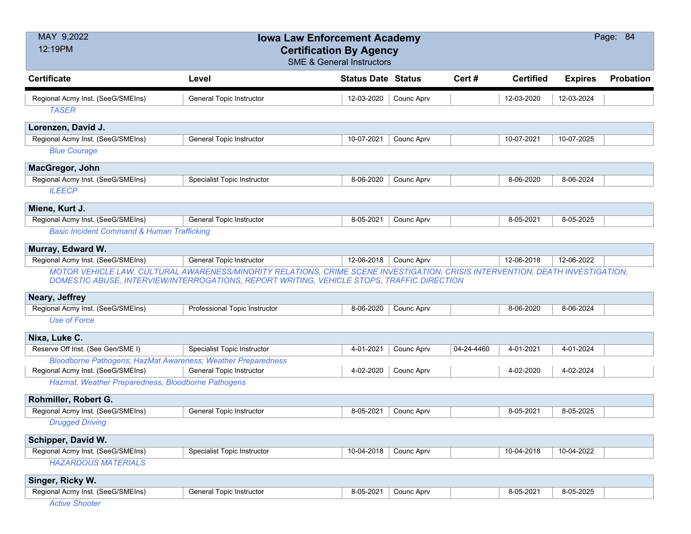| <b>Certificate</b><br><b>Certified</b><br><b>Status Date Status</b><br>Cert#<br><b>Expires</b><br><b>Probation</b><br>Level<br>Regional Acmy Inst. (SeeG/SMEIns)<br><b>General Topic Instructor</b><br>12-03-2020<br>Counc Aprv<br>12-03-2020<br>12-03-2024<br><b>TASER</b><br>Lorenzen, David J.<br>Regional Acmy Inst. (SeeG/SMEIns)<br><b>General Topic Instructor</b><br>10-07-2021<br>Counc Aprv<br>10-07-2021<br>10-07-2025<br><b>Blue Courage</b><br>MacGregor, John<br>Regional Acmy Inst. (SeeG/SMEIns)<br>Specialist Topic Instructor<br>8-06-2024<br>8-06-2020<br>8-06-2020<br>Counc Aprv<br><b>ILEECP</b> | MAY 9,2022<br>12:19PM | <b>Iowa Law Enforcement Academy</b><br><b>Certification By Agency</b><br><b>SME &amp; General Instructors</b> |  |  | Page: 84 |
|-----------------------------------------------------------------------------------------------------------------------------------------------------------------------------------------------------------------------------------------------------------------------------------------------------------------------------------------------------------------------------------------------------------------------------------------------------------------------------------------------------------------------------------------------------------------------------------------------------------------------|-----------------------|---------------------------------------------------------------------------------------------------------------|--|--|----------|
|                                                                                                                                                                                                                                                                                                                                                                                                                                                                                                                                                                                                                       |                       |                                                                                                               |  |  |          |
|                                                                                                                                                                                                                                                                                                                                                                                                                                                                                                                                                                                                                       |                       |                                                                                                               |  |  |          |
|                                                                                                                                                                                                                                                                                                                                                                                                                                                                                                                                                                                                                       |                       |                                                                                                               |  |  |          |
|                                                                                                                                                                                                                                                                                                                                                                                                                                                                                                                                                                                                                       |                       |                                                                                                               |  |  |          |
|                                                                                                                                                                                                                                                                                                                                                                                                                                                                                                                                                                                                                       |                       |                                                                                                               |  |  |          |
|                                                                                                                                                                                                                                                                                                                                                                                                                                                                                                                                                                                                                       |                       |                                                                                                               |  |  |          |
|                                                                                                                                                                                                                                                                                                                                                                                                                                                                                                                                                                                                                       |                       |                                                                                                               |  |  |          |
|                                                                                                                                                                                                                                                                                                                                                                                                                                                                                                                                                                                                                       |                       |                                                                                                               |  |  |          |
|                                                                                                                                                                                                                                                                                                                                                                                                                                                                                                                                                                                                                       |                       |                                                                                                               |  |  |          |
|                                                                                                                                                                                                                                                                                                                                                                                                                                                                                                                                                                                                                       | Miene, Kurt J.        |                                                                                                               |  |  |          |
| Regional Acmy Inst. (SeeG/SMEIns)<br><b>General Topic Instructor</b><br>8-05-2021<br>8-05-2025<br>Counc Aprv<br>8-05-2021                                                                                                                                                                                                                                                                                                                                                                                                                                                                                             |                       |                                                                                                               |  |  |          |
| <b>Basic Incident Command &amp; Human Trafficking</b>                                                                                                                                                                                                                                                                                                                                                                                                                                                                                                                                                                 |                       |                                                                                                               |  |  |          |
| Murray, Edward W.                                                                                                                                                                                                                                                                                                                                                                                                                                                                                                                                                                                                     |                       |                                                                                                               |  |  |          |
| Regional Acmy Inst. (SeeG/SMEIns)<br><b>General Topic Instructor</b><br>12-06-2018<br>12-06-2018<br>12-06-2022<br>Counc Aprv                                                                                                                                                                                                                                                                                                                                                                                                                                                                                          |                       |                                                                                                               |  |  |          |
| MOTOR VEHICLE LAW, CULTURAL AWARENESS/MINORITY RELATIONS, CRIME SCENE INVESTIGATION, CRISIS INTERVENTION, DEATH INVESTIGATION,<br>DOMESTIC ABUSE, INTERVIEW/INTERROGATIONS, REPORT WRITING, VEHICLE STOPS, TRAFFIC DIRECTION                                                                                                                                                                                                                                                                                                                                                                                          |                       |                                                                                                               |  |  |          |
| Neary, Jeffrey                                                                                                                                                                                                                                                                                                                                                                                                                                                                                                                                                                                                        |                       |                                                                                                               |  |  |          |
| Regional Acmy Inst. (SeeG/SMEIns)<br>Professional Topic Instructor<br>8-06-2020<br>8-06-2024<br>Counc Aprv<br>8-06-2020                                                                                                                                                                                                                                                                                                                                                                                                                                                                                               |                       |                                                                                                               |  |  |          |
| <b>Use of Force</b>                                                                                                                                                                                                                                                                                                                                                                                                                                                                                                                                                                                                   |                       |                                                                                                               |  |  |          |
| Nixa, Luke C.                                                                                                                                                                                                                                                                                                                                                                                                                                                                                                                                                                                                         |                       |                                                                                                               |  |  |          |
| Reserve Off Inst. (See Gen/SME I)<br>Specialist Topic Instructor<br>4-01-2021<br>04-24-4460<br>4-01-2024<br>Counc Aprv<br>4-01-2021                                                                                                                                                                                                                                                                                                                                                                                                                                                                                   |                       |                                                                                                               |  |  |          |
| <b>Bloodborne Pathogens; HazMat Awareness; Weather Preparedness</b>                                                                                                                                                                                                                                                                                                                                                                                                                                                                                                                                                   |                       |                                                                                                               |  |  |          |
| Regional Acmy Inst. (SeeG/SMEIns)<br><b>General Topic Instructor</b><br>4-02-2020<br>Counc Aprv<br>4-02-2024<br>4-02-2020<br>Hazmat, Weather Preparedness, Bloodborne Pathogens                                                                                                                                                                                                                                                                                                                                                                                                                                       |                       |                                                                                                               |  |  |          |
|                                                                                                                                                                                                                                                                                                                                                                                                                                                                                                                                                                                                                       |                       |                                                                                                               |  |  |          |
| Rohmiller, Robert G.<br>Regional Acmy Inst. (SeeG/SMEIns)<br>General Topic Instructor<br>8-05-2021<br><b>Counc Aprv</b><br>8-05-2021<br>8-05-2025                                                                                                                                                                                                                                                                                                                                                                                                                                                                     |                       |                                                                                                               |  |  |          |
| <b>Drugged Driving</b>                                                                                                                                                                                                                                                                                                                                                                                                                                                                                                                                                                                                |                       |                                                                                                               |  |  |          |
| Schipper, David W.                                                                                                                                                                                                                                                                                                                                                                                                                                                                                                                                                                                                    |                       |                                                                                                               |  |  |          |
| Regional Acmy Inst. (SeeG/SMEIns)<br>10-04-2018<br><b>Specialist Topic Instructor</b><br><b>Counc Aprv</b><br>10-04-2018<br>10-04-2022                                                                                                                                                                                                                                                                                                                                                                                                                                                                                |                       |                                                                                                               |  |  |          |
| <b>HAZARDOUS MATERIALS</b>                                                                                                                                                                                                                                                                                                                                                                                                                                                                                                                                                                                            |                       |                                                                                                               |  |  |          |
| Singer, Ricky W.                                                                                                                                                                                                                                                                                                                                                                                                                                                                                                                                                                                                      |                       |                                                                                                               |  |  |          |
| Regional Acmy Inst. (SeeG/SMEIns)<br><b>General Topic Instructor</b><br>8-05-2021<br>8-05-2025<br>Counc Aprv<br>8-05-2021                                                                                                                                                                                                                                                                                                                                                                                                                                                                                             |                       |                                                                                                               |  |  |          |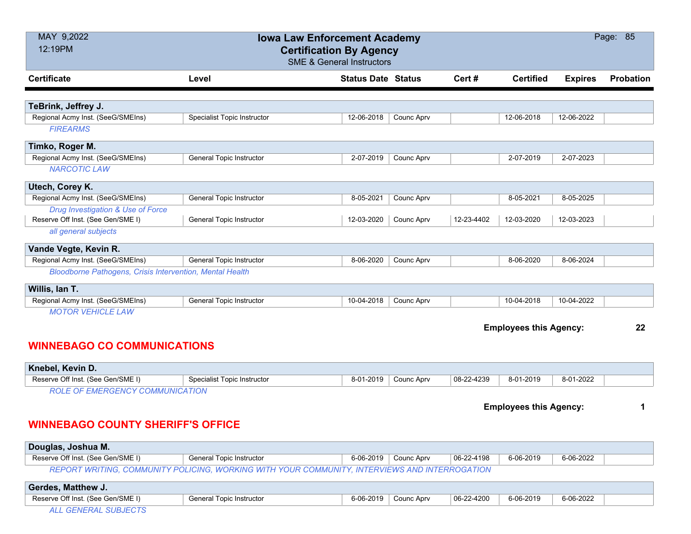| MAY 9,2022<br>12:19PM                                    |                                 | <b>Iowa Law Enforcement Academy</b><br><b>Certification By Agency</b><br><b>SME &amp; General Instructors</b> |            |            |                               |                | Page: 85         |
|----------------------------------------------------------|---------------------------------|---------------------------------------------------------------------------------------------------------------|------------|------------|-------------------------------|----------------|------------------|
| <b>Certificate</b>                                       | Level                           | <b>Status Date Status</b>                                                                                     |            | Cert#      | <b>Certified</b>              | <b>Expires</b> | <b>Probation</b> |
|                                                          |                                 |                                                                                                               |            |            |                               |                |                  |
| TeBrink, Jeffrey J.                                      |                                 |                                                                                                               |            |            |                               |                |                  |
| Regional Acmy Inst. (SeeG/SMEIns)<br><b>FIREARMS</b>     | Specialist Topic Instructor     | 12-06-2018                                                                                                    | Counc Aprv |            | 12-06-2018                    | 12-06-2022     |                  |
| Timko, Roger M.                                          |                                 |                                                                                                               |            |            |                               |                |                  |
| Regional Acmy Inst. (SeeG/SMEIns)                        | <b>General Topic Instructor</b> | 2-07-2019                                                                                                     | Counc Aprv |            | 2-07-2019                     | 2-07-2023      |                  |
| <b>NARCOTIC LAW</b>                                      |                                 |                                                                                                               |            |            |                               |                |                  |
| Utech, Corey K.                                          |                                 |                                                                                                               |            |            |                               |                |                  |
| Regional Acmy Inst. (SeeG/SMEIns)                        | General Topic Instructor        | 8-05-2021                                                                                                     | Counc Aprv |            | 8-05-2021                     | 8-05-2025      |                  |
| Drug Investigation & Use of Force                        |                                 |                                                                                                               |            |            |                               |                |                  |
| Reserve Off Inst. (See Gen/SME I)                        | <b>General Topic Instructor</b> | 12-03-2020                                                                                                    | Counc Aprv | 12-23-4402 | 12-03-2020                    | 12-03-2023     |                  |
| all general subjects                                     |                                 |                                                                                                               |            |            |                               |                |                  |
| Vande Vegte, Kevin R.                                    |                                 |                                                                                                               |            |            |                               |                |                  |
| Regional Acmy Inst. (SeeG/SMEIns)                        | <b>General Topic Instructor</b> | 8-06-2020                                                                                                     | Counc Aprv |            | 8-06-2020                     | 8-06-2024      |                  |
| Bloodborne Pathogens, Crisis Intervention, Mental Health |                                 |                                                                                                               |            |            |                               |                |                  |
| Willis, Ian T.                                           |                                 |                                                                                                               |            |            |                               |                |                  |
| Regional Acmy Inst. (SeeG/SMEIns)                        | <b>General Topic Instructor</b> | 10-04-2018                                                                                                    | Counc Aprv |            | 10-04-2018                    | 10-04-2022     |                  |
| <b>MOTOR VEHICLE LAW</b>                                 |                                 |                                                                                                               |            |            |                               |                |                  |
|                                                          |                                 |                                                                                                               |            |            | <b>Employees this Agency:</b> |                | 22               |
| <b>WINNEBAGO CO COMMUNICATIONS</b>                       |                                 |                                                                                                               |            |            |                               |                |                  |
| Knebel, Kevin D.                                         |                                 |                                                                                                               |            |            |                               |                |                  |
| Reserve Off Inst. (See Gen/SME I)                        | Specialist Topic Instructor     | 8-01-2019                                                                                                     | Counc Aprv | 08-22-4239 | 8-01-2019                     | 8-01-2022      |                  |
| <b>ROLE OF EMERGENCY COMMUNICATION</b>                   |                                 |                                                                                                               |            |            |                               |                |                  |
|                                                          |                                 |                                                                                                               |            |            | <b>Employees this Agency:</b> |                | 1                |
| <b>WINNEBAGO COUNTY SHERIFF'S OFFICE</b>                 |                                 |                                                                                                               |            |            |                               |                |                  |

| ∣ Douglas, Joshua M. ∖            |                                                                                               |                      |            |           |           |  |
|-----------------------------------|-----------------------------------------------------------------------------------------------|----------------------|------------|-----------|-----------|--|
| Reserve Off Inst. (See Gen/SME I) | General Topic Instructor                                                                      | 6-06-2019 Counc Aprv | 06-22-4198 | 6-06-2019 | 6-06-2022 |  |
|                                   | REPORT WRITING, COMMUNITY POLICING, WORKING WITH YOUR COMMUNITY, INTERVIEWS AND INTERROGATION |                      |            |           |           |  |

| <b>Gerdes, Matthew J.</b>         |                          |           |            |            |           |           |  |
|-----------------------------------|--------------------------|-----------|------------|------------|-----------|-----------|--|
| Reserve Off Inst. (See Gen/SME I) | General Topic Instructor | 6-06-2019 | Counc Aprv | 06-22-4200 | 6-06-2019 | 6-06-2022 |  |
| CENTRAL OUR IFOTO                 |                          |           |            |            |           |           |  |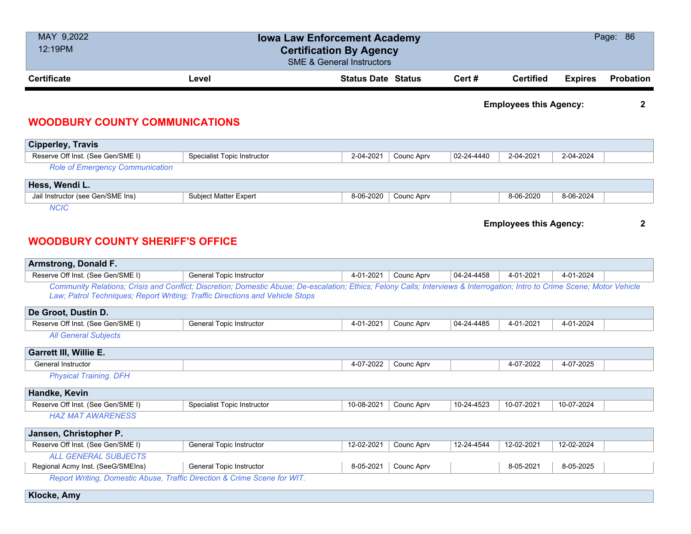| MAY 9,2022<br>12:19PM |                                       | <b>Iowa Law Enforcement Academy</b><br><b>Certification By Agency</b><br><b>SME &amp; General Instructors</b> |        |                               |                | Page: 86         |
|-----------------------|---------------------------------------|---------------------------------------------------------------------------------------------------------------|--------|-------------------------------|----------------|------------------|
| <b>Certificate</b>    | Level                                 | <b>Status Date Status</b>                                                                                     | Cert # | <b>Certified</b>              | <b>Expires</b> | <b>Probation</b> |
|                       | <b>WOODBURY COUNTY COMMUNICATIONS</b> |                                                                                                               |        | <b>Employees this Agency:</b> |                |                  |

## **Cipperley, Travis** Reserve Off Inst. (See Gen/SME I) Specialist Topic Instructor 2-04-2021 Counc Aprv 02-24-4440 2-04-2021 2-04-2024 *Role of Emergency Communication* **Hess, Wendi L.** Jail Instructor (see Gen/SME Ins) Subject Matter Expert 8-06-2020 8-06-2020 Counc Aprv 8-06-2020 8-06-2020 8-06-2024 *NCIC*

**Employees this Agency: 2**

## **WOODBURY COUNTY SHERIFF'S OFFICE**

| <b>Armstrong, Donald F.</b>       |                                                                                                                                                                                                                                                            |            |            |            |            |            |  |
|-----------------------------------|------------------------------------------------------------------------------------------------------------------------------------------------------------------------------------------------------------------------------------------------------------|------------|------------|------------|------------|------------|--|
| Reserve Off Inst. (See Gen/SME I) | General Topic Instructor                                                                                                                                                                                                                                   | 4-01-2021  | Counc Aprv | 04-24-4458 | 4-01-2021  | 4-01-2024  |  |
|                                   | Community Relations; Crisis and Conflict; Discretion; Domestic Abuse; De-escalation; Ethics; Felony Calls; Interviews & Interrogation; Intro to Crime Scene; Motor Vehicle<br>Law; Patrol Techniques; Report Writing; Traffic Directions and Vehicle Stops |            |            |            |            |            |  |
| De Groot, Dustin D.               |                                                                                                                                                                                                                                                            |            |            |            |            |            |  |
| Reserve Off Inst. (See Gen/SME I) | General Topic Instructor                                                                                                                                                                                                                                   | 4-01-2021  | Counc Aprv | 04-24-4485 | 4-01-2021  | 4-01-2024  |  |
| <b>All General Subjects</b>       |                                                                                                                                                                                                                                                            |            |            |            |            |            |  |
| <b>Garrett III, Willie E.</b>     |                                                                                                                                                                                                                                                            |            |            |            |            |            |  |
| General Instructor                |                                                                                                                                                                                                                                                            | 4-07-2022  | Counc Aprv |            | 4-07-2022  | 4-07-2025  |  |
| <b>Physical Training. DFH</b>     |                                                                                                                                                                                                                                                            |            |            |            |            |            |  |
| Handke, Kevin                     |                                                                                                                                                                                                                                                            |            |            |            |            |            |  |
| Reserve Off Inst. (See Gen/SME I) | <b>Specialist Topic Instructor</b>                                                                                                                                                                                                                         | 10-08-2021 | Counc Aprv | 10-24-4523 | 10-07-2021 | 10-07-2024 |  |
| <b>HAZ MAT AWARENESS</b>          |                                                                                                                                                                                                                                                            |            |            |            |            |            |  |
| Jansen, Christopher P.            |                                                                                                                                                                                                                                                            |            |            |            |            |            |  |
| Reserve Off Inst. (See Gen/SME I) | General Topic Instructor                                                                                                                                                                                                                                   | 12-02-2021 | Counc Aprv | 12-24-4544 | 12-02-2021 | 12-02-2024 |  |
| <b>ALL GENERAL SUBJECTS</b>       |                                                                                                                                                                                                                                                            |            |            |            |            |            |  |
| Regional Acmy Inst. (SeeG/SMEIns) | General Topic Instructor                                                                                                                                                                                                                                   | 8-05-2021  | Counc Aprv |            | 8-05-2021  | 8-05-2025  |  |
|                                   | Report Writing, Domestic Abuse, Traffic Direction & Crime Scene for WIT.                                                                                                                                                                                   |            |            |            |            |            |  |

**Klocke, Amy**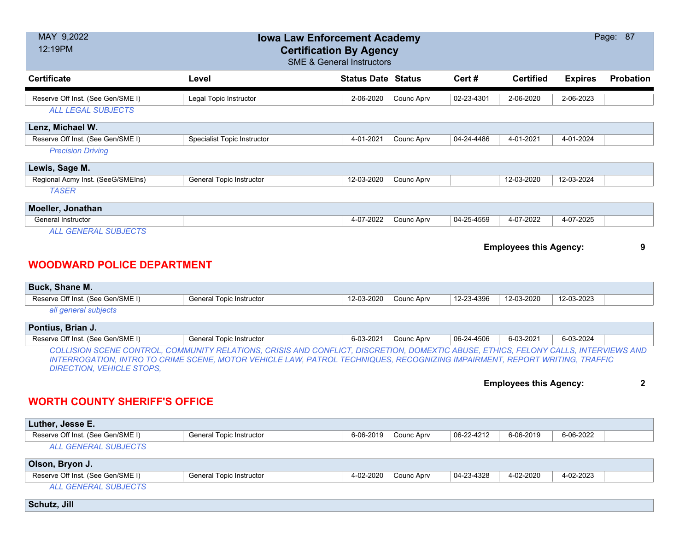| MAY 9,2022<br>12:19PM                                                                 | Page: 87                                                                                                                                                                                                                                                          |                           |            |            |                               |                |                  |  |  |  |
|---------------------------------------------------------------------------------------|-------------------------------------------------------------------------------------------------------------------------------------------------------------------------------------------------------------------------------------------------------------------|---------------------------|------------|------------|-------------------------------|----------------|------------------|--|--|--|
| <b>Certificate</b>                                                                    | Level                                                                                                                                                                                                                                                             | <b>Status Date Status</b> |            | Cert#      | <b>Certified</b>              | <b>Expires</b> | <b>Probation</b> |  |  |  |
| Reserve Off Inst. (See Gen/SME I)                                                     | Legal Topic Instructor                                                                                                                                                                                                                                            | 2-06-2020                 | Counc Aprv | 02-23-4301 | 2-06-2020                     | 2-06-2023      |                  |  |  |  |
| <b>ALL LEGAL SUBJECTS</b>                                                             |                                                                                                                                                                                                                                                                   |                           |            |            |                               |                |                  |  |  |  |
| Lenz, Michael W.                                                                      |                                                                                                                                                                                                                                                                   |                           |            |            |                               |                |                  |  |  |  |
| Reserve Off Inst. (See Gen/SME I)                                                     | <b>Specialist Topic Instructor</b>                                                                                                                                                                                                                                | 4-01-2021                 | Counc Aprv | 04-24-4486 | 4-01-2021                     | 4-01-2024      |                  |  |  |  |
| <b>Precision Driving</b>                                                              |                                                                                                                                                                                                                                                                   |                           |            |            |                               |                |                  |  |  |  |
| Lewis, Sage M.                                                                        |                                                                                                                                                                                                                                                                   |                           |            |            |                               |                |                  |  |  |  |
| Regional Acmy Inst. (SeeG/SMEIns)                                                     | General Topic Instructor                                                                                                                                                                                                                                          | 12-03-2020                | Counc Aprv |            | 12-03-2020                    | 12-03-2024     |                  |  |  |  |
| <b>TASER</b>                                                                          |                                                                                                                                                                                                                                                                   |                           |            |            |                               |                |                  |  |  |  |
| Moeller, Jonathan                                                                     |                                                                                                                                                                                                                                                                   |                           |            |            |                               |                |                  |  |  |  |
| <b>General Instructor</b>                                                             |                                                                                                                                                                                                                                                                   | 4-07-2022                 | Counc Aprv | 04-25-4559 | 4-07-2022                     | 4-07-2025      |                  |  |  |  |
| <b>WOODWARD POLICE DEPARTMENT</b>                                                     |                                                                                                                                                                                                                                                                   |                           |            |            | <b>Employees this Agency:</b> |                | 9                |  |  |  |
| Buck, Shane M.                                                                        |                                                                                                                                                                                                                                                                   |                           |            |            |                               |                |                  |  |  |  |
| Reserve Off Inst. (See Gen/SME I)                                                     | General Topic Instructor                                                                                                                                                                                                                                          | 12-03-2020                | Counc Aprv | 12-23-4396 | 12-03-2020                    | 12-03-2023     |                  |  |  |  |
| all general subjects                                                                  |                                                                                                                                                                                                                                                                   |                           |            |            |                               |                |                  |  |  |  |
| Pontius, Brian J.                                                                     |                                                                                                                                                                                                                                                                   |                           |            |            |                               |                |                  |  |  |  |
| Reserve Off Inst. (See Gen/SME I)                                                     | General Topic Instructor                                                                                                                                                                                                                                          | 6-03-2021                 | Counc Aprv | 06-24-4506 | 6-03-2021                     | 6-03-2024      |                  |  |  |  |
| <b>DIRECTION, VEHICLE STOPS,</b>                                                      | COLLISION SCENE CONTROL, COMMUNITY RELATIONS, CRISIS AND CONFLICT, DISCRETION, DOMEXTIC ABUSE, ETHICS, FELONY CALLS, INTERVIEWS AND<br>INTERROGATION, INTRO TO CRIME SCENE, MOTOR VEHICLE LAW, PATROL TECHNIQUES, RECOGNIZING IMPAIRMENT, REPORT WRITING, TRAFFIC |                           |            |            |                               |                |                  |  |  |  |
| $\mathbf{2}$<br><b>Employees this Agency:</b><br><b>WORTH COUNTY SHERIFF'S OFFICE</b> |                                                                                                                                                                                                                                                                   |                           |            |            |                               |                |                  |  |  |  |
| Luther, Jesse E.                                                                      |                                                                                                                                                                                                                                                                   |                           |            |            |                               |                |                  |  |  |  |
| Reserve Off Inst. (See Gen/SME I)                                                     | General Topic Instructor                                                                                                                                                                                                                                          | 6-06-2019                 | Counc Aprv | 06-22-4212 | 6-06-2019                     | 6-06-2022      |                  |  |  |  |
| <b>ALL GENERAL SUBJECTS</b>                                                           |                                                                                                                                                                                                                                                                   |                           |            |            |                               |                |                  |  |  |  |
| Olson, Bryon J.                                                                       |                                                                                                                                                                                                                                                                   |                           |            |            |                               |                |                  |  |  |  |
| Reserve Off Inst. (See Gen/SME I)                                                     | General Topic Instructor                                                                                                                                                                                                                                          | 4-02-2020                 | Counc Aprv | 04-23-4328 | 4-02-2020                     | 4-02-2023      |                  |  |  |  |
| <b>ALL GENERAL SUBJECTS</b>                                                           |                                                                                                                                                                                                                                                                   |                           |            |            |                               |                |                  |  |  |  |

**Schutz, Jill**